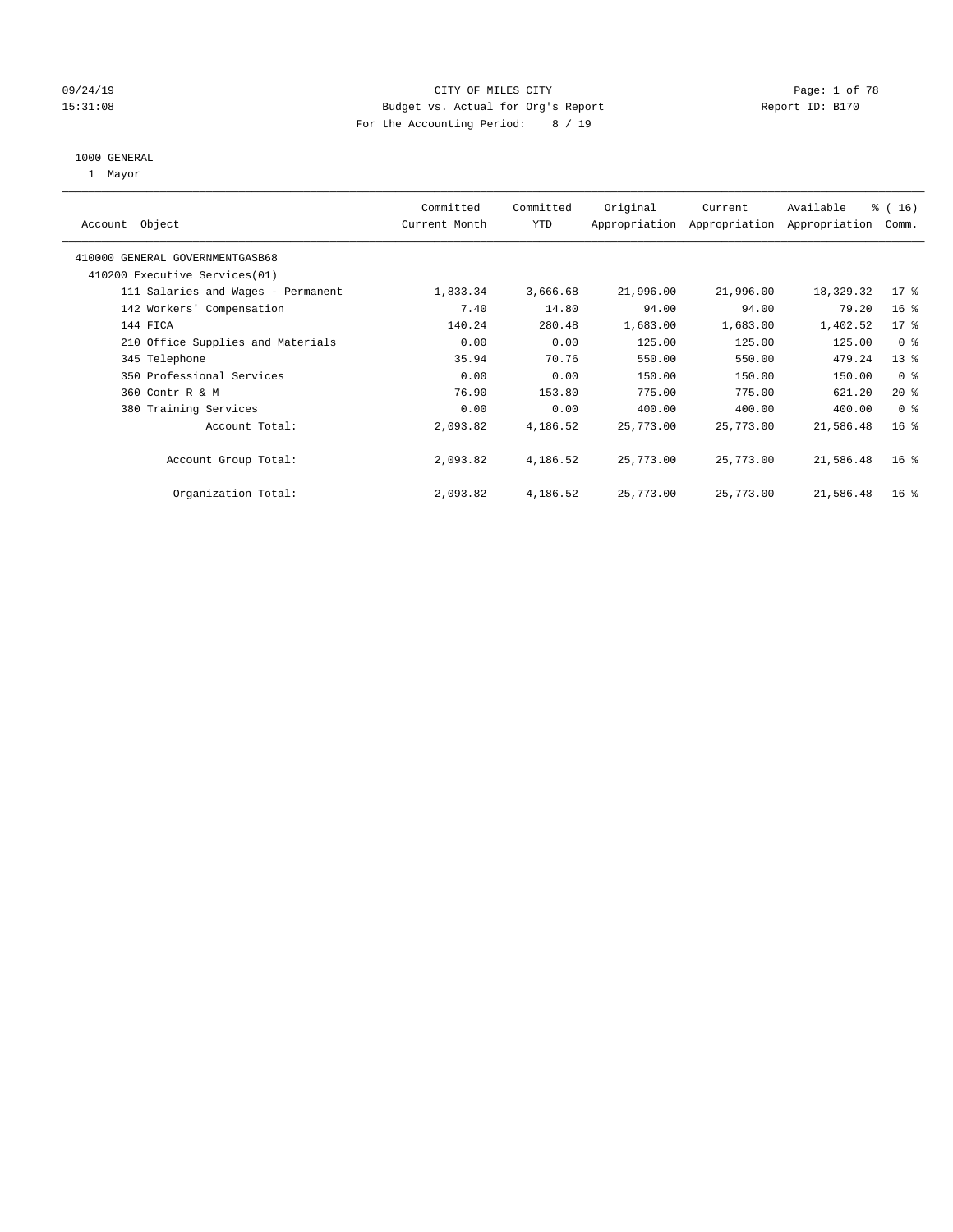### 09/24/19 CITY OF MILES CITY Page: 1 of 78 15:31:08 Budget vs. Actual for Org's Report Report ID: B170 For the Accounting Period: 8 / 19

#### 1000 GENERAL

1 Mayor

| Object<br>Account                  | Committed<br>Current Month | Committed<br><b>YTD</b> | Original  | Current<br>Appropriation Appropriation | Available<br>Appropriation | % (16)<br>Comm. |
|------------------------------------|----------------------------|-------------------------|-----------|----------------------------------------|----------------------------|-----------------|
| 410000 GENERAL GOVERNMENTGASB68    |                            |                         |           |                                        |                            |                 |
| 410200 Executive Services (01)     |                            |                         |           |                                        |                            |                 |
| 111 Salaries and Wages - Permanent | 1,833.34                   | 3,666.68                | 21,996.00 | 21,996.00                              | 18,329.32                  | $17*$           |
| 142 Workers' Compensation          | 7.40                       | 14.80                   | 94.00     | 94.00                                  | 79.20                      | 16 <sup>°</sup> |
| 144 FICA                           | 140.24                     | 280.48                  | 1,683.00  | 1,683.00                               | 1,402.52                   | 17 <sup>°</sup> |
| 210 Office Supplies and Materials  | 0.00                       | 0.00                    | 125.00    | 125.00                                 | 125.00                     | 0 <sup>8</sup>  |
| 345 Telephone                      | 35.94                      | 70.76                   | 550.00    | 550.00                                 | 479.24                     | 13 <sup>°</sup> |
| 350 Professional Services          | 0.00                       | 0.00                    | 150.00    | 150.00                                 | 150.00                     | 0 <sup>8</sup>  |
| 360 Contr R & M                    | 76.90                      | 153.80                  | 775.00    | 775.00                                 | 621.20                     | $20*$           |
| 380 Training Services              | 0.00                       | 0.00                    | 400.00    | 400.00                                 | 400.00                     | 0 <sub>8</sub>  |
| Account Total:                     | 2,093.82                   | 4,186.52                | 25,773.00 | 25,773.00                              | 21,586.48                  | 16 <sup>°</sup> |
| Account Group Total:               | 2,093.82                   | 4,186.52                | 25,773.00 | 25,773.00                              | 21,586.48                  | 16 <sup>°</sup> |
| Organization Total:                | 2,093.82                   | 4,186.52                | 25,773.00 | 25,773.00                              | 21,586.48                  | 16 <sup>8</sup> |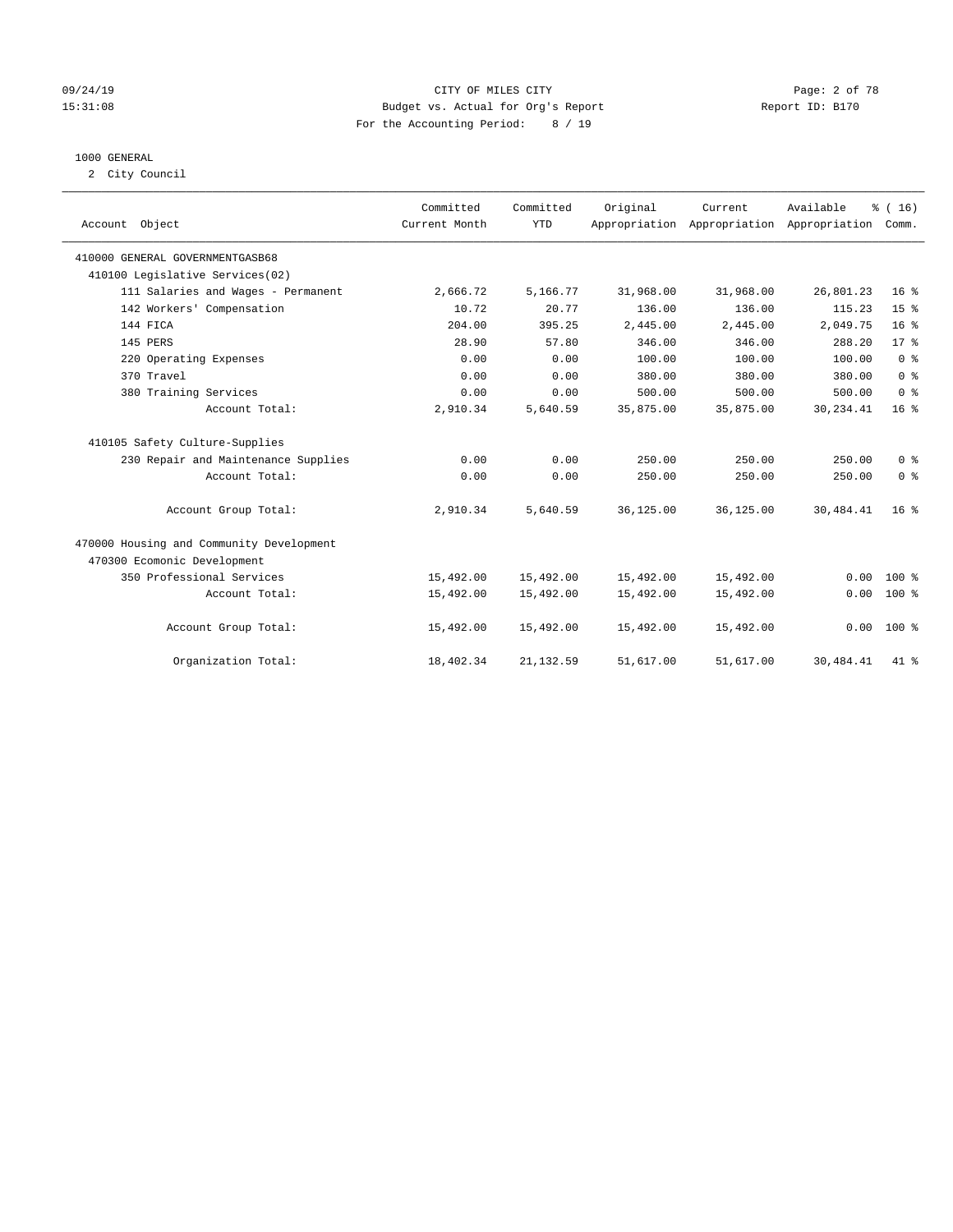### 09/24/19 CITY OF MILES CITY Page: 2 of 78 15:31:08 Budget vs. Actual for Org's Report Report ID: B170 For the Accounting Period: 8 / 19

#### 1000 GENERAL

2 City Council

| Account Object                           | Committed<br>Current Month | Committed<br><b>YTD</b> | Original  | Current   | Available<br>Appropriation Appropriation Appropriation | % (16)<br>Comm. |
|------------------------------------------|----------------------------|-------------------------|-----------|-----------|--------------------------------------------------------|-----------------|
| 410000 GENERAL GOVERNMENTGASB68          |                            |                         |           |           |                                                        |                 |
| 410100 Legislative Services(02)          |                            |                         |           |           |                                                        |                 |
| 111 Salaries and Wages - Permanent       | 2,666.72                   | 5,166.77                | 31,968.00 | 31,968.00 | 26,801.23                                              | 16 <sup>8</sup> |
| 142 Workers' Compensation                | 10.72                      | 20.77                   | 136.00    | 136.00    | 115.23                                                 | 15 <sup>°</sup> |
| 144 FICA                                 | 204.00                     | 395.25                  | 2,445.00  | 2,445.00  | 2,049.75                                               | 16 <sup>8</sup> |
| 145 PERS                                 | 28.90                      | 57.80                   | 346.00    | 346.00    | 288.20                                                 | $17*$           |
| 220 Operating Expenses                   | 0.00                       | 0.00                    | 100.00    | 100.00    | 100.00                                                 | 0 <sup>8</sup>  |
| 370 Travel                               | 0.00                       | 0.00                    | 380.00    | 380.00    | 380.00                                                 | 0 <sup>8</sup>  |
| 380 Training Services                    | 0.00                       | 0.00                    | 500.00    | 500.00    | 500.00                                                 | 0 <sup>8</sup>  |
| Account Total:                           | 2,910.34                   | 5,640.59                | 35,875.00 | 35,875.00 | 30,234.41                                              | 16 <sup>°</sup> |
| 410105 Safety Culture-Supplies           |                            |                         |           |           |                                                        |                 |
| 230 Repair and Maintenance Supplies      | 0.00                       | 0.00                    | 250.00    | 250.00    | 250.00                                                 | 0 <sup>8</sup>  |
| Account Total:                           | 0.00                       | 0.00                    | 250.00    | 250.00    | 250.00                                                 | 0 <sup>8</sup>  |
| Account Group Total:                     | 2,910.34                   | 5,640.59                | 36,125.00 | 36,125.00 | 30,484.41                                              | 16 <sup>°</sup> |
| 470000 Housing and Community Development |                            |                         |           |           |                                                        |                 |
| 470300 Ecomonic Development              |                            |                         |           |           |                                                        |                 |
| 350 Professional Services                | 15,492.00                  | 15,492.00               | 15,492.00 | 15,492.00 | 0.00                                                   | $100*$          |
| Account Total:                           | 15,492.00                  | 15,492.00               | 15,492.00 | 15,492.00 | 0.00                                                   | $100*$          |
| Account Group Total:                     | 15,492.00                  | 15,492.00               | 15,492.00 | 15,492.00 |                                                        | $0.00 100$ %    |
| Organization Total:                      | 18,402.34                  | 21, 132.59              | 51,617.00 | 51,617.00 | 30,484.41                                              | 41 %            |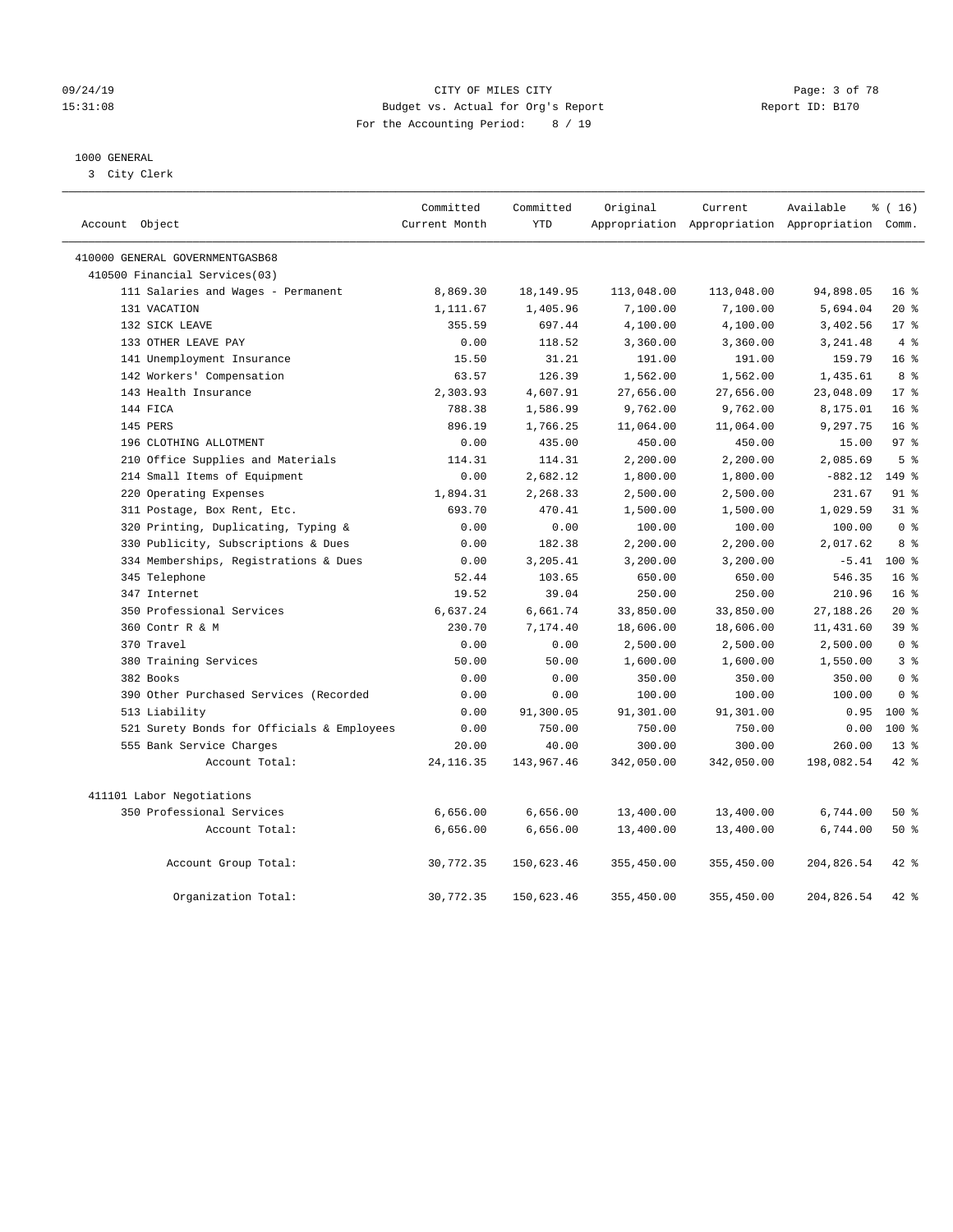#### 09/24/19 CITY OF MILES CITY Page: 3 of 78 15:31:08 Budget vs. Actual for Org's Report Report ID: B170 For the Accounting Period: 8 / 19

### 1000 GENERAL

3 City Clerk

| Account Object                             | Committed<br>Current Month | Committed<br><b>YTD</b> | Original   | Current    | Available<br>Appropriation Appropriation Appropriation Comm. | % (16)          |
|--------------------------------------------|----------------------------|-------------------------|------------|------------|--------------------------------------------------------------|-----------------|
| 410000 GENERAL GOVERNMENTGASB68            |                            |                         |            |            |                                                              |                 |
| 410500 Financial Services(03)              |                            |                         |            |            |                                                              |                 |
| 111 Salaries and Wages - Permanent         | 8,869.30                   | 18,149.95               | 113,048.00 | 113,048.00 | 94,898.05                                                    | 16 <sup>8</sup> |
| 131 VACATION                               | 1,111.67                   | 1,405.96                | 7,100.00   | 7,100.00   | 5,694.04                                                     | $20*$           |
| 132 SICK LEAVE                             | 355.59                     | 697.44                  | 4,100.00   | 4,100.00   | 3,402.56                                                     | $17*$           |
| 133 OTHER LEAVE PAY                        | 0.00                       | 118.52                  | 3,360.00   | 3,360.00   | 3,241.48                                                     | 4%              |
| 141 Unemployment Insurance                 | 15.50                      | 31.21                   | 191.00     | 191.00     | 159.79                                                       | 16 <sup>°</sup> |
| 142 Workers' Compensation                  | 63.57                      | 126.39                  | 1,562.00   | 1,562.00   | 1,435.61                                                     | 8 %             |
| 143 Health Insurance                       | 2,303.93                   | 4,607.91                | 27,656.00  | 27,656.00  | 23,048.09                                                    | 17 <sup>8</sup> |
| 144 FICA                                   | 788.38                     | 1,586.99                | 9,762.00   | 9,762.00   | 8,175.01                                                     | 16 <sup>°</sup> |
| 145 PERS                                   | 896.19                     | 1,766.25                | 11,064.00  | 11,064.00  | 9,297.75                                                     | 16 <sup>°</sup> |
| 196 CLOTHING ALLOTMENT                     | 0.00                       | 435.00                  | 450.00     | 450.00     | 15.00                                                        | 97 <sub>8</sub> |
| 210 Office Supplies and Materials          | 114.31                     | 114.31                  | 2,200.00   | 2,200.00   | 2,085.69                                                     | 5 <sup>8</sup>  |
| 214 Small Items of Equipment               | 0.00                       | 2,682.12                | 1,800.00   | 1,800.00   | $-882.12$                                                    | 149 %           |
| 220 Operating Expenses                     | 1,894.31                   | 2,268.33                | 2,500.00   | 2,500.00   | 231.67                                                       | 91 %            |
| 311 Postage, Box Rent, Etc.                | 693.70                     | 470.41                  | 1,500.00   | 1,500.00   | 1,029.59                                                     | 31.8            |
| 320 Printing, Duplicating, Typing &        | 0.00                       | 0.00                    | 100.00     | 100.00     | 100.00                                                       | 0 <sup>8</sup>  |
| 330 Publicity, Subscriptions & Dues        | 0.00                       | 182.38                  | 2,200.00   | 2,200.00   | 2,017.62                                                     | 8 %             |
| 334 Memberships, Registrations & Dues      | 0.00                       | 3,205.41                | 3,200.00   | 3,200.00   | $-5.41$                                                      | $100*$          |
| 345 Telephone                              | 52.44                      | 103.65                  | 650.00     | 650.00     | 546.35                                                       | 16 <sup>8</sup> |
| 347 Internet                               | 19.52                      | 39.04                   | 250.00     | 250.00     | 210.96                                                       | 16 <sup>°</sup> |
| 350 Professional Services                  | 6,637.24                   | 6,661.74                | 33,850.00  | 33,850.00  | 27, 188. 26                                                  | $20*$           |
| 360 Contr R & M                            | 230.70                     | 7,174.40                | 18,606.00  | 18,606.00  | 11,431.60                                                    | 39 <sup>8</sup> |
| 370 Travel                                 | 0.00                       | 0.00                    | 2,500.00   | 2,500.00   | 2,500.00                                                     | 0 <sup>8</sup>  |
| 380 Training Services                      | 50.00                      | 50.00                   | 1,600.00   | 1,600.00   | 1,550.00                                                     | 3 <sup>°</sup>  |
| 382 Books                                  | 0.00                       | 0.00                    | 350.00     | 350.00     | 350.00                                                       | 0 <sup>8</sup>  |
| 390 Other Purchased Services (Recorded     | 0.00                       | 0.00                    | 100.00     | 100.00     | 100.00                                                       | 0 <sup>8</sup>  |
| 513 Liability                              | 0.00                       | 91,300.05               | 91,301.00  | 91,301.00  | 0.95                                                         | $100*$          |
| 521 Surety Bonds for Officials & Employees | 0.00                       | 750.00                  | 750.00     | 750.00     | 0.00                                                         | $100*$          |
| 555 Bank Service Charges                   | 20.00                      | 40.00                   | 300.00     | 300.00     | 260.00                                                       | $13*$           |
| Account Total:                             | 24, 116.35                 | 143,967.46              | 342,050.00 | 342,050.00 | 198,082.54                                                   | 42 %            |
| 411101 Labor Negotiations                  |                            |                         |            |            |                                                              |                 |
| 350 Professional Services                  | 6,656.00                   | 6,656.00                | 13,400.00  | 13,400.00  | 6,744.00                                                     | 50 %            |
| Account Total:                             | 6,656.00                   | 6,656.00                | 13,400.00  | 13,400.00  | 6,744.00                                                     | 50%             |
| Account Group Total:                       | 30,772.35                  | 150,623.46              | 355,450.00 | 355,450.00 | 204,826.54                                                   | $42$ %          |
| Organization Total:                        | 30,772.35                  | 150,623.46              | 355,450.00 | 355,450.00 | 204,826.54                                                   | 42.8            |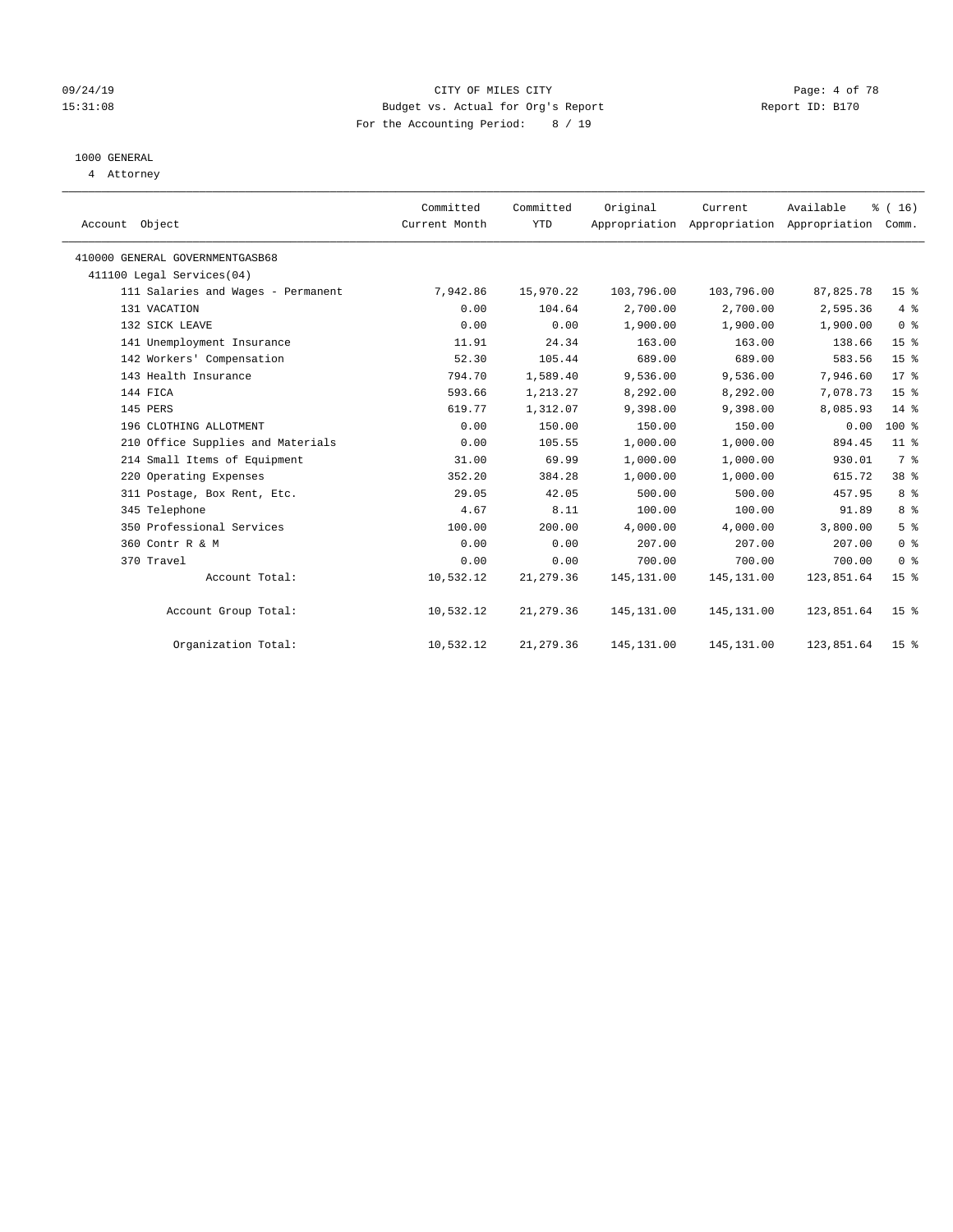### 09/24/19 CITY OF MILES CITY Page: 4 of 78 15:31:08 Budget vs. Actual for Org's Report Report ID: B170 For the Accounting Period: 8 / 19

# 1000 GENERAL

4 Attorney

| Account Object                     | Committed<br>Current Month | Committed<br><b>YTD</b> | Original    | Current<br>Appropriation Appropriation Appropriation | Available  | % (16)<br>Comm. |
|------------------------------------|----------------------------|-------------------------|-------------|------------------------------------------------------|------------|-----------------|
| 410000 GENERAL GOVERNMENTGASB68    |                            |                         |             |                                                      |            |                 |
| 411100 Legal Services(04)          |                            |                         |             |                                                      |            |                 |
| 111 Salaries and Wages - Permanent | 7,942.86                   | 15,970.22               | 103,796.00  | 103,796.00                                           | 87,825.78  | 15 <sup>8</sup> |
| 131 VACATION                       | 0.00                       | 104.64                  | 2,700.00    | 2,700.00                                             | 2,595.36   | 4%              |
| 132 SICK LEAVE                     | 0.00                       | 0.00                    | 1,900.00    | 1,900.00                                             | 1,900.00   | 0 <sup>8</sup>  |
| 141 Unemployment Insurance         | 11.91                      | 24.34                   | 163.00      | 163.00                                               | 138.66     | 15 <sup>8</sup> |
| 142 Workers' Compensation          | 52.30                      | 105.44                  | 689.00      | 689.00                                               | 583.56     | 15 <sup>°</sup> |
| 143 Health Insurance               | 794.70                     | 1,589.40                | 9,536.00    | 9,536.00                                             | 7,946.60   | $17*$           |
| 144 FICA                           | 593.66                     | 1,213.27                | 8,292.00    | 8,292.00                                             | 7,078.73   | 15 <sup>°</sup> |
| 145 PERS                           | 619.77                     | 1,312.07                | 9,398.00    | 9,398.00                                             | 8,085.93   | 14 %            |
| 196 CLOTHING ALLOTMENT             | 0.00                       | 150.00                  | 150.00      | 150.00                                               | 0.00       | $100*$          |
| 210 Office Supplies and Materials  | 0.00                       | 105.55                  | 1,000.00    | 1,000.00                                             | 894.45     | $11$ %          |
| 214 Small Items of Equipment       | 31.00                      | 69.99                   | 1,000.00    | 1,000.00                                             | 930.01     | 7 %             |
| 220 Operating Expenses             | 352.20                     | 384.28                  | 1,000.00    | 1,000.00                                             | 615.72     | 38 %            |
| 311 Postage, Box Rent, Etc.        | 29.05                      | 42.05                   | 500.00      | 500.00                                               | 457.95     | 8 %             |
| 345 Telephone                      | 4.67                       | 8.11                    | 100.00      | 100.00                                               | 91.89      | 8 %             |
| 350 Professional Services          | 100.00                     | 200.00                  | 4,000.00    | 4,000.00                                             | 3,800.00   | 5 <sup>°</sup>  |
| 360 Contr R & M                    | 0.00                       | 0.00                    | 207.00      | 207.00                                               | 207.00     | 0 <sup>8</sup>  |
| 370 Travel                         | 0.00                       | 0.00                    | 700.00      | 700.00                                               | 700.00     | 0 <sup>8</sup>  |
| Account Total:                     | 10,532.12                  | 21, 279.36              | 145, 131.00 | 145, 131.00                                          | 123,851.64 | 15 <sup>8</sup> |
| Account Group Total:               | 10,532.12                  | 21, 279.36              | 145, 131.00 | 145, 131.00                                          | 123,851.64 | 15 <sup>8</sup> |
| Organization Total:                | 10,532.12                  | 21, 279.36              | 145, 131.00 | 145, 131.00                                          | 123,851.64 | 15 <sup>8</sup> |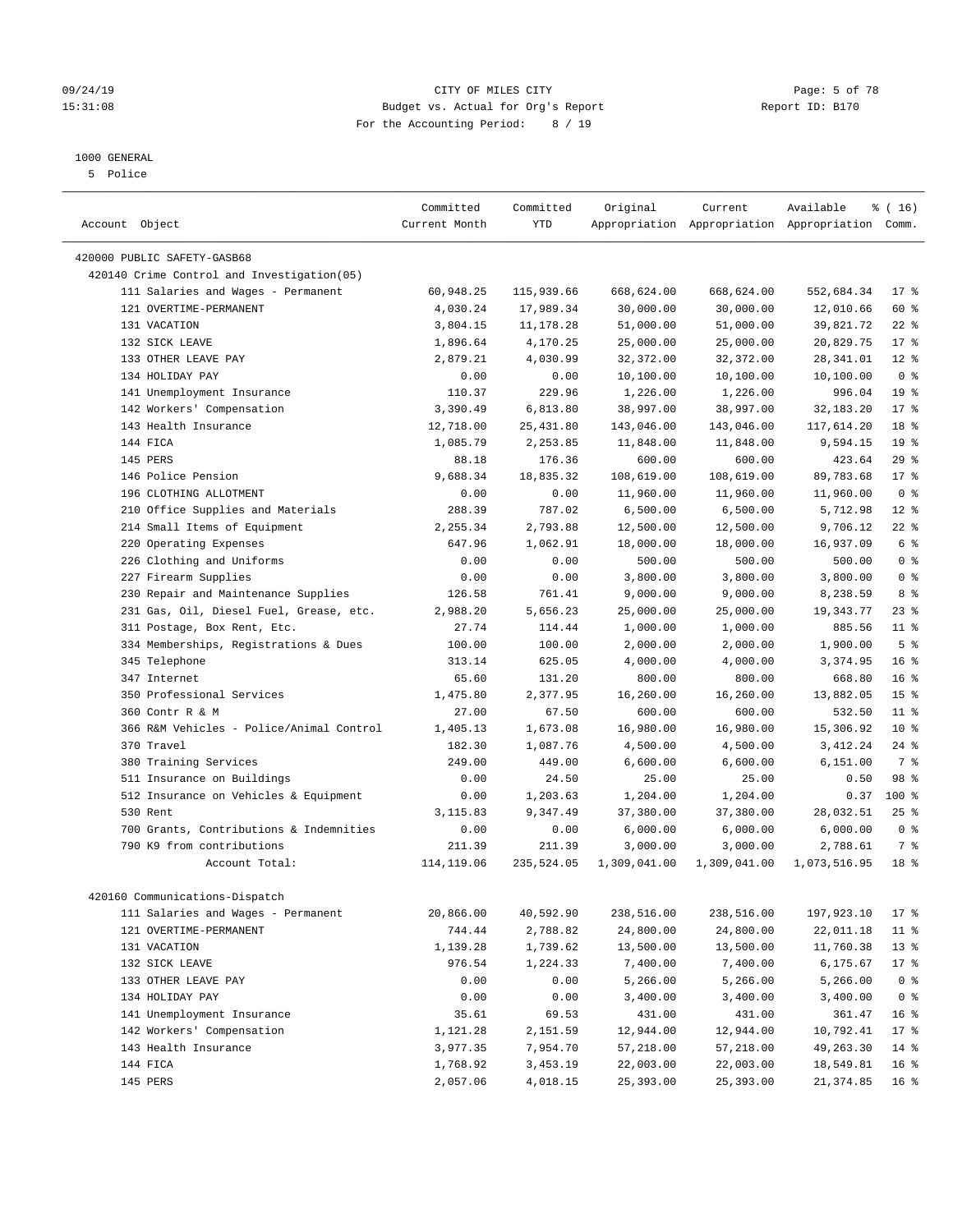#### 1000 GENERAL

5 Police

| Account Object                             | Committed<br>Current Month | Committed<br><b>YTD</b> | Original     | Current      | Available<br>Appropriation Appropriation Appropriation Comm. | % (16)          |
|--------------------------------------------|----------------------------|-------------------------|--------------|--------------|--------------------------------------------------------------|-----------------|
|                                            |                            |                         |              |              |                                                              |                 |
| 420000 PUBLIC SAFETY-GASB68                |                            |                         |              |              |                                                              |                 |
| 420140 Crime Control and Investigation(05) |                            |                         |              |              |                                                              |                 |
| 111 Salaries and Wages - Permanent         | 60,948.25                  | 115,939.66              | 668,624.00   | 668,624.00   | 552,684.34                                                   | $17$ %          |
| 121 OVERTIME-PERMANENT                     | 4,030.24                   | 17,989.34               | 30,000.00    | 30,000.00    | 12,010.66                                                    | 60 %            |
| 131 VACATION                               | 3,804.15                   | 11,178.28               | 51,000.00    | 51,000.00    | 39,821.72                                                    | $22$ %          |
| 132 STCK LEAVE                             | 1,896.64                   | 4,170.25                | 25,000.00    | 25,000.00    | 20,829.75                                                    | $17*$           |
| 133 OTHER LEAVE PAY                        | 2,879.21                   | 4,030.99                | 32,372.00    | 32,372.00    | 28, 341.01                                                   | $12*$           |
| 134 HOLIDAY PAY                            | 0.00                       | 0.00                    | 10,100.00    | 10,100.00    | 10,100.00                                                    | 0 <sup>8</sup>  |
| 141 Unemployment Insurance                 | 110.37                     | 229.96                  | 1,226.00     | 1,226.00     | 996.04                                                       | 19 <sup>°</sup> |
| 142 Workers' Compensation                  | 3,390.49                   | 6,813.80                | 38,997.00    | 38,997.00    | 32, 183. 20                                                  | $17*$           |
| 143 Health Insurance                       | 12,718.00                  | 25, 431.80              | 143,046.00   | 143,046.00   | 117,614.20                                                   | 18 <sup>8</sup> |
| 144 FICA                                   | 1,085.79                   | 2,253.85                | 11,848.00    | 11,848.00    | 9,594.15                                                     | 19 <sup>°</sup> |
| 145 PERS                                   | 88.18                      | 176.36                  | 600.00       | 600.00       | 423.64                                                       | 29%             |
| 146 Police Pension                         | 9,688.34                   | 18,835.32               | 108,619.00   | 108,619.00   | 89,783.68                                                    | $17*$           |
| 196 CLOTHING ALLOTMENT                     | 0.00                       | 0.00                    | 11,960.00    | 11,960.00    | 11,960.00                                                    | 0 <sup>8</sup>  |
| 210 Office Supplies and Materials          | 288.39                     | 787.02                  | 6,500.00     | 6,500.00     | 5,712.98                                                     | $12*$           |
| 214 Small Items of Equipment               | 2,255.34                   | 2,793.88                | 12,500.00    | 12,500.00    | 9,706.12                                                     | $22$ %          |
| 220 Operating Expenses                     | 647.96                     | 1,062.91                | 18,000.00    | 18,000.00    | 16,937.09                                                    | 6 %             |
| 226 Clothing and Uniforms                  | 0.00                       | 0.00                    | 500.00       | 500.00       | 500.00                                                       | 0 <sup>8</sup>  |
| 227 Firearm Supplies                       | 0.00                       | 0.00                    | 3,800.00     | 3,800.00     | 3,800.00                                                     | 0 <sup>8</sup>  |
| 230 Repair and Maintenance Supplies        | 126.58                     | 761.41                  | 9,000.00     | 9,000.00     | 8,238.59                                                     | 8 %             |
| 231 Gas, Oil, Diesel Fuel, Grease, etc.    | 2,988.20                   | 5,656.23                | 25,000.00    | 25,000.00    | 19, 343. 77                                                  | 23%             |
| 311 Postage, Box Rent, Etc.                | 27.74                      | 114.44                  | 1,000.00     | 1,000.00     | 885.56                                                       | $11$ %          |
| 334 Memberships, Registrations & Dues      | 100.00                     | 100.00                  | 2,000.00     | 2,000.00     | 1,900.00                                                     | 5 <sup>8</sup>  |
| 345 Telephone                              | 313.14                     | 625.05                  | 4,000.00     | 4,000.00     | 3,374.95                                                     | 16 <sup>°</sup> |
| 347 Internet                               | 65.60                      | 131.20                  | 800.00       | 800.00       | 668.80                                                       | 16 <sup>8</sup> |
| 350 Professional Services                  | 1,475.80                   | 2,377.95                | 16,260.00    | 16,260.00    | 13,882.05                                                    | 15 <sup>°</sup> |
| 360 Contr R & M                            | 27.00                      | 67.50                   | 600.00       | 600.00       | 532.50                                                       | $11$ %          |
| 366 R&M Vehicles - Police/Animal Control   | 1,405.13                   | 1,673.08                | 16,980.00    | 16,980.00    | 15,306.92                                                    | $10*$           |
| 370 Travel                                 | 182.30                     | 1,087.76                | 4,500.00     | 4,500.00     | 3, 412.24                                                    | $24$ %          |
| 380 Training Services                      | 249.00                     | 449.00                  | 6,600.00     | 6,600.00     | 6,151.00                                                     | 7 %             |
| 511 Insurance on Buildings                 | 0.00                       | 24.50                   | 25.00        | 25.00        | 0.50                                                         | 98 %            |
| 512 Insurance on Vehicles & Equipment      | 0.00                       | 1,203.63                | 1,204.00     | 1,204.00     | 0.37                                                         | 100 %           |
| 530 Rent                                   | 3,115.83                   | 9,347.49                | 37,380.00    | 37,380.00    | 28,032.51                                                    | 25%             |
| 700 Grants, Contributions & Indemnities    | 0.00                       | 0.00                    | 6,000.00     | 6,000.00     | 6,000.00                                                     | 0 <sup>8</sup>  |
| 790 K9 from contributions                  | 211.39                     | 211.39                  | 3,000.00     | 3,000.00     | 2,788.61                                                     | 7 %             |
| Account Total:                             | 114,119.06                 | 235,524.05              | 1,309,041.00 | 1,309,041.00 | 1,073,516.95                                                 | 18 <sup>8</sup> |
| 420160 Communications-Dispatch             |                            |                         |              |              |                                                              |                 |
| 111 Salaries and Wages - Permanent         | 20,866.00                  | 40,592.90               | 238,516.00   | 238,516.00   | 197,923.10                                                   | $17*$           |
| 121 OVERTIME-PERMANENT                     | 744.44                     | 2,788.82                | 24,800.00    | 24,800.00    | 22,011.18                                                    | $11$ %          |
| 131 VACATION                               | 1,139.28                   | 1,739.62                | 13,500.00    | 13,500.00    | 11,760.38                                                    | $13*$           |
| 132 SICK LEAVE                             | 976.54                     | 1,224.33                | 7,400.00     | 7,400.00     | 6,175.67                                                     | $17*$           |
| 133 OTHER LEAVE PAY                        | 0.00                       | 0.00                    | 5,266.00     | 5,266.00     | 5,266.00                                                     | 0 <sup>8</sup>  |
| 134 HOLIDAY PAY                            | 0.00                       | 0.00                    | 3,400.00     | 3,400.00     | 3,400.00                                                     | 0 <sup>8</sup>  |
| 141 Unemployment Insurance                 | 35.61                      | 69.53                   | 431.00       | 431.00       | 361.47                                                       | 16 <sup>8</sup> |
| 142 Workers' Compensation                  | 1,121.28                   | 2,151.59                | 12,944.00    | 12,944.00    | 10,792.41                                                    | $17*$           |
| 143 Health Insurance                       | 3,977.35                   | 7,954.70                | 57,218.00    | 57,218.00    | 49,263.30                                                    | 14 %            |
| 144 FICA                                   | 1,768.92                   | 3,453.19                | 22,003.00    | 22,003.00    | 18,549.81                                                    | 16 <sup>°</sup> |
| 145 PERS                                   | 2,057.06                   | 4,018.15                | 25,393.00    | 25,393.00    | 21, 374.85                                                   | 16 <sup>8</sup> |

09/24/19 CITY OF MILES CITY Page: 5 of 78 15:31:08 Budget vs. Actual for Org's Report Report ID: B170 For the Accounting Period: 8 / 19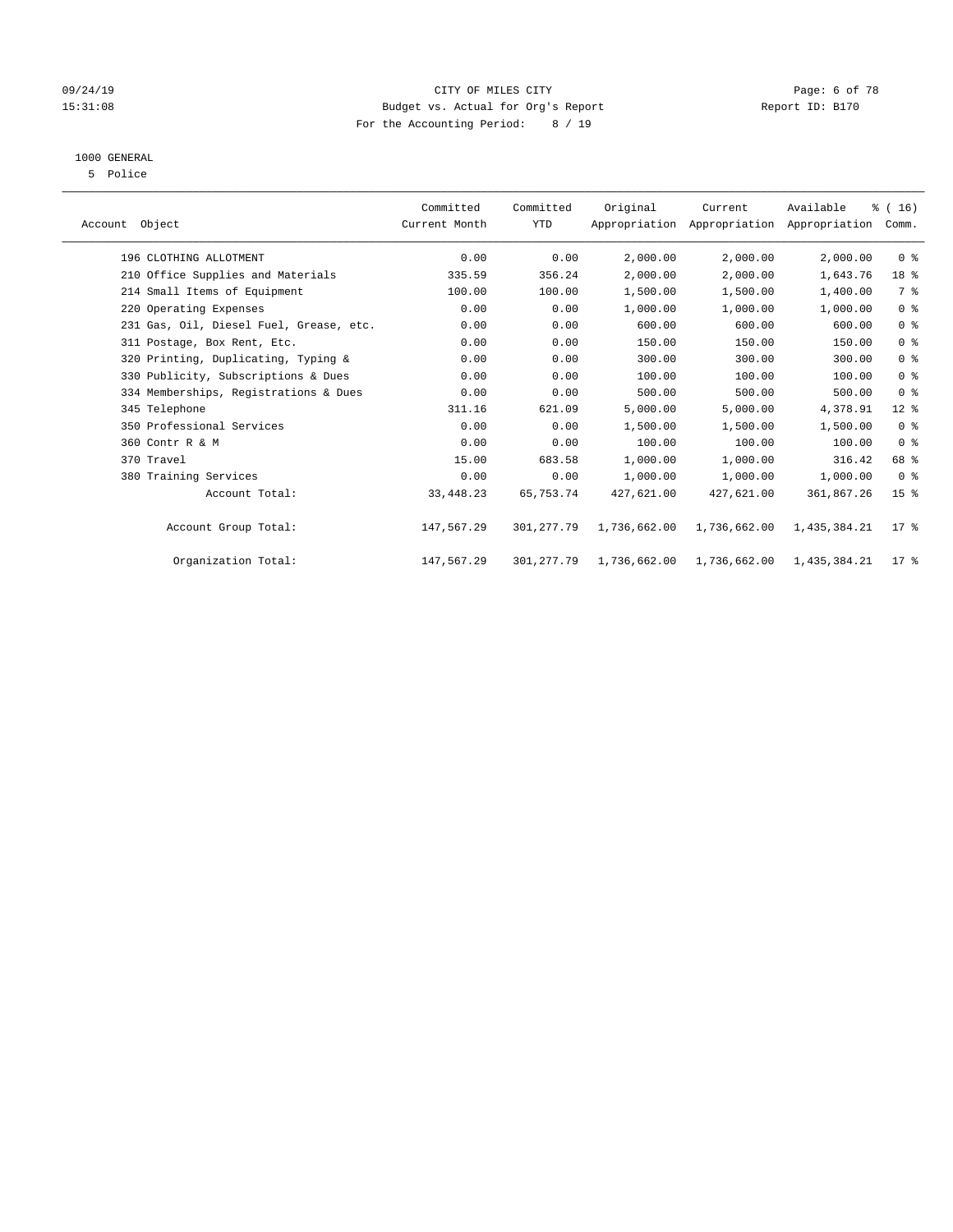### 09/24/19 CITY OF MILES CITY Page: 6 of 78 15:31:08 Budget vs. Actual for Org's Report Report ID: B170 For the Accounting Period: 8 / 19

# 1000 GENERAL

5 Police

| Account Object                          | Committed<br>Current Month | Committed<br><b>YTD</b> | Original     | Current      | Available<br>Appropriation Appropriation Appropriation | % (16)<br>Comm. |  |
|-----------------------------------------|----------------------------|-------------------------|--------------|--------------|--------------------------------------------------------|-----------------|--|
| 196 CLOTHING ALLOTMENT                  | 0.00                       | 0.00                    | 2,000.00     | 2,000.00     | 2,000.00                                               | 0 <sup>8</sup>  |  |
| 210 Office Supplies and Materials       | 335.59                     | 356.24                  | 2,000.00     | 2,000.00     | 1,643.76                                               | 18 %            |  |
| 214 Small Items of Equipment            | 100.00                     | 100.00                  | 1,500.00     | 1,500.00     | 1,400.00                                               | 7 %             |  |
| 220 Operating Expenses                  | 0.00                       | 0.00                    | 1,000.00     | 1,000.00     | 1,000.00                                               | 0 <sup>8</sup>  |  |
| 231 Gas, Oil, Diesel Fuel, Grease, etc. | 0.00                       | 0.00                    | 600.00       | 600.00       | 600.00                                                 | 0 <sup>8</sup>  |  |
| 311 Postage, Box Rent, Etc.             | 0.00                       | 0.00                    | 150.00       | 150.00       | 150.00                                                 | 0 <sup>8</sup>  |  |
| 320 Printing, Duplicating, Typing &     | 0.00                       | 0.00                    | 300.00       | 300.00       | 300.00                                                 | 0 <sup>8</sup>  |  |
| 330 Publicity, Subscriptions & Dues     | 0.00                       | 0.00                    | 100.00       | 100.00       | 100.00                                                 | 0 <sup>8</sup>  |  |
| 334 Memberships, Registrations & Dues   | 0.00                       | 0.00                    | 500.00       | 500.00       | 500.00                                                 | 0 <sup>8</sup>  |  |
| 345 Telephone                           | 311.16                     | 621.09                  | 5,000.00     | 5,000.00     | 4,378.91                                               | $12$ %          |  |
| 350 Professional Services               | 0.00                       | 0.00                    | 1,500.00     | 1,500.00     | 1,500.00                                               | 0 <sup>8</sup>  |  |
| 360 Contr R & M                         | 0.00                       | 0.00                    | 100.00       | 100.00       | 100.00                                                 | 0 <sup>8</sup>  |  |
| 370 Travel                              | 15.00                      | 683.58                  | 1,000.00     | 1,000.00     | 316.42                                                 | 68 %            |  |
| 380 Training Services                   | 0.00                       | 0.00                    | 1,000.00     | 1,000.00     | 1,000.00                                               | 0 <sup>8</sup>  |  |
| Account Total:                          | 33,448.23                  | 65,753.74               | 427,621.00   | 427,621.00   | 361,867.26                                             | 15 <sup>8</sup> |  |
| Account Group Total:                    | 147,567.29                 | 301,277.79              | 1,736,662.00 | 1,736,662.00 | 1,435,384.21                                           | $17*$           |  |
| Organization Total:                     | 147,567.29                 | 301,277.79              | 1,736,662.00 | 1,736,662.00 | 1,435,384.21                                           | $17*$           |  |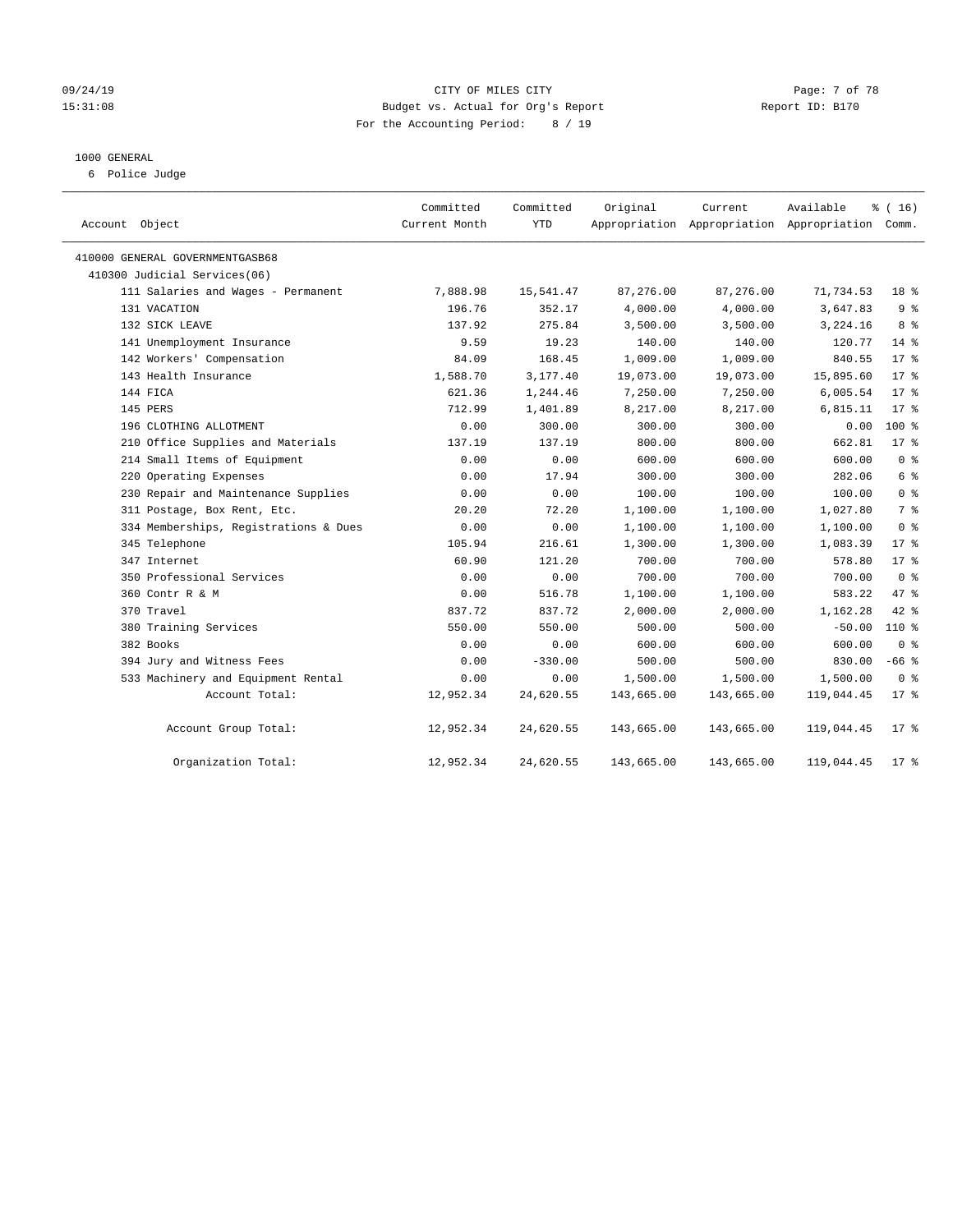#### 09/24/19 Page: 7 of 78 15:31:08 Budget vs. Actual for Org's Report Report ID: B170 For the Accounting Period: 8 / 19

#### 1000 GENERAL

6 Police Judge

| Account Object                        | Committed<br>Current Month | Committed<br>YTD | Original   | Current    | Available<br>Appropriation Appropriation Appropriation Comm. | % (16)         |
|---------------------------------------|----------------------------|------------------|------------|------------|--------------------------------------------------------------|----------------|
| 410000 GENERAL GOVERNMENTGASB68       |                            |                  |            |            |                                                              |                |
| 410300 Judicial Services(06)          |                            |                  |            |            |                                                              |                |
| 111 Salaries and Wages - Permanent    | 7,888.98                   | 15,541.47        | 87,276.00  | 87,276.00  | 71,734.53                                                    | 18 %           |
| 131 VACATION                          | 196.76                     | 352.17           | 4,000.00   | 4,000.00   | 3,647.83                                                     | 9 <sup>°</sup> |
| 132 SICK LEAVE                        | 137.92                     | 275.84           | 3,500.00   | 3,500.00   | 3,224.16                                                     | 8 %            |
| 141 Unemployment Insurance            | 9.59                       | 19.23            | 140.00     | 140.00     | 120.77                                                       | $14*$          |
| 142 Workers' Compensation             | 84.09                      | 168.45           | 1,009.00   | 1,009.00   | 840.55                                                       | $17*$          |
| 143 Health Insurance                  | 1,588.70                   | 3,177.40         | 19,073.00  | 19,073.00  | 15,895.60                                                    | $17*$          |
| 144 FICA                              | 621.36                     | 1,244.46         | 7,250.00   | 7,250.00   | 6,005.54                                                     | $17*$          |
| 145 PERS                              | 712.99                     | 1,401.89         | 8,217.00   | 8,217.00   | 6,815.11                                                     | $17*$          |
| 196 CLOTHING ALLOTMENT                | 0.00                       | 300.00           | 300.00     | 300.00     | 0.00                                                         | $100*$         |
| 210 Office Supplies and Materials     | 137.19                     | 137.19           | 800.00     | 800.00     | 662.81                                                       | $17*$          |
| 214 Small Items of Equipment          | 0.00                       | 0.00             | 600.00     | 600.00     | 600.00                                                       | 0 <sup>8</sup> |
| 220 Operating Expenses                | 0.00                       | 17.94            | 300.00     | 300.00     | 282.06                                                       | 6 %            |
| 230 Repair and Maintenance Supplies   | 0.00                       | 0.00             | 100.00     | 100.00     | 100.00                                                       | 0 <sup>8</sup> |
| 311 Postage, Box Rent, Etc.           | 20.20                      | 72.20            | 1,100.00   | 1,100.00   | 1,027.80                                                     | 7 %            |
| 334 Memberships, Registrations & Dues | 0.00                       | 0.00             | 1,100.00   | 1,100.00   | 1,100.00                                                     | 0 <sup>8</sup> |
| 345 Telephone                         | 105.94                     | 216.61           | 1,300.00   | 1,300.00   | 1,083.39                                                     | $17*$          |
| 347 Internet                          | 60.90                      | 121.20           | 700.00     | 700.00     | 578.80                                                       | $17*$          |
| 350 Professional Services             | 0.00                       | 0.00             | 700.00     | 700.00     | 700.00                                                       | 0 <sup>8</sup> |
| 360 Contr R & M                       | 0.00                       | 516.78           | 1,100.00   | 1,100.00   | 583.22                                                       | 47.8           |
| 370 Travel                            | 837.72                     | 837.72           | 2,000.00   | 2,000.00   | 1,162.28                                                     | 42 %           |
| 380 Training Services                 | 550.00                     | 550.00           | 500.00     | 500.00     | $-50.00$                                                     | 110 %          |
| 382 Books                             | 0.00                       | 0.00             | 600.00     | 600.00     | 600.00                                                       | 0 <sup>8</sup> |
| 394 Jury and Witness Fees             | 0.00                       | $-330.00$        | 500.00     | 500.00     | 830.00                                                       | $-66$ %        |
| 533 Machinery and Equipment Rental    | 0.00                       | 0.00             | 1,500.00   | 1,500.00   | 1,500.00                                                     | 0 <sup>8</sup> |
| Account Total:                        | 12,952.34                  | 24,620.55        | 143,665.00 | 143,665.00 | 119,044.45                                                   | $17*$          |
| Account Group Total:                  | 12,952.34                  | 24,620.55        | 143,665.00 | 143,665.00 | 119,044.45                                                   | $17$ %         |
| Organization Total:                   | 12,952.34                  | 24,620.55        | 143,665.00 | 143,665.00 | 119,044.45                                                   | $17*$          |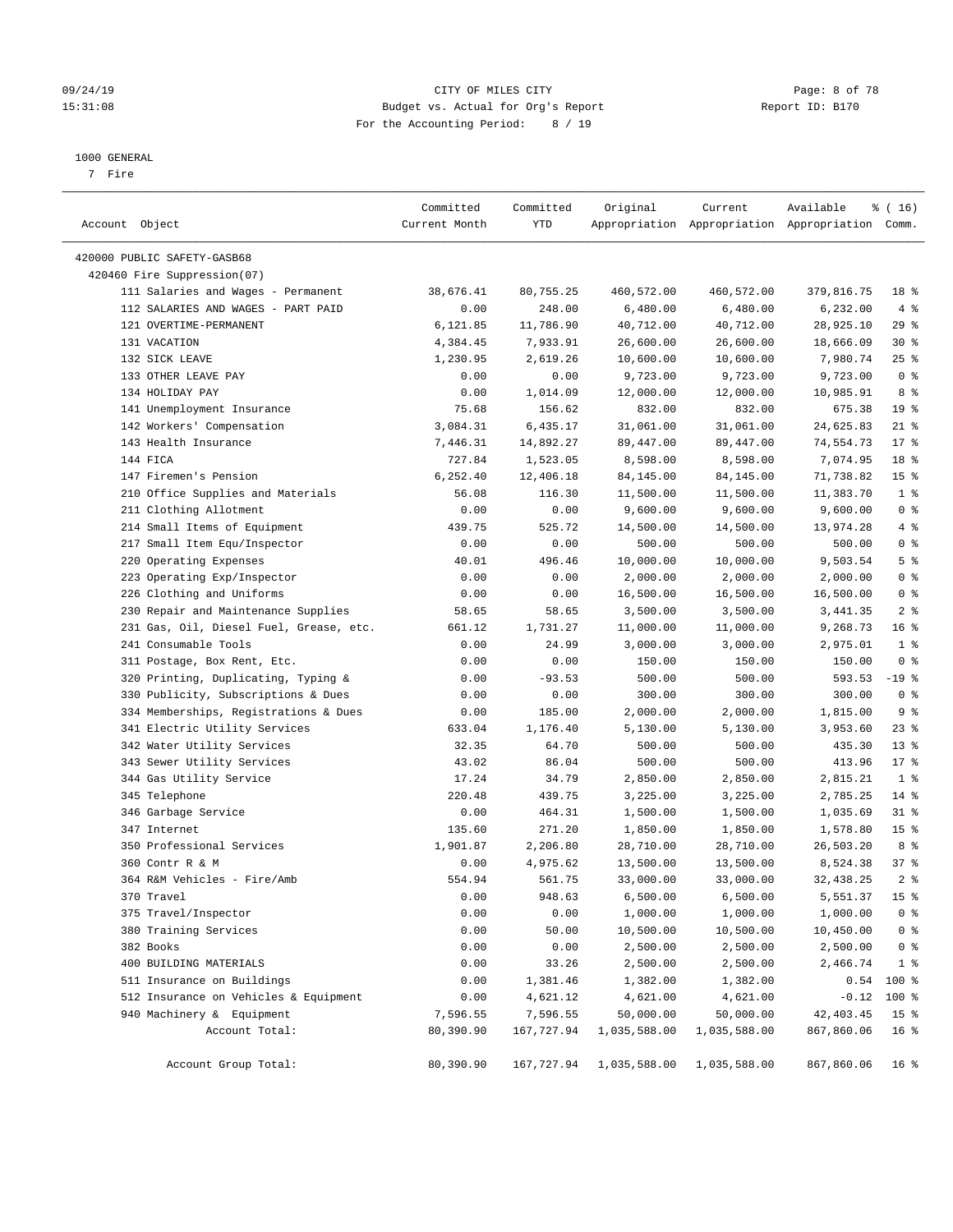#### 09/24/19 CITY OF MILES CITY Page: 8 of 78 15:31:08 Budget vs. Actual for Org's Report Report ID: B170 For the Accounting Period: 8 / 19

#### 1000 GENERAL

7 Fire

| Account Object                          | Committed<br>Current Month | Committed<br>YTD | Original     | Current      | Available<br>Appropriation Appropriation Appropriation Comm. | ៖ ( 16)         |
|-----------------------------------------|----------------------------|------------------|--------------|--------------|--------------------------------------------------------------|-----------------|
| 420000 PUBLIC SAFETY-GASB68             |                            |                  |              |              |                                                              |                 |
| 420460 Fire Suppression(07)             |                            |                  |              |              |                                                              |                 |
| 111 Salaries and Wages - Permanent      | 38,676.41                  | 80,755.25        | 460,572.00   | 460,572.00   | 379,816.75                                                   | 18 %            |
| 112 SALARIES AND WAGES - PART PAID      | 0.00                       | 248.00           | 6,480.00     | 6,480.00     | 6,232.00                                                     | $4\degree$      |
| 121 OVERTIME-PERMANENT                  | 6,121.85                   | 11,786.90        | 40,712.00    | 40,712.00    | 28,925.10                                                    | 29%             |
| 131 VACATION                            | 4,384.45                   | 7,933.91         | 26,600.00    | 26,600.00    | 18,666.09                                                    | $30*$           |
| 132 SICK LEAVE                          | 1,230.95                   | 2,619.26         | 10,600.00    | 10,600.00    | 7,980.74                                                     | $25$ %          |
| 133 OTHER LEAVE PAY                     | 0.00                       | 0.00             | 9,723.00     | 9,723.00     | 9,723.00                                                     | 0 <sup>8</sup>  |
| 134 HOLIDAY PAY                         | 0.00                       | 1,014.09         | 12,000.00    | 12,000.00    | 10,985.91                                                    | 8 %             |
| 141 Unemployment Insurance              | 75.68                      | 156.62           | 832.00       | 832.00       | 675.38                                                       | 19 <sup>°</sup> |
| 142 Workers' Compensation               | 3,084.31                   | 6,435.17         | 31,061.00    | 31,061.00    | 24,625.83                                                    | $21$ %          |
| 143 Health Insurance                    | 7,446.31                   | 14,892.27        | 89,447.00    | 89,447.00    | 74,554.73                                                    | $17*$           |
| 144 FICA                                | 727.84                     | 1,523.05         | 8,598.00     | 8,598.00     | 7,074.95                                                     | 18 %            |
| 147 Firemen's Pension                   | 6, 252.40                  | 12,406.18        | 84,145.00    | 84,145.00    | 71,738.82                                                    | 15 <sup>°</sup> |
| 210 Office Supplies and Materials       | 56.08                      | 116.30           | 11,500.00    | 11,500.00    | 11,383.70                                                    | 1 <sup>°</sup>  |
| 211 Clothing Allotment                  | 0.00                       | 0.00             | 9,600.00     | 9,600.00     | 9,600.00                                                     | 0 <sup>8</sup>  |
| 214 Small Items of Equipment            | 439.75                     | 525.72           | 14,500.00    | 14,500.00    | 13,974.28                                                    | $4\degree$      |
| 217 Small Item Equ/Inspector            | 0.00                       | 0.00             | 500.00       | 500.00       | 500.00                                                       | 0 <sup>8</sup>  |
| 220 Operating Expenses                  | 40.01                      | 496.46           | 10,000.00    | 10,000.00    | 9,503.54                                                     | 5 <sup>8</sup>  |
| 223 Operating Exp/Inspector             | 0.00                       | 0.00             | 2,000.00     | 2,000.00     | 2,000.00                                                     | 0 <sup>8</sup>  |
| 226 Clothing and Uniforms               | 0.00                       | 0.00             | 16,500.00    | 16,500.00    | 16,500.00                                                    | 0 <sup>8</sup>  |
| 230 Repair and Maintenance Supplies     | 58.65                      | 58.65            | 3,500.00     | 3,500.00     | 3,441.35                                                     | 2 <sup>8</sup>  |
| 231 Gas, Oil, Diesel Fuel, Grease, etc. | 661.12                     | 1,731.27         | 11,000.00    | 11,000.00    | 9,268.73                                                     | 16 <sup>°</sup> |
| 241 Consumable Tools                    | 0.00                       | 24.99            | 3,000.00     | 3,000.00     | 2,975.01                                                     | 1 <sup>8</sup>  |
| 311 Postage, Box Rent, Etc.             | 0.00                       | 0.00             | 150.00       | 150.00       | 150.00                                                       | 0 <sup>8</sup>  |
| 320 Printing, Duplicating, Typing &     | 0.00                       | $-93.53$         | 500.00       | 500.00       | 593.53                                                       | $-19$ %         |
| 330 Publicity, Subscriptions & Dues     | 0.00                       | 0.00             | 300.00       | 300.00       | 300.00                                                       | 0 <sup>8</sup>  |
| 334 Memberships, Registrations & Dues   | 0.00                       | 185.00           | 2,000.00     | 2,000.00     | 1,815.00                                                     | 9 <sup>°</sup>  |
| 341 Electric Utility Services           | 633.04                     | 1,176.40         | 5,130.00     | 5,130.00     | 3,953.60                                                     | $23$ $%$        |
| 342 Water Utility Services              | 32.35                      | 64.70            | 500.00       | 500.00       | 435.30                                                       | $13*$           |
| 343 Sewer Utility Services              | 43.02                      | 86.04            | 500.00       | 500.00       | 413.96                                                       | $17*$           |
| 344 Gas Utility Service                 | 17.24                      | 34.79            | 2,850.00     | 2,850.00     | 2,815.21                                                     | 1 <sup>8</sup>  |
| 345 Telephone                           | 220.48                     | 439.75           | 3,225.00     | 3,225.00     | 2,785.25                                                     | $14*$           |
| 346 Garbage Service                     | 0.00                       | 464.31           | 1,500.00     | 1,500.00     | 1,035.69                                                     | $31$ %          |
| 347 Internet                            | 135.60                     | 271.20           | 1,850.00     | 1,850.00     | 1,578.80                                                     | 15 <sup>°</sup> |
| 350 Professional Services               | 1,901.87                   | 2,206.80         | 28,710.00    | 28,710.00    | 26,503.20                                                    | 8 %             |
| 360 Contr R & M                         | 0.00                       | 4,975.62         | 13,500.00    | 13,500.00    | 8,524.38                                                     | 37%             |
| 364 R&M Vehicles - Fire/Amb             | 554.94                     | 561.75           | 33,000.00    | 33,000.00    | 32, 438.25                                                   | 2 <sup>8</sup>  |
| 370 Travel                              | 0.00                       | 948.63           | 6,500.00     | 6,500.00     | 5,551.37                                                     | 15 <sup>°</sup> |
| 375 Travel/Inspector                    | 0.00                       | 0.00             | 1,000.00     | 1,000.00     | 1,000.00                                                     | 0 <sup>8</sup>  |
| 380 Training Services                   | 0.00                       | 50.00            | 10,500.00    | 10,500.00    | 10,450.00                                                    | 0 <sup>8</sup>  |
| 382 Books                               | 0.00                       | 0.00             | 2,500.00     | 2,500.00     | 2,500.00                                                     | 0 <sup>8</sup>  |
| 400 BUILDING MATERIALS                  | 0.00                       | 33.26            | 2,500.00     | 2,500.00     | 2,466.74                                                     | 1 <sup>8</sup>  |
| 511 Insurance on Buildings              | 0.00                       | 1,381.46         | 1,382.00     | 1,382.00     | 0.54                                                         | 100 %           |
| 512 Insurance on Vehicles & Equipment   | 0.00                       | 4,621.12         | 4,621.00     | 4,621.00     | $-0.12$                                                      | 100 %           |
| 940 Machinery & Equipment               | 7,596.55                   | 7,596.55         | 50,000.00    | 50,000.00    | 42, 403.45                                                   | 15 <sup>°</sup> |
| Account Total:                          | 80,390.90                  | 167,727.94       | 1,035,588.00 | 1,035,588.00 | 867,860.06                                                   | 16 <sup>°</sup> |
| Account Group Total:                    | 80,390.90                  | 167,727.94       | 1,035,588.00 | 1,035,588.00 | 867,860.06                                                   | 16 <sup>°</sup> |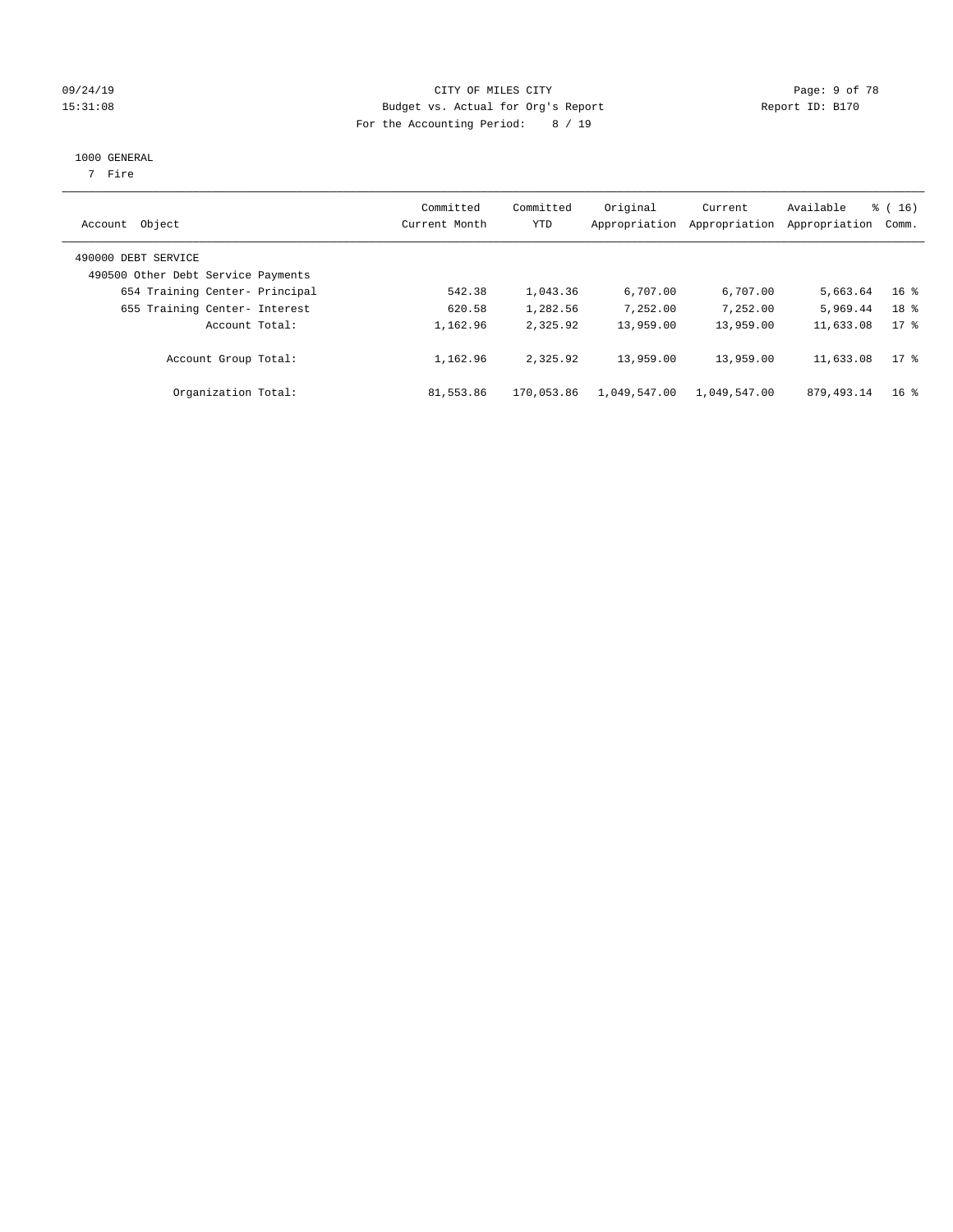### 09/24/19 CITY OF MILES CITY Page: 9 of 78 15:31:08 Budget vs. Actual for Org's Report Report ID: B170 For the Accounting Period: 8 / 19

#### 1000 GENERAL

7 Fire

| Account Object                                            | Committed<br>Current Month | Committed<br>YTD | Original<br>Appropriation | Current<br>Appropriation | Available<br>Appropriation | $\frac{3}{6}$ ( 16 )<br>Comm. |
|-----------------------------------------------------------|----------------------------|------------------|---------------------------|--------------------------|----------------------------|-------------------------------|
| 490000 DEBT SERVICE<br>490500 Other Debt Service Payments |                            |                  |                           |                          |                            |                               |
| 654 Training Center- Principal                            | 542.38                     | 1,043.36         | 6,707.00                  | 6,707.00                 | 5,663.64                   | 16 <sup>8</sup>               |
| 655 Training Center- Interest                             | 620.58                     | 1,282.56         | 7,252.00                  | 7,252.00                 | 5,969.44                   | 18 <sup>8</sup>               |
| Account Total:                                            | 1,162.96                   | 2,325.92         | 13,959.00                 | 13,959.00                | 11,633.08                  | $17*$                         |
| Account Group Total:                                      | 1,162.96                   | 2,325.92         | 13,959.00                 | 13,959.00                | 11,633.08                  | 17.8                          |
| Organization Total:                                       | 81,553.86                  | 170,053.86       | 1,049,547.00              | 1,049,547.00             | 879, 493. 14               | $16*$                         |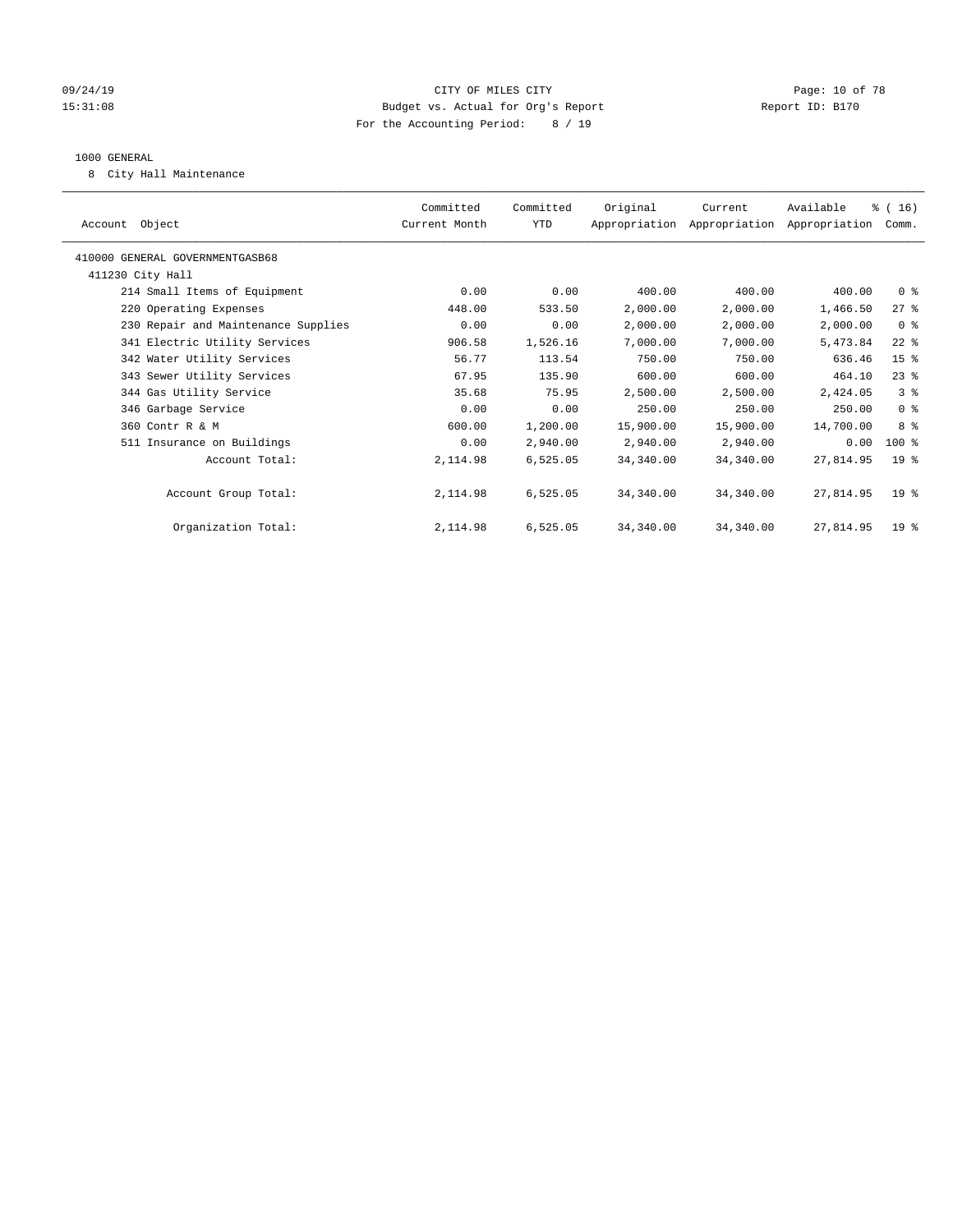#### 09/24/19 CITY OF MILES CITY Page: 10 of 78 15:31:08 Budget vs. Actual for Org's Report Report ID: B170 For the Accounting Period: 8 / 19

#### 1000 GENERAL

8 City Hall Maintenance

| Account Object                      | Committed<br>Current Month | Committed<br>YTD | Original  | Current<br>Appropriation Appropriation Appropriation | Available | % (16)<br>Comm. |  |
|-------------------------------------|----------------------------|------------------|-----------|------------------------------------------------------|-----------|-----------------|--|
| 410000 GENERAL GOVERNMENTGASB68     |                            |                  |           |                                                      |           |                 |  |
| 411230 City Hall                    |                            |                  |           |                                                      |           |                 |  |
| 214 Small Items of Equipment        | 0.00                       | 0.00             | 400.00    | 400.00                                               | 400.00    | 0 <sup>8</sup>  |  |
| 220 Operating Expenses              | 448.00                     | 533.50           | 2,000.00  | 2,000.00                                             | 1,466.50  | $27$ $\approx$  |  |
| 230 Repair and Maintenance Supplies | 0.00                       | 0.00             | 2,000.00  | 2,000.00                                             | 2,000.00  | 0 <sup>8</sup>  |  |
| 341 Electric Utility Services       | 906.58                     | 1,526.16         | 7,000.00  | 7,000.00                                             | 5,473.84  | $22$ %          |  |
| 342 Water Utility Services          | 56.77                      | 113.54           | 750.00    | 750.00                                               | 636.46    | 15 <sup>8</sup> |  |
| 343 Sewer Utility Services          | 67.95                      | 135.90           | 600.00    | 600.00                                               | 464.10    | $23$ %          |  |
| 344 Gas Utility Service             | 35.68                      | 75.95            | 2,500.00  | 2,500.00                                             | 2,424.05  | 3%              |  |
| 346 Garbage Service                 | 0.00                       | 0.00             | 250.00    | 250.00                                               | 250.00    | 0 <sup>8</sup>  |  |
| 360 Contr R & M                     | 600.00                     | 1,200.00         | 15,900.00 | 15,900.00                                            | 14,700.00 | 8 <sup>8</sup>  |  |
| 511 Insurance on Buildings          | 0.00                       | 2,940.00         | 2,940.00  | 2,940.00                                             | 0.00      | $100*$          |  |
| Account Total:                      | 2,114.98                   | 6,525.05         | 34,340.00 | 34,340.00                                            | 27,814.95 | 19 <sup>8</sup> |  |
|                                     |                            |                  |           |                                                      |           |                 |  |
| Account Group Total:                | 2,114.98                   | 6,525.05         | 34,340.00 | 34,340.00                                            | 27,814.95 | 19 <sup>°</sup> |  |
|                                     |                            |                  |           |                                                      |           |                 |  |
| Organization Total:                 | 2,114.98                   | 6,525.05         | 34,340.00 | 34,340.00                                            | 27,814.95 | $19*$           |  |
|                                     |                            |                  |           |                                                      |           |                 |  |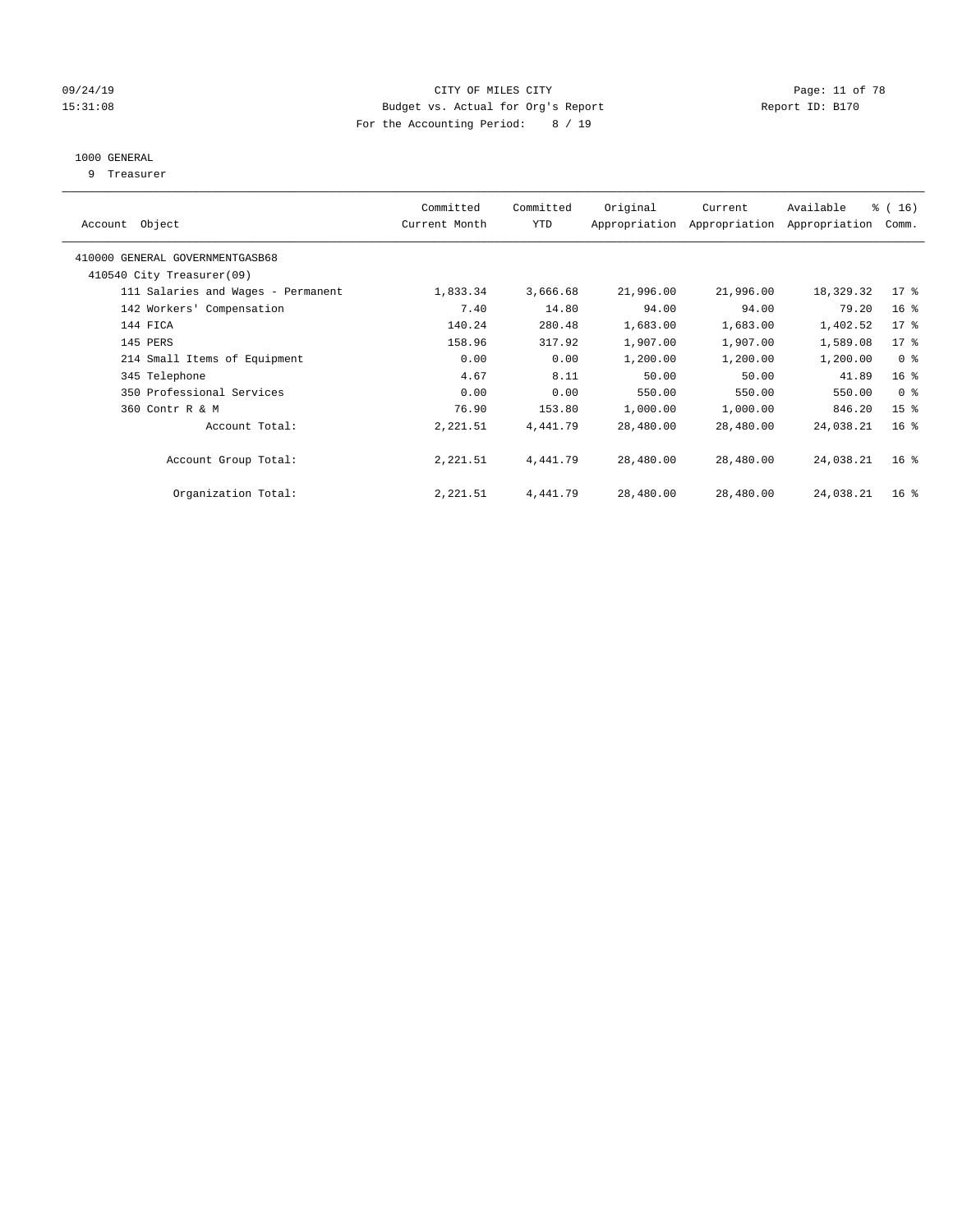### 09/24/19 Page: 11 of 78 15:31:08 Budget vs. Actual for Org's Report Report ID: B170 For the Accounting Period: 8 / 19

## 1000 GENERAL

9 Treasurer

|                                    | Committed     | Committed  | Original  | Current                     | Available     | % (16)          |
|------------------------------------|---------------|------------|-----------|-----------------------------|---------------|-----------------|
| Object<br>Account                  | Current Month | <b>YTD</b> |           | Appropriation Appropriation | Appropriation | Comm.           |
| 410000 GENERAL GOVERNMENTGASB68    |               |            |           |                             |               |                 |
| 410540 City Treasurer(09)          |               |            |           |                             |               |                 |
| 111 Salaries and Wages - Permanent | 1,833.34      | 3,666.68   | 21,996.00 | 21,996.00                   | 18,329.32     | $17*$           |
| 142 Workers' Compensation          | 7.40          | 14.80      | 94.00     | 94.00                       | 79.20         | 16 <sup>°</sup> |
| 144 FICA                           | 140.24        | 280.48     | 1,683.00  | 1,683.00                    | 1,402.52      | 17 <sup>°</sup> |
| 145 PERS                           | 158.96        | 317.92     | 1,907.00  | 1,907.00                    | 1,589.08      | $17$ %          |
| 214 Small Items of Equipment       | 0.00          | 0.00       | 1,200.00  | 1,200.00                    | 1,200.00      | 0 <sup>8</sup>  |
| 345 Telephone                      | 4.67          | 8.11       | 50.00     | 50.00                       | 41.89         | 16 <sup>°</sup> |
| 350 Professional Services          | 0.00          | 0.00       | 550.00    | 550.00                      | 550.00        | 0 <sup>8</sup>  |
| 360 Contr R & M                    | 76.90         | 153.80     | 1,000.00  | 1,000.00                    | 846.20        | 15 <sup>8</sup> |
| Account Total:                     | 2,221.51      | 4,441.79   | 28,480.00 | 28,480.00                   | 24,038.21     | 16 <sup>°</sup> |
|                                    |               |            |           |                             |               |                 |
| Account Group Total:               | 2,221.51      | 4,441.79   | 28,480.00 | 28,480.00                   | 24,038.21     | 16 <sup>°</sup> |
|                                    |               |            |           |                             |               |                 |
| Organization Total:                | 2,221.51      | 4,441.79   | 28,480.00 | 28,480.00                   | 24,038.21     | 16 <sup>8</sup> |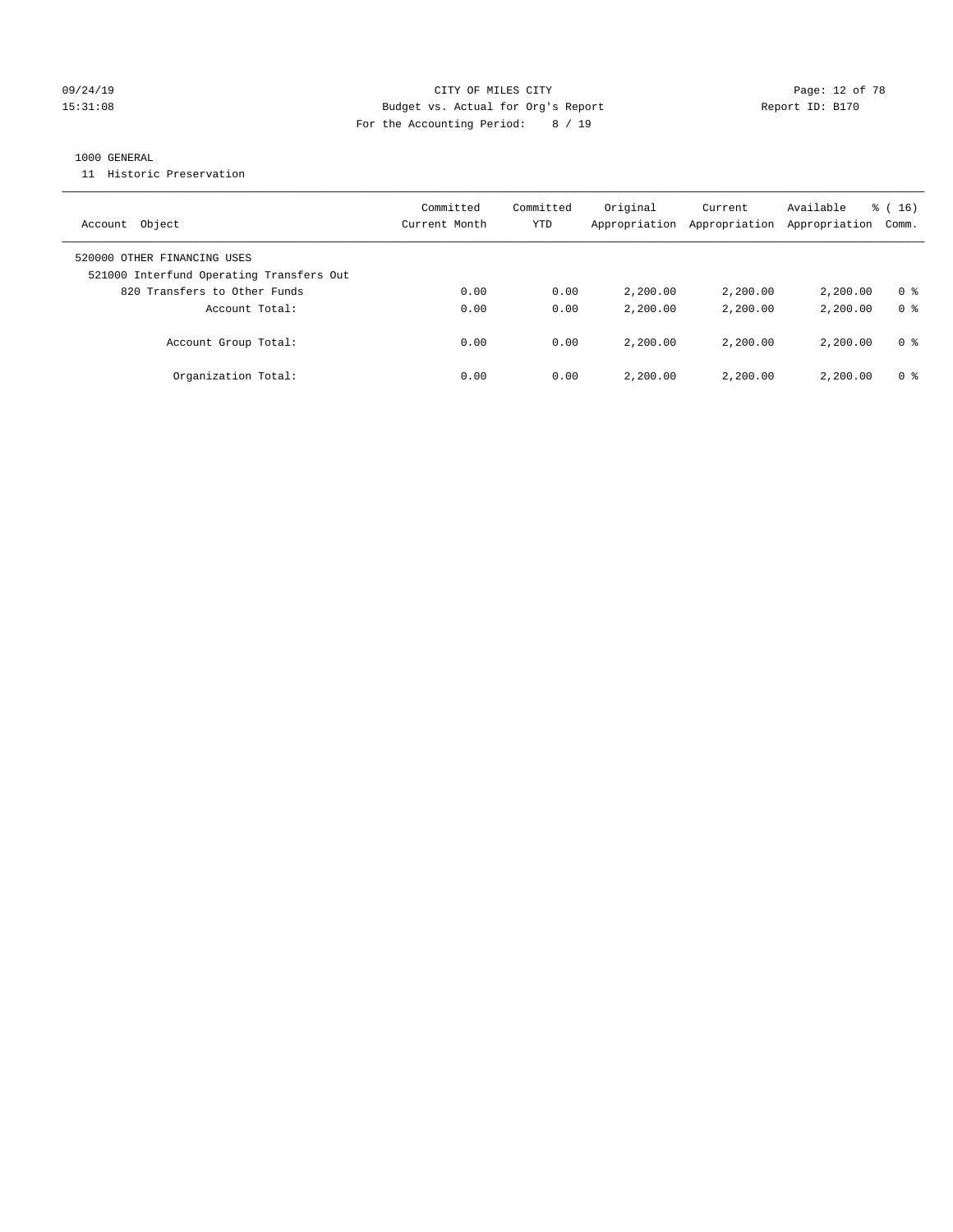### 09/24/19 **Page: 12 of 78** CITY OF MILES CITY **Page: 12 of 78** 15:31:08 Budget vs. Actual for Org's Report Report ID: B170 For the Accounting Period: 8 / 19

### 1000 GENERAL

11 Historic Preservation

| Object<br>Account                                                       | Committed<br>Current Month | Committed<br>YTD | Original<br>Appropriation | Current<br>Appropriation | Available<br>Appropriation | $\frac{1}{6}$ (16)<br>Comm. |
|-------------------------------------------------------------------------|----------------------------|------------------|---------------------------|--------------------------|----------------------------|-----------------------------|
| 520000 OTHER FINANCING USES<br>521000 Interfund Operating Transfers Out |                            |                  |                           |                          |                            |                             |
| 820 Transfers to Other Funds                                            | 0.00                       | 0.00             | 2,200.00                  | 2,200.00                 | 2,200.00                   | 0 %                         |
| Account Total:                                                          | 0.00                       | 0.00             | 2,200.00                  | 2,200.00                 | 2,200.00                   | 0 <sup>8</sup>              |
| Account Group Total:                                                    | 0.00                       | 0.00             | 2,200.00                  | 2,200.00                 | 2,200.00                   | 0 %                         |
| Organization Total:                                                     | 0.00                       | 0.00             | 2,200.00                  | 2,200.00                 | 2,200.00                   | 0 %                         |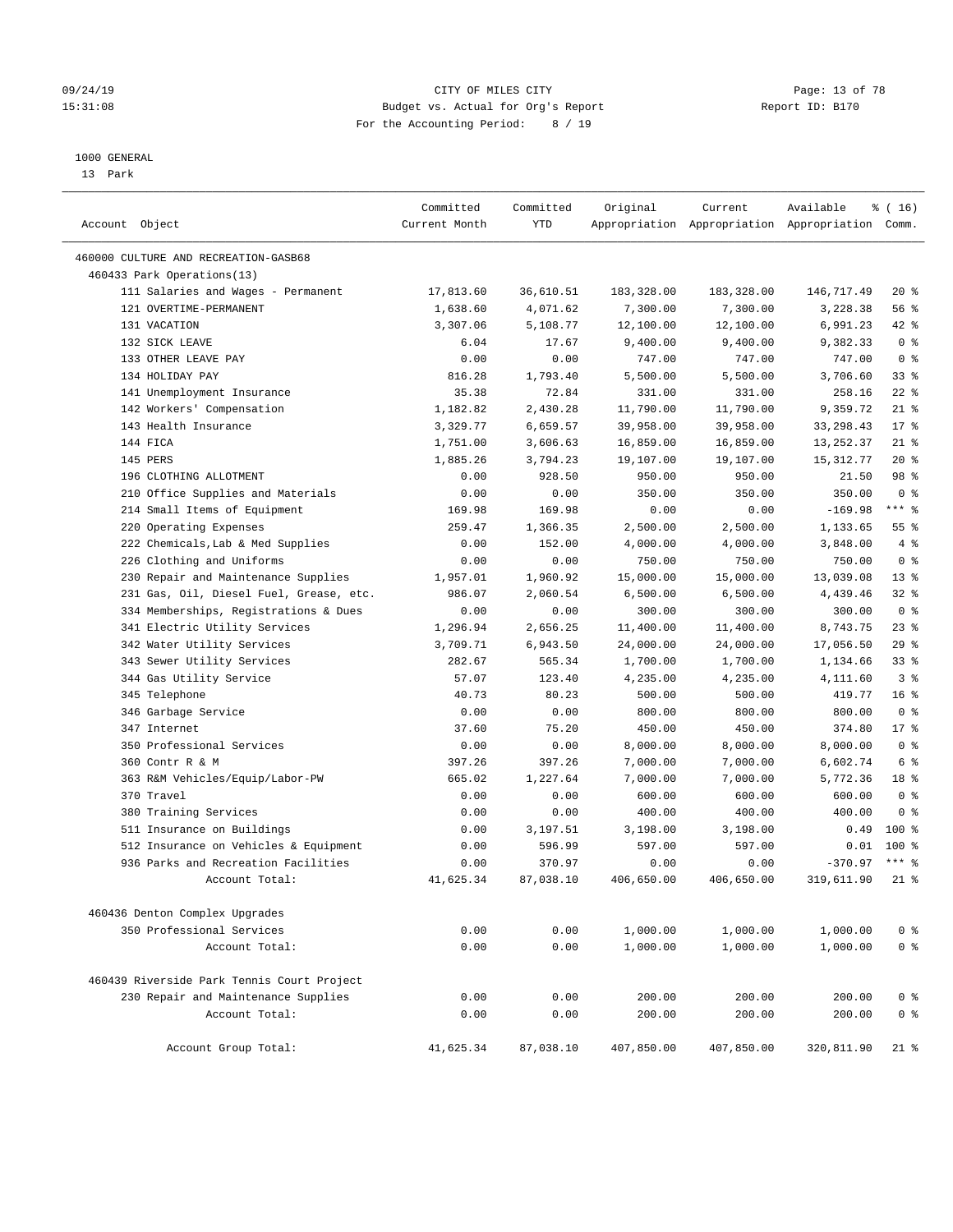#### 09/24/19 Page: 13 of 78 15:31:08 Budget vs. Actual for Org's Report Report ID: B170 For the Accounting Period: 8 / 19

#### 1000 GENERAL

13 Park

| Account Object                             | Committed<br>Current Month | Committed<br>YTD | Original   | Current    | Available<br>Appropriation Appropriation Appropriation Comm. | % (16)          |
|--------------------------------------------|----------------------------|------------------|------------|------------|--------------------------------------------------------------|-----------------|
| 460000 CULTURE AND RECREATION-GASB68       |                            |                  |            |            |                                                              |                 |
| 460433 Park Operations(13)                 |                            |                  |            |            |                                                              |                 |
| 111 Salaries and Wages - Permanent         | 17,813.60                  | 36,610.51        | 183,328.00 | 183,328.00 | 146,717.49                                                   | $20*$           |
| 121 OVERTIME-PERMANENT                     | 1,638.60                   | 4,071.62         | 7,300.00   | 7,300.00   | 3,228.38                                                     | 56%             |
| 131 VACATION                               | 3,307.06                   | 5,108.77         | 12,100.00  | 12,100.00  | 6,991.23                                                     | $42$ %          |
| 132 SICK LEAVE                             | 6.04                       | 17.67            | 9,400.00   | 9,400.00   | 9,382.33                                                     | 0 <sup>8</sup>  |
| 133 OTHER LEAVE PAY                        | 0.00                       | 0.00             | 747.00     | 747.00     | 747.00                                                       | 0 <sup>8</sup>  |
| 134 HOLIDAY PAY                            | 816.28                     | 1,793.40         | 5,500.00   | 5,500.00   | 3,706.60                                                     | 33%             |
| 141 Unemployment Insurance                 | 35.38                      | 72.84            | 331.00     | 331.00     | 258.16                                                       | $22$ %          |
| 142 Workers' Compensation                  | 1,182.82                   | 2,430.28         | 11,790.00  | 11,790.00  | 9,359.72                                                     | $21$ %          |
| 143 Health Insurance                       | 3,329.77                   | 6,659.57         | 39,958.00  | 39,958.00  | 33, 298.43                                                   | $17*$           |
| 144 FICA                                   | 1,751.00                   | 3,606.63         | 16,859.00  | 16,859.00  | 13,252.37                                                    | $21$ %          |
| 145 PERS                                   | 1,885.26                   | 3,794.23         | 19,107.00  | 19,107.00  | 15, 312.77                                                   | $20*$           |
| 196 CLOTHING ALLOTMENT                     | 0.00                       | 928.50           | 950.00     | 950.00     | 21.50                                                        | 98 %            |
| 210 Office Supplies and Materials          | 0.00                       | 0.00             | 350.00     | 350.00     | 350.00                                                       | 0 <sup>8</sup>  |
| 214 Small Items of Equipment               | 169.98                     | 169.98           | 0.00       | 0.00       | $-169.98$                                                    | $***$ $_{8}$    |
| 220 Operating Expenses                     | 259.47                     | 1,366.35         | 2,500.00   | 2,500.00   | 1,133.65                                                     | 55%             |
| 222 Chemicals, Lab & Med Supplies          | 0.00                       | 152.00           | 4,000.00   | 4,000.00   | 3,848.00                                                     | 4%              |
| 226 Clothing and Uniforms                  | 0.00                       | 0.00             | 750.00     | 750.00     | 750.00                                                       | 0 <sup>8</sup>  |
| 230 Repair and Maintenance Supplies        | 1,957.01                   | 1,960.92         | 15,000.00  | 15,000.00  | 13,039.08                                                    | $13*$           |
| 231 Gas, Oil, Diesel Fuel, Grease, etc.    | 986.07                     | 2,060.54         | 6,500.00   | 6,500.00   | 4,439.46                                                     | $32$ $%$        |
| 334 Memberships, Registrations & Dues      | 0.00                       | 0.00             | 300.00     | 300.00     | 300.00                                                       | 0 <sup>8</sup>  |
| 341 Electric Utility Services              | 1,296.94                   | 2,656.25         | 11,400.00  | 11,400.00  | 8,743.75                                                     | $23$ %          |
| 342 Water Utility Services                 | 3,709.71                   | 6,943.50         | 24,000.00  | 24,000.00  | 17,056.50                                                    | 29%             |
| 343 Sewer Utility Services                 | 282.67                     | 565.34           | 1,700.00   | 1,700.00   | 1,134.66                                                     | $33$ $%$        |
| 344 Gas Utility Service                    | 57.07                      | 123.40           | 4,235.00   | 4,235.00   | 4,111.60                                                     | 3 <sup>8</sup>  |
| 345 Telephone                              | 40.73                      | 80.23            | 500.00     | 500.00     | 419.77                                                       | 16 <sup>°</sup> |
| 346 Garbage Service                        | 0.00                       | 0.00             | 800.00     | 800.00     | 800.00                                                       | 0 <sup>8</sup>  |
| 347 Internet                               | 37.60                      | 75.20            | 450.00     | 450.00     | 374.80                                                       | $17*$           |
| 350 Professional Services                  | 0.00                       | 0.00             | 8,000.00   | 8,000.00   | 8,000.00                                                     | 0 <sup>8</sup>  |
| 360 Contr R & M                            | 397.26                     | 397.26           | 7,000.00   | 7,000.00   | 6,602.74                                                     | 6 %             |
| 363 R&M Vehicles/Equip/Labor-PW            | 665.02                     | 1,227.64         | 7,000.00   | 7,000.00   | 5,772.36                                                     | 18 %            |
| 370 Travel                                 | 0.00                       | 0.00             | 600.00     | 600.00     | 600.00                                                       | 0 <sup>8</sup>  |
| 380 Training Services                      | 0.00                       | 0.00             | 400.00     | 400.00     | 400.00                                                       | 0 <sup>8</sup>  |
| 511 Insurance on Buildings                 | 0.00                       | 3,197.51         | 3,198.00   | 3,198.00   | 0.49                                                         | 100%            |
| 512 Insurance on Vehicles & Equipment      | 0.00                       | 596.99           | 597.00     | 597.00     | 0.01                                                         | $100*$          |
| 936 Parks and Recreation Facilities        | 0.00                       | 370.97           | 0.00       | 0.00       | $-370.97$                                                    | $***$ %         |
| Account Total:                             | 41,625.34                  | 87,038.10        | 406,650.00 | 406,650.00 | 319,611.90                                                   | $21$ %          |
| 460436 Denton Complex Upgrades             |                            |                  |            |            |                                                              |                 |
| 350 Professional Services                  | 0.00                       | 0.00             | 1,000.00   | 1,000.00   | 1,000.00                                                     | 0 <sup>8</sup>  |
| Account Total:                             | 0.00                       | 0.00             | 1,000.00   | 1,000.00   | 1,000.00                                                     | 0 <sup>8</sup>  |
| 460439 Riverside Park Tennis Court Project |                            |                  |            |            |                                                              |                 |
| 230 Repair and Maintenance Supplies        | 0.00                       | 0.00             | 200.00     | 200.00     | 200.00                                                       | 0 <sup>8</sup>  |
| Account Total:                             |                            |                  |            |            |                                                              |                 |
|                                            | 0.00                       | 0.00             | 200.00     | 200.00     | 200.00                                                       | 0 <sup>8</sup>  |
| Account Group Total:                       | 41,625.34                  | 87,038.10        | 407,850.00 | 407,850.00 | 320,811.90                                                   | $21$ %          |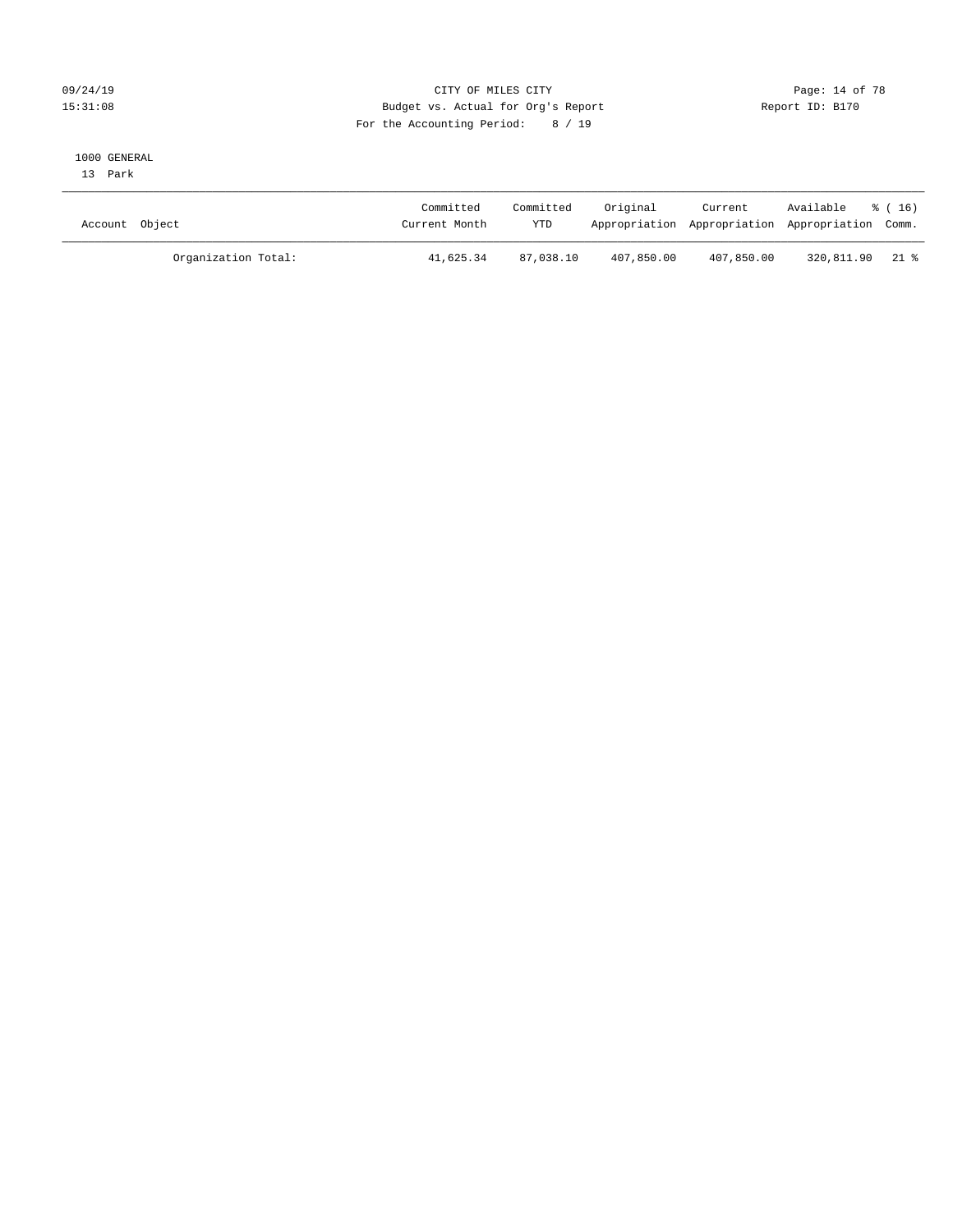### 09/24/19 Page: 14 of 78 15:31:08 Budget vs. Actual for Org's Report Report ID: B170 For the Accounting Period: 8 / 19

#### 1000 GENERAL

13 Park

| Account Object      | Committed<br>Current Month | Committed<br><b>YTD</b> | Original   | Current    | Available<br>Appropriation Appropriation Appropriation Comm. | * (16) |
|---------------------|----------------------------|-------------------------|------------|------------|--------------------------------------------------------------|--------|
| Organization Total: | 41,625.34                  | 87,038.10               | 407,850.00 | 407,850.00 | 320,811.90 21 %                                              |        |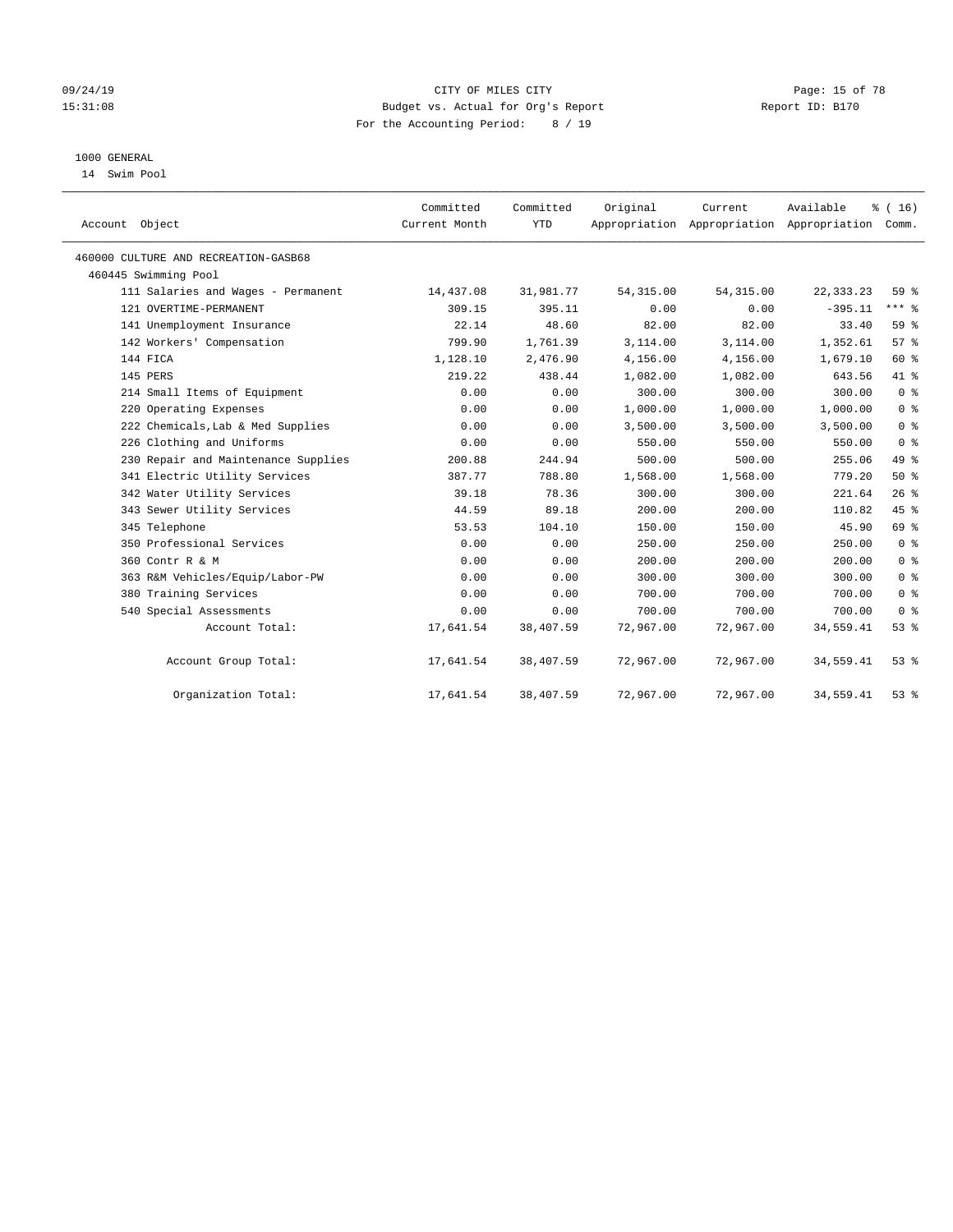### 09/24/19 Page: 15 of 78 15:31:08 Budget vs. Actual for Org's Report Report ID: B170 For the Accounting Period: 8 / 19

## 1000 GENERAL

14 Swim Pool

| Account Object                       | Committed<br>Current Month | Committed<br><b>YTD</b> | Original   | Current    | Available<br>Appropriation Appropriation Appropriation | % (16)<br>Comm. |
|--------------------------------------|----------------------------|-------------------------|------------|------------|--------------------------------------------------------|-----------------|
| 460000 CULTURE AND RECREATION-GASB68 |                            |                         |            |            |                                                        |                 |
| 460445 Swimming Pool                 |                            |                         |            |            |                                                        |                 |
| 111 Salaries and Wages - Permanent   | 14,437.08                  | 31,981.77               | 54, 315.00 | 54, 315.00 | 22, 333. 23                                            | 59%             |
| 121 OVERTIME-PERMANENT               | 309.15                     | 395.11                  | 0.00       | 0.00       | $-395.11$                                              | $***$ $-$       |
| 141 Unemployment Insurance           | 22.14                      | 48.60                   | 82.00      | 82.00      | 33.40                                                  | 59 <sub>8</sub> |
| 142 Workers' Compensation            | 799.90                     | 1,761.39                | 3,114.00   | 3,114.00   | 1,352.61                                               | 57%             |
| 144 FICA                             | 1,128.10                   | 2,476.90                | 4,156.00   | 4,156.00   | 1,679.10                                               | 60 %            |
| 145 PERS                             | 219.22                     | 438.44                  | 1,082.00   | 1,082.00   | 643.56                                                 | 41 %            |
| 214 Small Items of Equipment         | 0.00                       | 0.00                    | 300.00     | 300.00     | 300.00                                                 | 0 <sup>8</sup>  |
| 220 Operating Expenses               | 0.00                       | 0.00                    | 1,000.00   | 1,000.00   | 1,000.00                                               | 0 <sup>8</sup>  |
| 222 Chemicals, Lab & Med Supplies    | 0.00                       | 0.00                    | 3,500.00   | 3,500.00   | 3,500.00                                               | 0 <sup>8</sup>  |
| 226 Clothing and Uniforms            | 0.00                       | 0.00                    | 550.00     | 550.00     | 550.00                                                 | 0 <sup>8</sup>  |
| 230 Repair and Maintenance Supplies  | 200.88                     | 244.94                  | 500.00     | 500.00     | 255.06                                                 | 49 %            |
| 341 Electric Utility Services        | 387.77                     | 788.80                  | 1,568.00   | 1,568.00   | 779.20                                                 | 50%             |
| 342 Water Utility Services           | 39.18                      | 78.36                   | 300.00     | 300.00     | 221.64                                                 | 26%             |
| 343 Sewer Utility Services           | 44.59                      | 89.18                   | 200.00     | 200.00     | 110.82                                                 | 45 %            |
| 345 Telephone                        | 53.53                      | 104.10                  | 150.00     | 150.00     | 45.90                                                  | 69 %            |
| 350 Professional Services            | 0.00                       | 0.00                    | 250.00     | 250.00     | 250.00                                                 | 0 <sup>8</sup>  |
| 360 Contr R & M                      | 0.00                       | 0.00                    | 200.00     | 200.00     | 200.00                                                 | 0 <sup>8</sup>  |
| 363 R&M Vehicles/Equip/Labor-PW      | 0.00                       | 0.00                    | 300.00     | 300.00     | 300.00                                                 | 0 <sup>8</sup>  |
| 380 Training Services                | 0.00                       | 0.00                    | 700.00     | 700.00     | 700.00                                                 | 0 <sup>8</sup>  |
| 540 Special Assessments              | 0.00                       | 0.00                    | 700.00     | 700.00     | 700.00                                                 | 0 <sup>8</sup>  |
| Account Total:                       | 17,641.54                  | 38,407.59               | 72,967.00  | 72,967.00  | 34,559.41                                              | 53%             |
| Account Group Total:                 | 17,641.54                  | 38,407.59               | 72,967.00  | 72,967.00  | 34,559.41                                              | 53%             |
| Organization Total:                  | 17,641.54                  | 38,407.59               | 72,967.00  | 72,967.00  | 34,559.41                                              | 53%             |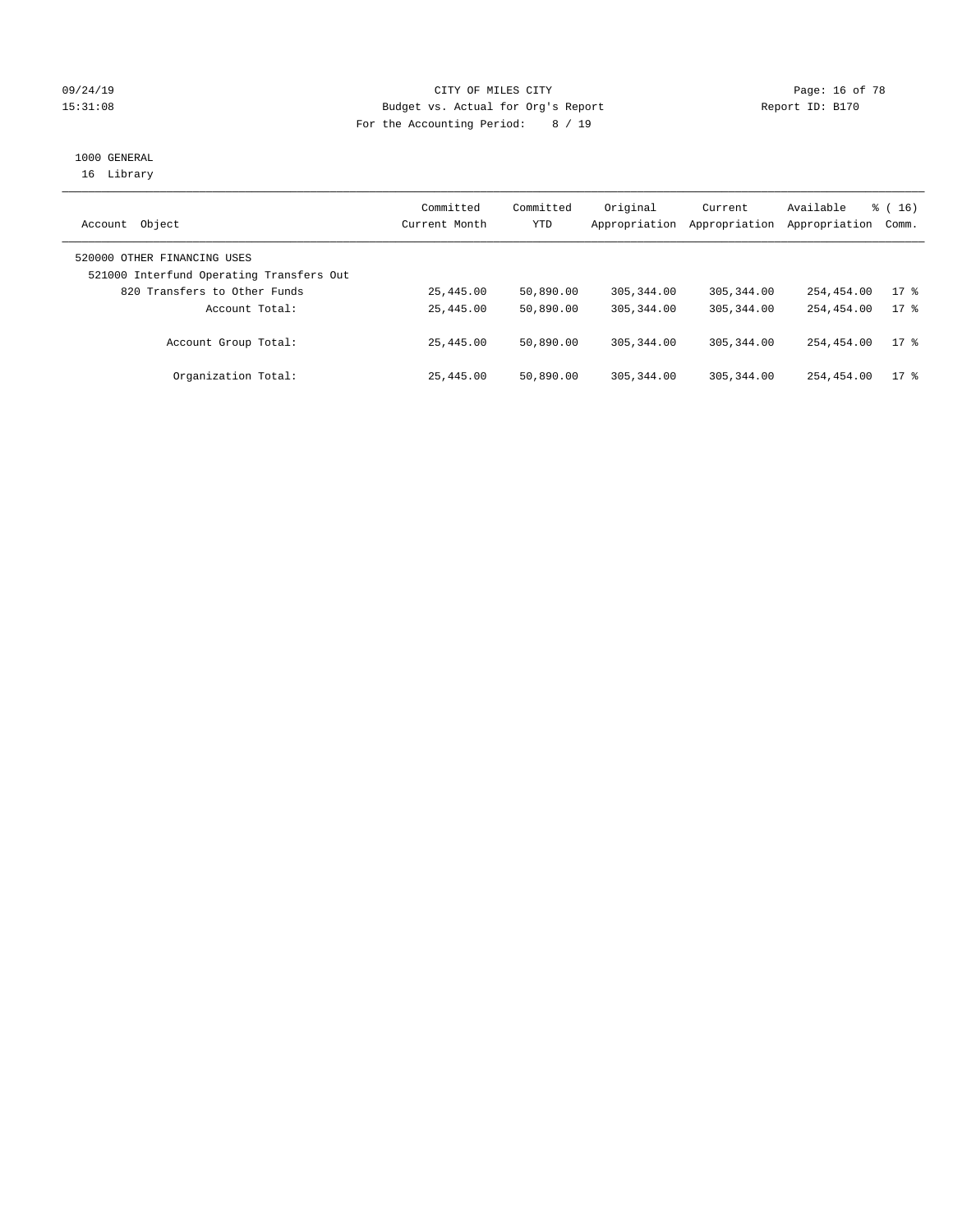### 09/24/19 CITY OF MILES CITY Page: 16 of 78 15:31:08 Budget vs. Actual for Org's Report Report ID: B170 For the Accounting Period: 8 / 19

# 1000 GENERAL

16 Library

| Object<br>Account                                                       | Committed<br>Current Month | Committed<br>YTD | Original<br>Appropriation | Current<br>Appropriation | Available<br>Appropriation | $\frac{3}{6}$ ( 16 )<br>Comm. |
|-------------------------------------------------------------------------|----------------------------|------------------|---------------------------|--------------------------|----------------------------|-------------------------------|
| 520000 OTHER FINANCING USES<br>521000 Interfund Operating Transfers Out |                            |                  |                           |                          |                            |                               |
| 820 Transfers to Other Funds                                            | 25,445.00                  | 50,890.00        | 305, 344, 00              | 305, 344, 00             | 254,454.00                 | $17*$                         |
| Account Total:                                                          | 25,445.00                  | 50,890.00        | 305, 344, 00              | 305, 344, 00             | 254,454.00                 | $17*$                         |
| Account Group Total:                                                    | 25,445.00                  | 50,890.00        | 305, 344, 00              | 305,344.00               | 254,454.00                 | $17*$                         |
| Organization Total:                                                     | 25,445.00                  | 50,890.00        | 305, 344, 00              | 305, 344, 00             | 254,454.00                 | $17$ %                        |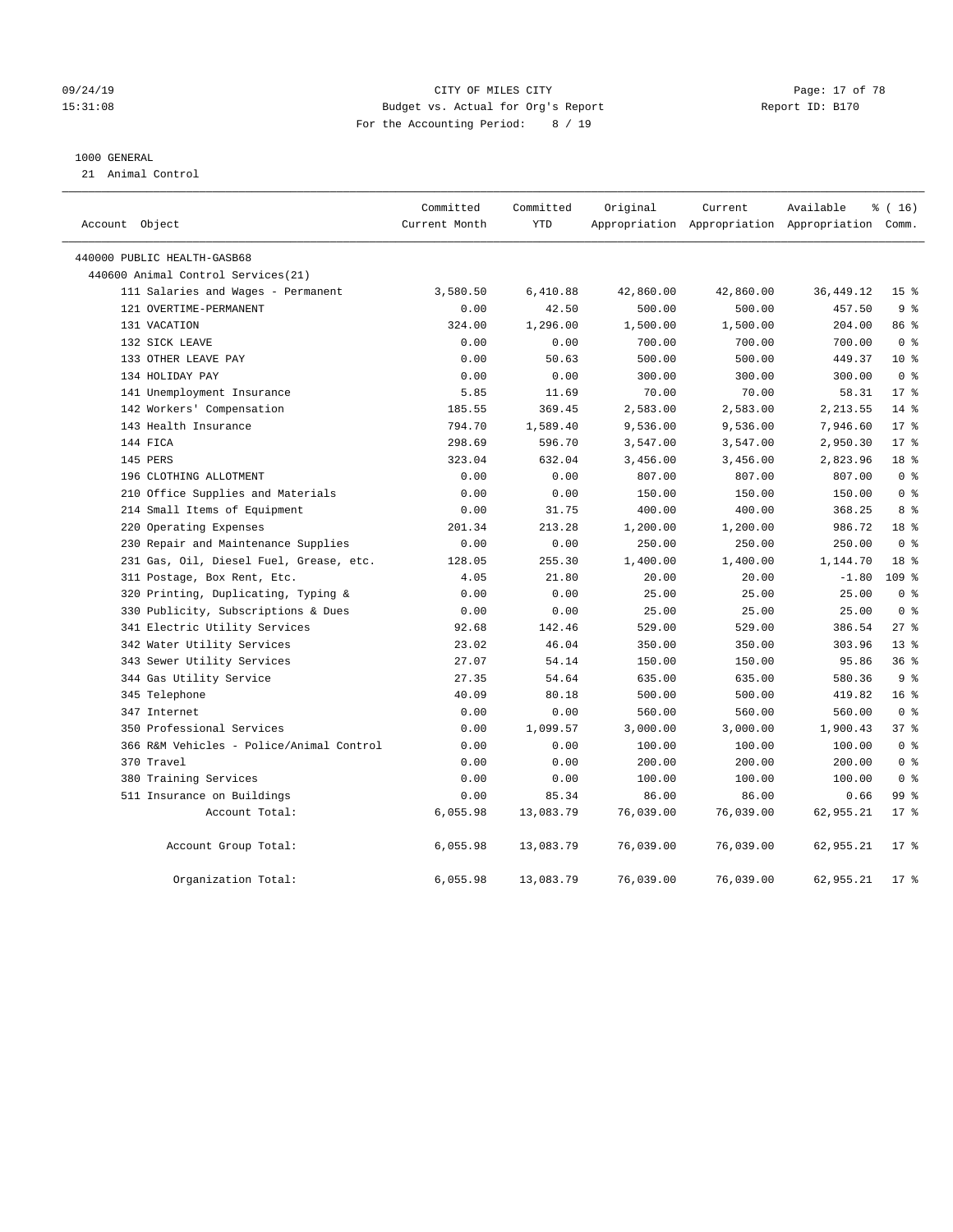#### 09/24/19 CITY OF MILES CITY Page: 17 of 78 15:31:08 Budget vs. Actual for Org's Report Report ID: B170 For the Accounting Period: 8 / 19

#### 1000 GENERAL

21 Animal Control

| Account Object                           | Committed<br>Current Month | Committed<br><b>YTD</b> | Original  | Current   | Available<br>Appropriation Appropriation Appropriation Comm. | % (16)           |
|------------------------------------------|----------------------------|-------------------------|-----------|-----------|--------------------------------------------------------------|------------------|
| 440000 PUBLIC HEALTH-GASB68              |                            |                         |           |           |                                                              |                  |
| 440600 Animal Control Services (21)      |                            |                         |           |           |                                                              |                  |
| 111 Salaries and Wages - Permanent       | 3,580.50                   | 6,410.88                | 42,860.00 | 42,860.00 | 36, 449.12                                                   | 15 <sup>°</sup>  |
| 121 OVERTIME-PERMANENT                   | 0.00                       | 42.50                   | 500.00    | 500.00    | 457.50                                                       | 9 <sup>8</sup>   |
| 131 VACATION                             | 324.00                     | 1,296.00                | 1,500.00  | 1,500.00  | 204.00                                                       | 86 %             |
| 132 SICK LEAVE                           | 0.00                       | 0.00                    | 700.00    | 700.00    | 700.00                                                       | 0 <sup>8</sup>   |
| 133 OTHER LEAVE PAY                      | 0.00                       | 50.63                   | 500.00    | 500.00    | 449.37                                                       | $10*$            |
| 134 HOLIDAY PAY                          | 0.00                       | 0.00                    | 300.00    | 300.00    | 300.00                                                       | 0 <sup>8</sup>   |
| 141 Unemployment Insurance               | 5.85                       | 11.69                   | 70.00     | 70.00     | 58.31                                                        | 17 <sup>8</sup>  |
| 142 Workers' Compensation                | 185.55                     | 369.45                  | 2,583.00  | 2,583.00  | 2,213.55                                                     | 14 %             |
| 143 Health Insurance                     | 794.70                     | 1,589.40                | 9,536.00  | 9,536.00  | 7,946.60                                                     | $17*$            |
| 144 FICA                                 | 298.69                     | 596.70                  | 3,547.00  | 3,547.00  | 2,950.30                                                     | $17*$            |
| 145 PERS                                 | 323.04                     | 632.04                  | 3,456.00  | 3,456.00  | 2,823.96                                                     | 18 <sup>8</sup>  |
| 196 CLOTHING ALLOTMENT                   | 0.00                       | 0.00                    | 807.00    | 807.00    | 807.00                                                       | 0 <sup>8</sup>   |
| 210 Office Supplies and Materials        | 0.00                       | 0.00                    | 150.00    | 150.00    | 150.00                                                       | 0 <sup>8</sup>   |
| 214 Small Items of Equipment             | 0.00                       | 31.75                   | 400.00    | 400.00    | 368.25                                                       | 8 %              |
| 220 Operating Expenses                   | 201.34                     | 213.28                  | 1,200.00  | 1,200.00  | 986.72                                                       | 18 <sup>8</sup>  |
| 230 Repair and Maintenance Supplies      | 0.00                       | 0.00                    | 250.00    | 250.00    | 250.00                                                       | 0 <sup>8</sup>   |
| 231 Gas, Oil, Diesel Fuel, Grease, etc.  | 128.05                     | 255.30                  | 1,400.00  | 1,400.00  | 1,144.70                                                     | 18 <sup>8</sup>  |
| 311 Postage, Box Rent, Etc.              | 4.05                       | 21.80                   | 20.00     | 20.00     | $-1.80$                                                      | 109 <sub>8</sub> |
| 320 Printing, Duplicating, Typing &      | 0.00                       | 0.00                    | 25.00     | 25.00     | 25.00                                                        | 0 <sup>8</sup>   |
| 330 Publicity, Subscriptions & Dues      | 0.00                       | 0.00                    | 25.00     | 25.00     | 25.00                                                        | 0 <sup>8</sup>   |
| 341 Electric Utility Services            | 92.68                      | 142.46                  | 529.00    | 529.00    | 386.54                                                       | 27%              |
| 342 Water Utility Services               | 23.02                      | 46.04                   | 350.00    | 350.00    | 303.96                                                       | 13 <sup>8</sup>  |
| 343 Sewer Utility Services               | 27.07                      | 54.14                   | 150.00    | 150.00    | 95.86                                                        | 36%              |
| 344 Gas Utility Service                  | 27.35                      | 54.64                   | 635.00    | 635.00    | 580.36                                                       | 9 <sup>8</sup>   |
| 345 Telephone                            | 40.09                      | 80.18                   | 500.00    | 500.00    | 419.82                                                       | 16 <sup>8</sup>  |
| 347 Internet                             | 0.00                       | 0.00                    | 560.00    | 560.00    | 560.00                                                       | 0 <sup>8</sup>   |
| 350 Professional Services                | 0.00                       | 1,099.57                | 3,000.00  | 3,000.00  | 1,900.43                                                     | 37 <sup>8</sup>  |
| 366 R&M Vehicles - Police/Animal Control | 0.00                       | 0.00                    | 100.00    | 100.00    | 100.00                                                       | 0 <sup>8</sup>   |
| 370 Travel                               | 0.00                       | 0.00                    | 200.00    | 200.00    | 200.00                                                       | 0 <sup>8</sup>   |
| 380 Training Services                    | 0.00                       | 0.00                    | 100.00    | 100.00    | 100.00                                                       | 0 <sup>8</sup>   |
| 511 Insurance on Buildings               | 0.00                       | 85.34                   | 86.00     | 86.00     | 0.66                                                         | 99 %             |
| Account Total:                           | 6,055.98                   | 13,083.79               | 76,039.00 | 76,039.00 | 62,955.21                                                    | $17*$            |
| Account Group Total:                     | 6,055.98                   | 13,083.79               | 76,039.00 | 76,039.00 | 62,955.21                                                    | $17*$            |
| Organization Total:                      | 6,055.98                   | 13,083.79               | 76,039.00 | 76,039.00 | 62,955.21                                                    | $17*$            |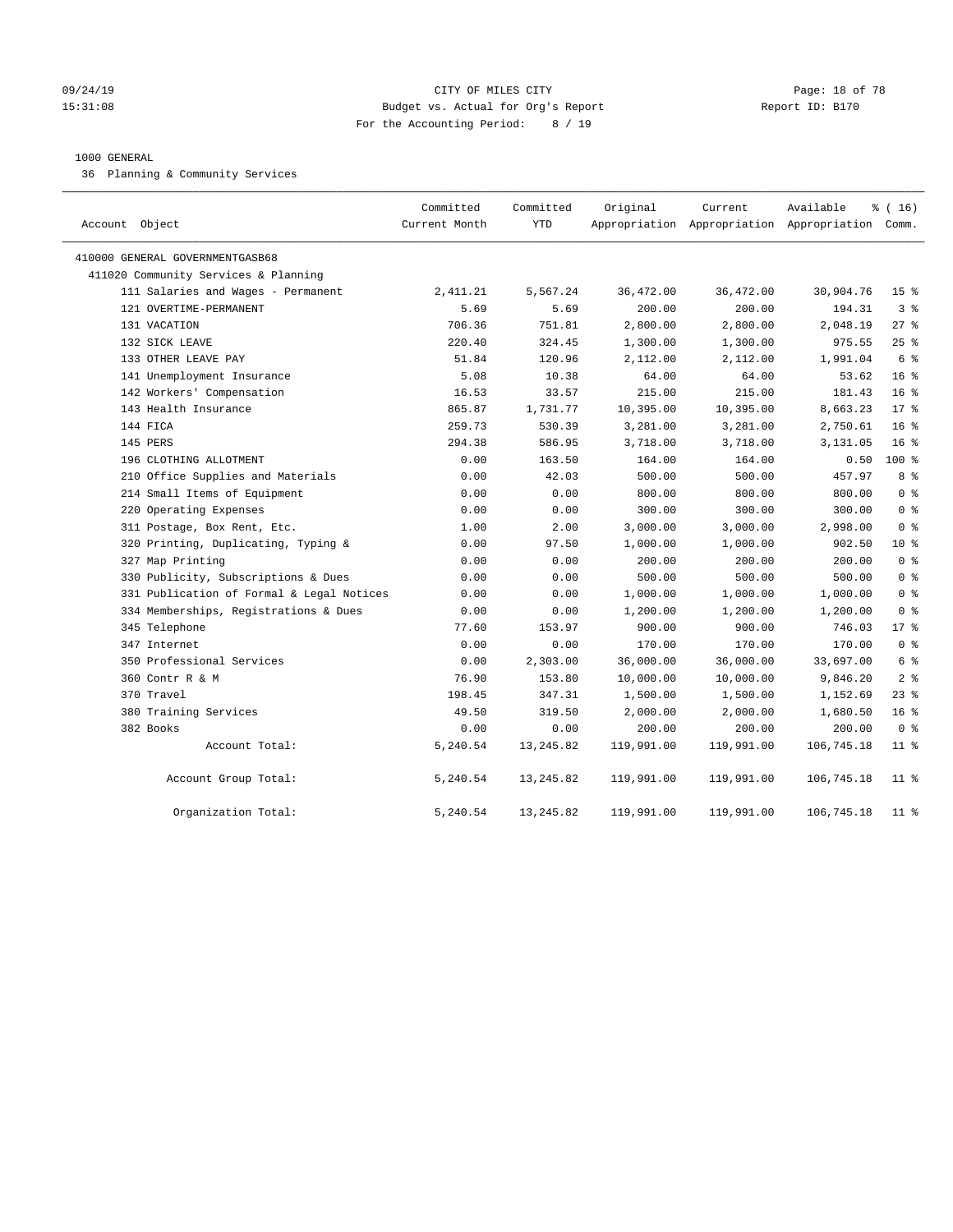#### 09/24/19 Page: 18 of 78 15:31:08 Budget vs. Actual for Org's Report Report ID: B170 For the Accounting Period: 8 / 19

#### 1000 GENERAL

36 Planning & Community Services

| Account Object                            | Committed<br>Current Month | Committed<br><b>YTD</b> | Original   | Current    | Available<br>Appropriation Appropriation Appropriation Comm. | % (16)          |
|-------------------------------------------|----------------------------|-------------------------|------------|------------|--------------------------------------------------------------|-----------------|
| 410000 GENERAL GOVERNMENTGASB68           |                            |                         |            |            |                                                              |                 |
| 411020 Community Services & Planning      |                            |                         |            |            |                                                              |                 |
| 111 Salaries and Wages - Permanent        | 2,411.21                   | 5,567.24                | 36,472.00  | 36,472.00  | 30,904.76                                                    | 15 <sup>°</sup> |
| 121 OVERTIME-PERMANENT                    | 5.69                       | 5.69                    | 200.00     | 200.00     | 194.31                                                       | 3 <sup>8</sup>  |
| 131 VACATION                              | 706.36                     | 751.81                  | 2,800.00   | 2,800.00   | 2,048.19                                                     | 27%             |
| 132 SICK LEAVE                            | 220.40                     | 324.45                  | 1,300.00   | 1,300.00   | 975.55                                                       | 25%             |
| 133 OTHER LEAVE PAY                       | 51.84                      | 120.96                  | 2,112.00   | 2,112.00   | 1,991.04                                                     | 6 %             |
| 141 Unemployment Insurance                | 5.08                       | 10.38                   | 64.00      | 64.00      | 53.62                                                        | 16 <sup>°</sup> |
| 142 Workers' Compensation                 | 16.53                      | 33.57                   | 215.00     | 215.00     | 181.43                                                       | 16 <sup>°</sup> |
| 143 Health Insurance                      | 865.87                     | 1,731.77                | 10,395.00  | 10,395.00  | 8,663.23                                                     | $17*$           |
| 144 FICA                                  | 259.73                     | 530.39                  | 3,281.00   | 3,281.00   | 2,750.61                                                     | 16 <sup>°</sup> |
| 145 PERS                                  | 294.38                     | 586.95                  | 3,718.00   | 3,718.00   | 3,131.05                                                     | 16 <sup>8</sup> |
| 196 CLOTHING ALLOTMENT                    | 0.00                       | 163.50                  | 164.00     | 164.00     | 0.50                                                         | $100*$          |
| 210 Office Supplies and Materials         | 0.00                       | 42.03                   | 500.00     | 500.00     | 457.97                                                       | 8 %             |
| 214 Small Items of Equipment              | 0.00                       | 0.00                    | 800.00     | 800.00     | 800.00                                                       | 0 <sup>8</sup>  |
| 220 Operating Expenses                    | 0.00                       | 0.00                    | 300.00     | 300.00     | 300.00                                                       | 0 <sup>8</sup>  |
| 311 Postage, Box Rent, Etc.               | 1.00                       | 2.00                    | 3,000.00   | 3,000.00   | 2,998.00                                                     | 0 <sup>8</sup>  |
| 320 Printing, Duplicating, Typing &       | 0.00                       | 97.50                   | 1,000.00   | 1,000.00   | 902.50                                                       | 10 <sup>8</sup> |
| 327 Map Printing                          | 0.00                       | 0.00                    | 200.00     | 200.00     | 200.00                                                       | 0 <sup>8</sup>  |
| 330 Publicity, Subscriptions & Dues       | 0.00                       | 0.00                    | 500.00     | 500.00     | 500.00                                                       | 0 <sup>8</sup>  |
| 331 Publication of Formal & Legal Notices | 0.00                       | 0.00                    | 1,000.00   | 1,000.00   | 1,000.00                                                     | 0 <sup>8</sup>  |
| 334 Memberships, Registrations & Dues     | 0.00                       | 0.00                    | 1,200.00   | 1,200.00   | 1,200.00                                                     | 0 <sup>8</sup>  |
| 345 Telephone                             | 77.60                      | 153.97                  | 900.00     | 900.00     | 746.03                                                       | $17*$           |
| 347 Internet                              | 0.00                       | 0.00                    | 170.00     | 170.00     | 170.00                                                       | 0 <sup>8</sup>  |
| 350 Professional Services                 | 0.00                       | 2,303.00                | 36,000.00  | 36,000.00  | 33,697.00                                                    | 6 %             |
| 360 Contr R & M                           | 76.90                      | 153.80                  | 10,000.00  | 10,000.00  | 9,846.20                                                     | 2 <sup>8</sup>  |
| 370 Travel                                | 198.45                     | 347.31                  | 1,500.00   | 1,500.00   | 1,152.69                                                     | $23$ $%$        |
| 380 Training Services                     | 49.50                      | 319.50                  | 2,000.00   | 2,000.00   | 1,680.50                                                     | 16 <sup>°</sup> |
| 382 Books                                 | 0.00                       | 0.00                    | 200.00     | 200.00     | 200.00                                                       | 0 <sup>8</sup>  |
| Account Total:                            | 5,240.54                   | 13, 245.82              | 119,991.00 | 119,991.00 | 106,745.18                                                   | $11$ %          |
| Account Group Total:                      | 5,240.54                   | 13, 245.82              | 119,991.00 | 119,991.00 | 106,745.18                                                   | $11$ %          |
| Organization Total:                       | 5,240.54                   | 13, 245.82              | 119,991.00 | 119,991.00 | 106,745.18                                                   | $11$ %          |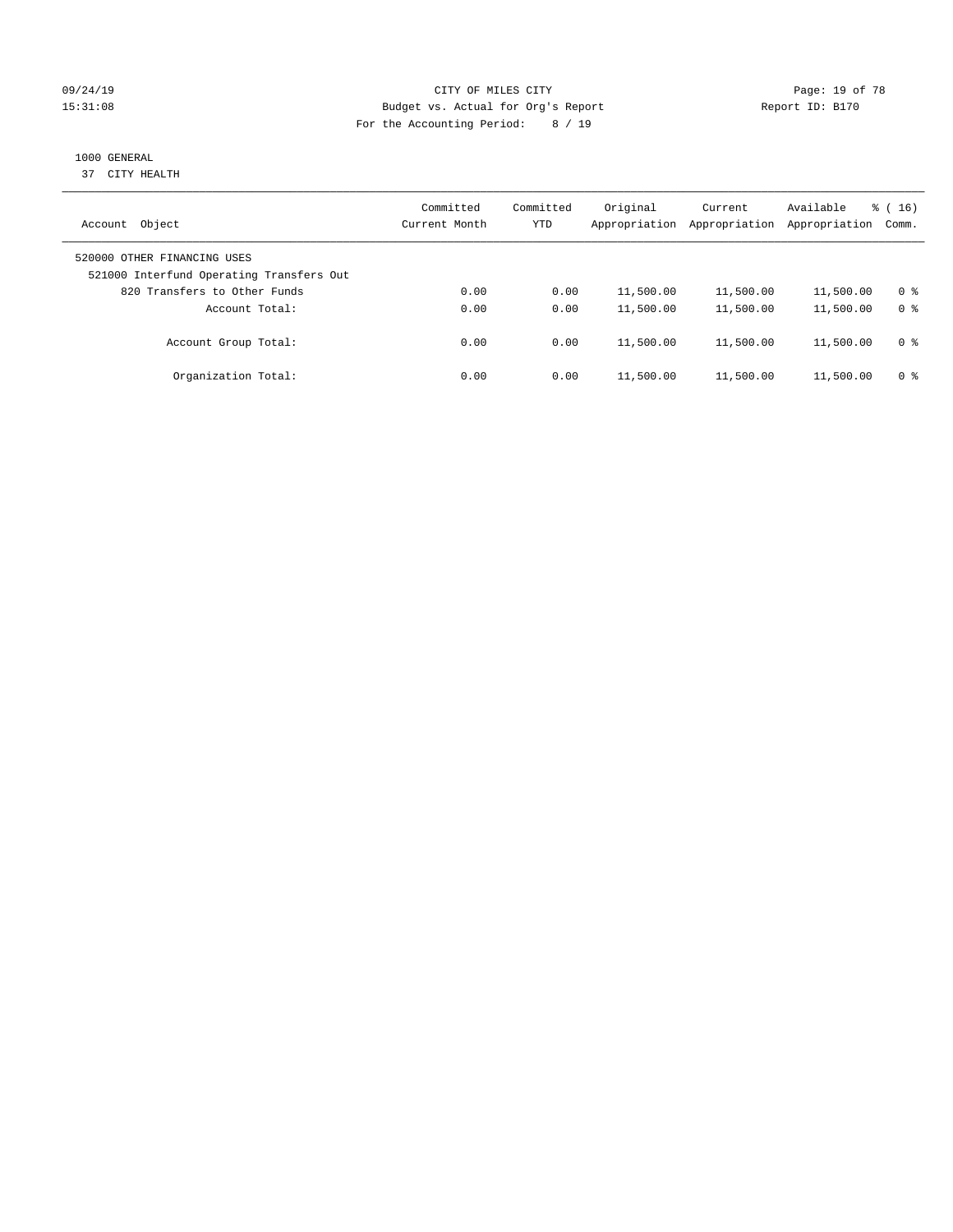### 09/24/19 Page: 19 of 78 15:31:08 Budget vs. Actual for Org's Report Report ID: B170 For the Accounting Period: 8 / 19

# 1000 GENERAL

37 CITY HEALTH

| Object<br>Account                                                       | Committed<br>Current Month | Committed<br><b>YTD</b> | Original<br>Appropriation | Current<br>Appropriation | Available<br>Appropriation | $\frac{1}{6}$ (16)<br>Comm. |
|-------------------------------------------------------------------------|----------------------------|-------------------------|---------------------------|--------------------------|----------------------------|-----------------------------|
| 520000 OTHER FINANCING USES<br>521000 Interfund Operating Transfers Out |                            |                         |                           |                          |                            |                             |
| 820 Transfers to Other Funds                                            | 0.00                       | 0.00                    | 11,500.00                 | 11,500.00                | 11,500.00                  | 0 %                         |
| Account Total:                                                          | 0.00                       | 0.00                    | 11,500.00                 | 11,500.00                | 11,500.00                  | 0 <sup>8</sup>              |
| Account Group Total:                                                    | 0.00                       | 0.00                    | 11,500.00                 | 11,500.00                | 11,500.00                  | 0 <sup>8</sup>              |
| Organization Total:                                                     | 0.00                       | 0.00                    | 11,500.00                 | 11,500.00                | 11,500.00                  | 0 <sup>8</sup>              |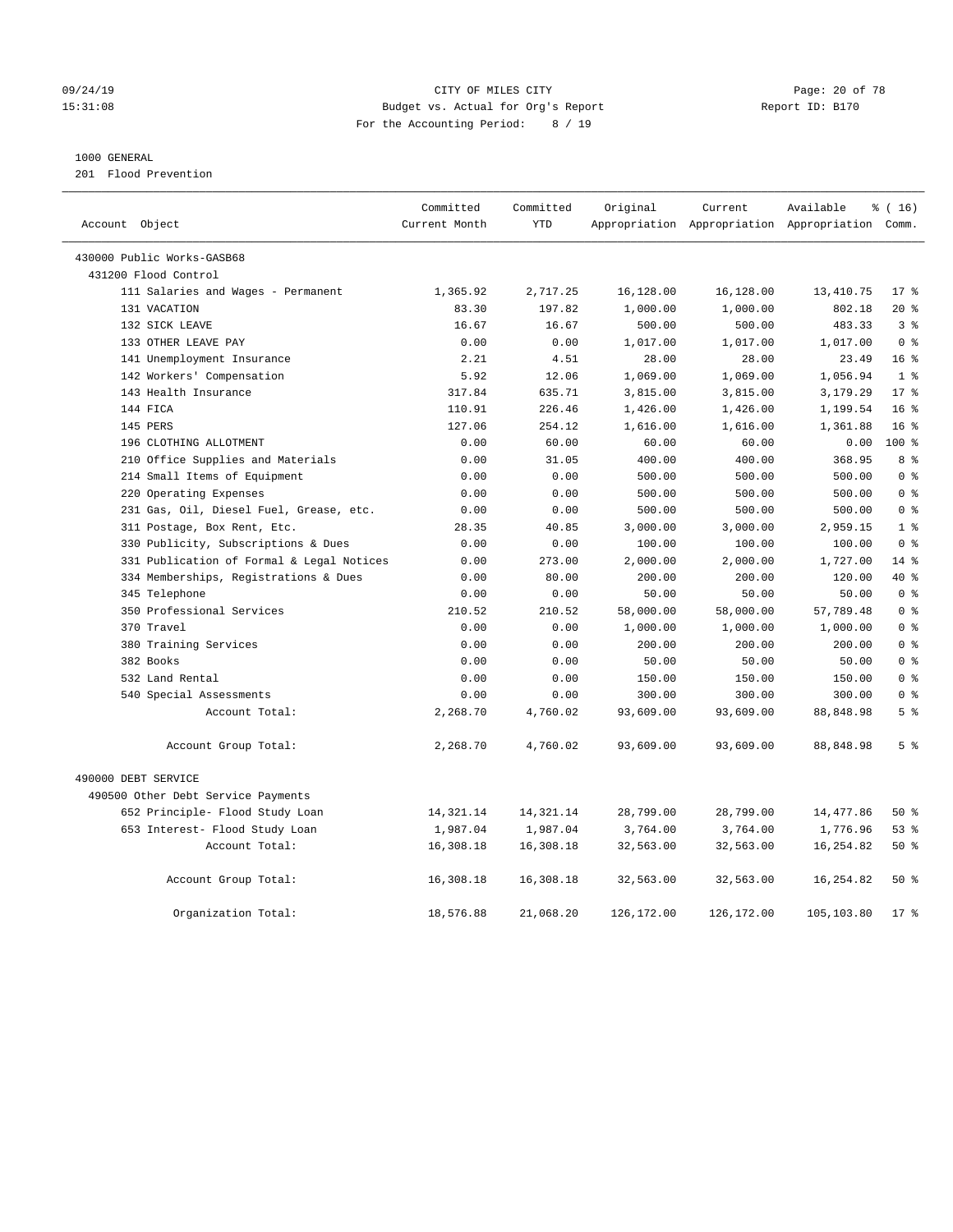#### 09/24/19 Page: 20 of 78 15:31:08 Budget vs. Actual for Org's Report Report ID: B170 For the Accounting Period: 8 / 19

#### 1000 GENERAL

201 Flood Prevention

| Account Object                            | Committed<br>Current Month | Committed<br><b>YTD</b> | Original   | Current    | Available<br>Appropriation Appropriation Appropriation Comm. | % (16)          |
|-------------------------------------------|----------------------------|-------------------------|------------|------------|--------------------------------------------------------------|-----------------|
|                                           |                            |                         |            |            |                                                              |                 |
| 430000 Public Works-GASB68                |                            |                         |            |            |                                                              |                 |
| 431200 Flood Control                      |                            |                         |            |            |                                                              |                 |
| 111 Salaries and Wages - Permanent        | 1,365.92                   | 2,717.25                | 16,128.00  | 16,128.00  | 13, 410.75                                                   | $17*$           |
| 131 VACATION                              | 83.30                      | 197.82                  | 1,000.00   | 1,000.00   | 802.18                                                       | $20*$           |
| 132 SICK LEAVE                            | 16.67                      | 16.67                   | 500.00     | 500.00     | 483.33                                                       | 3 <sup>8</sup>  |
| 133 OTHER LEAVE PAY                       | 0.00                       | 0.00                    | 1,017.00   | 1,017.00   | 1,017.00                                                     | 0 <sup>8</sup>  |
| 141 Unemployment Insurance                | 2.21                       | 4.51                    | 28.00      | 28.00      | 23.49                                                        | 16 <sup>8</sup> |
| 142 Workers' Compensation                 | 5.92                       | 12.06                   | 1,069.00   | 1,069.00   | 1,056.94                                                     | 1 <sup>°</sup>  |
| 143 Health Insurance                      | 317.84                     | 635.71                  | 3,815.00   | 3,815.00   | 3,179.29                                                     | $17*$           |
| 144 FICA                                  | 110.91                     | 226.46                  | 1,426.00   | 1,426.00   | 1,199.54                                                     | 16 <sup>8</sup> |
| 145 PERS                                  | 127.06                     | 254.12                  | 1,616.00   | 1,616.00   | 1,361.88                                                     | 16 <sup>°</sup> |
| 196 CLOTHING ALLOTMENT                    | 0.00                       | 60.00                   | 60.00      | 60.00      | 0.00                                                         | 100%            |
| 210 Office Supplies and Materials         | 0.00                       | 31.05                   | 400.00     | 400.00     | 368.95                                                       | 8 <sup>8</sup>  |
| 214 Small Items of Equipment              | 0.00                       | 0.00                    | 500.00     | 500.00     | 500.00                                                       | 0 <sup>8</sup>  |
| 220 Operating Expenses                    | 0.00                       | 0.00                    | 500.00     | 500.00     | 500.00                                                       | 0 <sup>8</sup>  |
| 231 Gas, Oil, Diesel Fuel, Grease, etc.   | 0.00                       | 0.00                    | 500.00     | 500.00     | 500.00                                                       | 0 <sup>8</sup>  |
| 311 Postage, Box Rent, Etc.               | 28.35                      | 40.85                   | 3,000.00   | 3,000.00   | 2,959.15                                                     | 1 <sup>8</sup>  |
| 330 Publicity, Subscriptions & Dues       | 0.00                       | 0.00                    | 100.00     | 100.00     | 100.00                                                       | 0 <sup>8</sup>  |
| 331 Publication of Formal & Legal Notices | 0.00                       | 273.00                  | 2,000.00   | 2,000.00   | 1,727.00                                                     | $14*$           |
| 334 Memberships, Registrations & Dues     | 0.00                       | 80.00                   | 200.00     | 200.00     | 120.00                                                       | 40 %            |
| 345 Telephone                             | 0.00                       | 0.00                    | 50.00      | 50.00      | 50.00                                                        | 0 <sup>8</sup>  |
| 350 Professional Services                 | 210.52                     | 210.52                  | 58,000.00  | 58,000.00  | 57,789.48                                                    | 0 <sup>8</sup>  |
| 370 Travel                                | 0.00                       | 0.00                    | 1,000.00   | 1,000.00   | 1,000.00                                                     | 0 <sup>8</sup>  |
| 380 Training Services                     | 0.00                       | 0.00                    | 200.00     | 200.00     | 200.00                                                       | 0 <sup>8</sup>  |
| 382 Books                                 | 0.00                       | 0.00                    | 50.00      | 50.00      | 50.00                                                        | 0 <sup>8</sup>  |
| 532 Land Rental                           | 0.00                       | 0.00                    | 150.00     | 150.00     | 150.00                                                       | 0 <sup>8</sup>  |
| 540 Special Assessments                   | 0.00                       | 0.00                    | 300.00     | 300.00     | 300.00                                                       | 0 <sup>8</sup>  |
| Account Total:                            | 2,268.70                   | 4,760.02                | 93,609.00  | 93,609.00  | 88,848.98                                                    | 5 <sup>8</sup>  |
| Account Group Total:                      | 2,268.70                   | 4,760.02                | 93,609.00  | 93,609.00  | 88,848.98                                                    | 5 <sup>8</sup>  |
| 490000 DEBT SERVICE                       |                            |                         |            |            |                                                              |                 |
| 490500 Other Debt Service Payments        |                            |                         |            |            |                                                              |                 |
| 652 Principle- Flood Study Loan           | 14,321.14                  | 14,321.14               | 28,799.00  | 28,799.00  | 14,477.86                                                    | 50%             |
| 653 Interest- Flood Study Loan            | 1,987.04                   | 1,987.04                | 3,764.00   | 3,764.00   | 1,776.96                                                     | 53%             |
| Account Total:                            | 16,308.18                  | 16,308.18               | 32,563.00  | 32,563.00  | 16,254.82                                                    | 50%             |
| Account Group Total:                      | 16,308.18                  | 16,308.18               | 32,563.00  | 32,563.00  | 16, 254.82                                                   | 50%             |
| Organization Total:                       | 18,576.88                  | 21,068.20               | 126,172.00 | 126,172.00 | 105,103.80                                                   | $17*$           |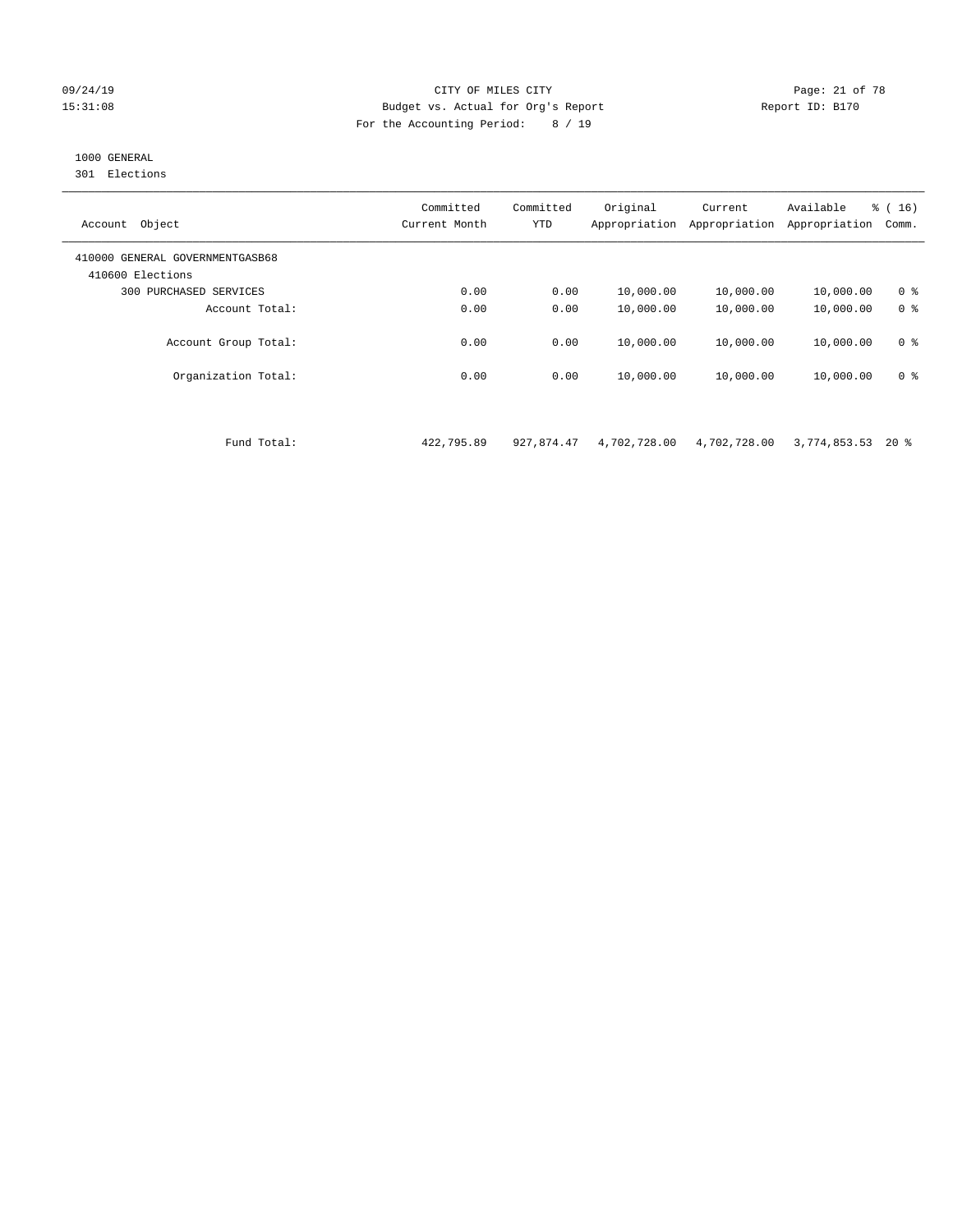#### 09/24/19 Page: 21 of 78 CITY OF MILES CITY CONTROL PAGE: 21 of 78 15:31:08 Budget vs. Actual for Org's Report Report ID: B170 For the Accounting Period: 8 / 19

# 1000 GENERAL

301 Elections

| Object<br>Account                                   | Committed<br>Current Month | Committed<br><b>YTD</b> | Original<br>Appropriation | Current<br>Appropriation | Available<br>Appropriation | $\frac{1}{6}$ ( 16 )<br>Comm. |
|-----------------------------------------------------|----------------------------|-------------------------|---------------------------|--------------------------|----------------------------|-------------------------------|
| 410000 GENERAL GOVERNMENTGASB68<br>410600 Elections |                            |                         |                           |                          |                            |                               |
| PURCHASED SERVICES<br>300                           | 0.00                       | 0.00                    | 10,000.00                 | 10,000.00                | 10,000.00                  | 0 <sup>8</sup>                |
| Account Total:                                      | 0.00                       | 0.00                    | 10,000.00                 | 10,000.00                | 10,000.00                  | 0 <sup>8</sup>                |
| Account Group Total:                                | 0.00                       | 0.00                    | 10,000.00                 | 10,000.00                | 10,000.00                  | 0 <sup>8</sup>                |
| Organization Total:                                 | 0.00                       | 0.00                    | 10,000.00                 | 10,000.00                | 10,000.00                  | 0 <sup>8</sup>                |

Fund Total: 422,795.89 927,874.47 4,702,728.00 4,702,728.00 3,774,853.53 20 %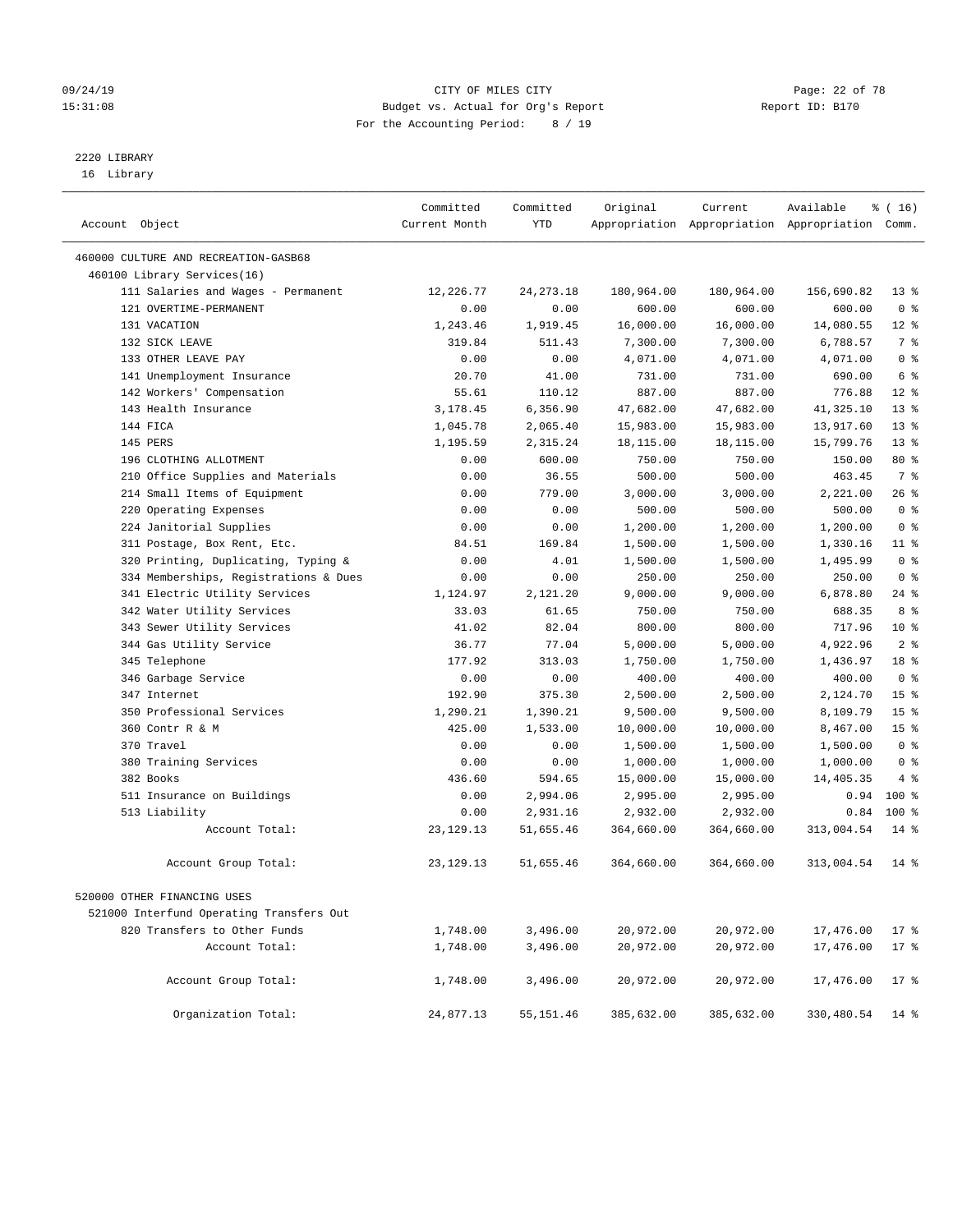#### 09/24/19 Page: 22 of 78 15:31:08 Budget vs. Actual for Org's Report Report ID: B170 For the Accounting Period: 8 / 19

————————————————————————————————————————————————————————————————————————————————————————————————————————————————————————————————————

# 2220 LIBRARY

16 Library

| Account Object                         |                                                         | Committed<br>Current Month | Committed<br>YTD | Original             | Current          | Available<br>Appropriation Appropriation Appropriation Comm. | $*(16)$                 |  |
|----------------------------------------|---------------------------------------------------------|----------------------------|------------------|----------------------|------------------|--------------------------------------------------------------|-------------------------|--|
|                                        |                                                         |                            |                  |                      |                  |                                                              |                         |  |
| 460000 CULTURE AND RECREATION-GASB68   |                                                         |                            |                  |                      |                  |                                                              |                         |  |
| 460100 Library Services(16)            |                                                         |                            |                  |                      |                  |                                                              |                         |  |
|                                        | 111 Salaries and Wages - Permanent                      | 12,226.77                  | 24, 273. 18      | 180,964.00           | 180,964.00       | 156,690.82                                                   | $13*$<br>0 <sup>8</sup> |  |
| 121 OVERTIME-PERMANENT<br>131 VACATION |                                                         | 0.00                       | 0.00             | 600.00               | 600.00           | 600.00                                                       |                         |  |
| 132 SICK LEAVE                         |                                                         | 1,243.46                   | 1,919.45         | 16,000.00            | 16,000.00        | 14,080.55                                                    | $12*$<br>7 %            |  |
| 133 OTHER LEAVE PAY                    |                                                         | 319.84                     | 511.43           | 7,300.00             | 7,300.00         | 6,788.57                                                     | 0 <sup>8</sup>          |  |
|                                        |                                                         | 0.00                       | 0.00<br>41.00    | 4,071.00             | 4,071.00         | 4,071.00                                                     | 6 <sup>°</sup>          |  |
|                                        | 141 Unemployment Insurance<br>142 Workers' Compensation | 20.70<br>55.61             | 110.12           | 731.00<br>887.00     | 731.00<br>887.00 | 690.00<br>776.88                                             | $12*$                   |  |
| 143 Health Insurance                   |                                                         | 3,178.45                   | 6,356.90         | 47,682.00            | 47,682.00        |                                                              | $13*$                   |  |
| 144 FICA                               |                                                         |                            |                  |                      |                  | 41,325.10                                                    | $13*$                   |  |
| 145 PERS                               |                                                         | 1,045.78                   | 2,065.40         | 15,983.00            | 15,983.00        | 13,917.60                                                    | $13*$                   |  |
| 196 CLOTHING ALLOTMENT                 |                                                         | 1,195.59                   | 2,315.24         | 18,115.00            | 18,115.00        | 15,799.76                                                    | 80 %                    |  |
|                                        | 210 Office Supplies and Materials                       | 0.00<br>0.00               | 600.00<br>36.55  | 750.00<br>500.00     | 750.00<br>500.00 | 150.00<br>463.45                                             | 7 %                     |  |
|                                        | 214 Small Items of Equipment                            | 0.00                       | 779.00           | 3,000.00             | 3,000.00         | 2,221.00                                                     | 26%                     |  |
| 220 Operating Expenses                 |                                                         | 0.00                       | 0.00             | 500.00               | 500.00           | 500.00                                                       | 0 <sup>8</sup>          |  |
| 224 Janitorial Supplies                |                                                         | 0.00                       | 0.00             |                      | 1,200.00         |                                                              | 0 <sup>8</sup>          |  |
|                                        | 311 Postage, Box Rent, Etc.                             | 84.51                      | 169.84           | 1,200.00<br>1,500.00 | 1,500.00         | 1,200.00<br>1,330.16                                         | $11*$                   |  |
|                                        | 320 Printing, Duplicating, Typing &                     | 0.00                       | 4.01             | 1,500.00             | 1,500.00         | 1,495.99                                                     | 0 <sup>8</sup>          |  |
|                                        | 334 Memberships, Registrations & Dues                   | 0.00                       | 0.00             | 250.00               | 250.00           | 250.00                                                       | 0 <sup>8</sup>          |  |
|                                        | 341 Electric Utility Services                           | 1,124.97                   | 2,121.20         | 9,000.00             | 9,000.00         | 6,878.80                                                     | $24$ %                  |  |
|                                        | 342 Water Utility Services                              | 33.03                      | 61.65            | 750.00               | 750.00           | 688.35                                                       | 8 %                     |  |
|                                        | 343 Sewer Utility Services                              | 41.02                      | 82.04            | 800.00               | 800.00           | 717.96                                                       | $10*$                   |  |
| 344 Gas Utility Service                |                                                         | 36.77                      | 77.04            | 5,000.00             | 5,000.00         | 4,922.96                                                     | 2 <sup>°</sup>          |  |
| 345 Telephone                          |                                                         | 177.92                     | 313.03           | 1,750.00             | 1,750.00         | 1,436.97                                                     | 18 %                    |  |
| 346 Garbage Service                    |                                                         | 0.00                       | 0.00             | 400.00               | 400.00           | 400.00                                                       | 0 <sup>8</sup>          |  |
| 347 Internet                           |                                                         | 192.90                     | 375.30           | 2,500.00             | 2,500.00         | 2,124.70                                                     | 15 <sup>°</sup>         |  |
|                                        | 350 Professional Services                               | 1,290.21                   | 1,390.21         | 9,500.00             | 9,500.00         | 8,109.79                                                     | 15 <sup>°</sup>         |  |
| 360 Contr R & M                        |                                                         | 425.00                     | 1,533.00         | 10,000.00            | 10,000.00        | 8,467.00                                                     | 15 <sup>°</sup>         |  |
| 370 Travel                             |                                                         | 0.00                       | 0.00             | 1,500.00             | 1,500.00         | 1,500.00                                                     | 0 <sup>8</sup>          |  |
| 380 Training Services                  |                                                         | 0.00                       | 0.00             | 1,000.00             | 1,000.00         | 1,000.00                                                     | 0 <sup>8</sup>          |  |
| 382 Books                              |                                                         | 436.60                     | 594.65           | 15,000.00            | 15,000.00        | 14,405.35                                                    | 4%                      |  |
|                                        | 511 Insurance on Buildings                              | 0.00                       | 2,994.06         | 2,995.00             | 2,995.00         | 0.94                                                         | $100*$                  |  |
| 513 Liability                          |                                                         | 0.00                       | 2,931.16         | 2,932.00             | 2,932.00         | 0.84                                                         | $100*$                  |  |
|                                        | Account Total:                                          | 23, 129. 13                | 51,655.46        | 364,660.00           | 364,660.00       | 313,004.54                                                   | $14*$                   |  |
|                                        |                                                         |                            |                  |                      |                  |                                                              |                         |  |
|                                        | Account Group Total:                                    | 23, 129. 13                | 51,655.46        | 364,660.00           | 364,660.00       | 313,004.54                                                   | $14*$                   |  |
| 520000 OTHER FINANCING USES            |                                                         |                            |                  |                      |                  |                                                              |                         |  |
|                                        | 521000 Interfund Operating Transfers Out                |                            |                  |                      |                  |                                                              |                         |  |
|                                        | 820 Transfers to Other Funds                            | 1,748.00                   | 3,496.00         | 20,972.00            | 20,972.00        | 17,476.00                                                    | $17*$                   |  |
|                                        | Account Total:                                          | 1,748.00                   | 3,496.00         | 20,972.00            | 20,972.00        | 17,476.00                                                    | $17*$                   |  |
|                                        |                                                         |                            |                  |                      |                  |                                                              |                         |  |
|                                        | Account Group Total:                                    | 1,748.00                   | 3,496.00         | 20,972.00            | 20,972.00        | 17,476.00                                                    | $17*$                   |  |
|                                        | Organization Total:                                     | 24,877.13                  | 55,151.46        | 385,632.00           | 385,632.00       | 330,480.54                                                   | 14 %                    |  |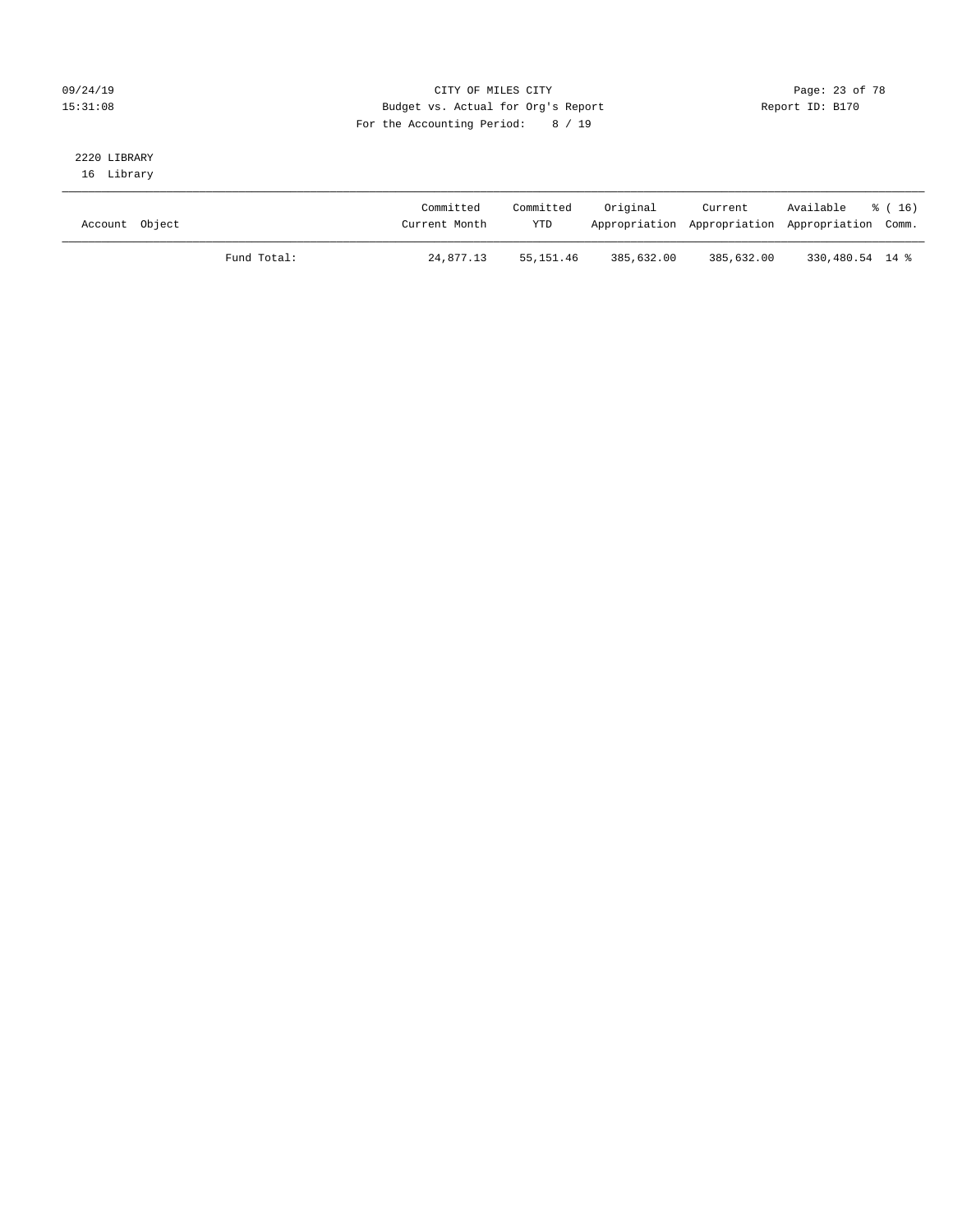### 09/24/19 Page: 23 of 78 15:31:08 Budget vs. Actual for Org's Report Report ID: B170 For the Accounting Period: 8 / 19

# 2220 LIBRARY

16 Library

| Account Object |             | Committed<br>Current Month | Committed<br><b>YTD</b> | Original   | Current    | Available % (16)<br>Appropriation Appropriation Appropriation Comm. |  |
|----------------|-------------|----------------------------|-------------------------|------------|------------|---------------------------------------------------------------------|--|
|                | Fund Total: | 24,877.13                  | 55,151.46               | 385,632.00 | 385,632.00 | 330,480.54 14 %                                                     |  |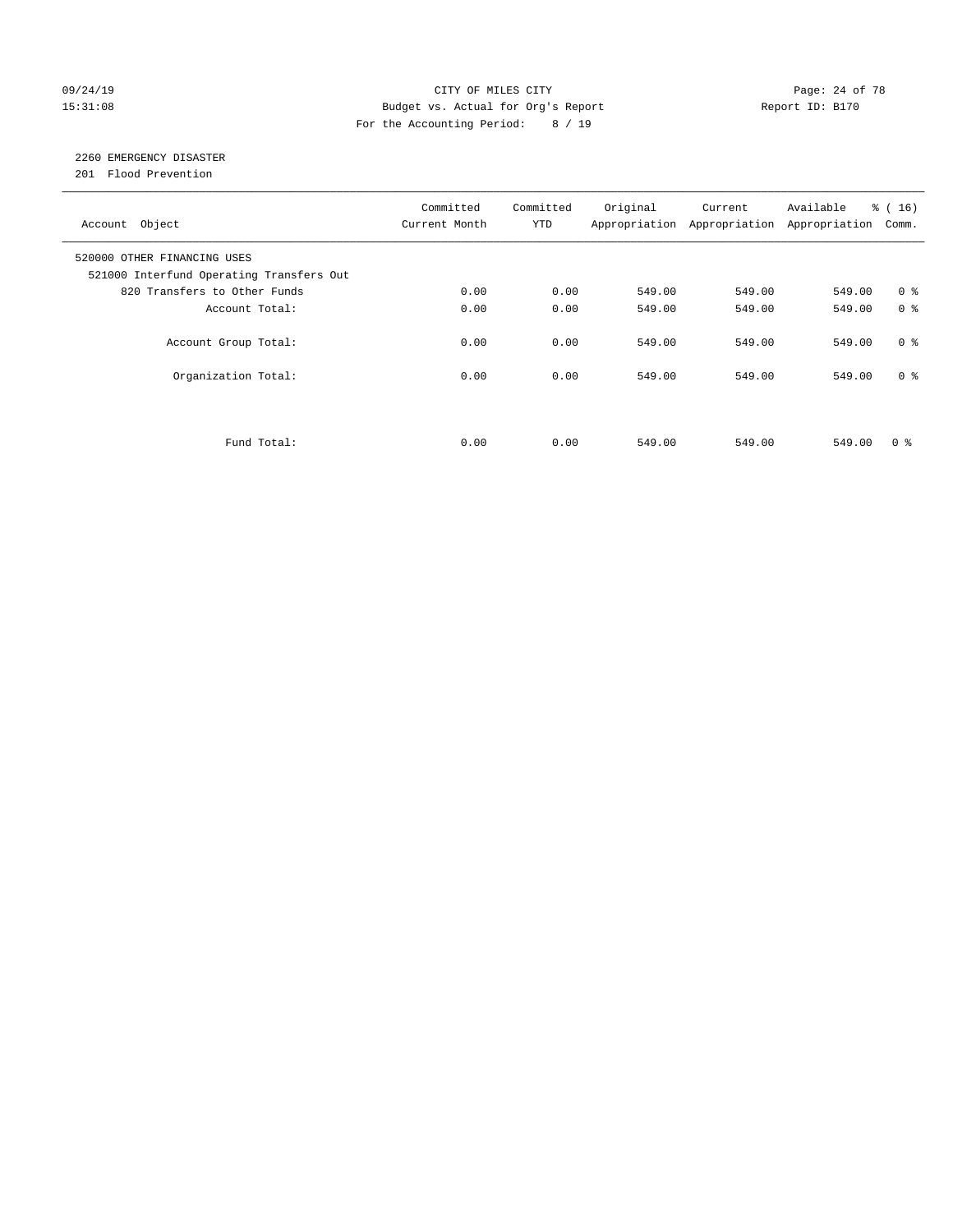### 09/24/19 Page: 24 of 78 15:31:08 Budget vs. Actual for Org's Report Report ID: B170 For the Accounting Period: 8 / 19

# 2260 EMERGENCY DISASTER

201 Flood Prevention

| Account Object                                                          | Committed<br>Current Month | Committed<br><b>YTD</b> | Original | Current<br>Appropriation Appropriation | Available<br>Appropriation | $\frac{16}{16}$<br>Comm. |
|-------------------------------------------------------------------------|----------------------------|-------------------------|----------|----------------------------------------|----------------------------|--------------------------|
| 520000 OTHER FINANCING USES<br>521000 Interfund Operating Transfers Out |                            |                         |          |                                        |                            |                          |
| 820 Transfers to Other Funds                                            | 0.00                       | 0.00                    | 549.00   | 549.00                                 | 549.00                     | 0 <sup>8</sup>           |
| Account Total:                                                          | 0.00                       | 0.00                    | 549.00   | 549.00                                 | 549.00                     | 0 <sup>8</sup>           |
| Account Group Total:                                                    | 0.00                       | 0.00                    | 549.00   | 549.00                                 | 549.00                     | 0 <sup>8</sup>           |
| Organization Total:                                                     | 0.00                       | 0.00                    | 549.00   | 549.00                                 | 549.00                     | 0 <sup>8</sup>           |
|                                                                         |                            |                         |          |                                        |                            |                          |
| Fund Total:                                                             | 0.00                       | 0.00                    | 549.00   | 549.00                                 | 549.00                     | 0 %                      |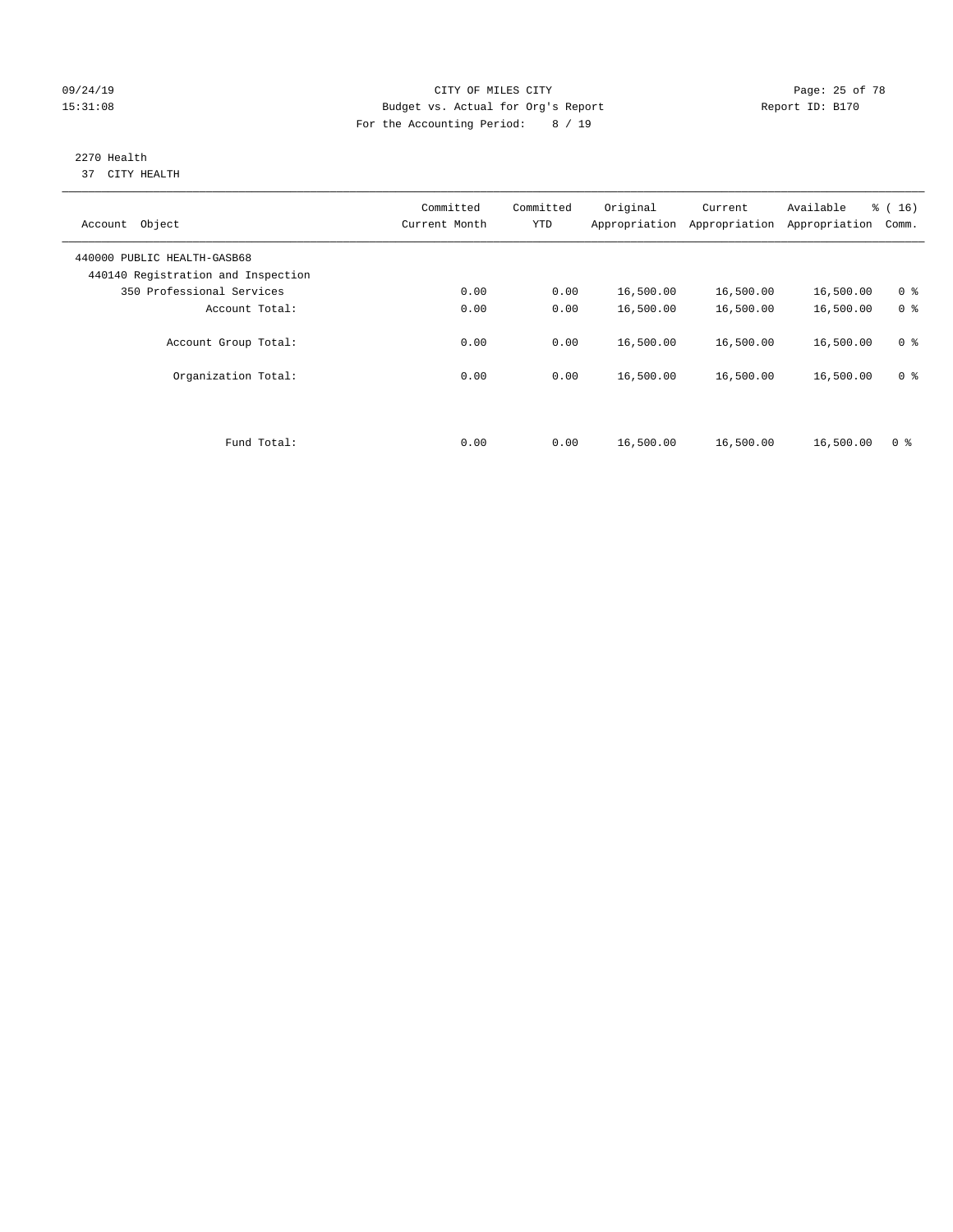#### 09/24/19 Page: 25 of 78 15:31:08 Budget vs. Actual for Org's Report Report ID: B170 For the Accounting Period: 8 / 19

#### 2270 Health 37 CITY HEALTH

| Object<br>Account                                                 | Committed<br>Current Month | Committed<br><b>YTD</b> | Original<br>Appropriation | Current<br>Appropriation | Available<br>Appropriation | % (16)<br>Comm. |
|-------------------------------------------------------------------|----------------------------|-------------------------|---------------------------|--------------------------|----------------------------|-----------------|
| 440000 PUBLIC HEALTH-GASB68<br>440140 Registration and Inspection |                            |                         |                           |                          |                            |                 |
| 350 Professional Services                                         | 0.00                       | 0.00                    | 16,500.00                 | 16,500.00                | 16,500.00                  | 0 <sup>8</sup>  |
| Account Total:                                                    | 0.00                       | 0.00                    | 16,500.00                 | 16,500.00                | 16,500.00                  | 0 <sup>8</sup>  |
| Account Group Total:                                              | 0.00                       | 0.00                    | 16,500.00                 | 16,500.00                | 16,500.00                  | 0 <sup>8</sup>  |
| Organization Total:                                               | 0.00                       | 0.00                    | 16,500.00                 | 16,500.00                | 16,500.00                  | 0 <sup>8</sup>  |
| Fund Total:                                                       | 0.00                       | 0.00                    | 16,500.00                 | 16,500.00                | 16,500.00                  | 0 <sup>8</sup>  |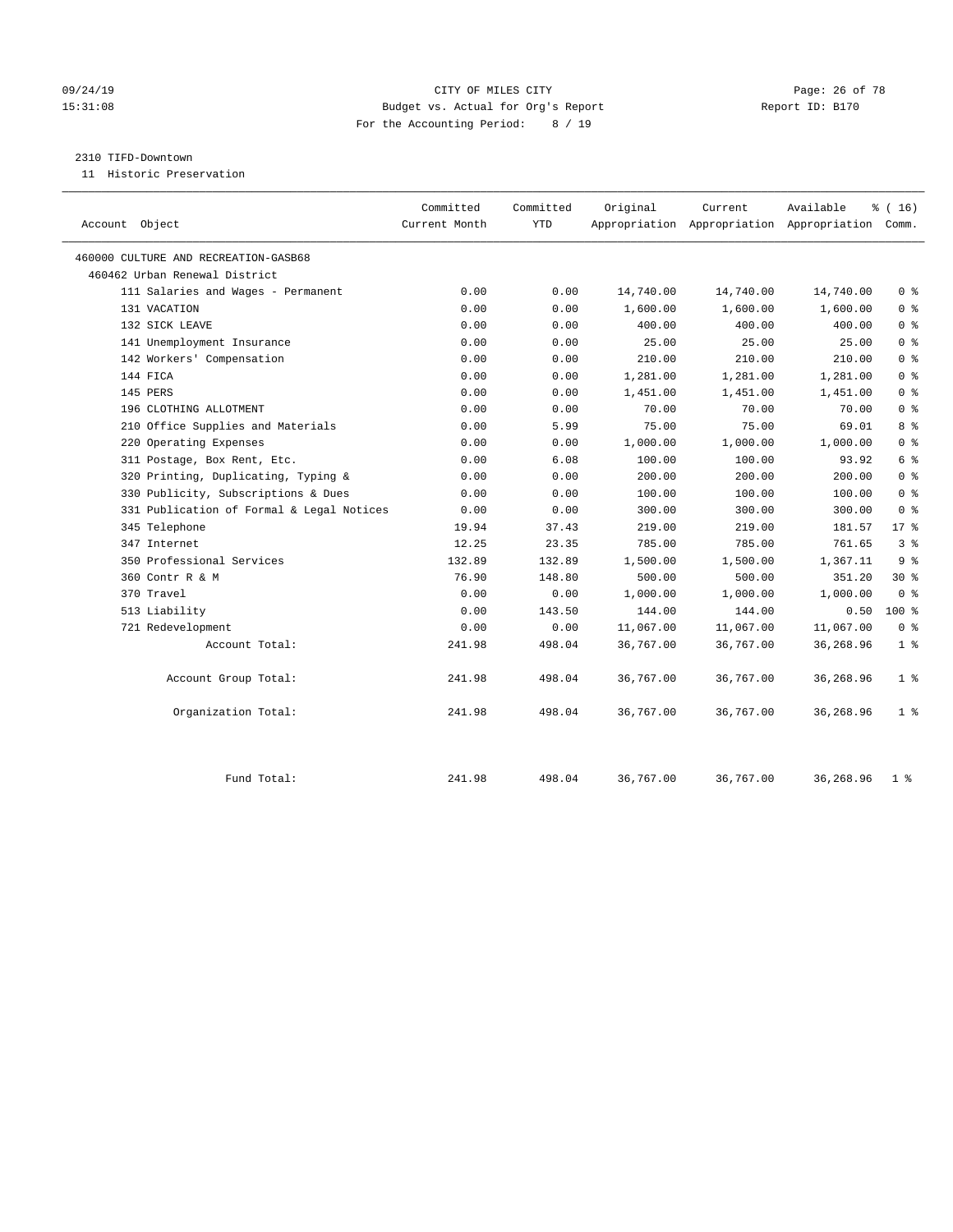### 09/24/19 Page: 26 of 78 15:31:08 Budget vs. Actual for Org's Report Report ID: B170 For the Accounting Period: 8 / 19

#### 2310 TIFD-Downtown

11 Historic Preservation

|                                           | Committed     | Committed  | Original  | Current   | Available                                       | % (16)         |
|-------------------------------------------|---------------|------------|-----------|-----------|-------------------------------------------------|----------------|
| Account Object                            | Current Month | <b>YTD</b> |           |           | Appropriation Appropriation Appropriation Comm. |                |
| 460000 CULTURE AND RECREATION-GASB68      |               |            |           |           |                                                 |                |
| 460462 Urban Renewal District             |               |            |           |           |                                                 |                |
| 111 Salaries and Wages - Permanent        | 0.00          | 0.00       | 14,740.00 | 14,740.00 | 14,740.00                                       | 0 <sup>8</sup> |
| 131 VACATION                              | 0.00          | 0.00       | 1,600.00  | 1,600.00  | 1,600.00                                        | 0 <sup>8</sup> |
| 132 SICK LEAVE                            | 0.00          | 0.00       | 400.00    | 400.00    | 400.00                                          | 0 <sup>8</sup> |
| 141 Unemployment Insurance                | 0.00          | 0.00       | 25.00     | 25.00     | 25.00                                           | 0 <sup>8</sup> |
| 142 Workers' Compensation                 | 0.00          | 0.00       | 210.00    | 210.00    | 210.00                                          | 0 <sup>8</sup> |
| 144 FICA                                  | 0.00          | 0.00       | 1,281.00  | 1,281.00  | 1,281.00                                        | 0 <sup>8</sup> |
| 145 PERS                                  | 0.00          | 0.00       | 1,451.00  | 1,451.00  | 1,451.00                                        | 0 <sup>8</sup> |
| 196 CLOTHING ALLOTMENT                    | 0.00          | 0.00       | 70.00     | 70.00     | 70.00                                           | 0 <sup>8</sup> |
| 210 Office Supplies and Materials         | 0.00          | 5.99       | 75.00     | 75.00     | 69.01                                           | 8 <sup>8</sup> |
| 220 Operating Expenses                    | 0.00          | 0.00       | 1,000.00  | 1,000.00  | 1,000.00                                        | 0 <sup>8</sup> |
| 311 Postage, Box Rent, Etc.               | 0.00          | 6.08       | 100.00    | 100.00    | 93.92                                           | 6 %            |
| 320 Printing, Duplicating, Typing &       | 0.00          | 0.00       | 200.00    | 200.00    | 200.00                                          | 0 <sup>8</sup> |
| 330 Publicity, Subscriptions & Dues       | 0.00          | 0.00       | 100.00    | 100.00    | 100.00                                          | 0 <sup>8</sup> |
| 331 Publication of Formal & Legal Notices | 0.00          | 0.00       | 300.00    | 300.00    | 300.00                                          | 0 <sup>8</sup> |
| 345 Telephone                             | 19.94         | 37.43      | 219.00    | 219.00    | 181.57                                          | $17*$          |
| 347 Internet                              | 12.25         | 23.35      | 785.00    | 785.00    | 761.65                                          | 3 <sup>8</sup> |
| 350 Professional Services                 | 132.89        | 132.89     | 1,500.00  | 1,500.00  | 1,367.11                                        | 9 <sup>°</sup> |
| 360 Contr R & M                           | 76.90         | 148.80     | 500.00    | 500.00    | 351.20                                          | $30*$          |
| 370 Travel                                | 0.00          | 0.00       | 1,000.00  | 1,000.00  | 1,000.00                                        | 0 <sup>8</sup> |
| 513 Liability                             | 0.00          | 143.50     | 144.00    | 144.00    | 0.50                                            | 100 %          |
| 721 Redevelopment                         | 0.00          | 0.00       | 11,067.00 | 11,067.00 | 11,067.00                                       | 0 <sup>8</sup> |
| Account Total:                            | 241.98        | 498.04     | 36,767.00 | 36,767.00 | 36,268.96                                       | 1 <sup>°</sup> |
| Account Group Total:                      | 241.98        | 498.04     | 36,767.00 | 36,767.00 | 36,268.96                                       | 1 <sup>°</sup> |
| Organization Total:                       | 241.98        | 498.04     | 36,767.00 | 36,767.00 | 36,268.96                                       | 1 <sup>8</sup> |
| Fund Total:                               | 241.98        | 498.04     | 36,767.00 | 36,767.00 | 36,268.96                                       | 1 <sup>8</sup> |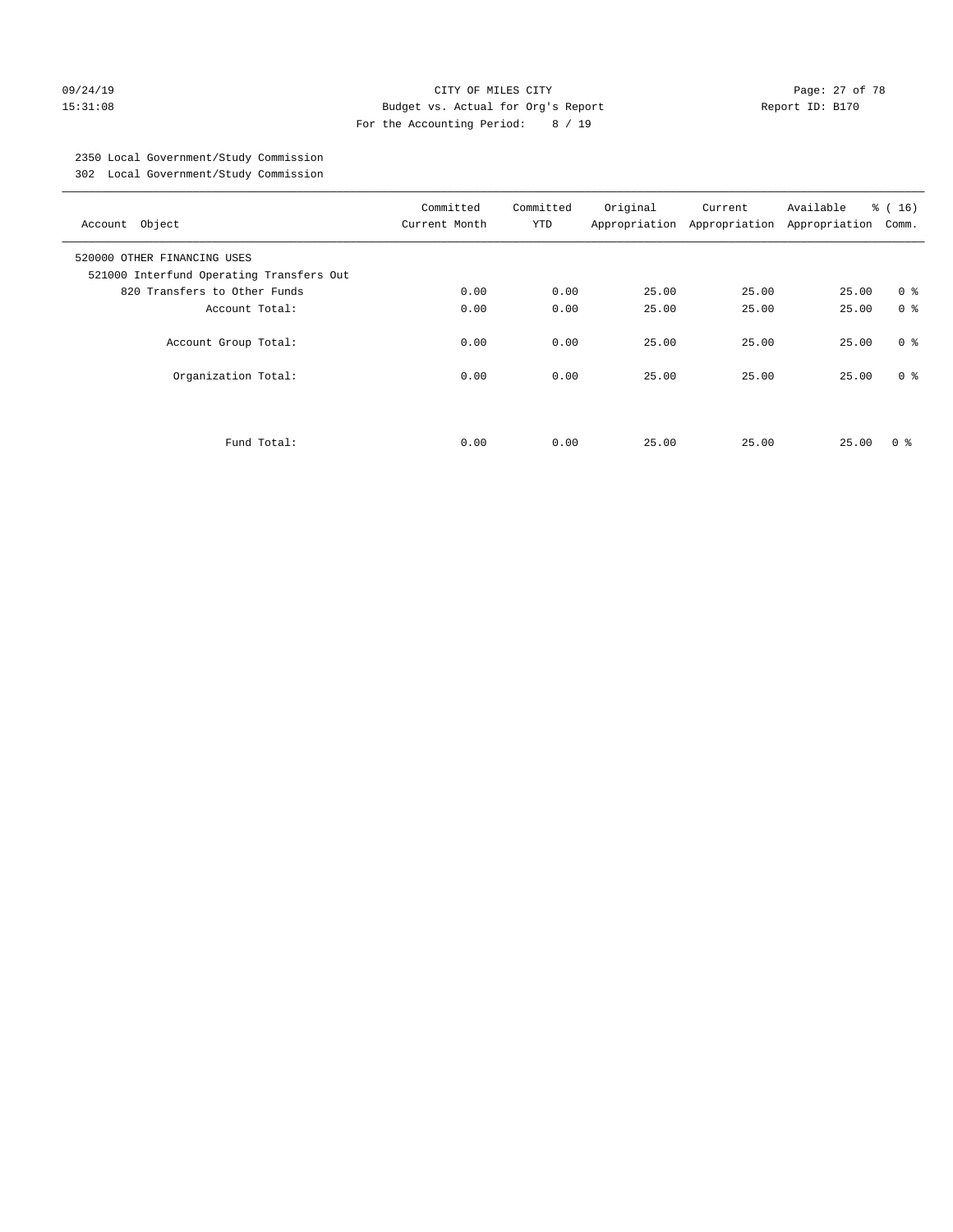#### 09/24/19 Page: 27 of 78 15:31:08 Budget vs. Actual for Org's Report Report ID: B170 For the Accounting Period: 8 / 19

# 2350 Local Government/Study Commission

302 Local Government/Study Commission

| Account Object                                                          | Committed<br>Current Month | Committed<br><b>YTD</b> | Original | Current<br>Appropriation Appropriation | Available<br>Appropriation | % (16)<br>Comm. |
|-------------------------------------------------------------------------|----------------------------|-------------------------|----------|----------------------------------------|----------------------------|-----------------|
| 520000 OTHER FINANCING USES<br>521000 Interfund Operating Transfers Out |                            |                         |          |                                        |                            |                 |
| 820 Transfers to Other Funds                                            | 0.00                       | 0.00                    | 25.00    | 25.00                                  | 25.00                      | 0 <sup>8</sup>  |
| Account Total:                                                          | 0.00                       | 0.00                    | 25.00    | 25.00                                  | 25.00                      | 0 <sup>8</sup>  |
| Account Group Total:                                                    | 0.00                       | 0.00                    | 25.00    | 25.00                                  | 25.00                      | 0 <sup>8</sup>  |
| Organization Total:                                                     | 0.00                       | 0.00                    | 25.00    | 25.00                                  | 25.00                      | 0 <sup>8</sup>  |
| Fund Total:                                                             | 0.00                       | 0.00                    | 25.00    | 25.00                                  | 25.00                      | 0 ៖             |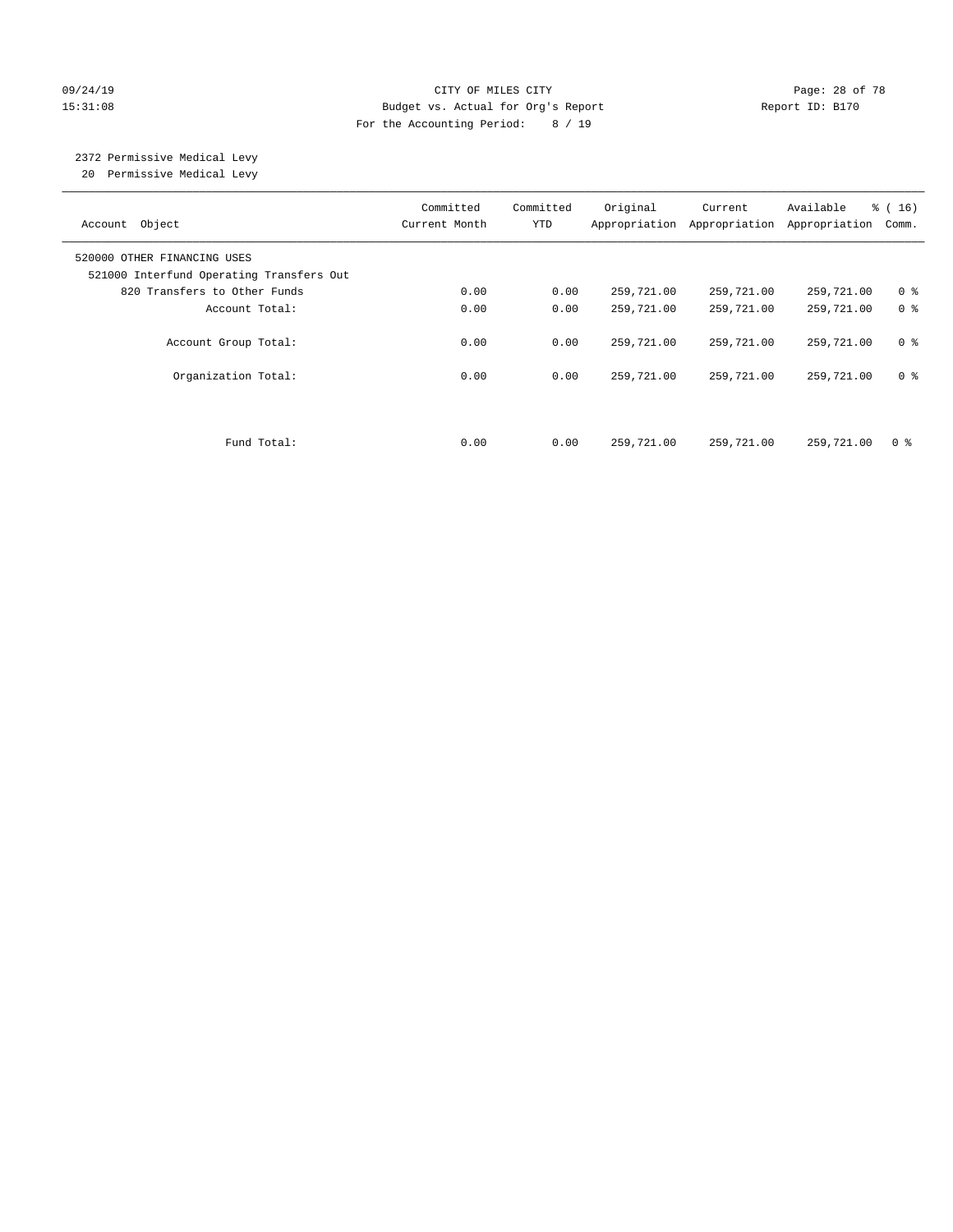#### 09/24/19 CITY OF MILES CITY Page: 28 of 78 15:31:08 Budget vs. Actual for Org's Report Report ID: B170 For the Accounting Period: 8 / 19

# 2372 Permissive Medical Levy

20 Permissive Medical Levy

| Account Object                                                          | Committed<br>Current Month | Committed<br><b>YTD</b> | Original   | Current<br>Appropriation Appropriation | Available<br>Appropriation | % (16)<br>Comm. |
|-------------------------------------------------------------------------|----------------------------|-------------------------|------------|----------------------------------------|----------------------------|-----------------|
| 520000 OTHER FINANCING USES<br>521000 Interfund Operating Transfers Out |                            |                         |            |                                        |                            |                 |
| 820 Transfers to Other Funds                                            | 0.00                       | 0.00                    | 259,721.00 | 259,721.00                             | 259,721.00                 | 0 <sup>8</sup>  |
| Account Total:                                                          | 0.00                       | 0.00                    | 259,721.00 | 259,721.00                             | 259,721.00                 | 0 <sup>8</sup>  |
| Account Group Total:                                                    | 0.00                       | 0.00                    | 259,721.00 | 259,721.00                             | 259,721.00                 | 0 <sup>8</sup>  |
| Organization Total:                                                     | 0.00                       | 0.00                    | 259,721.00 | 259,721.00                             | 259,721.00                 | 0 <sup>8</sup>  |
|                                                                         |                            |                         |            |                                        |                            |                 |
| Fund Total:                                                             | 0.00                       | 0.00                    | 259,721.00 | 259,721.00                             | 259,721.00                 | 0 <sup>8</sup>  |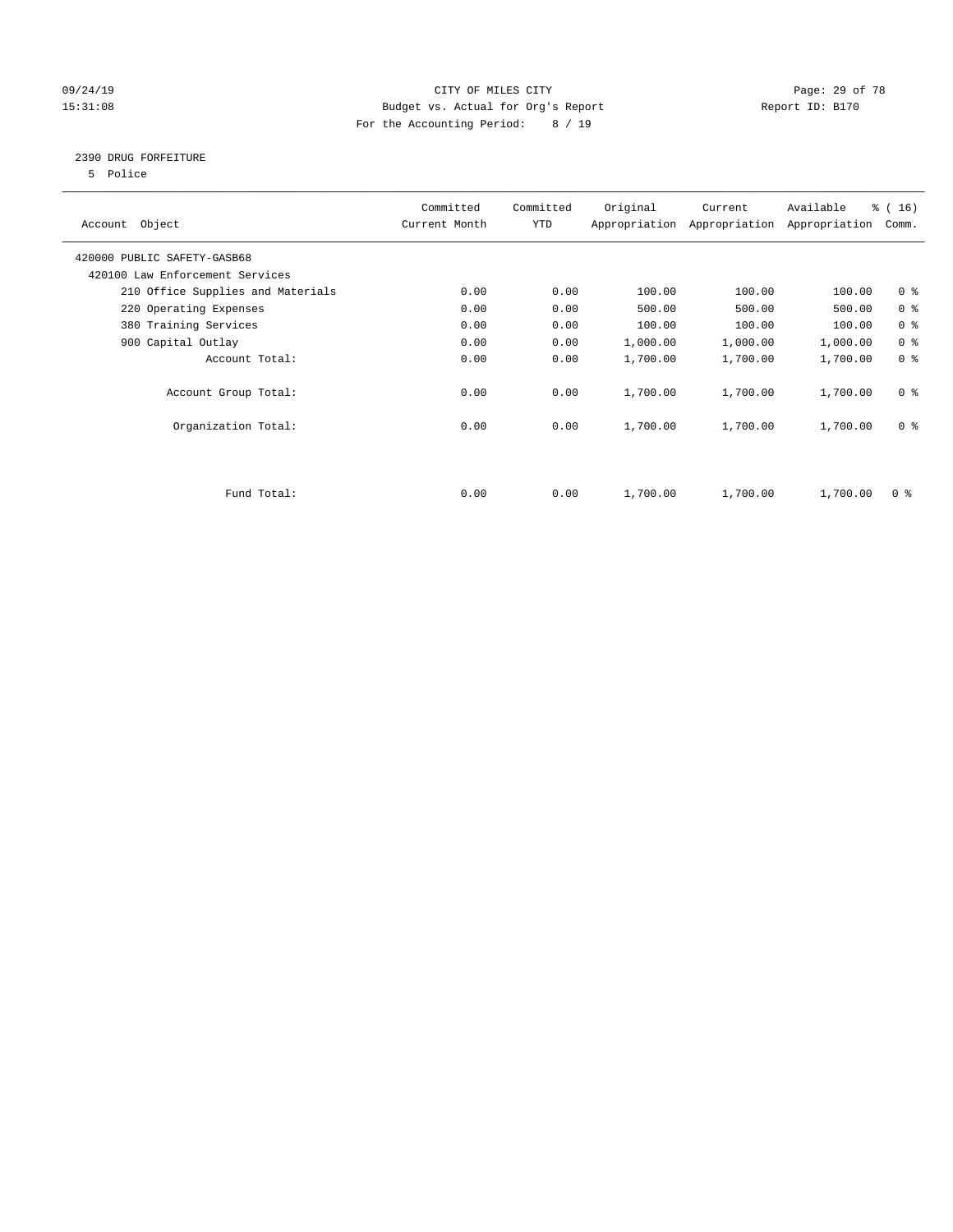### 09/24/19 Page: 29 of 78 15:31:08 Budget vs. Actual for Org's Report Report ID: B170 For the Accounting Period: 8 / 19

### 2390 DRUG FORFEITURE

5 Police

| Account Object                    | Committed<br>Current Month | Committed<br>YTD | Original | Current<br>Appropriation Appropriation | Available<br>Appropriation | % (16)<br>Comm. |
|-----------------------------------|----------------------------|------------------|----------|----------------------------------------|----------------------------|-----------------|
| 420000 PUBLIC SAFETY-GASB68       |                            |                  |          |                                        |                            |                 |
| 420100 Law Enforcement Services   |                            |                  |          |                                        |                            |                 |
| 210 Office Supplies and Materials | 0.00                       | 0.00             | 100.00   | 100.00                                 | 100.00                     | 0 <sub>8</sub>  |
| 220 Operating Expenses            | 0.00                       | 0.00             | 500.00   | 500.00                                 | 500.00                     | 0 <sup>8</sup>  |
| 380 Training Services             | 0.00                       | 0.00             | 100.00   | 100.00                                 | 100.00                     | 0 <sup>8</sup>  |
| 900 Capital Outlay                | 0.00                       | 0.00             | 1,000.00 | 1,000.00                               | 1,000.00                   | 0 <sup>8</sup>  |
| Account Total:                    | 0.00                       | 0.00             | 1,700.00 | 1,700.00                               | 1,700.00                   | 0 <sup>8</sup>  |
| Account Group Total:              | 0.00                       | 0.00             | 1,700.00 | 1,700.00                               | 1,700.00                   | 0 <sup>8</sup>  |
| Organization Total:               | 0.00                       | 0.00             | 1,700.00 | 1,700.00                               | 1,700.00                   | 0 <sup>8</sup>  |
|                                   |                            |                  |          |                                        |                            |                 |
| Fund Total:                       | 0.00                       | 0.00             | 1,700.00 | 1,700.00                               | 1,700.00                   | 0 %             |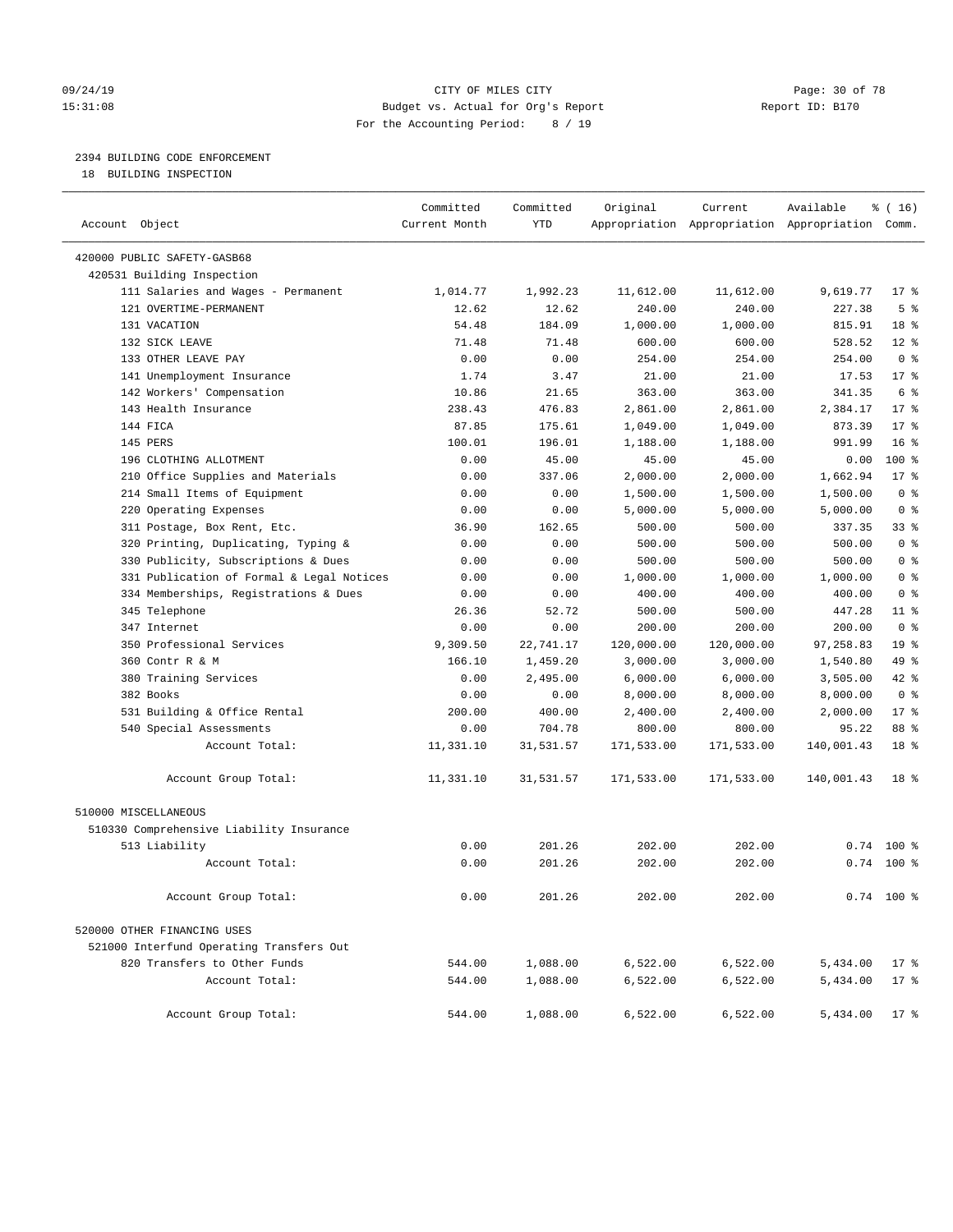#### 09/24/19 Page: 30 of 78 CITY OF MILES CITY CHECK PAGE: 30 of 78 15:31:08 Budget vs. Actual for Org's Report Report ID: B170 For the Accounting Period: 8 / 19

————————————————————————————————————————————————————————————————————————————————————————————————————————————————————————————————————

### 2394 BUILDING CODE ENFORCEMENT

18 BUILDING INSPECTION

|                                           | Committed     | Committed  | Original   | Current    | Available                                       | ៖ ( 16)         |
|-------------------------------------------|---------------|------------|------------|------------|-------------------------------------------------|-----------------|
| Account Object                            | Current Month | <b>YTD</b> |            |            | Appropriation Appropriation Appropriation Comm. |                 |
| 420000 PUBLIC SAFETY-GASB68               |               |            |            |            |                                                 |                 |
| 420531 Building Inspection                |               |            |            |            |                                                 |                 |
| 111 Salaries and Wages - Permanent        | 1,014.77      | 1,992.23   | 11,612.00  | 11,612.00  | 9,619.77                                        | $17*$           |
| 121 OVERTIME-PERMANENT                    | 12.62         | 12.62      | 240.00     | 240.00     | 227.38                                          | 5 <sup>°</sup>  |
| 131 VACATION                              | 54.48         | 184.09     | 1,000.00   | 1,000.00   | 815.91                                          | 18 %            |
| 132 SICK LEAVE                            | 71.48         | 71.48      | 600.00     | 600.00     | 528.52                                          | $12*$           |
| 133 OTHER LEAVE PAY                       | 0.00          | 0.00       | 254.00     | 254.00     | 254.00                                          | 0 <sup>8</sup>  |
| 141 Unemployment Insurance                | 1.74          | 3.47       | 21.00      | 21.00      | 17.53                                           | $17*$           |
| 142 Workers' Compensation                 | 10.86         | 21.65      | 363.00     | 363.00     | 341.35                                          | 6 <sup>°</sup>  |
| 143 Health Insurance                      | 238.43        | 476.83     | 2,861.00   | 2,861.00   | 2,384.17                                        | $17*$           |
| 144 FICA                                  | 87.85         | 175.61     | 1,049.00   | 1,049.00   | 873.39                                          | $17*$           |
| 145 PERS                                  | 100.01        | 196.01     | 1,188.00   | 1,188.00   | 991.99                                          | 16 <sup>8</sup> |
| 196 CLOTHING ALLOTMENT                    | 0.00          | 45.00      | 45.00      | 45.00      | 0.00                                            | 100 %           |
| 210 Office Supplies and Materials         | 0.00          | 337.06     | 2,000.00   | 2,000.00   | 1,662.94                                        | $17*$           |
| 214 Small Items of Equipment              | 0.00          | 0.00       | 1,500.00   | 1,500.00   | 1,500.00                                        | 0 <sup>8</sup>  |
| 220 Operating Expenses                    | 0.00          | 0.00       | 5,000.00   | 5,000.00   | 5,000.00                                        | 0 <sup>8</sup>  |
| 311 Postage, Box Rent, Etc.               | 36.90         | 162.65     | 500.00     | 500.00     | 337.35                                          | 33 %            |
| 320 Printing, Duplicating, Typing &       | 0.00          | 0.00       | 500.00     | 500.00     | 500.00                                          | 0 <sup>8</sup>  |
| 330 Publicity, Subscriptions & Dues       | 0.00          | 0.00       | 500.00     | 500.00     | 500.00                                          | 0 <sup>8</sup>  |
| 331 Publication of Formal & Legal Notices | 0.00          | 0.00       | 1,000.00   | 1,000.00   | 1,000.00                                        | 0 <sup>8</sup>  |
| 334 Memberships, Registrations & Dues     | 0.00          | 0.00       | 400.00     | 400.00     | 400.00                                          | 0 <sup>8</sup>  |
| 345 Telephone                             | 26.36         | 52.72      | 500.00     | 500.00     | 447.28                                          | $11$ %          |
| 347 Internet                              | 0.00          | 0.00       | 200.00     | 200.00     | 200.00                                          | 0 <sup>8</sup>  |
| 350 Professional Services                 | 9,309.50      | 22,741.17  | 120,000.00 | 120,000.00 | 97,258.83                                       | 19 <sup>°</sup> |
| 360 Contr R & M                           | 166.10        | 1,459.20   | 3,000.00   | 3,000.00   | 1,540.80                                        | 49 %            |
| 380 Training Services                     | 0.00          | 2,495.00   | 6,000.00   | 6,000.00   | 3,505.00                                        | $42$ %          |
| 382 Books                                 | 0.00          | 0.00       | 8,000.00   | 8,000.00   | 8,000.00                                        | 0 <sup>8</sup>  |
| 531 Building & Office Rental              | 200.00        | 400.00     | 2,400.00   | 2,400.00   | 2,000.00                                        | $17*$           |
| 540 Special Assessments                   | 0.00          | 704.78     | 800.00     | 800.00     | 95.22                                           | 88 %            |
| Account Total:                            | 11,331.10     | 31,531.57  | 171,533.00 | 171,533.00 | 140,001.43                                      | 18 <sup>°</sup> |
| Account Group Total:                      | 11,331.10     | 31,531.57  | 171,533.00 | 171,533.00 | 140,001.43                                      | 18 %            |
| 510000 MISCELLANEOUS                      |               |            |            |            |                                                 |                 |
| 510330 Comprehensive Liability Insurance  |               |            |            |            |                                                 |                 |
| 513 Liability                             | 0.00          | 201.26     | 202.00     | 202.00     |                                                 | $0.74$ 100 %    |
| Account Total:                            | 0.00          | 201.26     | 202.00     | 202.00     |                                                 | $0.74$ 100 %    |
| Account Group Total:                      | 0.00          | 201.26     | 202.00     | 202.00     |                                                 | $0.74$ 100 %    |
| 520000 OTHER FINANCING USES               |               |            |            |            |                                                 |                 |
| 521000 Interfund Operating Transfers Out  |               |            |            |            |                                                 |                 |
| 820 Transfers to Other Funds              | 544.00        | 1,088.00   | 6,522.00   | 6,522.00   | 5,434.00                                        | $17$ %          |
| Account Total:                            | 544.00        | 1,088.00   | 6,522.00   | 6,522.00   | 5,434.00                                        | $17*$           |
| Account Group Total:                      | 544.00        | 1,088.00   | 6,522.00   | 6,522.00   | 5,434.00                                        | $17$ %          |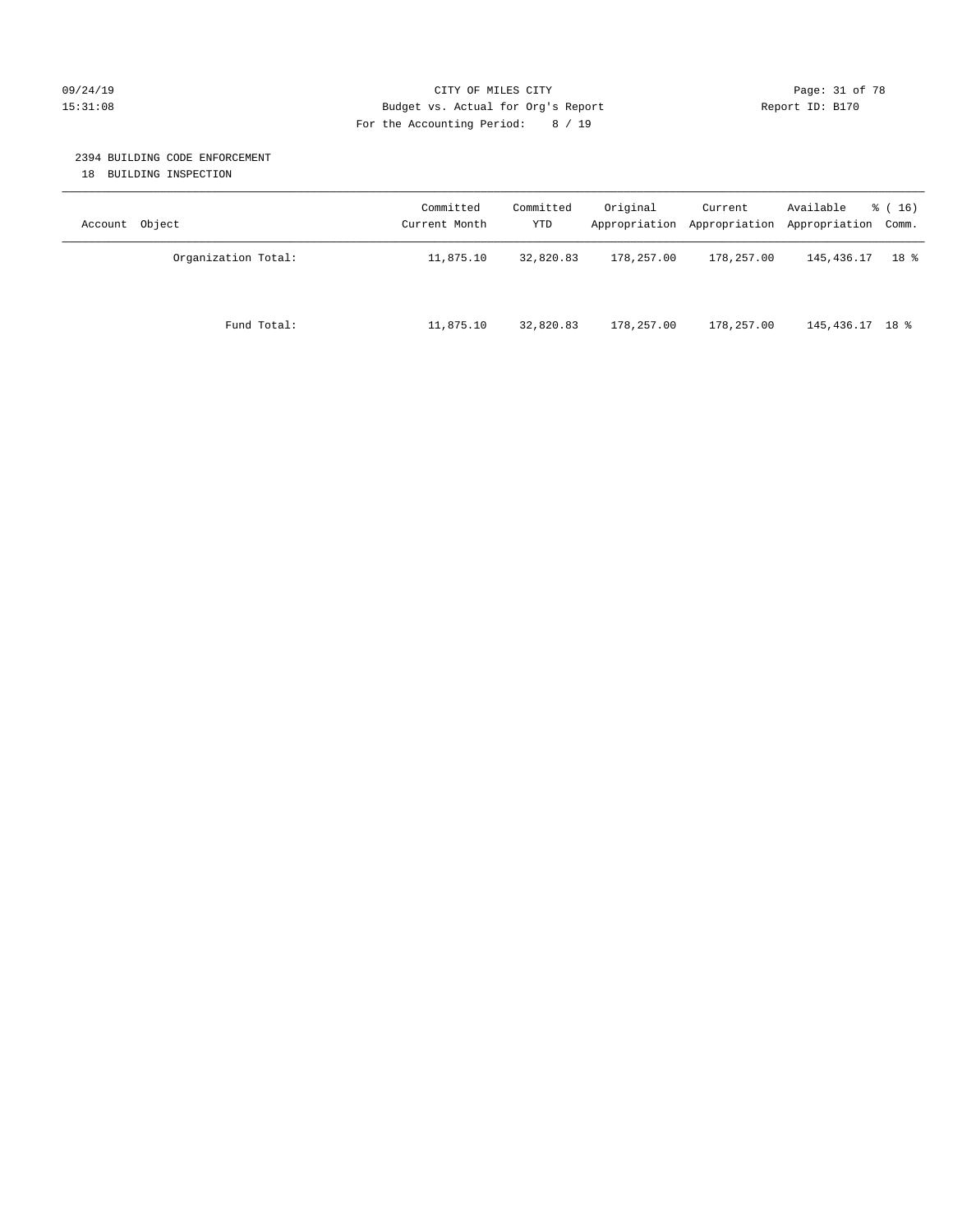#### 09/24/19 Page: 31 of 78 CITY OF MILES CITY CHE PAGE: 31 of 78 15:31:08 Budget vs. Actual for Org's Report Report ID: B170 For the Accounting Period: 8 / 19

#### 2394 BUILDING CODE ENFORCEMENT

18 BUILDING INSPECTION

| Account Object      | Committed<br>Current Month | Committed<br>YTD | Original   | Current<br>Appropriation Appropriation | Available<br>Appropriation Comm. | $\frac{3}{6}$ ( 16 ) |
|---------------------|----------------------------|------------------|------------|----------------------------------------|----------------------------------|----------------------|
| Organization Total: | 11,875.10                  | 32,820.83        | 178,257.00 | 178,257.00                             | 145,436.17                       | 18 %                 |
| Fund Total:         | 11,875.10                  | 32,820.83        | 178,257.00 | 178,257.00                             | 145,436.17 18 %                  |                      |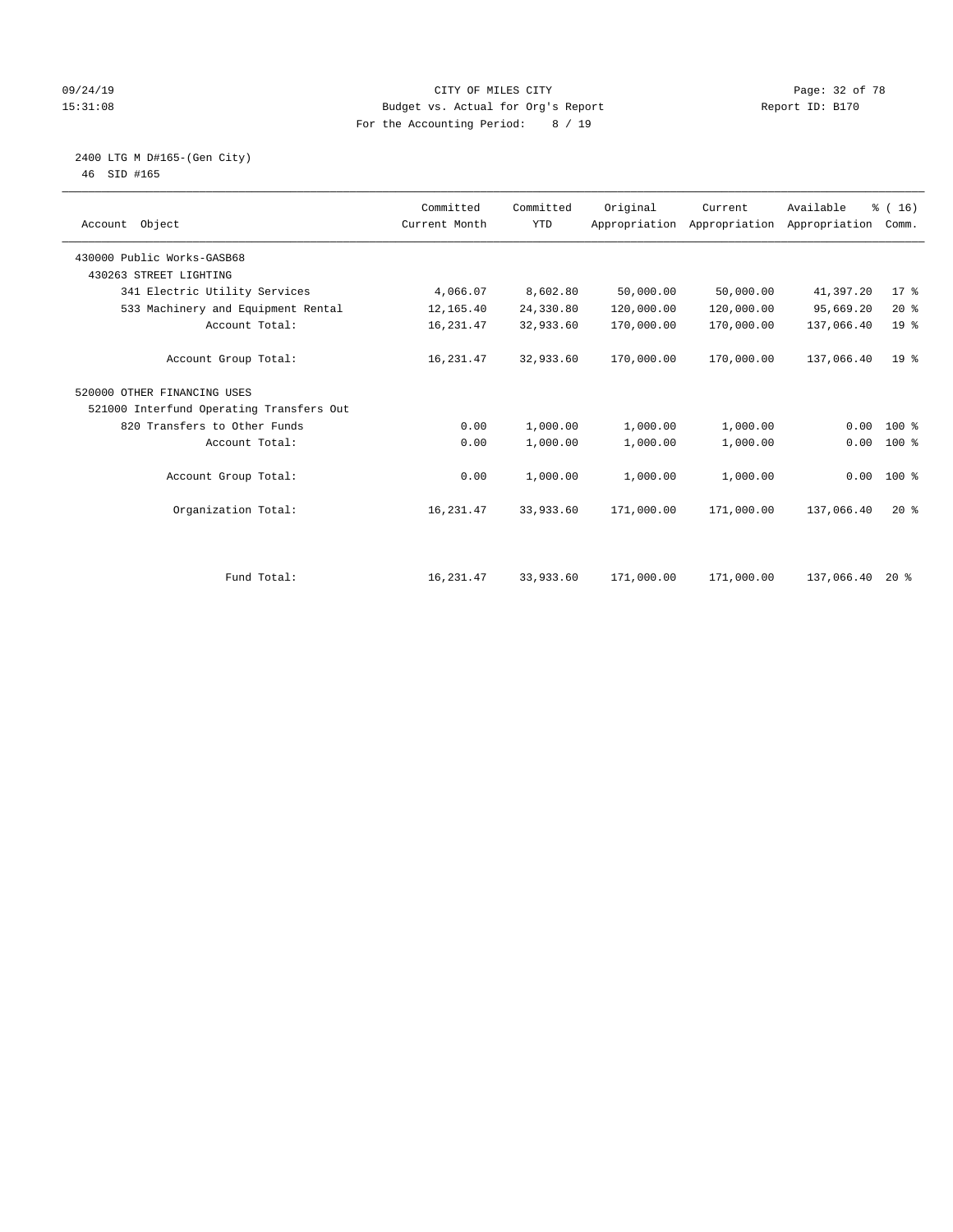#### 09/24/19 Page: 32 of 78 15:31:08 Budget vs. Actual for Org's Report Report ID: B170 For the Accounting Period: 8 / 19

 2400 LTG M D#165-(Gen City) 46 SID #165

| Account Object                           | Committed<br>Current Month | Committed<br><b>YTD</b> | Original   | Current<br>Appropriation Appropriation | Available<br>Appropriation | % (16)<br>Comm. |  |
|------------------------------------------|----------------------------|-------------------------|------------|----------------------------------------|----------------------------|-----------------|--|
| 430000 Public Works-GASB68               |                            |                         |            |                                        |                            |                 |  |
| 430263 STREET LIGHTING                   |                            |                         |            |                                        |                            |                 |  |
| 341 Electric Utility Services            | 4,066.07                   | 8,602.80                | 50,000.00  | 50,000.00                              | 41,397.20                  | $17*$           |  |
| 533 Machinery and Equipment Rental       | 12,165.40                  | 24,330.80               | 120,000.00 | 120,000.00                             | 95,669.20                  | 20%             |  |
| Account Total:                           | 16,231.47                  | 32,933.60               | 170,000.00 | 170,000.00                             | 137,066.40                 | 19 <sup>°</sup> |  |
| Account Group Total:                     | 16,231.47                  | 32,933.60               | 170,000.00 | 170,000.00                             | 137,066.40                 | 19 <sup>8</sup> |  |
| 520000 OTHER FINANCING USES              |                            |                         |            |                                        |                            |                 |  |
| 521000 Interfund Operating Transfers Out |                            |                         |            |                                        |                            |                 |  |
| 820 Transfers to Other Funds             | 0.00                       | 1,000.00                | 1,000.00   | 1,000.00                               | 0.00                       | 100 %           |  |
| Account Total:                           | 0.00                       | 1,000.00                | 1,000.00   | 1,000.00                               | 0.00                       | 100 %           |  |
| Account Group Total:                     | 0.00                       | 1,000.00                | 1,000.00   | 1,000.00                               |                            | $0.00$ 100 %    |  |
| Organization Total:                      | 16, 231.47                 | 33,933.60               | 171,000.00 | 171,000.00                             | 137,066.40                 | $20*$           |  |
|                                          |                            |                         |            |                                        |                            |                 |  |
| Fund Total:                              | 16,231.47                  | 33,933.60               | 171,000.00 | 171,000.00                             | 137,066.40                 | $20*$           |  |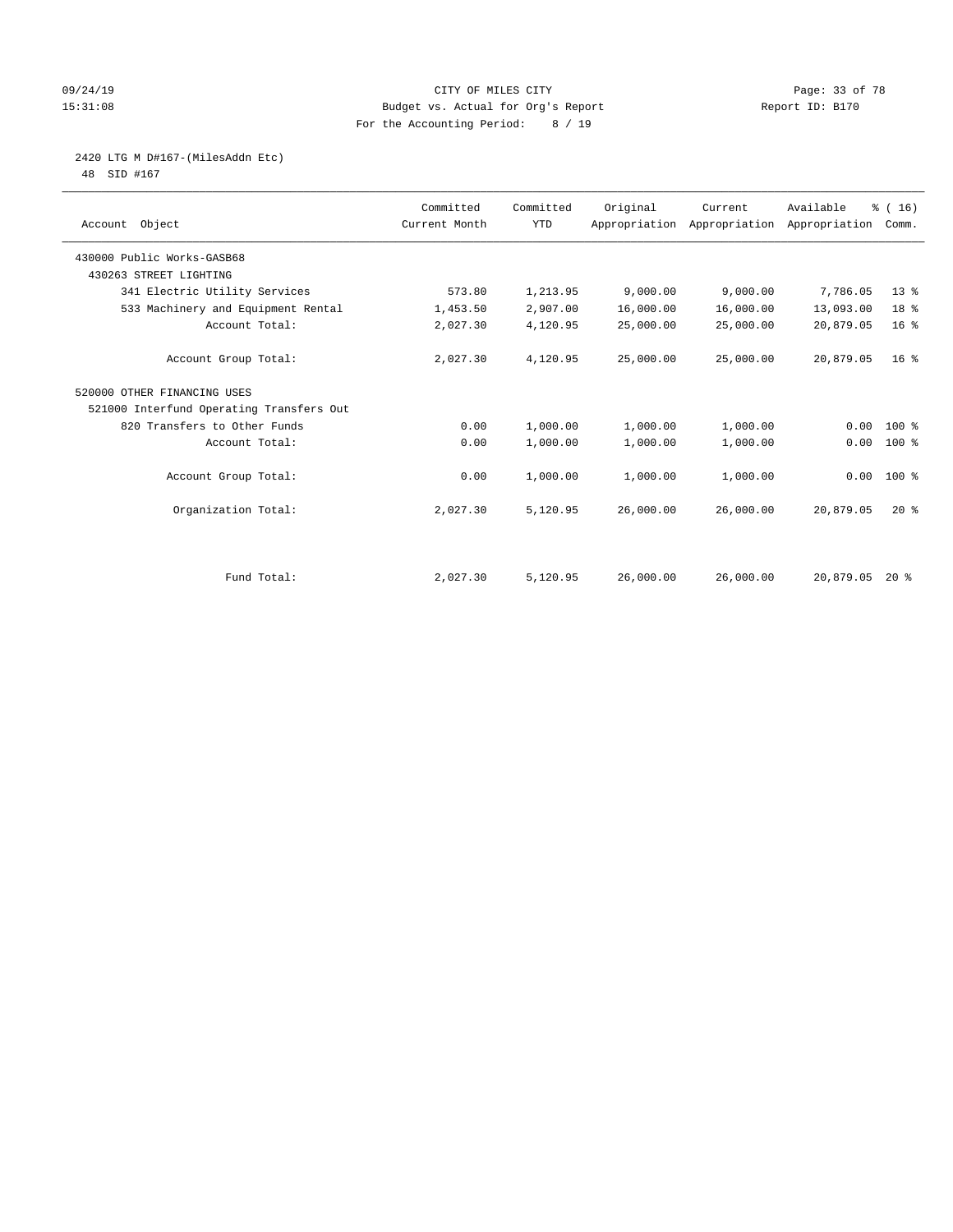#### 09/24/19 Page: 33 of 78 15:31:08 Budget vs. Actual for Org's Report Report ID: B170 For the Accounting Period: 8 / 19

2420 LTG M D#167-(MilesAddn Etc)

48 SID #167

| Object<br>Account                        | Committed<br>Current Month | Committed<br><b>YTD</b> | Original  | Current<br>Appropriation Appropriation | Available<br>Appropriation | % (16)<br>Comm. |  |
|------------------------------------------|----------------------------|-------------------------|-----------|----------------------------------------|----------------------------|-----------------|--|
| 430000 Public Works-GASB68               |                            |                         |           |                                        |                            |                 |  |
| 430263 STREET LIGHTING                   |                            |                         |           |                                        |                            |                 |  |
| 341 Electric Utility Services            | 573.80                     | 1,213.95                | 9,000.00  | 9,000.00                               | 7,786.05                   | $13*$           |  |
| 533 Machinery and Equipment Rental       | 1,453.50                   | 2,907.00                | 16,000.00 | 16,000.00                              | 13,093.00                  | 18 %            |  |
| Account Total:                           | 2,027.30                   | 4,120.95                | 25,000.00 | 25,000.00                              | 20,879.05                  | 16 <sup>°</sup> |  |
| Account Group Total:                     | 2,027.30                   | 4,120.95                | 25,000.00 | 25,000.00                              | 20,879.05                  | 16 <sup>8</sup> |  |
| 520000 OTHER FINANCING USES              |                            |                         |           |                                        |                            |                 |  |
| 521000 Interfund Operating Transfers Out |                            |                         |           |                                        |                            |                 |  |
| 820 Transfers to Other Funds             | 0.00                       | 1,000.00                | 1,000.00  | 1,000.00                               | 0.00                       | 100 %           |  |
| Account Total:                           | 0.00                       | 1,000.00                | 1,000.00  | 1,000.00                               | 0.00                       | $100$ %         |  |
| Account Group Total:                     | 0.00                       | 1,000.00                | 1,000.00  | 1,000.00                               | 0.00                       | $100*$          |  |
| Organization Total:                      | 2,027.30                   | 5,120.95                | 26,000.00 | 26,000.00                              | 20,879.05                  | $20*$           |  |
|                                          |                            |                         |           |                                        |                            |                 |  |
| Fund Total:                              | 2,027.30                   | 5,120.95                | 26,000.00 | 26,000.00                              | 20,879.05                  | $20*$           |  |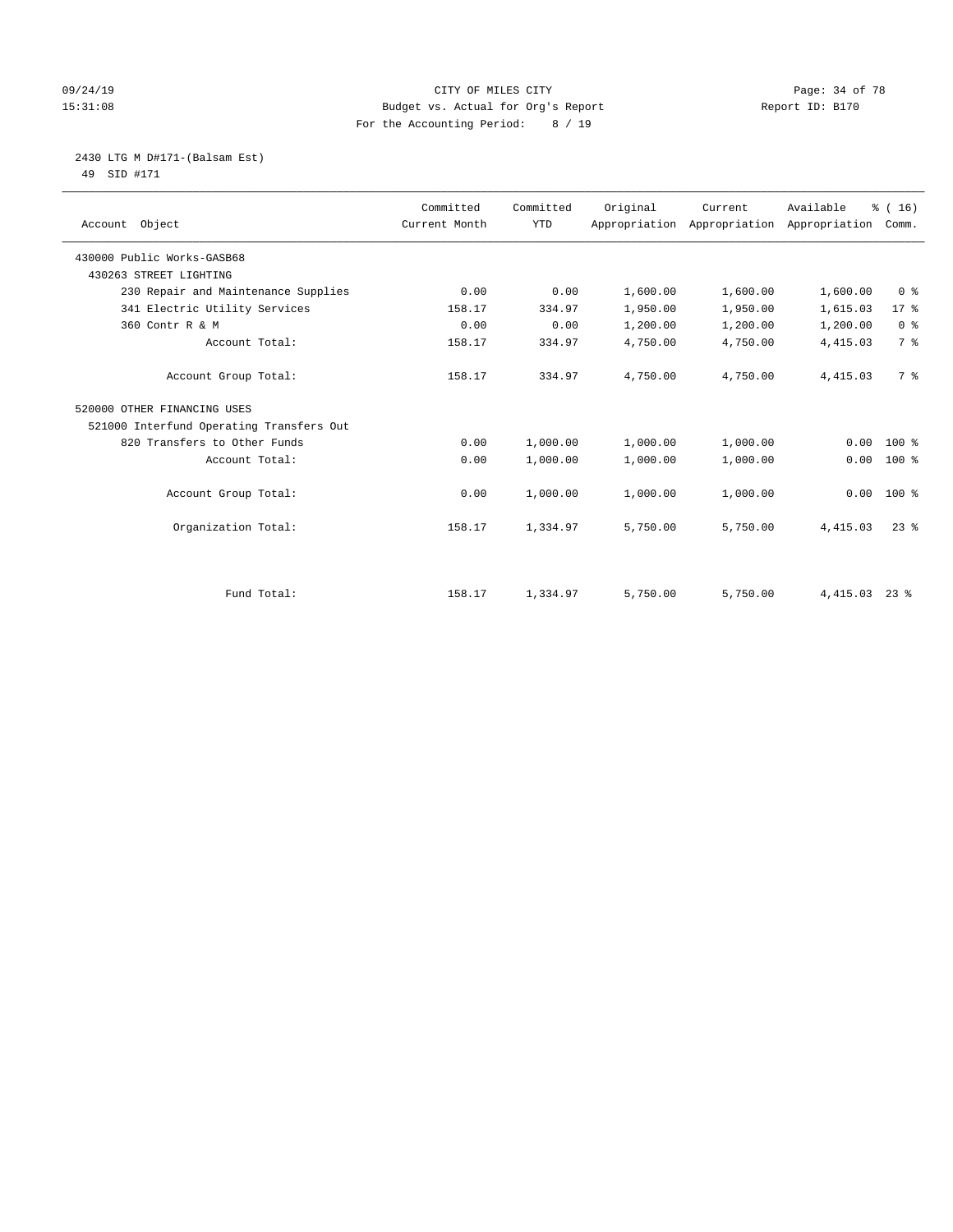#### 09/24/19 Page: 34 of 78 15:31:08 Budget vs. Actual for Org's Report Report ID: B170 For the Accounting Period: 8 / 19

 2430 LTG M D#171-(Balsam Est) 49 SID #171

| Account Object                           | Committed<br>Current Month | Committed<br><b>YTD</b> | Original | Current<br>Appropriation Appropriation | Available<br>Appropriation | % (16)<br>Comm. |
|------------------------------------------|----------------------------|-------------------------|----------|----------------------------------------|----------------------------|-----------------|
| 430000 Public Works-GASB68               |                            |                         |          |                                        |                            |                 |
| 430263 STREET LIGHTING                   |                            |                         |          |                                        |                            |                 |
| 230 Repair and Maintenance Supplies      | 0.00                       | 0.00                    | 1,600.00 | 1,600.00                               | 1,600.00                   | 0 <sup>8</sup>  |
| 341 Electric Utility Services            | 158.17                     | 334.97                  | 1,950.00 | 1,950.00                               | 1,615.03                   | $17*$           |
| 360 Contr R & M                          | 0.00                       | 0.00                    | 1,200.00 | 1,200.00                               | 1,200.00                   | 0 <sup>8</sup>  |
| Account Total:                           | 158.17                     | 334.97                  | 4,750.00 | 4,750.00                               | 4, 415.03                  | 7 %             |
| Account Group Total:                     | 158.17                     | 334.97                  | 4,750.00 | 4,750.00                               | 4, 415.03                  | 7 %             |
| 520000 OTHER FINANCING USES              |                            |                         |          |                                        |                            |                 |
| 521000 Interfund Operating Transfers Out |                            |                         |          |                                        |                            |                 |
| 820 Transfers to Other Funds             | 0.00                       | 1,000.00                | 1,000.00 | 1,000.00                               | 0.00                       | $100$ %         |
| Account Total:                           | 0.00                       | 1,000.00                | 1,000.00 | 1,000.00                               | 0.00                       | $100*$          |
| Account Group Total:                     | 0.00                       | 1,000.00                | 1,000.00 | 1,000.00                               | 0.00                       | $100*$          |
| Organization Total:                      | 158.17                     | 1,334.97                | 5,750.00 | 5,750.00                               | 4,415.03                   | $23$ $%$        |
|                                          |                            |                         |          |                                        |                            |                 |
| Fund Total:                              | 158.17                     | 1,334.97                | 5,750.00 | 5,750.00                               | 4,415.03                   | $23$ $%$        |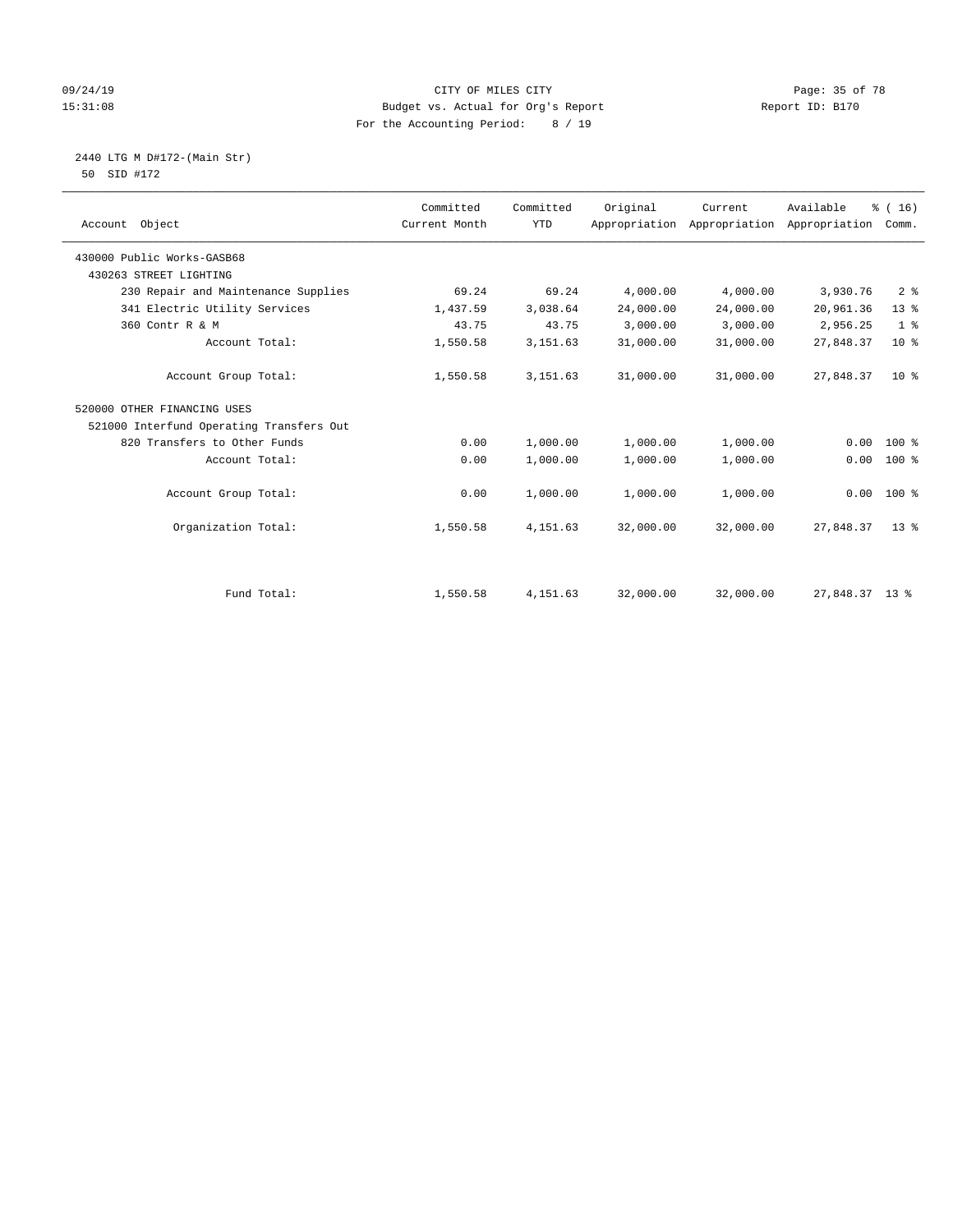#### 09/24/19 Page: 35 of 78 CITY OF MILES CITY CONTROL PAGE: 35 of 78 15:31:08 Budget vs. Actual for Org's Report Report ID: B170 For the Accounting Period: 8 / 19

Account Group Total:  $0.00 \t 1,000.00 \t 1,000.00 \t 1,000.00 \t 0.00 \t 0.00 \t 0.00 \t 0.00 \t 0.00 \t 0.00 \t 0.00 \t 0.00 \t 0.00 \t 0.00 \t 0.00 \t 0.00 \t 0.00 \t 0.00 \t 0.00 \t 0.00 \t 0.00 \t 0.00 \t 0.00 \t 0.00 \t 0.00 \t 0.00 \t 0.00 \t$ 

Organization Total: 1,550.58 4,151.63 32,000.00 32,000.00 27,848.37 13 %

Fund Total: 1,550.58 4,151.63 32,000.00 32,000.00 27,848.37 13 %

 2440 LTG M D#172-(Main Str) 50 SID #172

| Object<br>Account                        | Committed<br>Current Month | Committed<br>YTD | Original<br>Appropriation | Current<br>Appropriation | Available<br>Appropriation | $\frac{1}{6}$ ( 16 )<br>Comm. |
|------------------------------------------|----------------------------|------------------|---------------------------|--------------------------|----------------------------|-------------------------------|
| 430000 Public Works-GASB68               |                            |                  |                           |                          |                            |                               |
| 430263 STREET LIGHTING                   |                            |                  |                           |                          |                            |                               |
| 230 Repair and Maintenance Supplies      | 69.24                      | 69.24            | 4,000.00                  | 4,000.00                 | 3,930.76                   | 28                            |
| 341 Electric Utility Services            | 1,437.59                   | 3,038.64         | 24,000.00                 | 24,000.00                | 20,961.36                  | $13*$                         |
| 360 Contr R & M                          | 43.75                      | 43.75            | 3,000.00                  | 3,000.00                 | 2,956.25                   | 1 <sup>8</sup>                |
| Account Total:                           | 1,550.58                   | 3,151.63         | 31,000.00                 | 31,000.00                | 27,848.37                  | 10 <sup>8</sup>               |
| Account Group Total:                     | 1,550.58                   | 3,151.63         | 31,000.00                 | 31,000.00                | 27,848.37                  | $10*$                         |
| 520000 OTHER FINANCING USES              |                            |                  |                           |                          |                            |                               |
| 521000 Interfund Operating Transfers Out |                            |                  |                           |                          |                            |                               |
| 820 Transfers to Other Funds             | 0.00                       | 1,000.00         | 1,000.00                  | 1,000.00                 | 0.00                       | $100$ %                       |
| Account Total:                           | 0.00                       | 1,000.00         | 1,000.00                  | 1,000.00                 |                            | $0.00$ 100 %                  |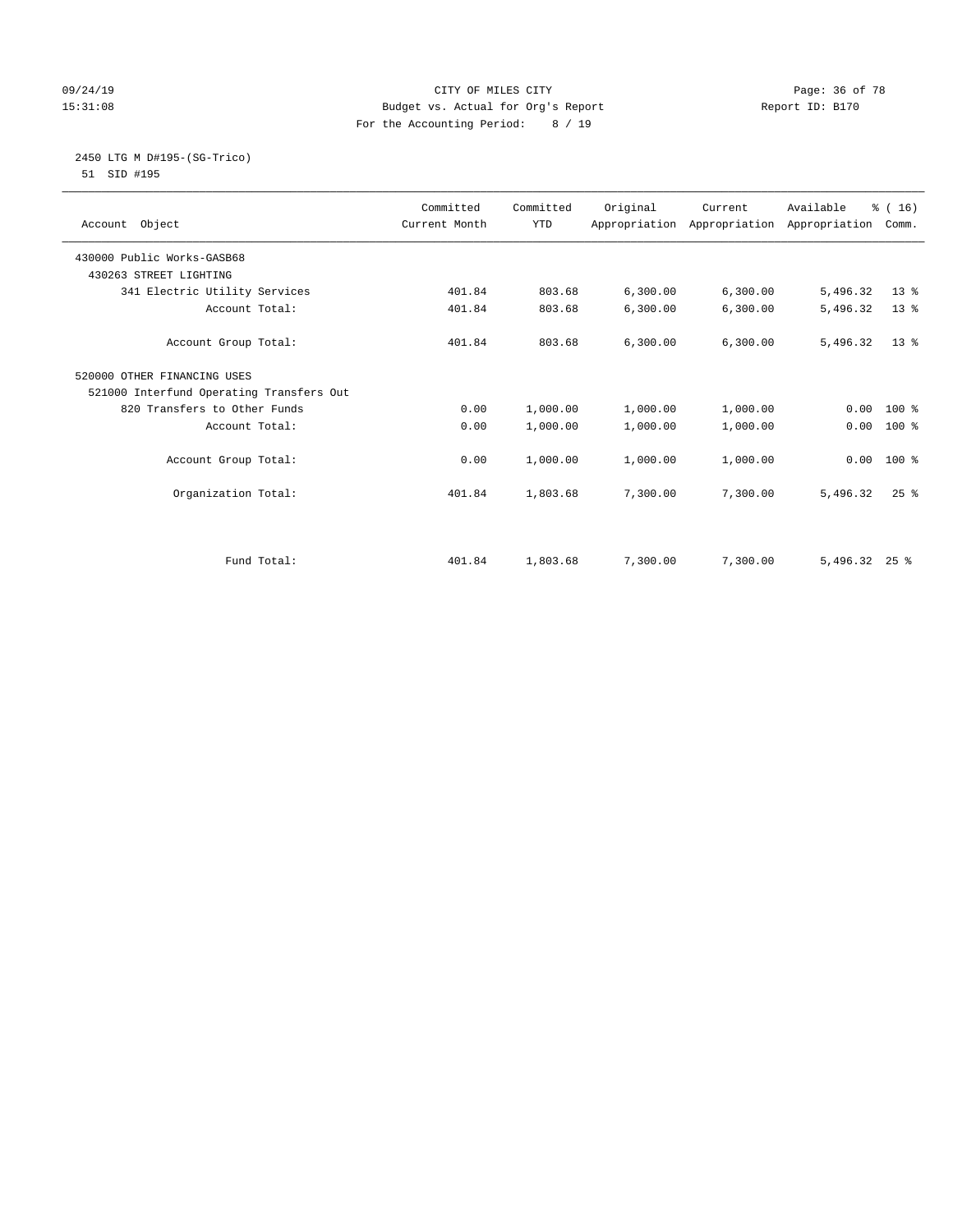#### 09/24/19 Page: 36 of 78 15:31:08 Budget vs. Actual for Org's Report Report ID: B170 For the Accounting Period: 8 / 19

# 2450 LTG M D#195-(SG-Trico)

51 SID #195

|                                          | Committed     | Committed  | Original | Current                                   | Available     | % (16)   |  |
|------------------------------------------|---------------|------------|----------|-------------------------------------------|---------------|----------|--|
| Account Object                           | Current Month | <b>YTD</b> |          | Appropriation Appropriation Appropriation |               | Comm.    |  |
| 430000 Public Works-GASB68               |               |            |          |                                           |               |          |  |
| 430263 STREET LIGHTING                   |               |            |          |                                           |               |          |  |
| 341 Electric Utility Services            | 401.84        | 803.68     | 6,300.00 | 6,300.00                                  | 5,496.32      | $13*$    |  |
| Account Total:                           | 401.84        | 803.68     | 6,300.00 | 6,300.00                                  | 5,496.32      | $13*$    |  |
| Account Group Total:                     | 401.84        | 803.68     | 6,300.00 | 6, 300.00                                 | 5,496.32      | $13*$    |  |
| 520000 OTHER FINANCING USES              |               |            |          |                                           |               |          |  |
| 521000 Interfund Operating Transfers Out |               |            |          |                                           |               |          |  |
| 820 Transfers to Other Funds             | 0.00          | 1,000.00   | 1,000.00 | 1,000.00                                  | 0.00          | $100*$   |  |
| Account Total:                           | 0.00          | 1,000.00   | 1,000.00 | 1,000.00                                  | 0.00          | $100*$   |  |
| Account Group Total:                     | 0.00          | 1,000.00   | 1,000.00 | 1,000.00                                  | 0.00          | $100*$   |  |
| Organization Total:                      | 401.84        | 1,803.68   | 7,300.00 | 7,300.00                                  | 5,496.32      | $25$ $%$ |  |
|                                          |               |            |          |                                           |               |          |  |
| Fund Total:                              | 401.84        | 1,803.68   | 7,300.00 | 7,300.00                                  | 5,496.32 25 % |          |  |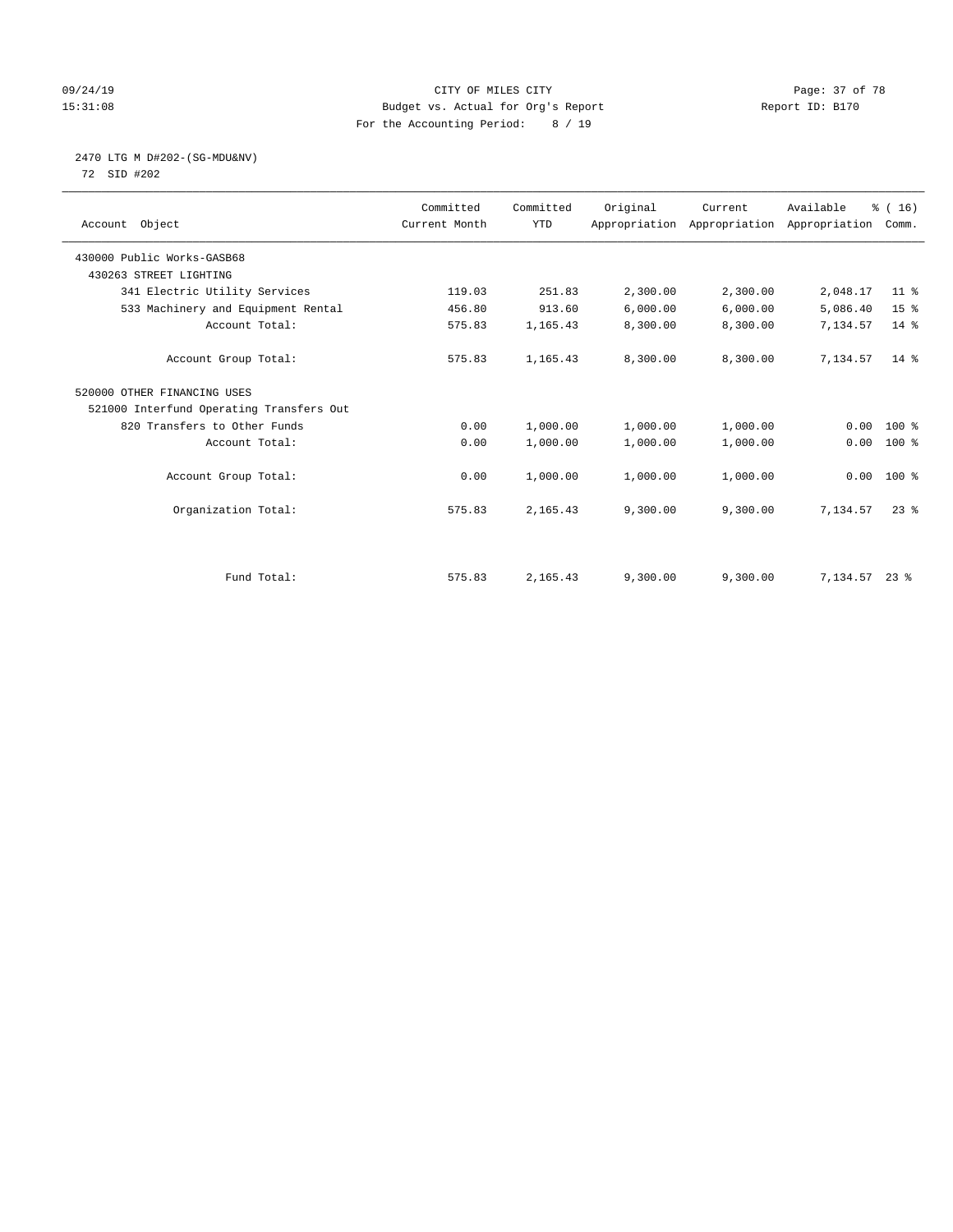#### 09/24/19 Page: 37 of 78 15:31:08 Budget vs. Actual for Org's Report Report ID: B170 For the Accounting Period: 8 / 19

# 2470 LTG M D#202-(SG-MDU&NV)

72 SID #202

| Account Object                           | Committed<br>Current Month | Committed<br><b>YTD</b> | Original | Current<br>Appropriation Appropriation Appropriation | Available | % (16)<br>Comm. |
|------------------------------------------|----------------------------|-------------------------|----------|------------------------------------------------------|-----------|-----------------|
| 430000 Public Works-GASB68               |                            |                         |          |                                                      |           |                 |
| 430263 STREET LIGHTING                   |                            |                         |          |                                                      |           |                 |
| 341 Electric Utility Services            | 119.03                     | 251.83                  | 2,300.00 | 2,300.00                                             | 2,048.17  | 11 <sup>8</sup> |
| 533 Machinery and Equipment Rental       | 456.80                     | 913.60                  | 6,000.00 | 6,000.00                                             | 5,086.40  | 15 <sup>°</sup> |
| Account Total:                           | 575.83                     | 1,165.43                | 8,300.00 | 8,300.00                                             | 7,134.57  | 14 %            |
| Account Group Total:                     | 575.83                     | 1,165.43                | 8,300.00 | 8,300.00                                             | 7,134.57  | $14*$           |
| 520000 OTHER FINANCING USES              |                            |                         |          |                                                      |           |                 |
| 521000 Interfund Operating Transfers Out |                            |                         |          |                                                      |           |                 |
| 820 Transfers to Other Funds             | 0.00                       | 1,000.00                | 1,000.00 | 1,000.00                                             | 0.00      | $100*$          |
| Account Total:                           | 0.00                       | 1,000.00                | 1,000.00 | 1,000.00                                             | 0.00      | $100$ %         |
| Account Group Total:                     | 0.00                       | 1,000.00                | 1,000.00 | 1,000.00                                             |           | $0.00 100$ %    |
| Organization Total:                      | 575.83                     | 2,165.43                | 9,300.00 | 9,300.00                                             | 7.134.57  | $23$ $%$        |
|                                          |                            |                         |          |                                                      |           |                 |
| Fund Total:                              | 575.83                     | 2,165.43                | 9,300.00 | 9,300.00                                             | 7,134.57  | $23$ %          |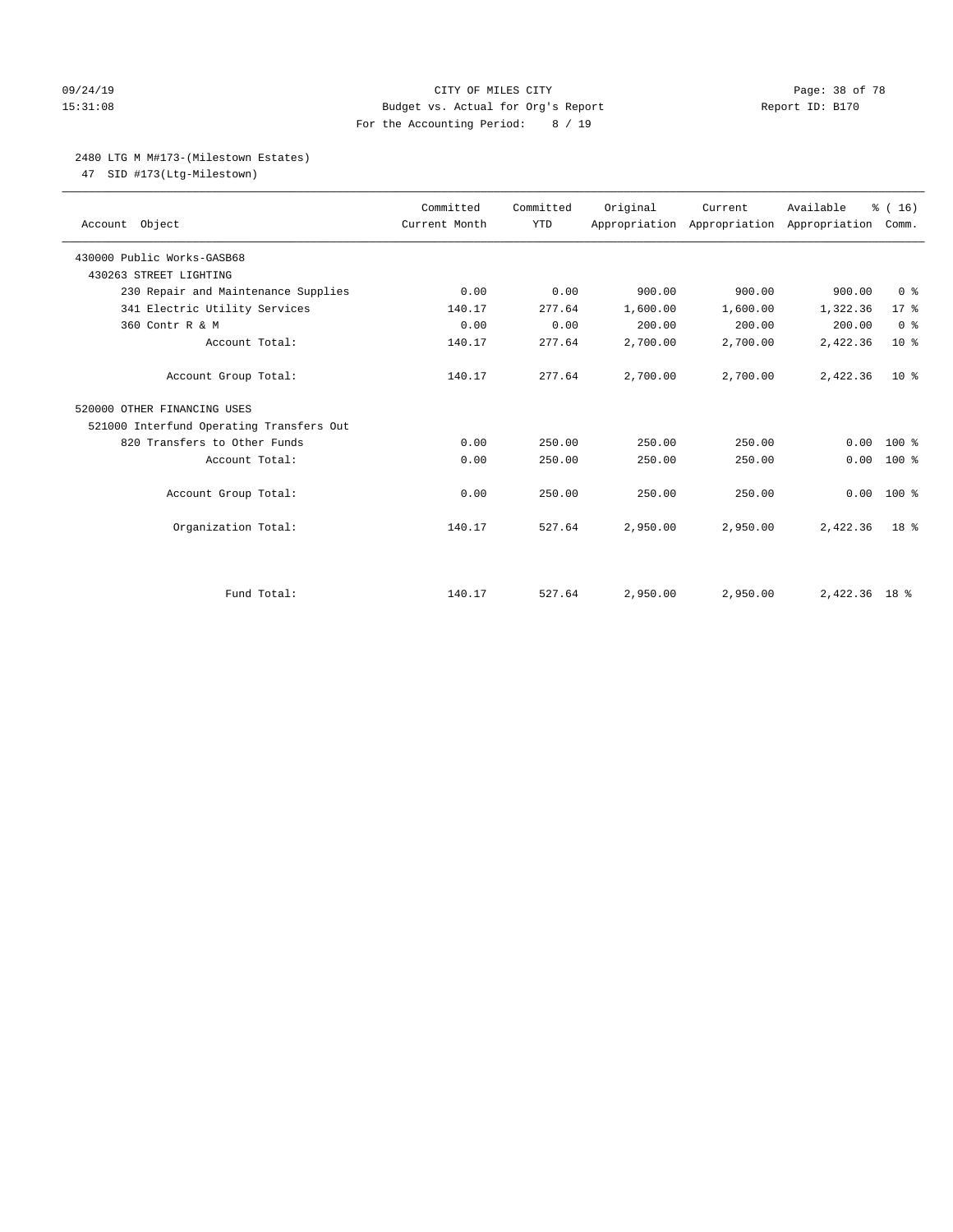#### 09/24/19 Page: 38 of 78 15:31:08 Budget vs. Actual for Org's Report Report ID: B170 For the Accounting Period: 8 / 19

### 2480 LTG M M#173-(Milestown Estates)

47 SID #173(Ltg-Milestown)

| Account Object                           | Committed<br>Current Month | Committed<br><b>YTD</b> | Original | Current<br>Appropriation Appropriation Appropriation | Available     | % (16)<br>Comm. |
|------------------------------------------|----------------------------|-------------------------|----------|------------------------------------------------------|---------------|-----------------|
| 430000 Public Works-GASB68               |                            |                         |          |                                                      |               |                 |
| 430263 STREET LIGHTING                   |                            |                         |          |                                                      |               |                 |
| 230 Repair and Maintenance Supplies      | 0.00                       | 0.00                    | 900.00   | 900.00                                               | 900.00        | 0 <sup>8</sup>  |
| 341 Electric Utility Services            | 140.17                     | 277.64                  | 1,600.00 | 1,600.00                                             | 1,322.36      | $17*$           |
| 360 Contr R & M                          | 0.00                       | 0.00                    | 200.00   | 200.00                                               | 200.00        | 0 <sup>8</sup>  |
| Account Total:                           | 140.17                     | 277.64                  | 2,700.00 | 2,700.00                                             | 2,422.36      | 10 <sup>°</sup> |
| Account Group Total:                     | 140.17                     | 277.64                  | 2,700.00 | 2,700.00                                             | 2,422.36      | $10*$           |
| 520000 OTHER FINANCING USES              |                            |                         |          |                                                      |               |                 |
| 521000 Interfund Operating Transfers Out |                            |                         |          |                                                      |               |                 |
| 820 Transfers to Other Funds             | 0.00                       | 250.00                  | 250.00   | 250.00                                               | 0.00          | $100*$          |
| Account Total:                           | 0.00                       | 250.00                  | 250.00   | 250.00                                               | 0.00          | $100$ %         |
| Account Group Total:                     | 0.00                       | 250.00                  | 250.00   | 250.00                                               | 0.00          | $100*$          |
| Organization Total:                      | 140.17                     | 527.64                  | 2,950.00 | 2,950.00                                             | 2,422.36      | 18 <sup>8</sup> |
|                                          |                            |                         |          |                                                      |               |                 |
| Fund Total:                              | 140.17                     | 527.64                  | 2,950.00 | 2,950.00                                             | 2,422.36 18 % |                 |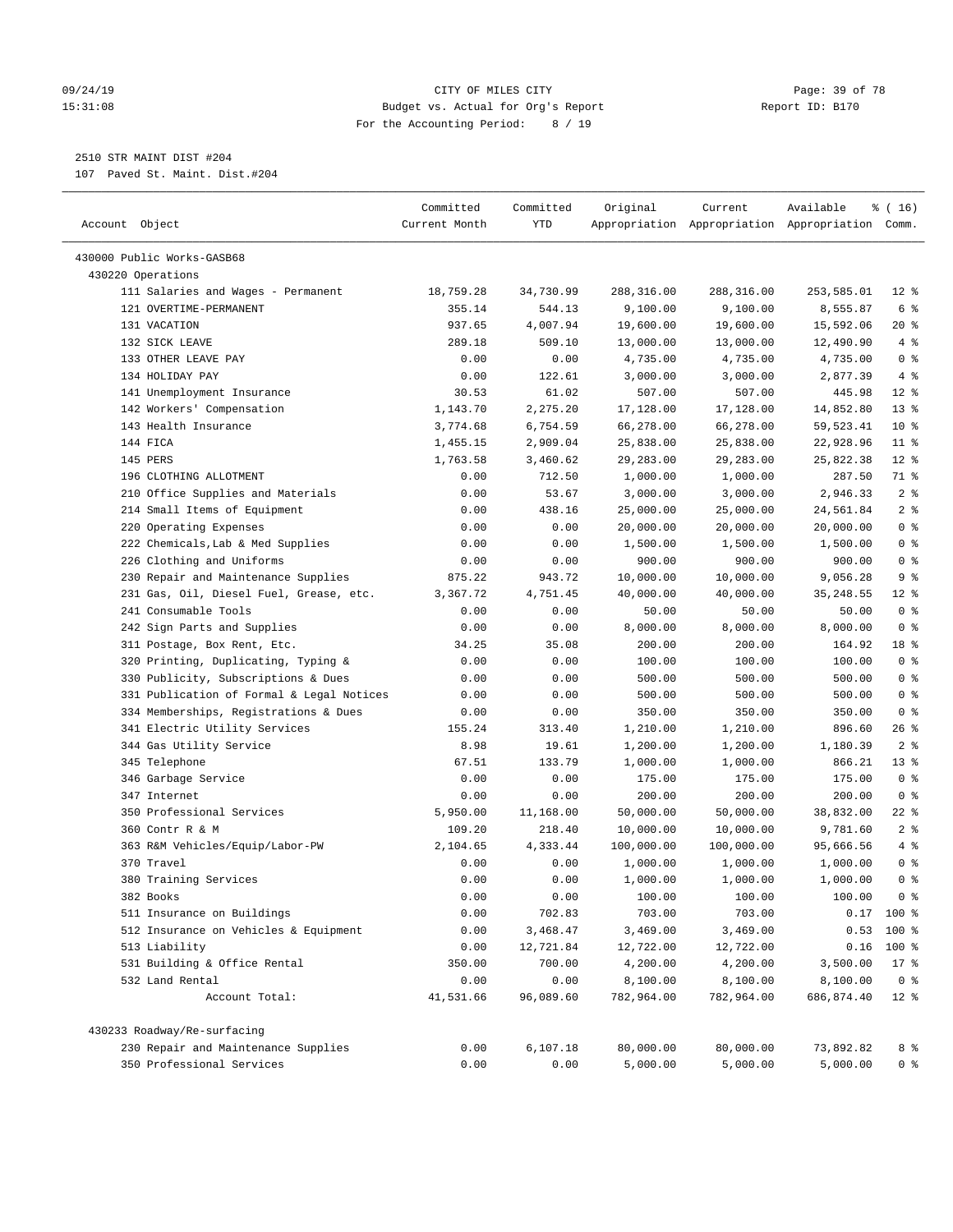#### 09/24/19 Page: 39 of 78 15:31:08 Budget vs. Actual for Org's Report Report ID: B170 For the Accounting Period: 8 / 19

————————————————————————————————————————————————————————————————————————————————————————————————————————————————————————————————————

2510 STR MAINT DIST #204

107 Paved St. Maint. Dist.#204

|                                           | Committed     | Committed | Original   | Current    | Available                                       | ៖ ( 16)        |
|-------------------------------------------|---------------|-----------|------------|------------|-------------------------------------------------|----------------|
| Account Object                            | Current Month | YTD       |            |            | Appropriation Appropriation Appropriation Comm. |                |
| 430000 Public Works-GASB68                |               |           |            |            |                                                 |                |
| 430220 Operations                         |               |           |            |            |                                                 |                |
| 111 Salaries and Wages - Permanent        | 18,759.28     | 34,730.99 | 288,316.00 | 288,316.00 | 253,585.01                                      | $12$ %         |
| 121 OVERTIME-PERMANENT                    | 355.14        | 544.13    | 9,100.00   | 9,100.00   | 8,555.87                                        | 6 %            |
| 131 VACATION                              | 937.65        | 4,007.94  | 19,600.00  | 19,600.00  | 15,592.06                                       | 20 %           |
| 132 SICK LEAVE                            | 289.18        | 509.10    | 13,000.00  | 13,000.00  | 12,490.90                                       | 4%             |
| 133 OTHER LEAVE PAY                       | 0.00          | 0.00      | 4,735.00   | 4,735.00   | 4,735.00                                        | 0 <sup>8</sup> |
| 134 HOLIDAY PAY                           | 0.00          | 122.61    | 3,000.00   | 3,000.00   | 2,877.39                                        | 4%             |
| 141 Unemployment Insurance                | 30.53         | 61.02     | 507.00     | 507.00     | 445.98                                          | $12*$          |
| 142 Workers' Compensation                 | 1,143.70      | 2,275.20  | 17,128.00  | 17,128.00  | 14,852.80                                       | $13*$          |
| 143 Health Insurance                      | 3,774.68      | 6,754.59  | 66,278.00  | 66,278.00  | 59,523.41                                       | $10*$          |
| 144 FICA                                  | 1,455.15      | 2,909.04  | 25,838.00  | 25,838.00  | 22,928.96                                       | $11$ %         |
| 145 PERS                                  | 1,763.58      | 3,460.62  | 29,283.00  | 29,283.00  | 25,822.38                                       | $12*$          |
| 196 CLOTHING ALLOTMENT                    | 0.00          | 712.50    | 1,000.00   | 1,000.00   | 287.50                                          | 71 %           |
| 210 Office Supplies and Materials         | 0.00          | 53.67     | 3,000.00   | 3,000.00   | 2,946.33                                        | 2 <sup>8</sup> |
| 214 Small Items of Equipment              | 0.00          | 438.16    | 25,000.00  | 25,000.00  | 24,561.84                                       | 2 <sub>8</sub> |
| 220 Operating Expenses                    | 0.00          | 0.00      | 20,000.00  | 20,000.00  | 20,000.00                                       | 0 <sup>8</sup> |
| 222 Chemicals, Lab & Med Supplies         | 0.00          | 0.00      | 1,500.00   | 1,500.00   | 1,500.00                                        | 0 <sup>°</sup> |
| 226 Clothing and Uniforms                 | 0.00          | 0.00      | 900.00     | 900.00     | 900.00                                          | 0 <sup>°</sup> |
| 230 Repair and Maintenance Supplies       | 875.22        | 943.72    | 10,000.00  | 10,000.00  | 9,056.28                                        | 9 <sup>°</sup> |
| 231 Gas, Oil, Diesel Fuel, Grease, etc.   | 3,367.72      | 4,751.45  | 40,000.00  | 40,000.00  | 35, 248.55                                      | $12*$          |
| 241 Consumable Tools                      | 0.00          | 0.00      | 50.00      | 50.00      | 50.00                                           | 0 <sup>8</sup> |
| 242 Sign Parts and Supplies               | 0.00          | 0.00      | 8,000.00   | 8,000.00   | 8,000.00                                        | 0 <sup>8</sup> |
| 311 Postage, Box Rent, Etc.               | 34.25         | 35.08     | 200.00     | 200.00     | 164.92                                          | 18 %           |
| 320 Printing, Duplicating, Typing &       | 0.00          | 0.00      | 100.00     | 100.00     | 100.00                                          | 0 <sup>8</sup> |
| 330 Publicity, Subscriptions & Dues       | 0.00          | 0.00      | 500.00     | 500.00     | 500.00                                          | 0 <sup>8</sup> |
| 331 Publication of Formal & Legal Notices | 0.00          | 0.00      | 500.00     | 500.00     | 500.00                                          | 0 <sup>8</sup> |
| 334 Memberships, Registrations & Dues     | 0.00          | 0.00      | 350.00     | 350.00     | 350.00                                          | 0 <sup>8</sup> |
| 341 Electric Utility Services             | 155.24        | 313.40    | 1,210.00   | 1,210.00   | 896.60                                          | $26$ %         |
| 344 Gas Utility Service                   | 8.98          | 19.61     | 1,200.00   | 1,200.00   | 1,180.39                                        | 2 <sup>8</sup> |
| 345 Telephone                             | 67.51         | 133.79    | 1,000.00   | 1,000.00   | 866.21                                          | $13*$          |
| 346 Garbage Service                       | 0.00          | 0.00      | 175.00     | 175.00     | 175.00                                          | 0 <sup>8</sup> |
| 347 Internet                              | 0.00          | 0.00      | 200.00     | 200.00     | 200.00                                          | 0 <sup>8</sup> |
| 350 Professional Services                 | 5,950.00      | 11,168.00 | 50,000.00  | 50,000.00  | 38,832.00                                       | $22$ %         |
| 360 Contr R & M                           | 109.20        | 218.40    | 10,000.00  | 10,000.00  | 9,781.60                                        | 2 <sup>8</sup> |
| 363 R&M Vehicles/Equip/Labor-PW           | 2,104.65      | 4,333.44  | 100,000.00 | 100,000.00 | 95,666.56                                       | 4%             |
| 370 Travel                                | 0.00          | 0.00      | 1,000.00   | 1,000.00   | 1,000.00                                        | 0 <sup>°</sup> |
| 380 Training Services                     | 0.00          | 0.00      | 1,000.00   | 1,000.00   | 1,000.00                                        | 0 <sup>8</sup> |
| 382 Books                                 | 0.00          | 0.00      | 100.00     | 100.00     | 100.00                                          | 0 <sup>8</sup> |
| 511 Insurance on Buildings                | 0.00          | 702.83    | 703.00     | 703.00     |                                                 | $0.17$ 100 %   |
| 512 Insurance on Vehicles & Equipment     | 0.00          | 3,468.47  | 3,469.00   | 3,469.00   | 0.53                                            | 100 %          |
| 513 Liability                             | 0.00          | 12,721.84 | 12,722.00  | 12,722.00  | 0.16                                            | 100 %          |
| 531 Building & Office Rental              | 350.00        | 700.00    | 4,200.00   | 4,200.00   | 3,500.00                                        | $17$ %         |
| 532 Land Rental                           | 0.00          | 0.00      | 8,100.00   | 8,100.00   | 8,100.00                                        | 0 <sup>8</sup> |
| Account Total:                            | 41,531.66     | 96,089.60 | 782,964.00 | 782,964.00 | 686,874.40                                      | $12*$          |
| 430233 Roadway/Re-surfacing               |               |           |            |            |                                                 |                |
| 230 Repair and Maintenance Supplies       | 0.00          | 6,107.18  | 80,000.00  | 80,000.00  | 73,892.82                                       | 8 <sup>°</sup> |
| 350 Professional Services                 | 0.00          | 0.00      | 5,000.00   | 5,000.00   | 5,000.00                                        | $0$ %          |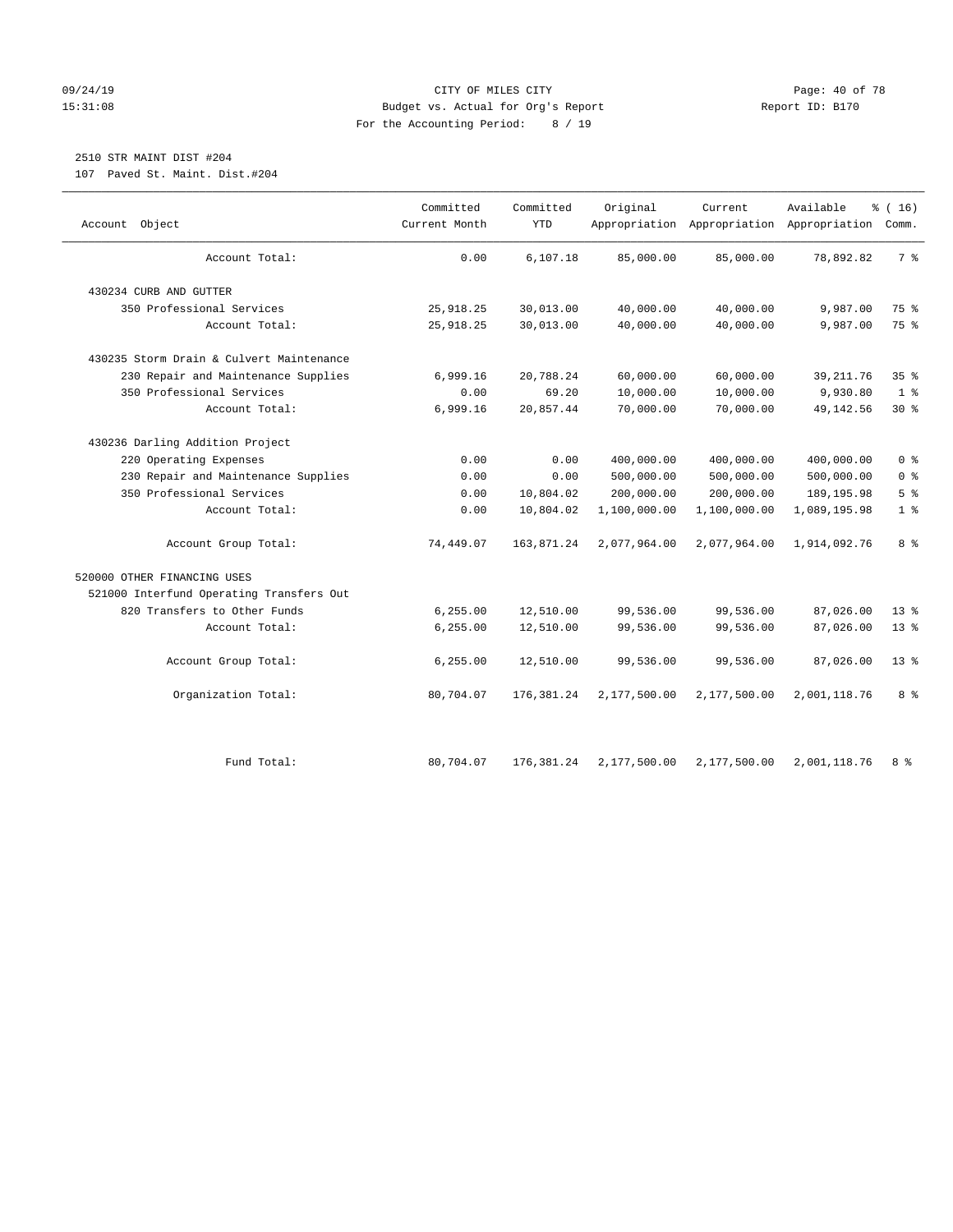#### 09/24/19 Page: 40 of 78 15:31:08 Budget vs. Actual for Org's Report Report ID: B170 For the Accounting Period: 8 / 19

# 2510 STR MAINT DIST #204

107 Paved St. Maint. Dist.#204

| Object<br>Account                        | Committed<br>Current Month | Committed<br><b>YTD</b> | Original     | Current<br>Appropriation Appropriation Appropriation | Available    | % (16)<br>Comm. |
|------------------------------------------|----------------------------|-------------------------|--------------|------------------------------------------------------|--------------|-----------------|
| Account Total:                           | 0.00                       | 6,107.18                | 85,000.00    | 85,000.00                                            | 78,892.82    | 7 <sup>8</sup>  |
| 430234 CURB AND GUTTER                   |                            |                         |              |                                                      |              |                 |
| 350 Professional Services                | 25,918.25                  | 30,013.00               | 40,000.00    | 40,000.00                                            | 9,987.00     | 75 %            |
| Account Total:                           | 25, 918.25                 | 30,013.00               | 40,000.00    | 40,000.00                                            | 9,987.00     | 75 %            |
| 430235 Storm Drain & Culvert Maintenance |                            |                         |              |                                                      |              |                 |
| 230 Repair and Maintenance Supplies      | 6,999.16                   | 20,788.24               | 60,000.00    | 60,000.00                                            | 39, 211.76   | 35%             |
| 350 Professional Services                | 0.00                       | 69.20                   | 10,000.00    | 10,000.00                                            | 9,930.80     | 1 <sup>°</sup>  |
| Account Total:                           | 6,999.16                   | 20,857.44               | 70,000.00    | 70,000.00                                            | 49, 142.56   | $30*$           |
| 430236 Darling Addition Project          |                            |                         |              |                                                      |              |                 |
| 220 Operating Expenses                   | 0.00                       | 0.00                    | 400,000.00   | 400,000.00                                           | 400,000.00   | 0 <sup>8</sup>  |
| 230 Repair and Maintenance Supplies      | 0.00                       | 0.00                    | 500,000.00   | 500,000.00                                           | 500,000.00   | 0 <sup>8</sup>  |
| 350 Professional Services                | 0.00                       | 10,804.02               | 200,000.00   | 200,000.00                                           | 189, 195.98  | 5 <sup>°</sup>  |
| Account Total:                           | 0.00                       | 10,804.02               | 1,100,000.00 | 1,100,000.00                                         | 1,089,195.98 | 1 <sup>°</sup>  |
| Account Group Total:                     | 74,449.07                  | 163,871.24              | 2,077,964.00 | 2,077,964.00                                         | 1,914,092.76 | 8 %             |
| 520000 OTHER FINANCING USES              |                            |                         |              |                                                      |              |                 |
| 521000 Interfund Operating Transfers Out |                            |                         |              |                                                      |              |                 |
| 820 Transfers to Other Funds             | 6,255.00                   | 12,510.00               | 99,536.00    | 99,536.00                                            | 87,026.00    | $13*$           |
| Account Total:                           | 6, 255.00                  | 12,510.00               | 99,536.00    | 99,536.00                                            | 87,026.00    | $13*$           |
| Account Group Total:                     | 6, 255.00                  | 12,510.00               | 99,536.00    | 99,536.00                                            | 87,026.00    | 13 <sup>8</sup> |
| Organization Total:                      | 80,704.07                  | 176, 381.24             | 2,177,500.00 | 2,177,500.00                                         | 2,001,118.76 | 8%              |
| Fund Total:                              | 80,704.07                  | 176,381.24              | 2,177,500.00 | 2,177,500.00                                         | 2,001,118.76 | 8 %             |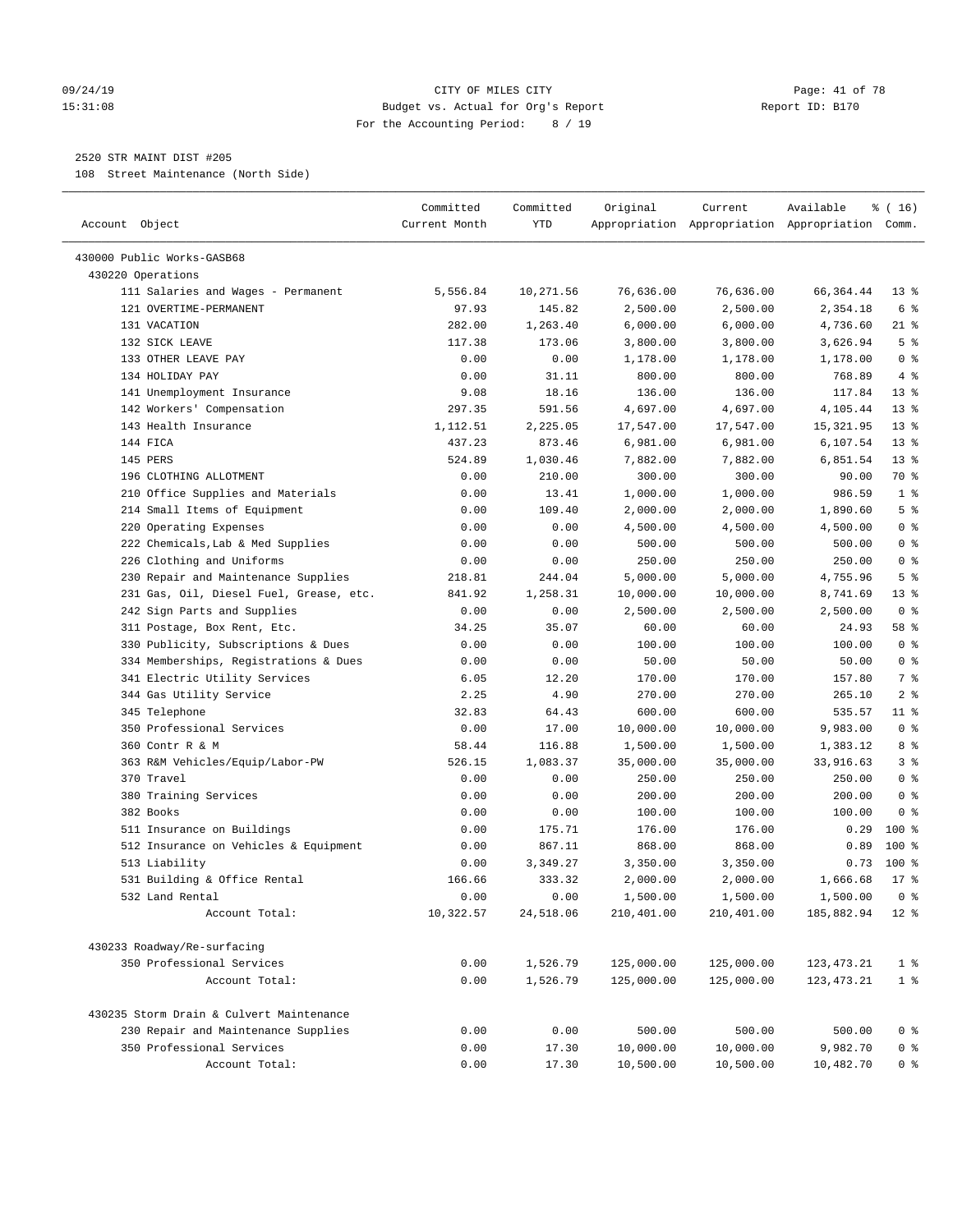#### 09/24/19 Page: 41 of 78 15:31:08 Budget vs. Actual for Org's Report Report ID: B170 For the Accounting Period: 8 / 19

————————————————————————————————————————————————————————————————————————————————————————————————————————————————————————————————————

# 2520 STR MAINT DIST #205

108 Street Maintenance (North Side)

| Account Object                              | Committed<br>Current Month | Committed<br>YTD     | Original                 | Current                  | Available<br>Appropriation Appropriation Appropriation Comm. | % ( 16)                          |
|---------------------------------------------|----------------------------|----------------------|--------------------------|--------------------------|--------------------------------------------------------------|----------------------------------|
|                                             |                            |                      |                          |                          |                                                              |                                  |
| 430000 Public Works-GASB68                  |                            |                      |                          |                          |                                                              |                                  |
| 430220 Operations                           |                            |                      |                          |                          |                                                              |                                  |
| 111 Salaries and Wages - Permanent          | 5,556.84                   | 10,271.56            | 76,636.00                | 76,636.00                | 66, 364.44                                                   | $13*$                            |
| 121 OVERTIME-PERMANENT                      | 97.93                      | 145.82               | 2,500.00                 | 2,500.00                 | 2,354.18                                                     | 6 %                              |
| 131 VACATION                                | 282.00                     | 1,263.40             | 6,000.00                 | 6,000.00                 | 4,736.60                                                     | 21 %                             |
| 132 SICK LEAVE                              | 117.38                     | 173.06               | 3,800.00                 | 3,800.00                 | 3,626.94                                                     | 5 <sup>°</sup>                   |
| 133 OTHER LEAVE PAY                         | 0.00                       | 0.00                 | 1,178.00                 | 1,178.00                 | 1,178.00                                                     | 0 <sup>8</sup>                   |
| 134 HOLIDAY PAY                             | 0.00                       | 31.11                | 800.00                   | 800.00                   | 768.89                                                       | 4%                               |
| 141 Unemployment Insurance                  | 9.08                       | 18.16                | 136.00                   | 136.00                   | 117.84                                                       | $13*$                            |
| 142 Workers' Compensation                   | 297.35                     | 591.56               | 4,697.00                 | 4,697.00                 | 4,105.44                                                     | $13*$                            |
| 143 Health Insurance                        | 1,112.51                   | 2,225.05             | 17,547.00                | 17,547.00                | 15,321.95                                                    | $13*$                            |
| 144 FICA                                    | 437.23                     | 873.46               | 6,981.00                 | 6,981.00                 | 6,107.54                                                     | $13*$                            |
| 145 PERS                                    | 524.89                     | 1,030.46             | 7,882.00                 | 7,882.00                 | 6,851.54                                                     | $13*$                            |
| 196 CLOTHING ALLOTMENT                      | 0.00                       | 210.00               | 300.00                   | 300.00                   | 90.00                                                        | 70 %                             |
| 210 Office Supplies and Materials           | 0.00                       | 13.41                | 1,000.00                 | 1,000.00                 | 986.59                                                       | 1 <sup>8</sup>                   |
| 214 Small Items of Equipment                | 0.00                       | 109.40               | 2,000.00                 | 2,000.00                 | 1,890.60                                                     | 5 <sup>°</sup>                   |
| 220 Operating Expenses                      | 0.00                       | 0.00                 | 4,500.00                 | 4,500.00                 | 4,500.00                                                     | 0 <sup>8</sup>                   |
| 222 Chemicals, Lab & Med Supplies           | 0.00                       | 0.00                 | 500.00                   | 500.00                   | 500.00                                                       | 0 <sup>8</sup>                   |
| 226 Clothing and Uniforms                   | 0.00                       | 0.00                 | 250.00                   | 250.00                   | 250.00                                                       | 0 <sup>8</sup>                   |
| 230 Repair and Maintenance Supplies         | 218.81                     | 244.04               | 5,000.00                 | 5,000.00                 | 4,755.96                                                     | 5 <sup>°</sup>                   |
| 231 Gas, Oil, Diesel Fuel, Grease, etc.     | 841.92                     | 1,258.31             | 10,000.00                | 10,000.00                | 8,741.69                                                     | $13*$                            |
| 242 Sign Parts and Supplies                 | 0.00                       | 0.00                 | 2,500.00                 | 2,500.00                 | 2,500.00                                                     | 0 <sup>8</sup>                   |
| 311 Postage, Box Rent, Etc.                 | 34.25                      | 35.07                | 60.00                    | 60.00                    | 24.93                                                        | 58 %                             |
| 330 Publicity, Subscriptions & Dues         | 0.00                       | 0.00                 | 100.00                   | 100.00                   | 100.00                                                       | 0 <sup>8</sup>                   |
| 334 Memberships, Registrations & Dues       | 0.00                       | 0.00                 | 50.00                    | 50.00                    | 50.00                                                        | 0 <sup>8</sup>                   |
| 341 Electric Utility Services               | 6.05                       | 12.20                | 170.00                   | 170.00                   | 157.80                                                       | 7 %                              |
| 344 Gas Utility Service                     | 2.25                       | 4.90                 | 270.00                   | 270.00                   | 265.10                                                       | 2 <sup>8</sup>                   |
| 345 Telephone                               | 32.83                      | 64.43                | 600.00                   | 600.00                   | 535.57                                                       | $11$ %                           |
| 350 Professional Services                   | 0.00                       | 17.00                | 10,000.00                | 10,000.00                | 9,983.00                                                     | 0 <sup>8</sup>                   |
| 360 Contr R & M                             | 58.44                      | 116.88               | 1,500.00                 | 1,500.00                 | 1,383.12                                                     | 8 %                              |
| 363 R&M Vehicles/Equip/Labor-PW             | 526.15                     | 1,083.37             | 35,000.00                | 35,000.00                | 33,916.63                                                    | 3 <sup>8</sup>                   |
| 370 Travel                                  | 0.00                       | 0.00                 | 250.00                   | 250.00                   | 250.00                                                       | 0 <sup>8</sup>                   |
| 380 Training Services                       | 0.00                       | 0.00                 | 200.00                   | 200.00                   | 200.00                                                       | 0 <sup>8</sup>                   |
| 382 Books                                   | 0.00                       | 0.00                 | 100.00                   | 100.00                   | 100.00                                                       | 0 <sup>8</sup>                   |
| 511 Insurance on Buildings                  | 0.00                       | 175.71               | 176.00                   | 176.00                   | 0.29                                                         | $100*$                           |
| 512 Insurance on Vehicles & Equipment       | 0.00                       | 867.11               | 868.00                   | 868.00                   | 0.89                                                         | $100*$                           |
| 513 Liability                               | 0.00                       | 3,349.27             | 3,350.00                 | 3,350.00                 | 0.73                                                         | $100$ %                          |
| 531 Building & Office Rental                | 166.66                     | 333.32               | 2,000.00                 | 2,000.00                 | 1,666.68                                                     | $17*$                            |
| 532 Land Rental                             | 0.00                       | 0.00                 | 1,500.00                 | 1,500.00                 | 1,500.00                                                     | 0 <sup>8</sup>                   |
| Account Total:                              | 10,322.57                  | 24,518.06            | 210,401.00               | 210,401.00               | 185,882.94                                                   | $12*$                            |
|                                             |                            |                      |                          |                          |                                                              |                                  |
| 430233 Roadway/Re-surfacing                 |                            |                      |                          |                          |                                                              |                                  |
| 350 Professional Services<br>Account Total: | 0.00<br>0.00               | 1,526.79<br>1,526.79 | 125,000.00<br>125,000.00 | 125,000.00<br>125,000.00 | 123, 473. 21<br>123, 473. 21                                 | 1 <sup>8</sup><br>1 <sup>8</sup> |
|                                             |                            |                      |                          |                          |                                                              |                                  |
| 430235 Storm Drain & Culvert Maintenance    |                            |                      |                          |                          |                                                              |                                  |
| 230 Repair and Maintenance Supplies         | 0.00                       | 0.00                 | 500.00                   | 500.00                   | 500.00                                                       | $0$ %                            |
| 350 Professional Services                   | 0.00                       | 17.30                | 10,000.00                | 10,000.00                | 9,982.70                                                     | 0 <sup>8</sup>                   |
| Account Total:                              | 0.00                       | 17.30                | 10,500.00                | 10,500.00                | 10,482.70                                                    | 0 <sup>8</sup>                   |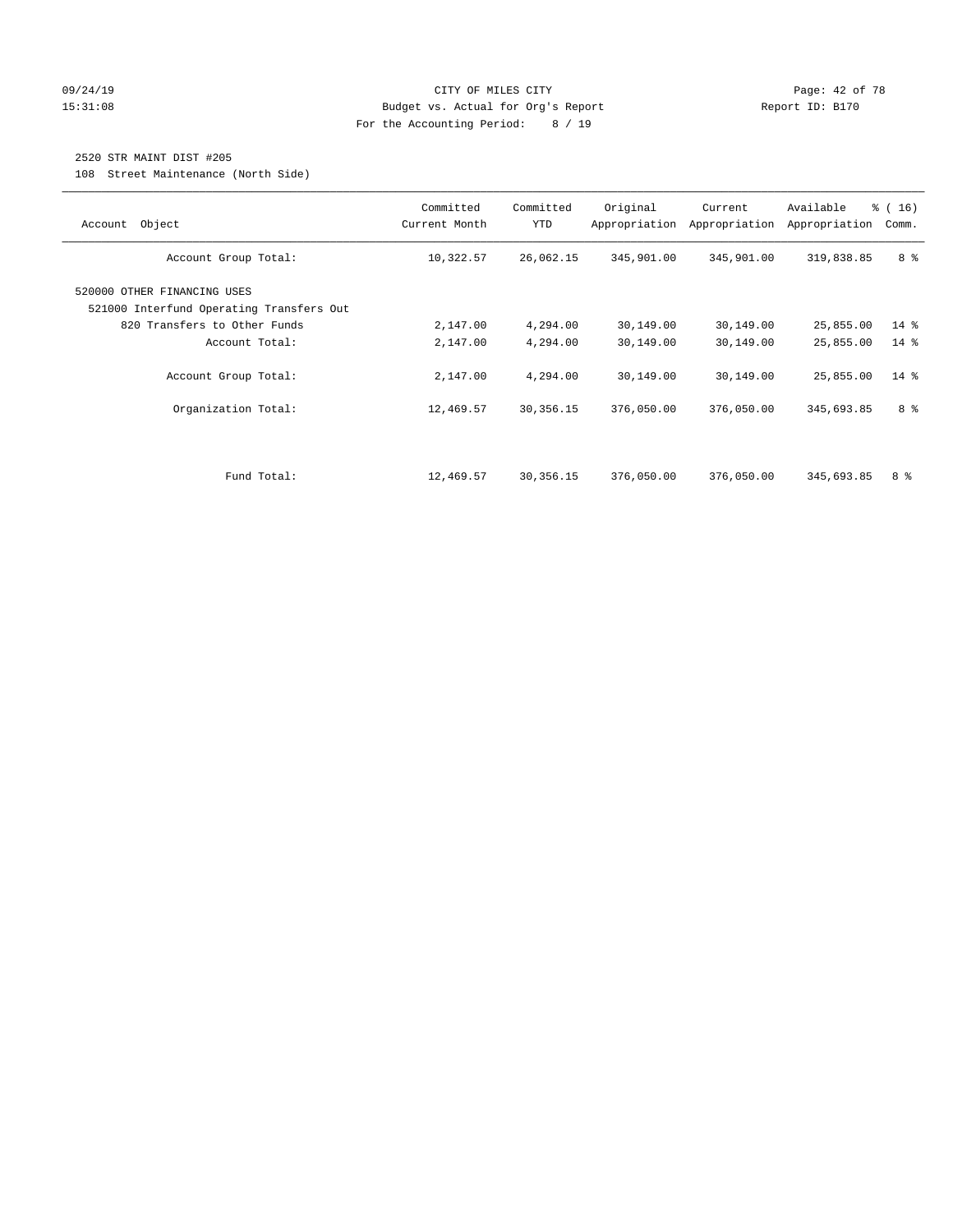#### 09/24/19 CITY OF MILES CITY Page: 42 of 78 15:31:08 Budget vs. Actual for Org's Report Report ID: B170 For the Accounting Period: 8 / 19

# 2520 STR MAINT DIST #205

108 Street Maintenance (North Side)

| Account Object                                                                                          | Committed<br>Current Month | Committed<br><b>YTD</b> | Original<br>Appropriation | Current<br>Appropriation | Available<br>Appropriation | % (16)<br>Comm. |
|---------------------------------------------------------------------------------------------------------|----------------------------|-------------------------|---------------------------|--------------------------|----------------------------|-----------------|
| Account Group Total:                                                                                    | 10,322.57                  | 26,062.15               | 345,901.00                | 345,901.00               | 319,838.85                 | 8 %             |
| 520000 OTHER FINANCING USES<br>521000 Interfund Operating Transfers Out<br>820 Transfers to Other Funds | 2,147.00                   | 4,294.00                | 30,149.00                 | 30,149.00                | 25,855.00                  | $14*$           |
| Account Total:                                                                                          | 2,147.00                   | 4,294.00                | 30,149.00                 | 30,149.00                | 25,855.00                  | $14*$           |
| Account Group Total:                                                                                    | 2,147.00                   | 4,294.00                | 30,149.00                 | 30,149.00                | 25,855.00                  | $14*$           |
| Organization Total:                                                                                     | 12,469.57                  | 30,356.15               | 376,050.00                | 376,050.00               | 345,693.85                 | 8 %             |
|                                                                                                         |                            |                         |                           |                          |                            |                 |
| Fund Total:                                                                                             | 12,469.57                  | 30,356.15               | 376,050.00                | 376,050.00               | 345,693.85                 | 8 %             |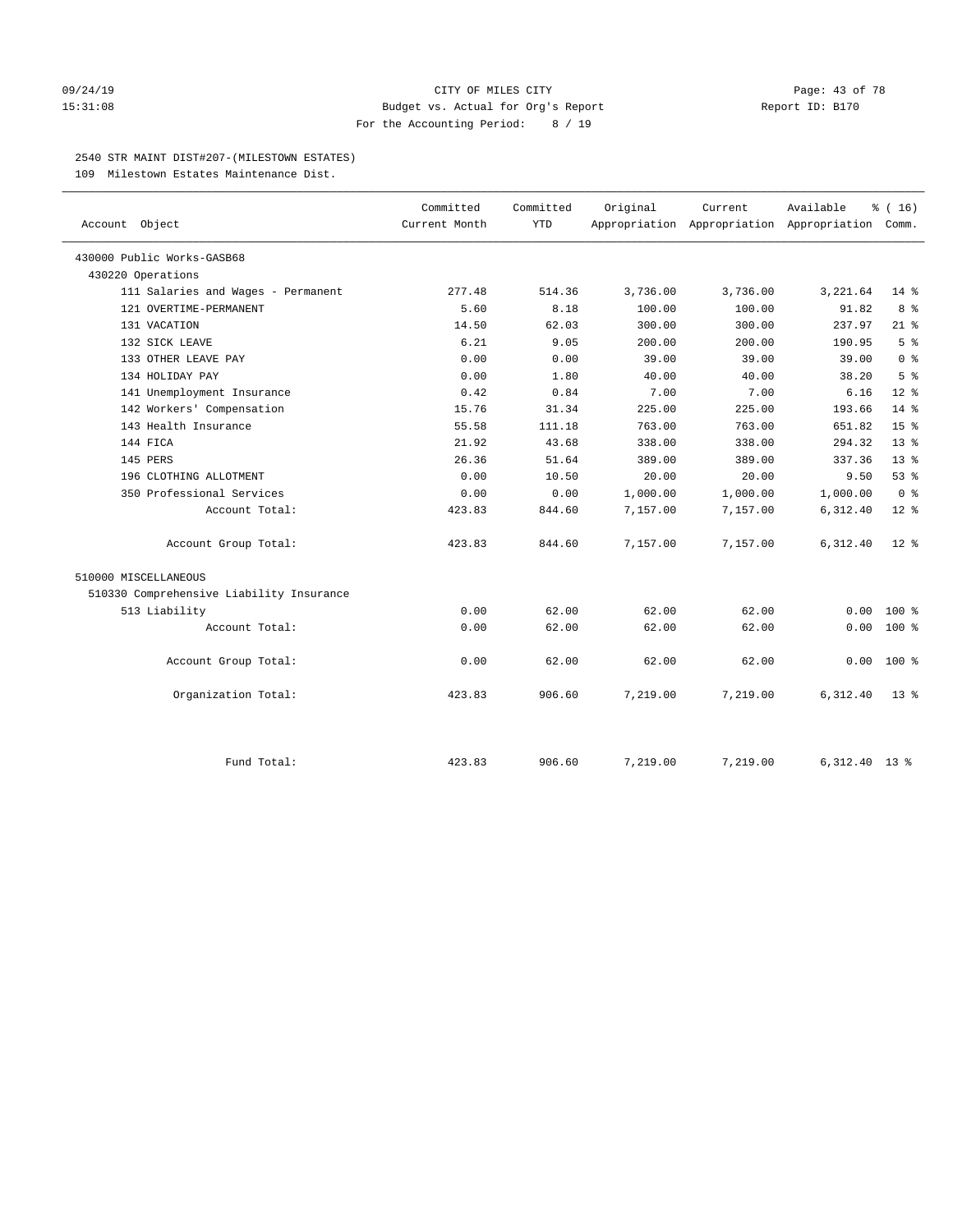#### 09/24/19 CITY OF MILES CITY Page: 43 of 78 15:31:08 Budget vs. Actual for Org's Report Report ID: B170 For the Accounting Period: 8 / 19

#### 2540 STR MAINT DIST#207-(MILESTOWN ESTATES)

109 Milestown Estates Maintenance Dist.

|                                          | Committed     | Committed  | Original | Current                                         | Available       | % (16)          |
|------------------------------------------|---------------|------------|----------|-------------------------------------------------|-----------------|-----------------|
| Account Object                           | Current Month | <b>YTD</b> |          | Appropriation Appropriation Appropriation Comm. |                 |                 |
| 430000 Public Works-GASB68               |               |            |          |                                                 |                 |                 |
| 430220 Operations                        |               |            |          |                                                 |                 |                 |
| 111 Salaries and Wages - Permanent       | 277.48        | 514.36     | 3,736.00 | 3,736.00                                        | 3,221.64        | $14$ %          |
| 121 OVERTIME-PERMANENT                   | 5.60          | 8.18       | 100.00   | 100.00                                          | 91.82           | 8%              |
| 131 VACATION                             | 14.50         | 62.03      | 300.00   | 300.00                                          | 237.97          | $21$ %          |
| 132 SICK LEAVE                           | 6.21          | 9.05       | 200.00   | 200.00                                          | 190.95          | 5 <sup>°</sup>  |
| 133 OTHER LEAVE PAY                      | 0.00          | 0.00       | 39.00    | 39.00                                           | 39.00           | 0 <sup>8</sup>  |
| 134 HOLIDAY PAY                          | 0.00          | 1.80       | 40.00    | 40.00                                           | 38.20           | 5 <sup>°</sup>  |
| 141 Unemployment Insurance               | 0.42          | 0.84       | 7.00     | 7.00                                            | 6.16            | $12*$           |
| 142 Workers' Compensation                | 15.76         | 31.34      | 225.00   | 225.00                                          | 193.66          | $14*$           |
| 143 Health Insurance                     | 55.58         | 111.18     | 763.00   | 763.00                                          | 651.82          | 15 <sup>8</sup> |
| 144 FICA                                 | 21.92         | 43.68      | 338.00   | 338.00                                          | 294.32          | 13 <sup>8</sup> |
| 145 PERS                                 | 26.36         | 51.64      | 389.00   | 389.00                                          | 337.36          | 13 <sup>8</sup> |
| 196 CLOTHING ALLOTMENT                   | 0.00          | 10.50      | 20.00    | 20.00                                           | 9.50            | 53%             |
| 350 Professional Services                | 0.00          | 0.00       | 1,000.00 | 1,000.00                                        | 1,000.00        | 0 <sup>8</sup>  |
| Account Total:                           | 423.83        | 844.60     | 7,157.00 | 7,157.00                                        | 6,312.40        | $12*$           |
| Account Group Total:                     | 423.83        | 844.60     | 7,157.00 | 7,157.00                                        | 6,312.40        | $12*$           |
| 510000 MISCELLANEOUS                     |               |            |          |                                                 |                 |                 |
| 510330 Comprehensive Liability Insurance |               |            |          |                                                 |                 |                 |
| 513 Liability                            | 0.00          | 62.00      | 62.00    | 62.00                                           | 0.00            | $100*$          |
| Account Total:                           | 0.00          | 62.00      | 62.00    | 62.00                                           | 0.00            | $100*$          |
| Account Group Total:                     | 0.00          | 62.00      | 62.00    | 62.00                                           | 0.00            | $100*$          |
| Organization Total:                      | 423.83        | 906.60     | 7,219.00 | 7,219.00                                        | 6,312.40        | $13*$           |
|                                          |               |            |          |                                                 |                 |                 |
| Fund Total:                              | 423.83        | 906.60     | 7,219.00 | 7,219.00                                        | $6,312.40$ 13 % |                 |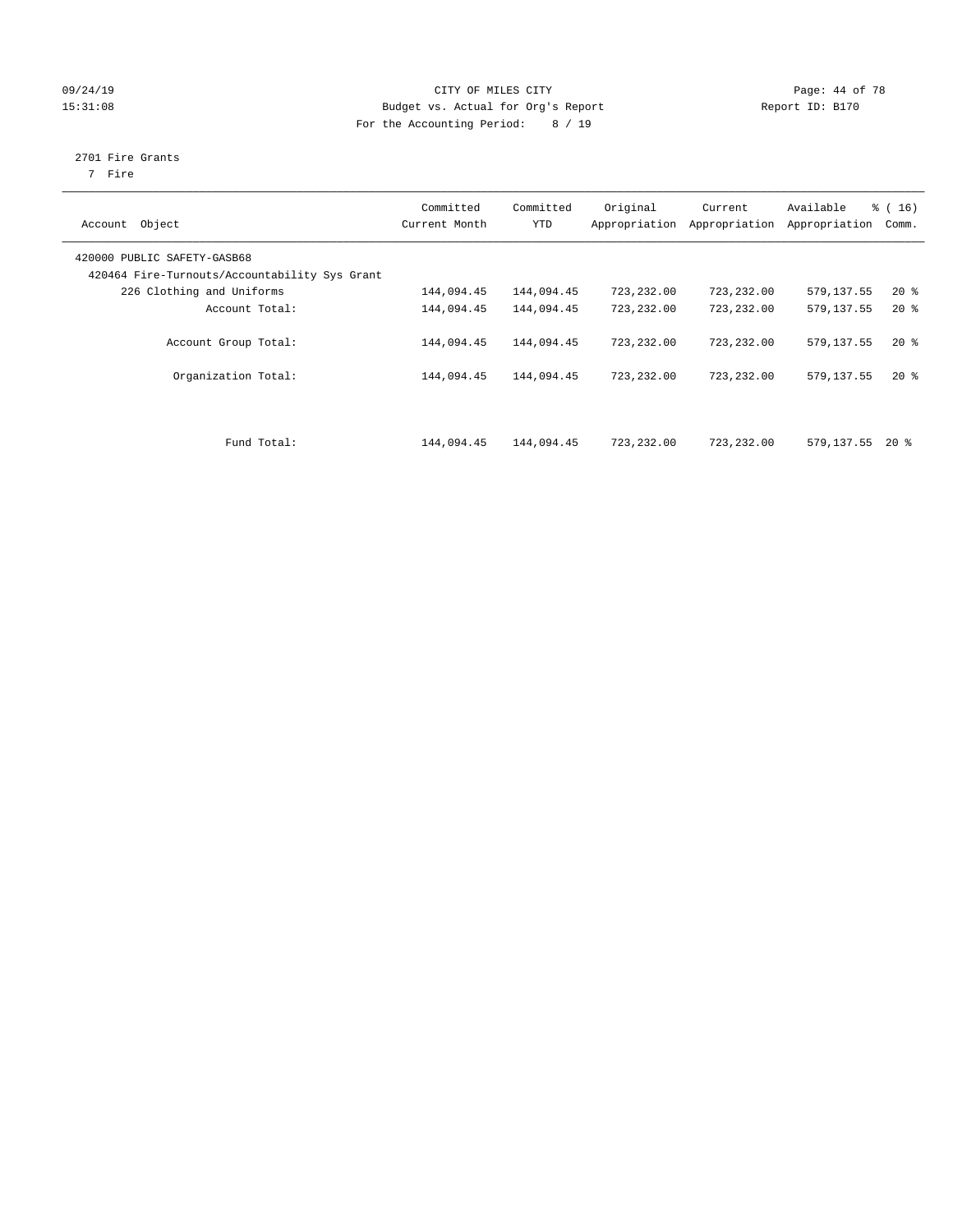#### 09/24/19 Page: 44 of 78 15:31:08 Budget vs. Actual for Org's Report Report ID: B170 For the Accounting Period: 8 / 19

# 2701 Fire Grants

7 Fire

| Object<br>Account                                                            | Committed<br>Current Month | Committed<br><b>YTD</b> | Original<br>Appropriation | Current<br>Appropriation | Available<br>Appropriation | $\frac{1}{6}$ ( 16 )<br>Comm. |
|------------------------------------------------------------------------------|----------------------------|-------------------------|---------------------------|--------------------------|----------------------------|-------------------------------|
| 420000 PUBLIC SAFETY-GASB68<br>420464 Fire-Turnouts/Accountability Sys Grant |                            |                         |                           |                          |                            |                               |
| 226 Clothing and Uniforms                                                    | 144,094.45                 | 144,094.45              | 723,232.00                | 723,232.00               | 579,137.55                 | $20*$                         |
| Account Total:                                                               | 144,094.45                 | 144,094.45              | 723,232.00                | 723,232.00               | 579,137.55                 | $20*$                         |
| Account Group Total:                                                         | 144,094.45                 | 144,094.45              | 723,232.00                | 723,232.00               | 579,137.55                 | $20*$                         |
| Organization Total:                                                          | 144,094.45                 | 144,094.45              | 723,232.00                | 723, 232, 00             | 579, 137.55                | $20*$                         |
| Fund Total:                                                                  | 144,094.45                 | 144,094.45              | 723,232.00                | 723,232.00               | 579,137.55                 | $20*$                         |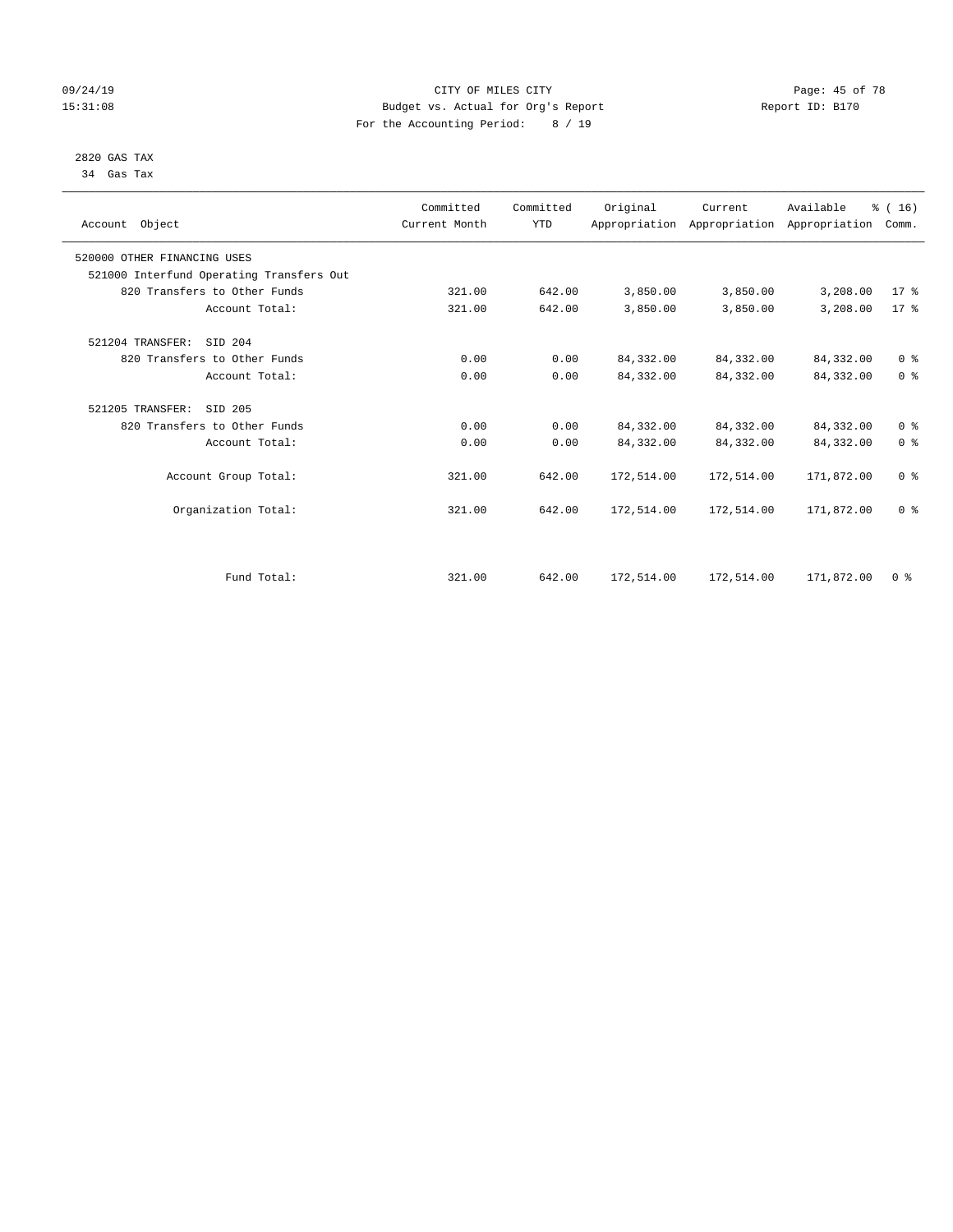#### 09/24/19 Page: 45 of 78 15:31:08 Budget vs. Actual for Org's Report Report ID: B170 For the Accounting Period: 8 / 19

#### 2820 GAS TAX 34 Gas Tax

| Account Object              |                                          | Committed<br>Current Month | Committed<br><b>YTD</b> | Original   | Current<br>Appropriation Appropriation Appropriation | Available  | % (16)<br>Comm. |
|-----------------------------|------------------------------------------|----------------------------|-------------------------|------------|------------------------------------------------------|------------|-----------------|
| 520000 OTHER FINANCING USES |                                          |                            |                         |            |                                                      |            |                 |
|                             | 521000 Interfund Operating Transfers Out |                            |                         |            |                                                      |            |                 |
|                             | 820 Transfers to Other Funds             | 321.00                     | 642.00                  | 3,850.00   | 3,850.00                                             | 3,208.00   | 17.8            |
|                             | Account Total:                           | 321.00                     | 642.00                  | 3,850.00   | 3,850.00                                             | 3,208.00   | $17*$           |
| 521204 TRANSFER:            | SID 204                                  |                            |                         |            |                                                      |            |                 |
|                             | 820 Transfers to Other Funds             | 0.00                       | 0.00                    | 84, 332.00 | 84, 332.00                                           | 84,332.00  | 0 <sup>8</sup>  |
|                             | Account Total:                           | 0.00                       | 0.00                    | 84, 332.00 | 84,332.00                                            | 84, 332.00 | 0 <sup>8</sup>  |
| 521205 TRANSFER:            | SID 205                                  |                            |                         |            |                                                      |            |                 |
|                             | 820 Transfers to Other Funds             | 0.00                       | 0.00                    | 84, 332.00 | 84,332.00                                            | 84,332.00  | 0 <sup>8</sup>  |
|                             | Account Total:                           | 0.00                       | 0.00                    | 84, 332.00 | 84,332.00                                            | 84,332.00  | 0 <sup>8</sup>  |
|                             | Account Group Total:                     | 321.00                     | 642.00                  | 172,514.00 | 172,514.00                                           | 171,872.00 | 0 <sup>8</sup>  |
|                             | Organization Total:                      | 321.00                     | 642.00                  | 172,514.00 | 172,514.00                                           | 171,872.00 | 0 <sup>8</sup>  |
|                             |                                          |                            |                         |            |                                                      |            |                 |
|                             | Fund Total:                              | 321.00                     | 642.00                  | 172,514.00 | 172,514.00                                           | 171,872.00 | 0 <sup>8</sup>  |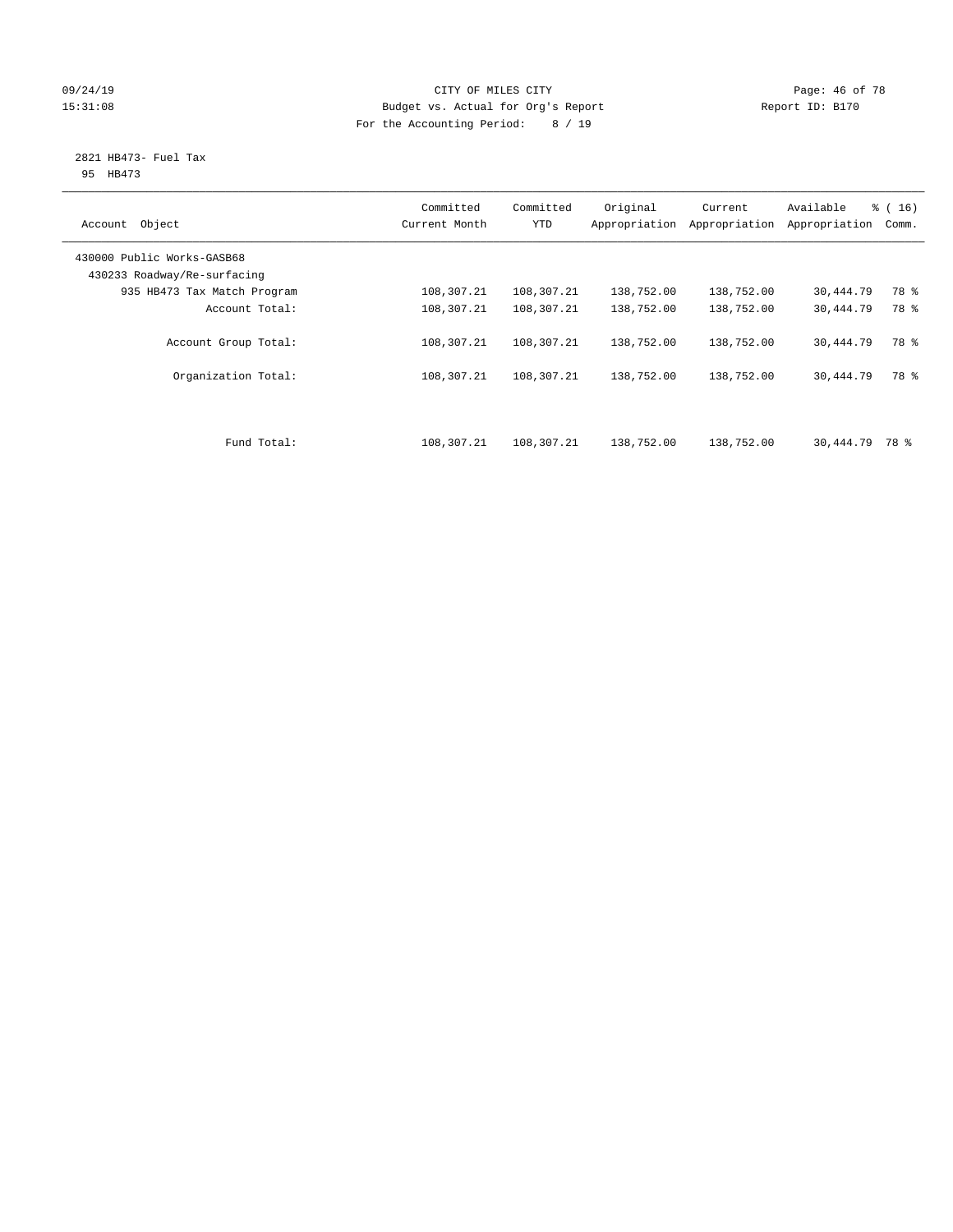#### 09/24/19 Page: 46 of 78 15:31:08 Budget vs. Actual for Org's Report Report ID: B170 For the Accounting Period: 8 / 19

#### 2821 HB473- Fuel Tax 95 HB473

| Object<br>Account                                         | Committed<br>Current Month | Committed<br><b>YTD</b> | Original<br>Appropriation | Current<br>Appropriation | Available<br>Appropriation | % (16)<br>Comm. |
|-----------------------------------------------------------|----------------------------|-------------------------|---------------------------|--------------------------|----------------------------|-----------------|
| 430000 Public Works-GASB68<br>430233 Roadway/Re-surfacing |                            |                         |                           |                          |                            |                 |
| 935 HB473 Tax Match Program                               | 108,307.21                 | 108,307.21              | 138,752.00                | 138,752.00               | 30,444.79                  | 78 %            |
| Account Total:                                            | 108,307.21                 | 108,307.21              | 138,752.00                | 138,752.00               | 30,444.79                  | 78 %            |
| Account Group Total:                                      | 108,307.21                 | 108,307.21              | 138,752.00                | 138,752.00               | 30,444.79                  | 78 %            |
| Organization Total:                                       | 108,307.21                 | 108,307.21              | 138,752.00                | 138,752.00               | 30,444.79                  | 78 %            |
| Fund Total:                                               | 108,307.21                 | 108,307.21              | 138,752.00                | 138,752.00               | 30,444.79                  | 78 %            |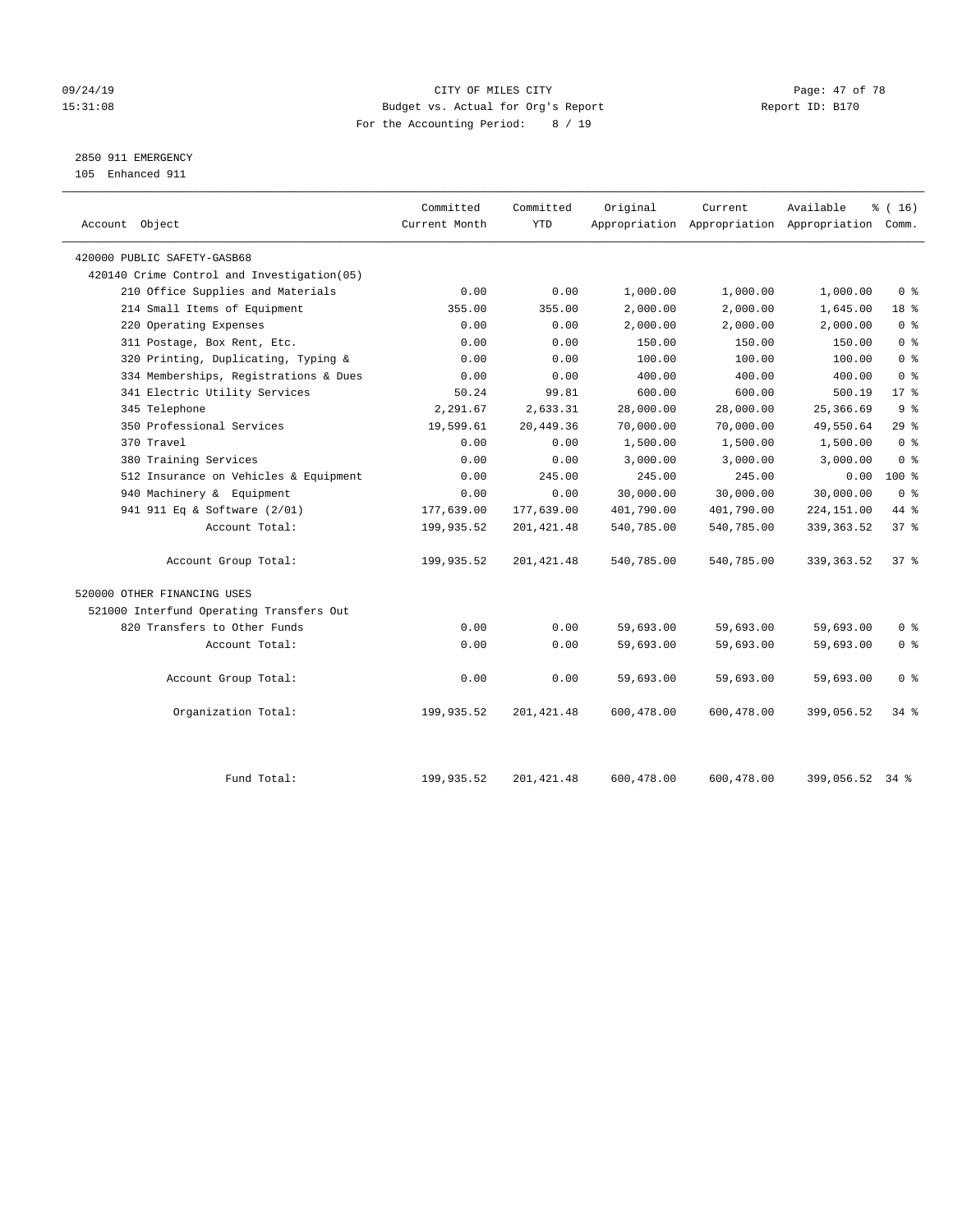# 09/24/19 Page: 47 of 78 15:31:08 Budget vs. Actual for Org's Report Report ID: B170 For the Accounting Period: 8 / 19

2850 911 EMERGENCY

105 Enhanced 911

| Account Object                              | Committed<br>Current Month | Committed<br><b>YTD</b> | Original   | Current    | Available<br>Appropriation Appropriation Appropriation Comm. | % (16)          |
|---------------------------------------------|----------------------------|-------------------------|------------|------------|--------------------------------------------------------------|-----------------|
| 420000 PUBLIC SAFETY-GASB68                 |                            |                         |            |            |                                                              |                 |
| 420140 Crime Control and Investigation (05) |                            |                         |            |            |                                                              |                 |
| 210 Office Supplies and Materials           | 0.00                       | 0.00                    | 1,000.00   | 1,000.00   | 1,000.00                                                     | 0 <sup>8</sup>  |
| 214 Small Items of Equipment                | 355.00                     | 355.00                  | 2,000.00   | 2,000.00   | 1,645.00                                                     | 18 %            |
| 220 Operating Expenses                      | 0.00                       | 0.00                    | 2,000.00   | 2,000.00   | 2,000.00                                                     | 0 <sup>8</sup>  |
| 311 Postage, Box Rent, Etc.                 | 0.00                       | 0.00                    | 150.00     | 150.00     | 150.00                                                       | 0 <sup>8</sup>  |
| 320 Printing, Duplicating, Typing &         | 0.00                       | 0.00                    | 100.00     | 100.00     | 100.00                                                       | 0 <sup>8</sup>  |
| 334 Memberships, Registrations & Dues       | 0.00                       | 0.00                    | 400.00     | 400.00     | 400.00                                                       | 0 <sup>8</sup>  |
| 341 Electric Utility Services               | 50.24                      | 99.81                   | 600.00     | 600.00     | 500.19                                                       | $17*$           |
| 345 Telephone                               | 2,291.67                   | 2,633.31                | 28,000.00  | 28,000.00  | 25,366.69                                                    | 9 <sup>°</sup>  |
| 350 Professional Services                   | 19,599.61                  | 20,449.36               | 70,000.00  | 70,000.00  | 49,550.64                                                    | 29%             |
| 370 Travel                                  | 0.00                       | 0.00                    | 1,500.00   | 1,500.00   | 1,500.00                                                     | 0 <sup>8</sup>  |
| 380 Training Services                       | 0.00                       | 0.00                    | 3,000.00   | 3,000.00   | 3,000.00                                                     | 0 <sup>8</sup>  |
| 512 Insurance on Vehicles & Equipment       | 0.00                       | 245.00                  | 245.00     | 245.00     | 0.00                                                         | $100*$          |
| 940 Machinery & Equipment                   | 0.00                       | 0.00                    | 30,000.00  | 30,000.00  | 30,000.00                                                    | 0 <sup>8</sup>  |
| 941 911 Eq & Software (2/01)                | 177,639.00                 | 177,639.00              | 401,790.00 | 401,790.00 | 224,151.00                                                   | 44 %            |
| Account Total:                              | 199,935.52                 | 201, 421.48             | 540,785.00 | 540,785.00 | 339, 363.52                                                  | 37 <sup>8</sup> |
| Account Group Total:                        | 199,935.52                 | 201, 421.48             | 540,785.00 | 540,785.00 | 339, 363.52                                                  | 37%             |
| 520000 OTHER FINANCING USES                 |                            |                         |            |            |                                                              |                 |
| 521000 Interfund Operating Transfers Out    |                            |                         |            |            |                                                              |                 |
| 820 Transfers to Other Funds                | 0.00                       | 0.00                    | 59,693.00  | 59,693.00  | 59,693.00                                                    | 0 <sup>8</sup>  |
| Account Total:                              | 0.00                       | 0.00                    | 59,693.00  | 59,693.00  | 59,693.00                                                    | 0 <sup>8</sup>  |
| Account Group Total:                        | 0.00                       | 0.00                    | 59,693.00  | 59,693.00  | 59,693.00                                                    | 0 <sup>8</sup>  |
| Organization Total:                         | 199,935.52                 | 201,421.48              | 600,478.00 | 600,478.00 | 399,056.52                                                   | 34 %            |
| Fund Total:                                 | 199,935.52                 | 201, 421.48             | 600,478.00 | 600,478.00 | 399,056.52 34 %                                              |                 |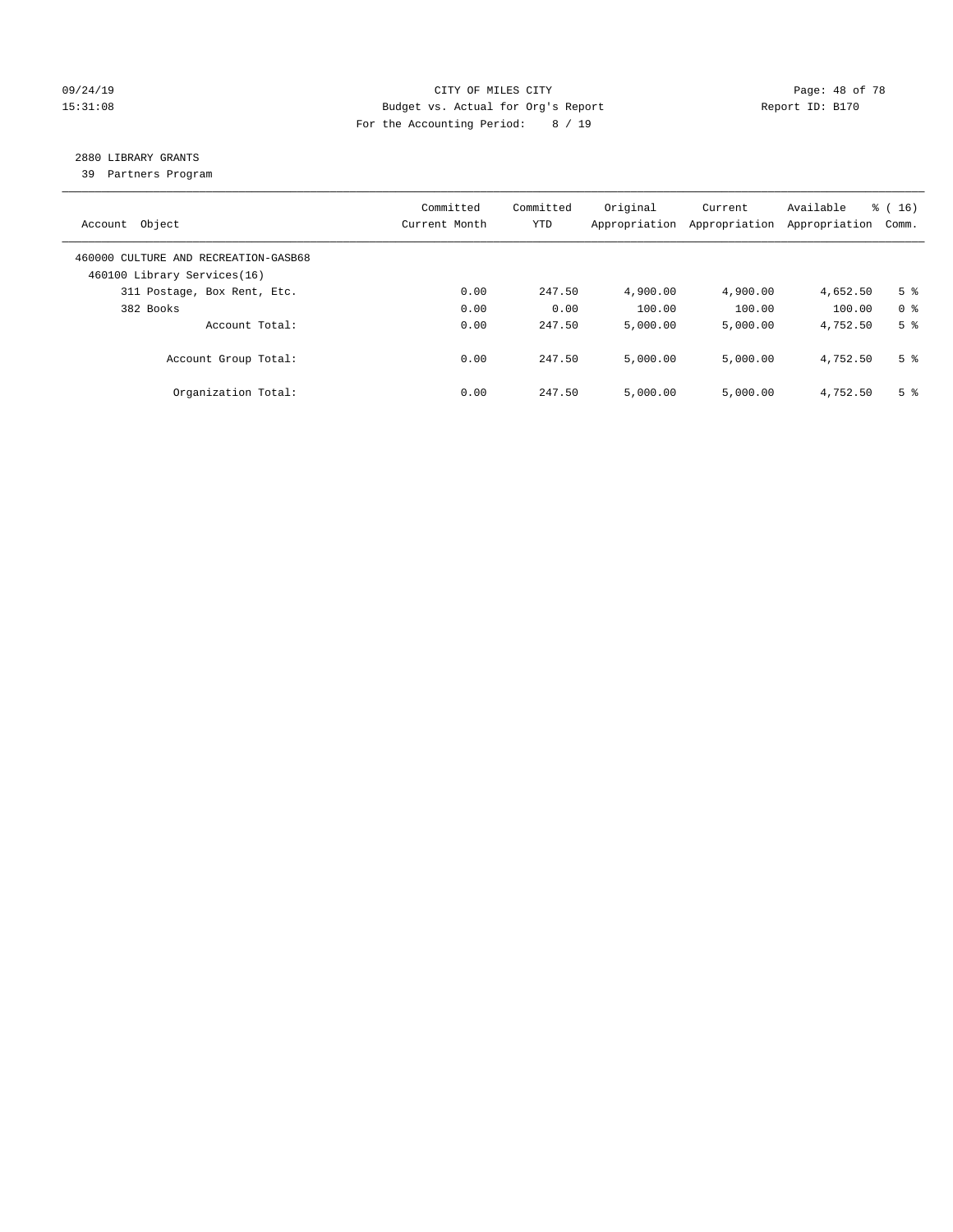#### 09/24/19 Page: 48 of 78 15:31:08 Budget vs. Actual for Org's Report Report ID: B170 For the Accounting Period: 8 / 19

# 2880 LIBRARY GRANTS

39 Partners Program

| Account Object                                                      | Committed<br>Current Month | Committed<br><b>YTD</b> | Original<br>Appropriation | Current<br>Appropriation | Available<br>Appropriation | % (16)<br>Comm. |
|---------------------------------------------------------------------|----------------------------|-------------------------|---------------------------|--------------------------|----------------------------|-----------------|
| 460000 CULTURE AND RECREATION-GASB68<br>460100 Library Services(16) |                            |                         |                           |                          |                            |                 |
| 311 Postage, Box Rent, Etc.                                         | 0.00                       | 247.50                  | 4,900.00                  | 4,900.00                 | 4,652.50                   | 5 <sup>8</sup>  |
| 382 Books                                                           | 0.00                       | 0.00                    | 100.00                    | 100.00                   | 100.00                     | 0 <sup>8</sup>  |
| Account Total:                                                      | 0.00                       | 247.50                  | 5,000.00                  | 5,000.00                 | 4,752.50                   | 5 <sup>8</sup>  |
| Account Group Total:                                                | 0.00                       | 247.50                  | 5,000.00                  | 5,000.00                 | 4,752.50                   | 5 <sup>8</sup>  |
| Organization Total:                                                 | 0.00                       | 247.50                  | 5.000.00                  | 5,000.00                 | 4,752.50                   | 5 <sup>8</sup>  |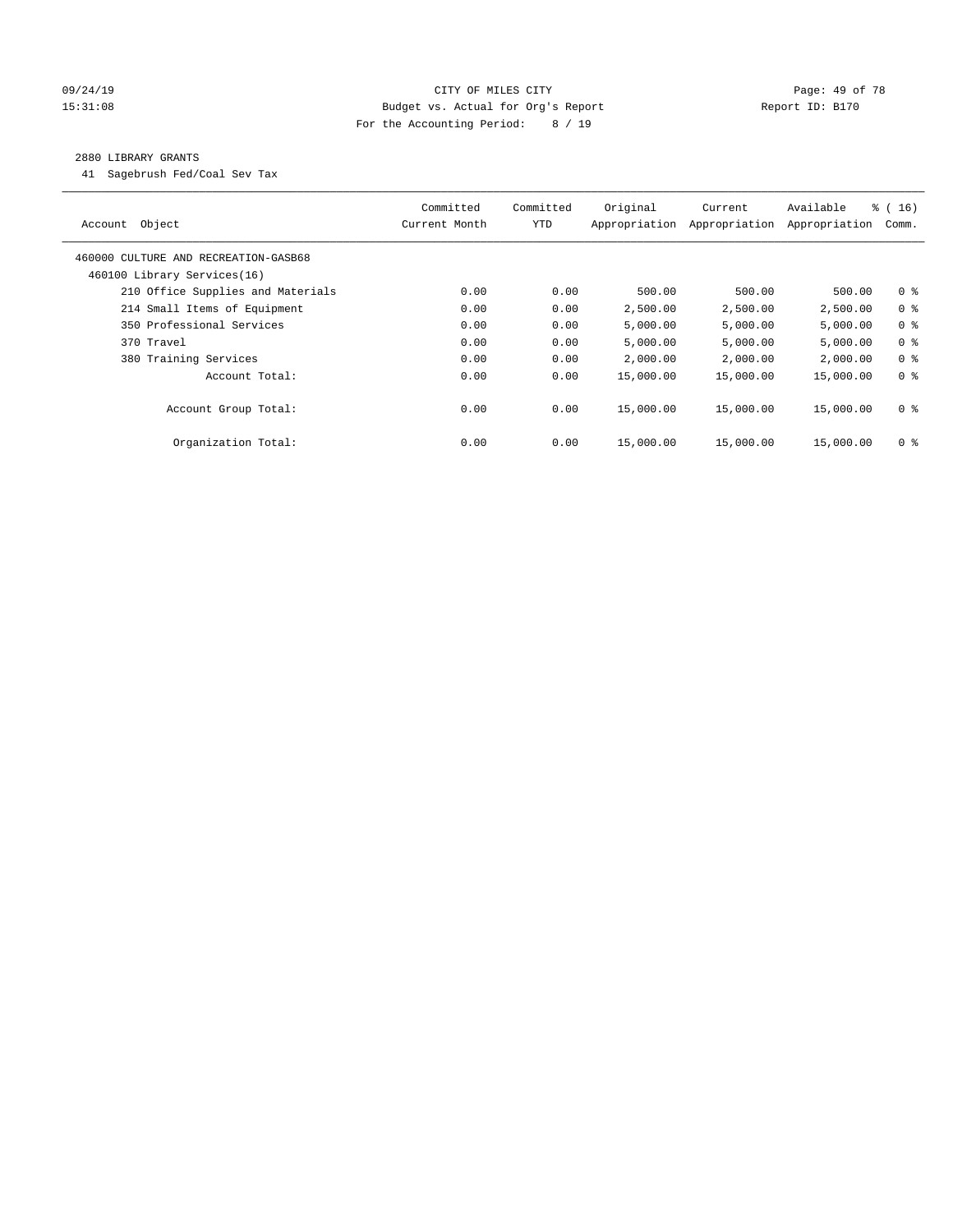### 09/24/19 Page: 49 of 78 15:31:08 Budget vs. Actual for Org's Report Report ID: B170 For the Accounting Period: 8 / 19

#### 2880 LIBRARY GRANTS

41 Sagebrush Fed/Coal Sev Tax

| Object<br>Account                    | Committed<br>Current Month | Committed<br><b>YTD</b> | Original<br>Appropriation | Current<br>Appropriation | Available<br>Appropriation | % (16)<br>Comm. |
|--------------------------------------|----------------------------|-------------------------|---------------------------|--------------------------|----------------------------|-----------------|
| 460000 CULTURE AND RECREATION-GASB68 |                            |                         |                           |                          |                            |                 |
| 460100 Library Services(16)          |                            |                         |                           |                          |                            |                 |
| 210 Office Supplies and Materials    | 0.00                       | 0.00                    | 500.00                    | 500.00                   | 500.00                     | 0 <sub>8</sub>  |
| 214 Small Items of Equipment         | 0.00                       | 0.00                    | 2,500.00                  | 2,500.00                 | 2,500.00                   | 0 <sup>8</sup>  |
| 350 Professional Services            | 0.00                       | 0.00                    | 5,000.00                  | 5,000.00                 | 5,000.00                   | 0 <sup>8</sup>  |
| 370 Travel                           | 0.00                       | 0.00                    | 5,000.00                  | 5,000.00                 | 5,000.00                   | 0 <sup>8</sup>  |
| 380 Training Services                | 0.00                       | 0.00                    | 2,000.00                  | 2,000.00                 | 2,000.00                   | 0 <sup>8</sup>  |
| Account Total:                       | 0.00                       | 0.00                    | 15,000.00                 | 15,000.00                | 15,000.00                  | 0 <sup>8</sup>  |
| Account Group Total:                 | 0.00                       | 0.00                    | 15,000.00                 | 15,000.00                | 15,000.00                  | 0 <sup>8</sup>  |
| Organization Total:                  | 0.00                       | 0.00                    | 15,000.00                 | 15,000.00                | 15,000.00                  | 0 %             |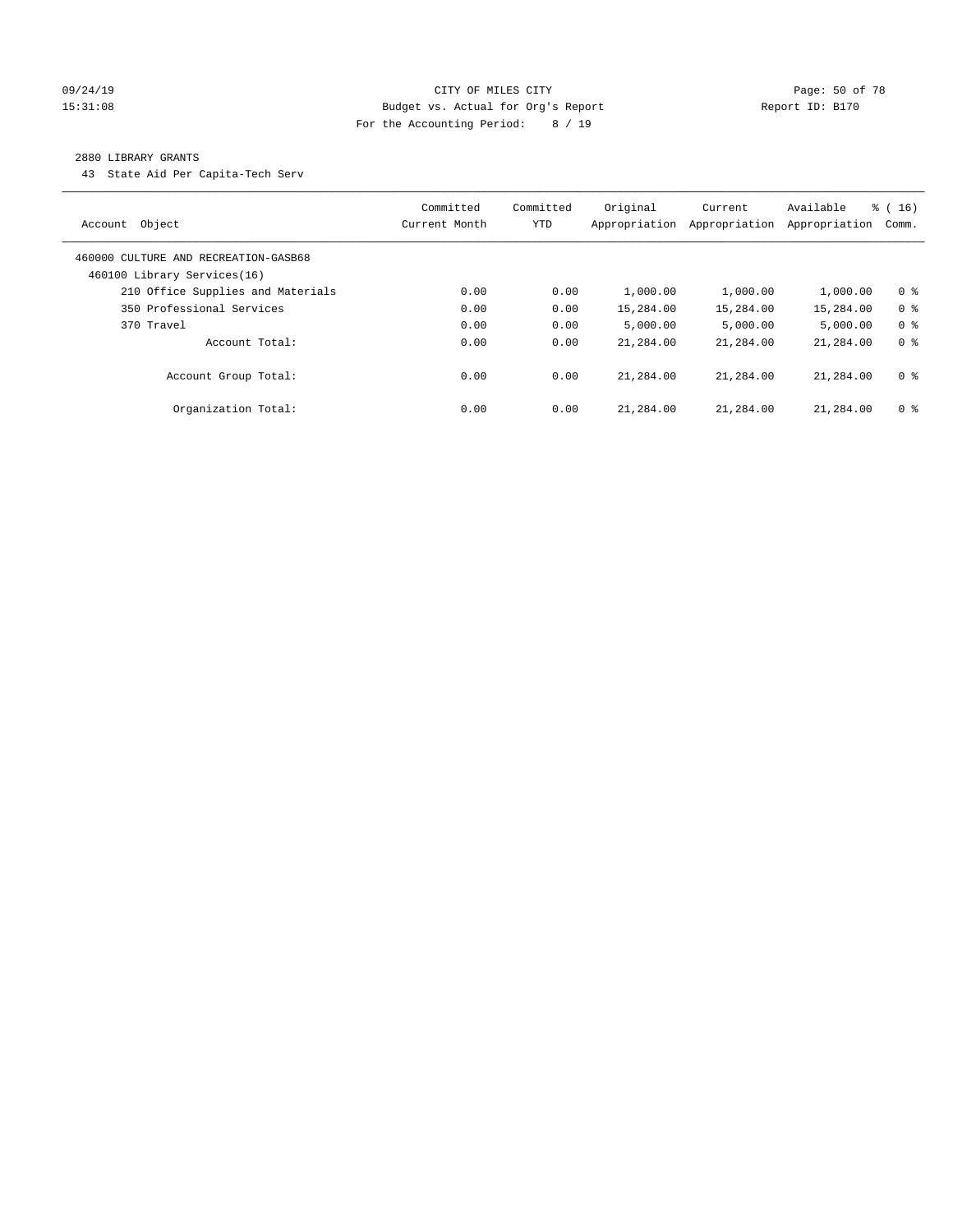#### 09/24/19 Page: 50 of 78 15:31:08 Budget vs. Actual for Org's Report Report ID: B170 For the Accounting Period: 8 / 19

#### 2880 LIBRARY GRANTS

43 State Aid Per Capita-Tech Serv

| Object<br>Account                                                   | Committed<br>Current Month | Committed<br><b>YTD</b> | Original<br>Appropriation | Current<br>Appropriation | Available<br>Appropriation | $\frac{1}{6}$ ( 16 )<br>Comm. |
|---------------------------------------------------------------------|----------------------------|-------------------------|---------------------------|--------------------------|----------------------------|-------------------------------|
| 460000 CULTURE AND RECREATION-GASB68<br>460100 Library Services(16) |                            |                         |                           |                          |                            |                               |
| 210 Office Supplies and Materials                                   | 0.00                       | 0.00                    | 1,000.00                  | 1,000.00                 | 1,000.00                   | 0 <sup>8</sup>                |
| 350 Professional Services                                           | 0.00                       | 0.00                    | 15,284.00                 | 15,284.00                | 15,284.00                  | 0 <sup>8</sup>                |
| 370 Travel                                                          | 0.00                       | 0.00                    | 5.000.00                  | 5,000.00                 | 5.000.00                   | 0 <sup>8</sup>                |
| Account Total:                                                      | 0.00                       | 0.00                    | 21,284.00                 | 21,284.00                | 21,284.00                  | 0 <sup>8</sup>                |
| Account Group Total:                                                | 0.00                       | 0.00                    | 21,284.00                 | 21,284.00                | 21,284.00                  | 0 <sup>8</sup>                |
| Organization Total:                                                 | 0.00                       | 0.00                    | 21,284.00                 | 21,284.00                | 21,284.00                  | 0 <sup>8</sup>                |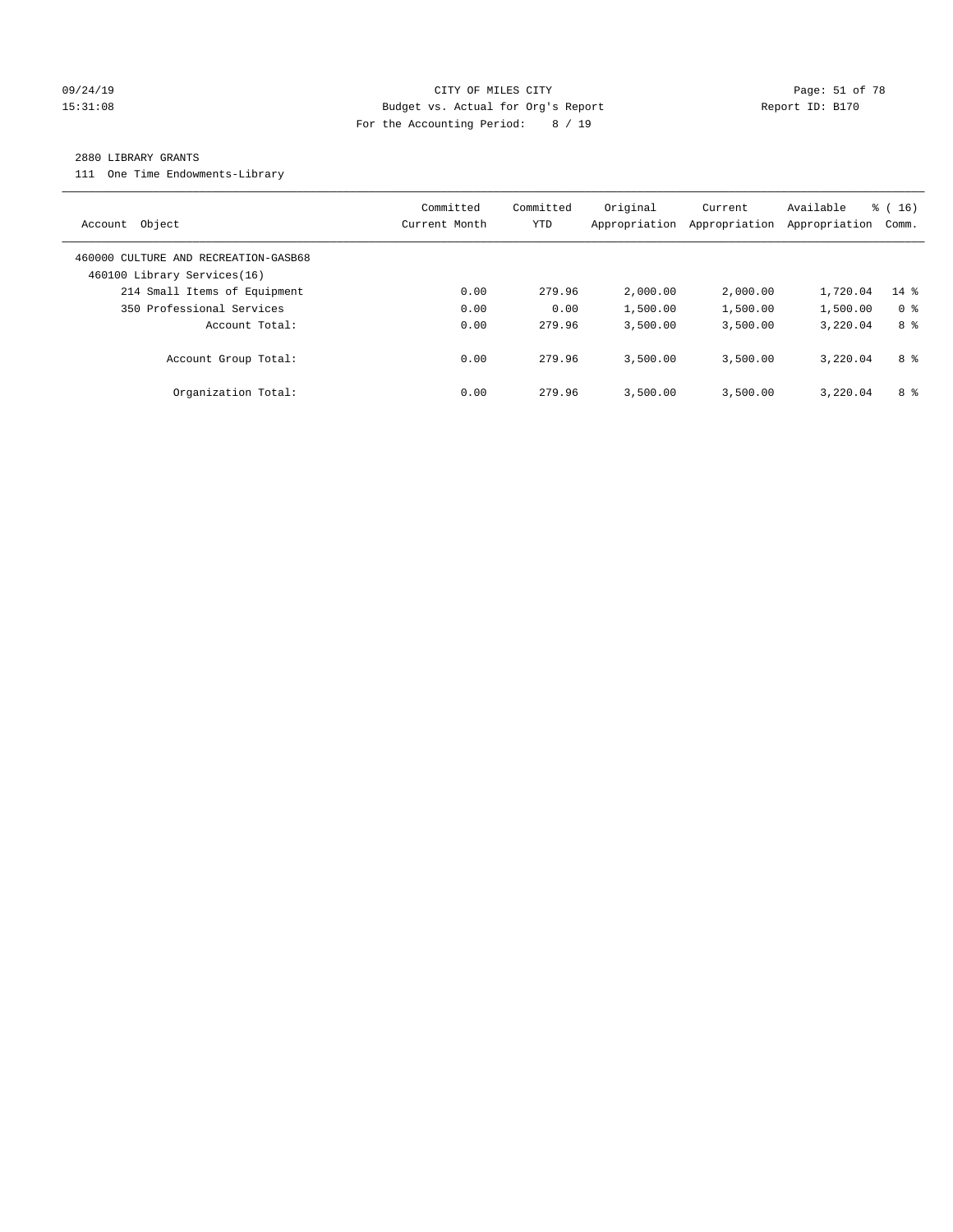#### 09/24/19 Page: 51 of 78 15:31:08 Budget vs. Actual for Org's Report Report ID: B170 For the Accounting Period: 8 / 19

#### 2880 LIBRARY GRANTS

111 One Time Endowments-Library

| Object<br>Account                                                   | Committed<br>Current Month | Committed<br>YTD | Original<br>Appropriation | Current<br>Appropriation | Available<br>Appropriation | % (16)<br>Comm. |
|---------------------------------------------------------------------|----------------------------|------------------|---------------------------|--------------------------|----------------------------|-----------------|
| 460000 CULTURE AND RECREATION-GASB68<br>460100 Library Services(16) |                            |                  |                           |                          |                            |                 |
| 214 Small Items of Equipment                                        | 0.00                       | 279.96           | 2,000.00                  | 2,000.00                 | 1,720.04                   | $14$ %          |
| 350 Professional Services                                           | 0.00                       | 0.00             | 1,500.00                  | 1,500.00                 | 1,500.00                   | 0 <sup>8</sup>  |
| Account Total:                                                      | 0.00                       | 279.96           | 3,500.00                  | 3,500.00                 | 3,220.04                   | 8 %             |
| Account Group Total:                                                | 0.00                       | 279.96           | 3,500.00                  | 3,500.00                 | 3,220.04                   | 8 %             |
| Organization Total:                                                 | 0.00                       | 279.96           | 3,500.00                  | 3,500.00                 | 3,220.04                   | 8 %             |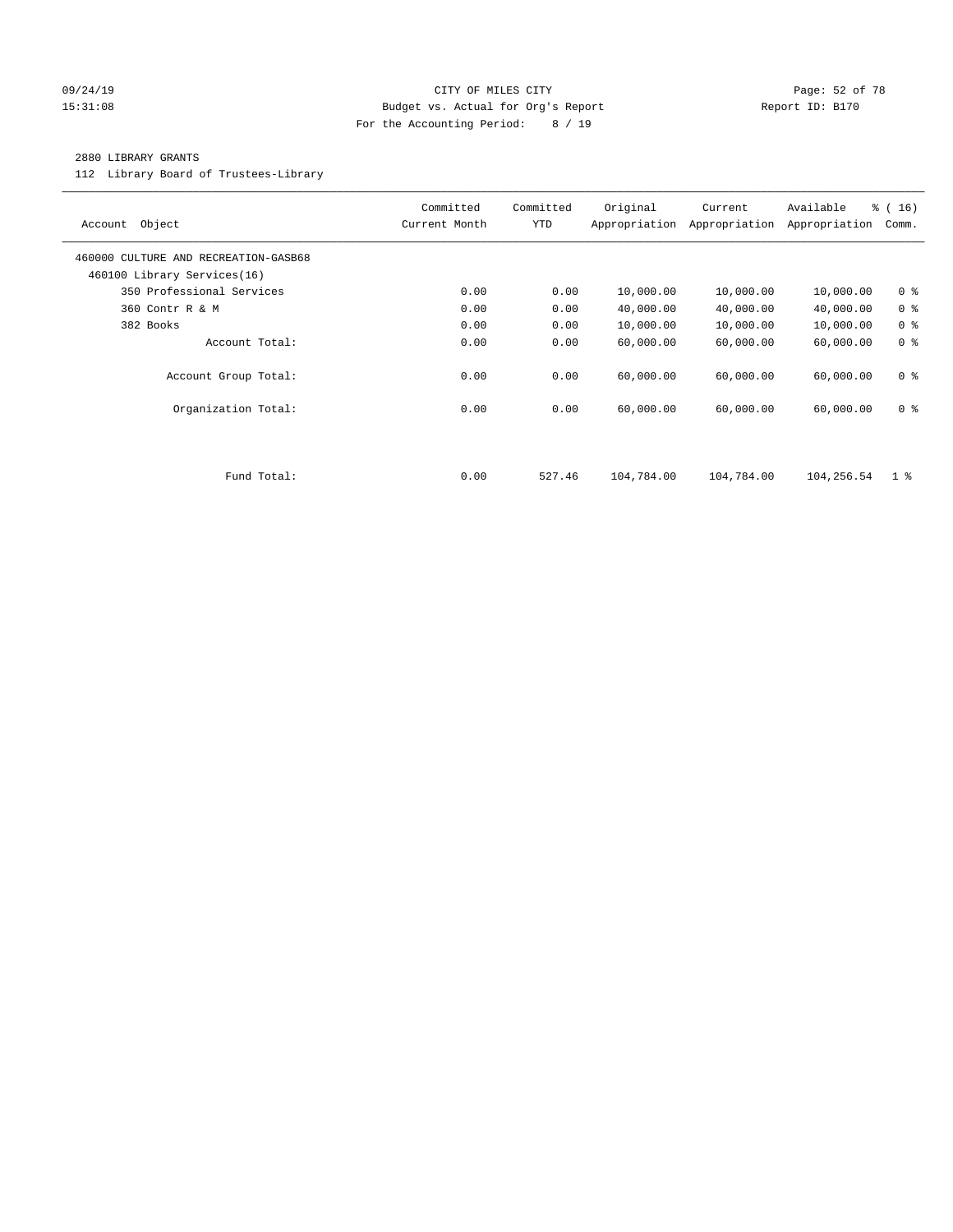#### 09/24/19 Page: 52 of 78 15:31:08 Budget vs. Actual for Org's Report Report ID: B170 For the Accounting Period: 8 / 19

#### 2880 LIBRARY GRANTS

112 Library Board of Trustees-Library

| Object<br>Account                                                   | Committed<br>Current Month | Committed<br><b>YTD</b> | Original<br>Appropriation | Current<br>Appropriation | Available<br>Appropriation | % (16)<br>Comm. |
|---------------------------------------------------------------------|----------------------------|-------------------------|---------------------------|--------------------------|----------------------------|-----------------|
| 460000 CULTURE AND RECREATION-GASB68<br>460100 Library Services(16) |                            |                         |                           |                          |                            |                 |
| 350 Professional Services                                           | 0.00                       | 0.00                    | 10,000.00                 | 10,000.00                | 10,000.00                  | 0 <sup>8</sup>  |
| 360 Contr R & M                                                     | 0.00                       | 0.00                    | 40,000.00                 | 40,000.00                | 40,000.00                  | 0 <sup>8</sup>  |
| 382 Books                                                           | 0.00                       | 0.00                    | 10,000.00                 | 10,000.00                | 10,000.00                  | 0 <sup>8</sup>  |
| Account Total:                                                      | 0.00                       | 0.00                    | 60,000.00                 | 60,000.00                | 60,000.00                  | 0 <sup>8</sup>  |
| Account Group Total:                                                | 0.00                       | 0.00                    | 60,000.00                 | 60,000.00                | 60,000.00                  | 0 <sup>8</sup>  |
| Organization Total:                                                 | 0.00                       | 0.00                    | 60,000.00                 | 60,000.00                | 60,000.00                  | 0 <sup>8</sup>  |
|                                                                     |                            |                         |                           |                          |                            |                 |
| Fund Total:                                                         | 0.00                       | 527.46                  | 104,784.00                | 104,784.00               | 104,256.54                 | $1 \text{ }$    |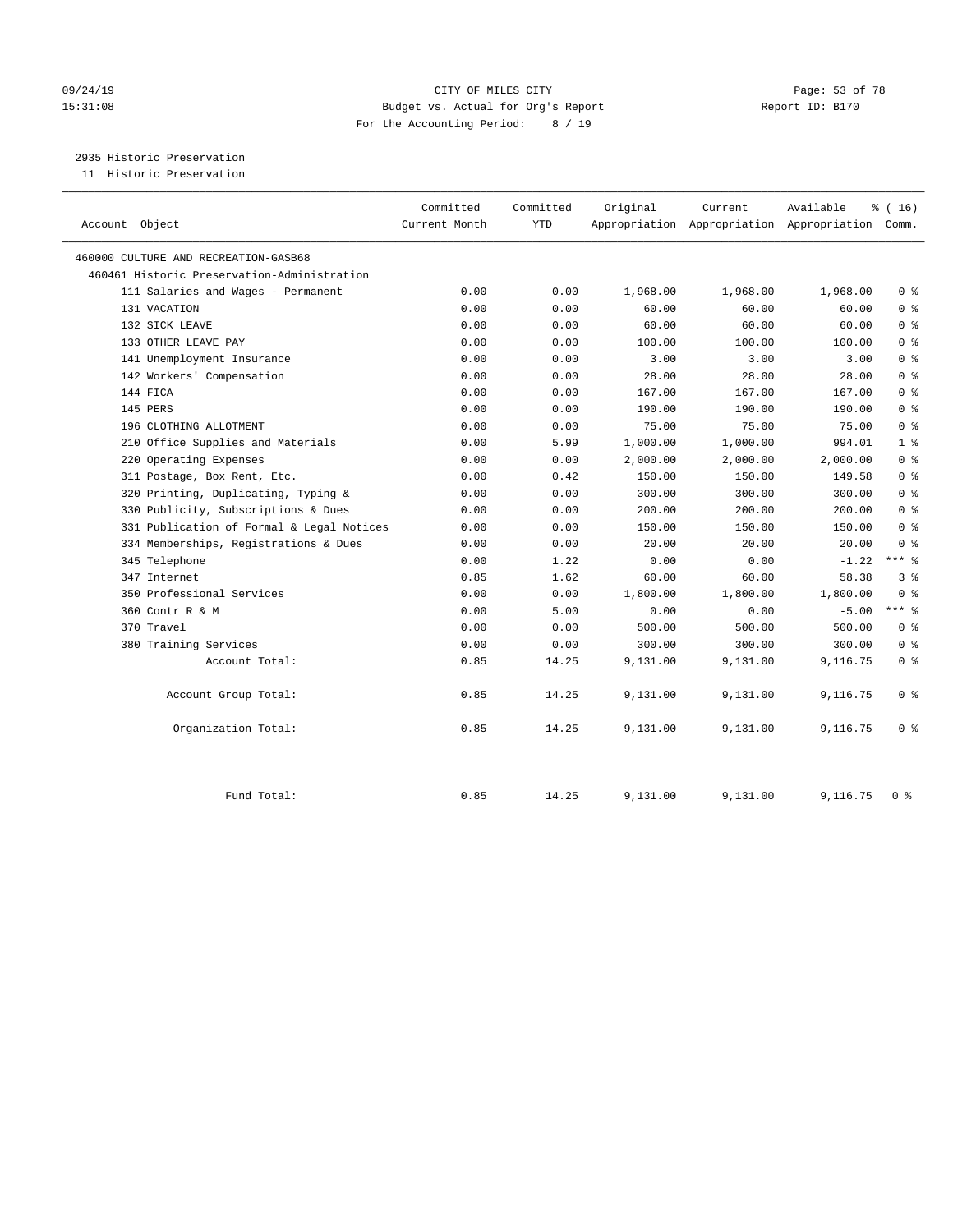# 09/24/19 Page: 53 of 78 15:31:08 Budget vs. Actual for Org's Report Report ID: B170 For the Accounting Period: 8 / 19

2935 Historic Preservation

11 Historic Preservation

| Account Object                              | Committed<br>Current Month | Committed<br><b>YTD</b> | Original | Current  | Available<br>Appropriation Appropriation Appropriation | % (16)<br>Comm. |
|---------------------------------------------|----------------------------|-------------------------|----------|----------|--------------------------------------------------------|-----------------|
| 460000 CULTURE AND RECREATION-GASB68        |                            |                         |          |          |                                                        |                 |
| 460461 Historic Preservation-Administration |                            |                         |          |          |                                                        |                 |
| 111 Salaries and Wages - Permanent          | 0.00                       | 0.00                    | 1,968.00 | 1,968.00 | 1,968.00                                               | 0 <sup>8</sup>  |
| 131 VACATION                                | 0.00                       | 0.00                    | 60.00    | 60.00    | 60.00                                                  | 0 <sup>8</sup>  |
| 132 SICK LEAVE                              | 0.00                       | 0.00                    | 60.00    | 60.00    | 60.00                                                  | 0 <sup>8</sup>  |
| 133 OTHER LEAVE PAY                         | 0.00                       | 0.00                    | 100.00   | 100.00   | 100.00                                                 | 0 <sup>8</sup>  |
| 141 Unemployment Insurance                  | 0.00                       | 0.00                    | 3.00     | 3.00     | 3.00                                                   | 0 <sup>8</sup>  |
| 142 Workers' Compensation                   | 0.00                       | 0.00                    | 28.00    | 28.00    | 28.00                                                  | 0 <sup>8</sup>  |
| 144 FICA                                    | 0.00                       | 0.00                    | 167.00   | 167.00   | 167.00                                                 | 0 <sup>8</sup>  |
| 145 PERS                                    | 0.00                       | 0.00                    | 190.00   | 190.00   | 190.00                                                 | 0 <sup>8</sup>  |
| 196 CLOTHING ALLOTMENT                      | 0.00                       | 0.00                    | 75.00    | 75.00    | 75.00                                                  | 0 <sup>8</sup>  |
| 210 Office Supplies and Materials           | 0.00                       | 5.99                    | 1,000.00 | 1,000.00 | 994.01                                                 | 1 <sup>°</sup>  |
| 220 Operating Expenses                      | 0.00                       | 0.00                    | 2,000.00 | 2,000.00 | 2,000.00                                               | 0 <sup>8</sup>  |
| 311 Postage, Box Rent, Etc.                 | 0.00                       | 0.42                    | 150.00   | 150.00   | 149.58                                                 | 0 <sup>8</sup>  |
| 320 Printing, Duplicating, Typing &         | 0.00                       | 0.00                    | 300.00   | 300.00   | 300.00                                                 | 0 <sup>8</sup>  |
| 330 Publicity, Subscriptions & Dues         | 0.00                       | 0.00                    | 200.00   | 200.00   | 200.00                                                 | 0 <sup>8</sup>  |
| 331 Publication of Formal & Legal Notices   | 0.00                       | 0.00                    | 150.00   | 150.00   | 150.00                                                 | 0 <sup>8</sup>  |
| 334 Memberships, Registrations & Dues       | 0.00                       | 0.00                    | 20.00    | 20.00    | 20.00                                                  | 0 <sup>8</sup>  |
| 345 Telephone                               | 0.00                       | 1.22                    | 0.00     | 0.00     | $-1.22$                                                | $***$ %         |
| 347 Internet                                | 0.85                       | 1.62                    | 60.00    | 60.00    | 58.38                                                  | 3 <sup>8</sup>  |
| 350 Professional Services                   | 0.00                       | 0.00                    | 1,800.00 | 1,800.00 | 1,800.00                                               | 0 <sup>8</sup>  |
| 360 Contr R & M                             | 0.00                       | 5.00                    | 0.00     | 0.00     | $-5.00$                                                | $***$ %         |
| 370 Travel                                  | 0.00                       | 0.00                    | 500.00   | 500.00   | 500.00                                                 | 0 <sup>8</sup>  |
| 380 Training Services                       | 0.00                       | 0.00                    | 300.00   | 300.00   | 300.00                                                 | 0 <sup>8</sup>  |
| Account Total:                              | 0.85                       | 14.25                   | 9,131.00 | 9,131.00 | 9,116.75                                               | 0 <sup>8</sup>  |
| Account Group Total:                        | 0.85                       | 14.25                   | 9,131.00 | 9,131.00 | 9,116.75                                               | 0 <sup>8</sup>  |
| Organization Total:                         | 0.85                       | 14.25                   | 9,131.00 | 9,131.00 | 9,116.75                                               | 0 <sup>8</sup>  |
| Fund Total:                                 | 0.85                       | 14.25                   | 9,131.00 | 9,131.00 | 9,116.75                                               | 0 <sup>8</sup>  |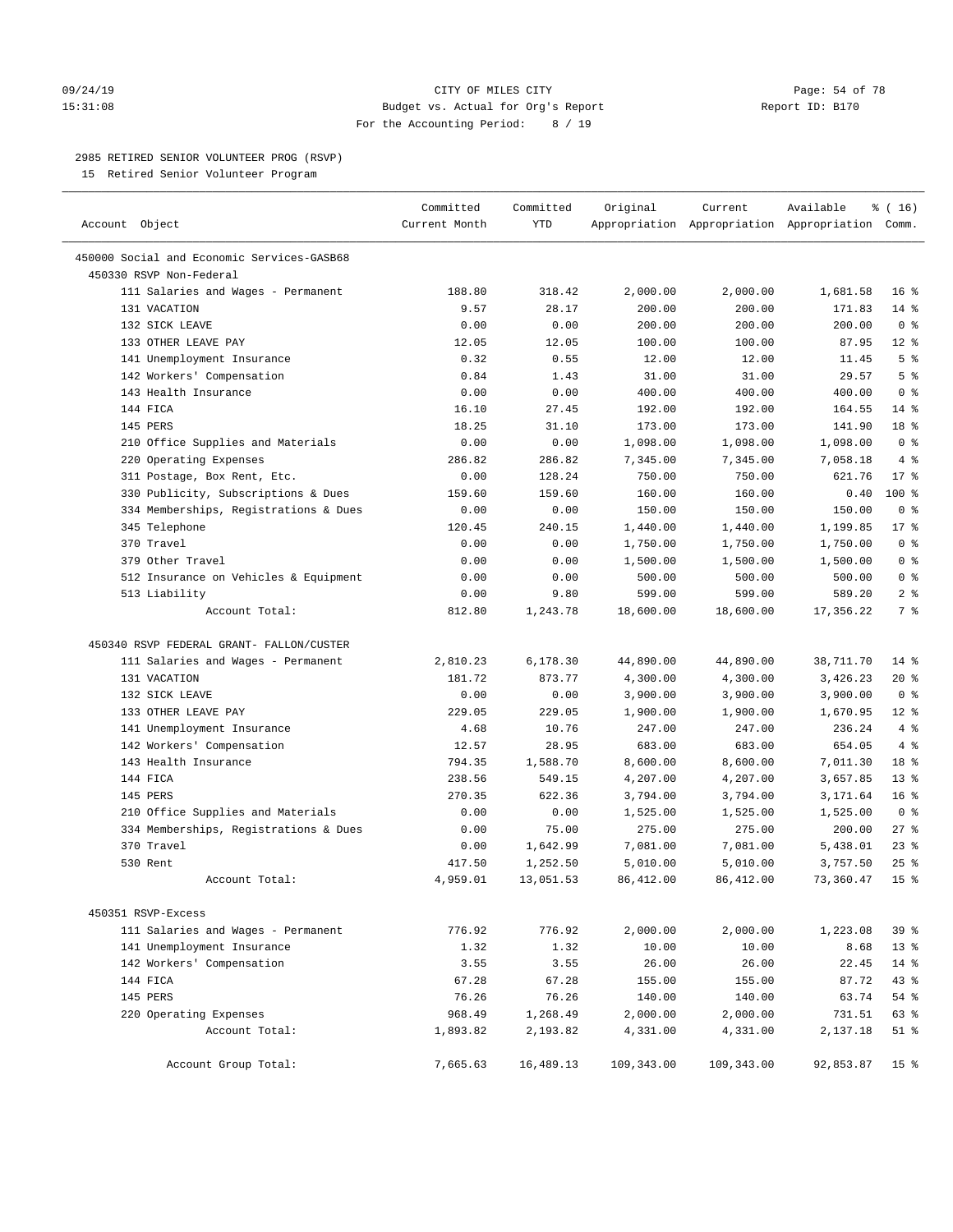#### 09/24/19 CITY OF MILES CITY Page: 54 of 78 15:31:08 Budget vs. Actual for Org's Report Report ID: B170 For the Accounting Period: 8 / 19

————————————————————————————————————————————————————————————————————————————————————————————————————————————————————————————————————

### 2985 RETIRED SENIOR VOLUNTEER PROG (RSVP)

15 Retired Senior Volunteer Program

|                                            | Committed     | Committed  | Original   | Current    | Available                                       | % (16)          |
|--------------------------------------------|---------------|------------|------------|------------|-------------------------------------------------|-----------------|
| Account Object                             | Current Month | <b>YTD</b> |            |            | Appropriation Appropriation Appropriation Comm. |                 |
| 450000 Social and Economic Services-GASB68 |               |            |            |            |                                                 |                 |
| 450330 RSVP Non-Federal                    |               |            |            |            |                                                 |                 |
| 111 Salaries and Wages - Permanent         | 188.80        | 318.42     | 2,000.00   | 2,000.00   | 1,681.58                                        | 16 <sup>8</sup> |
| 131 VACATION                               | 9.57          | 28.17      | 200.00     | 200.00     | 171.83                                          | $14$ %          |
| 132 SICK LEAVE                             | 0.00          | 0.00       | 200.00     | 200.00     | 200.00                                          | 0 <sup>8</sup>  |
| 133 OTHER LEAVE PAY                        | 12.05         | 12.05      | 100.00     | 100.00     | 87.95                                           | $12*$           |
| 141 Unemployment Insurance                 | 0.32          | 0.55       | 12.00      | 12.00      | 11.45                                           | 5 <sup>°</sup>  |
| 142 Workers' Compensation                  | 0.84          | 1.43       | 31.00      | 31.00      | 29.57                                           | 5 <sup>8</sup>  |
| 143 Health Insurance                       | 0.00          | 0.00       | 400.00     | 400.00     | 400.00                                          | 0 <sup>8</sup>  |
| 144 FICA                                   | 16.10         | 27.45      | 192.00     | 192.00     | 164.55                                          | $14*$           |
| 145 PERS                                   | 18.25         | 31.10      | 173.00     | 173.00     | 141.90                                          | 18 %            |
| 210 Office Supplies and Materials          | 0.00          | 0.00       | 1,098.00   | 1,098.00   | 1,098.00                                        | 0 <sup>8</sup>  |
| 220 Operating Expenses                     | 286.82        | 286.82     | 7,345.00   | 7,345.00   | 7,058.18                                        | 4%              |
| 311 Postage, Box Rent, Etc.                | 0.00          | 128.24     | 750.00     | 750.00     | 621.76                                          | $17*$           |
| 330 Publicity, Subscriptions & Dues        | 159.60        | 159.60     | 160.00     | 160.00     | 0.40                                            | 100 %           |
| 334 Memberships, Registrations & Dues      | 0.00          | 0.00       | 150.00     | 150.00     | 150.00                                          | 0 <sup>8</sup>  |
| 345 Telephone                              | 120.45        | 240.15     | 1,440.00   | 1,440.00   | 1,199.85                                        | $17*$           |
| 370 Travel                                 | 0.00          | 0.00       | 1,750.00   | 1,750.00   | 1,750.00                                        | 0 <sup>8</sup>  |
| 379 Other Travel                           | 0.00          | 0.00       | 1,500.00   | 1,500.00   | 1,500.00                                        | 0 <sup>8</sup>  |
| 512 Insurance on Vehicles & Equipment      | 0.00          | 0.00       | 500.00     | 500.00     | 500.00                                          | 0 <sup>8</sup>  |
| 513 Liability                              | 0.00          | 9.80       | 599.00     | 599.00     | 589.20                                          | 2 <sup>°</sup>  |
| Account Total:                             | 812.80        | 1,243.78   | 18,600.00  | 18,600.00  | 17,356.22                                       | 7 <sup>8</sup>  |
| 450340 RSVP FEDERAL GRANT- FALLON/CUSTER   |               |            |            |            |                                                 |                 |
| 111 Salaries and Wages - Permanent         | 2,810.23      | 6,178.30   | 44,890.00  | 44,890.00  | 38,711.70                                       | $14*$           |
| 131 VACATION                               | 181.72        | 873.77     | 4,300.00   | 4,300.00   | 3,426.23                                        | 20 %            |
| 132 SICK LEAVE                             | 0.00          | 0.00       | 3,900.00   | 3,900.00   | 3,900.00                                        | 0 <sup>8</sup>  |
| 133 OTHER LEAVE PAY                        | 229.05        | 229.05     | 1,900.00   | 1,900.00   | 1,670.95                                        | $12*$           |
| 141 Unemployment Insurance                 | 4.68          | 10.76      | 247.00     | 247.00     | 236.24                                          | 4%              |
| 142 Workers' Compensation                  | 12.57         | 28.95      | 683.00     | 683.00     | 654.05                                          | 4%              |
| 143 Health Insurance                       | 794.35        | 1,588.70   | 8,600.00   | 8,600.00   | 7,011.30                                        | 18 %            |
| 144 FICA                                   | 238.56        | 549.15     | 4,207.00   | 4,207.00   | 3,657.85                                        | $13*$           |
| 145 PERS                                   | 270.35        | 622.36     | 3,794.00   | 3,794.00   | 3,171.64                                        | 16 <sup>°</sup> |
| 210 Office Supplies and Materials          | 0.00          | 0.00       | 1,525.00   | 1,525.00   | 1,525.00                                        | 0 <sup>8</sup>  |
| 334 Memberships, Registrations & Dues      | 0.00          | 75.00      | 275.00     | 275.00     | 200.00                                          | $27$ %          |
| 370 Travel                                 | 0.00          | 1,642.99   | 7,081.00   | 7,081.00   | 5,438.01                                        | $23$ %          |
| 530 Rent                                   | 417.50        | 1,252.50   | 5,010.00   | 5,010.00   | 3,757.50                                        | $25$ %          |
| Account Total:                             | 4,959.01      | 13,051.53  | 86,412.00  | 86, 412.00 | 73,360.47                                       | 15 <sup>°</sup> |
| 450351 RSVP-Excess                         |               |            |            |            |                                                 |                 |
| 111 Salaries and Wages - Permanent         | 776.92        | 776.92     | 2,000.00   | 2,000.00   | 1,223.08                                        | 39%             |
| 141 Unemployment Insurance                 | 1.32          | 1.32       | 10.00      | 10.00      | 8.68                                            | $13*$           |
| 142 Workers' Compensation                  | 3.55          | 3.55       | 26.00      | 26.00      | 22.45                                           | $14$ %          |
| 144 FICA                                   | 67.28         | 67.28      | 155.00     | 155.00     | 87.72                                           | 43 %            |
| 145 PERS                                   | 76.26         | 76.26      | 140.00     | 140.00     | 63.74                                           | 54 %            |
| 220 Operating Expenses                     | 968.49        | 1,268.49   | 2,000.00   | 2,000.00   | 731.51                                          | 63 %            |
| Account Total:                             | 1,893.82      | 2,193.82   | 4,331.00   | 4,331.00   | 2,137.18                                        | $51$ %          |
|                                            |               |            |            |            |                                                 |                 |
| Account Group Total:                       | 7,665.63      | 16,489.13  | 109,343.00 | 109,343.00 | 92,853.87                                       | 15 <sup>8</sup> |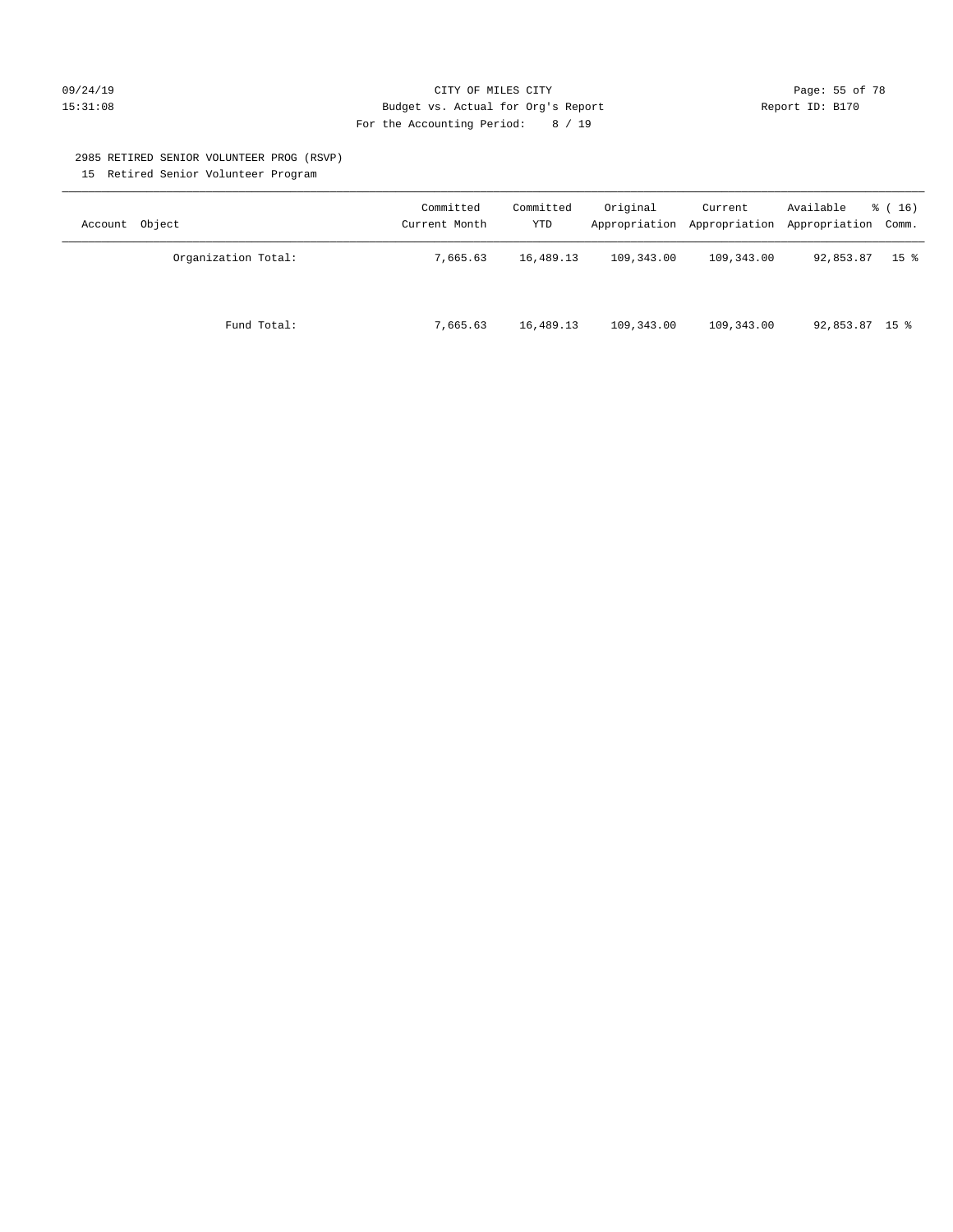#### 09/24/19 CITY OF MILES CITY Page: 55 of 78 15:31:08 Budget vs. Actual for Org's Report Report ID: B170 For the Accounting Period: 8 / 19

#### 2985 RETIRED SENIOR VOLUNTEER PROG (RSVP)

15 Retired Senior Volunteer Program

| Account Object      | Committed<br>Current Month | Committed<br>YTD | Original   | Current    | Available<br>Appropriation Appropriation Appropriation Comm. | $\frac{1}{6}$ (16) |
|---------------------|----------------------------|------------------|------------|------------|--------------------------------------------------------------|--------------------|
| Organization Total: | 7,665.63                   | 16,489.13        | 109,343.00 | 109,343.00 | 92,853.87                                                    | 15 <sup>8</sup>    |
| Fund Total:         | 7,665.63                   | 16,489.13        | 109,343.00 | 109,343.00 | $92,853.87$ 15 %                                             |                    |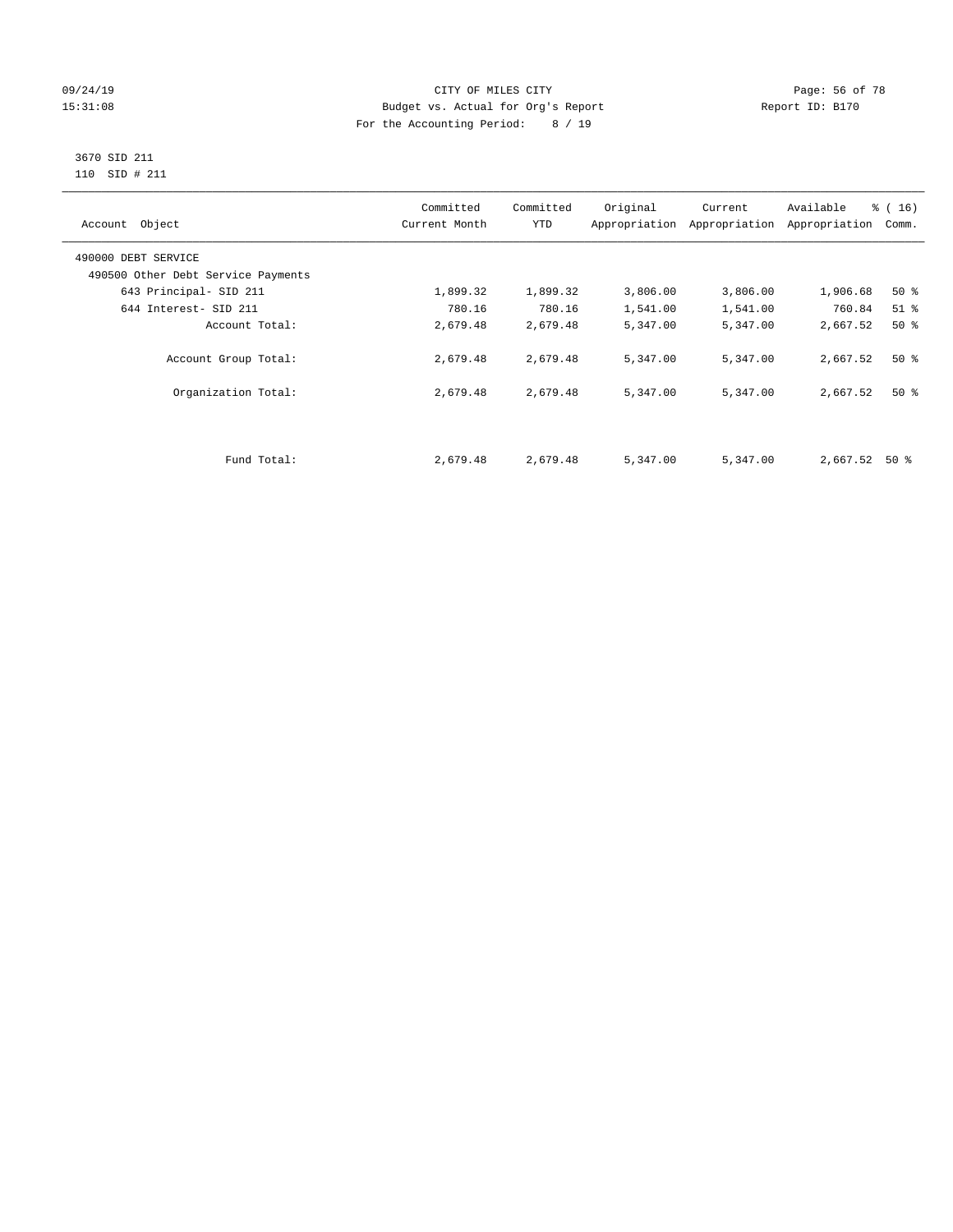#### 09/24/19 Page: 56 of 78 15:31:08 Budget vs. Actual for Org's Report Report ID: B170 For the Accounting Period: 8 / 19

#### 3670 SID 211 110 SID # 211

| Account Object                     | Committed<br>Current Month | Committed<br><b>YTD</b> | Original | Current<br>Appropriation Appropriation | Available<br>Appropriation | $\frac{1}{6}$ ( 16 )<br>Comm. |
|------------------------------------|----------------------------|-------------------------|----------|----------------------------------------|----------------------------|-------------------------------|
| 490000 DEBT SERVICE                |                            |                         |          |                                        |                            |                               |
| 490500 Other Debt Service Payments |                            |                         |          |                                        |                            |                               |
| 643 Principal- SID 211             | 1,899.32                   | 1,899.32                | 3,806.00 | 3,806.00                               | 1,906.68                   | $50*$                         |
| 644 Interest- SID 211              | 780.16                     | 780.16                  | 1,541.00 | 1,541.00                               | 760.84                     | $51$ %                        |
| Account Total:                     | 2,679.48                   | 2,679.48                | 5,347.00 | 5,347.00                               | 2,667.52                   | 50%                           |
| Account Group Total:               | 2,679.48                   | 2,679.48                | 5,347.00 | 5,347.00                               | 2,667.52                   | $50*$                         |
| Organization Total:                | 2,679.48                   | 2,679.48                | 5,347.00 | 5,347.00                               | 2,667.52                   | $50*$                         |
|                                    |                            |                         |          |                                        |                            |                               |
| Fund Total:                        | 2,679.48                   | 2,679.48                | 5,347.00 | 5,347.00                               | 2,667.52                   | 50 %                          |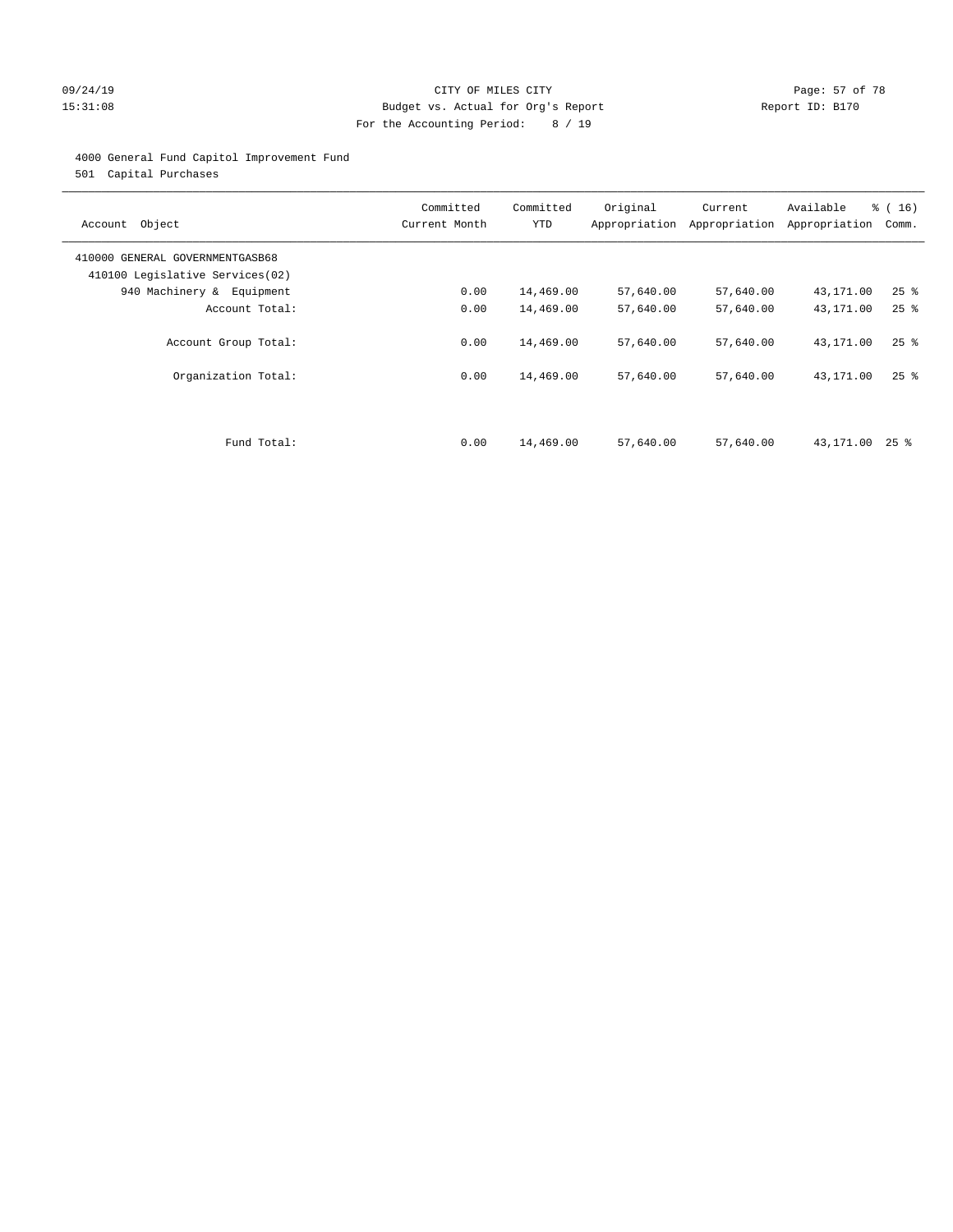#### 09/24/19 Page: 57 of 78 15:31:08 Budget vs. Actual for Org's Report Report ID: B170 For the Accounting Period: 8 / 19

# 4000 General Fund Capitol Improvement Fund

501 Capital Purchases

| Account Object                                                     | Committed<br>Current Month | Committed<br><b>YTD</b> | Original<br>Appropriation | Current<br>Appropriation | Available<br>Appropriation | % (16)<br>Comm.    |
|--------------------------------------------------------------------|----------------------------|-------------------------|---------------------------|--------------------------|----------------------------|--------------------|
| 410000 GENERAL GOVERNMENTGASB68<br>410100 Legislative Services(02) |                            |                         |                           |                          |                            |                    |
| 940 Machinery & Equipment                                          | 0.00                       | 14,469.00               | 57,640.00                 | 57,640.00                | 43,171.00                  | $25$ $\frac{6}{5}$ |
| Account Total:                                                     | 0.00                       | 14,469.00               | 57,640.00                 | 57,640.00                | 43,171.00                  | $25$ $%$           |
| Account Group Total:                                               | 0.00                       | 14,469.00               | 57,640.00                 | 57,640.00                | 43,171.00                  | $25$ %             |
| Organization Total:                                                | 0.00                       | 14,469.00               | 57,640.00                 | 57,640.00                | 43,171.00                  | 25%                |
|                                                                    |                            |                         |                           |                          |                            |                    |
| Fund Total:                                                        | 0.00                       | 14,469.00               | 57,640.00                 | 57,640.00                | 43,171.00                  | 25 %               |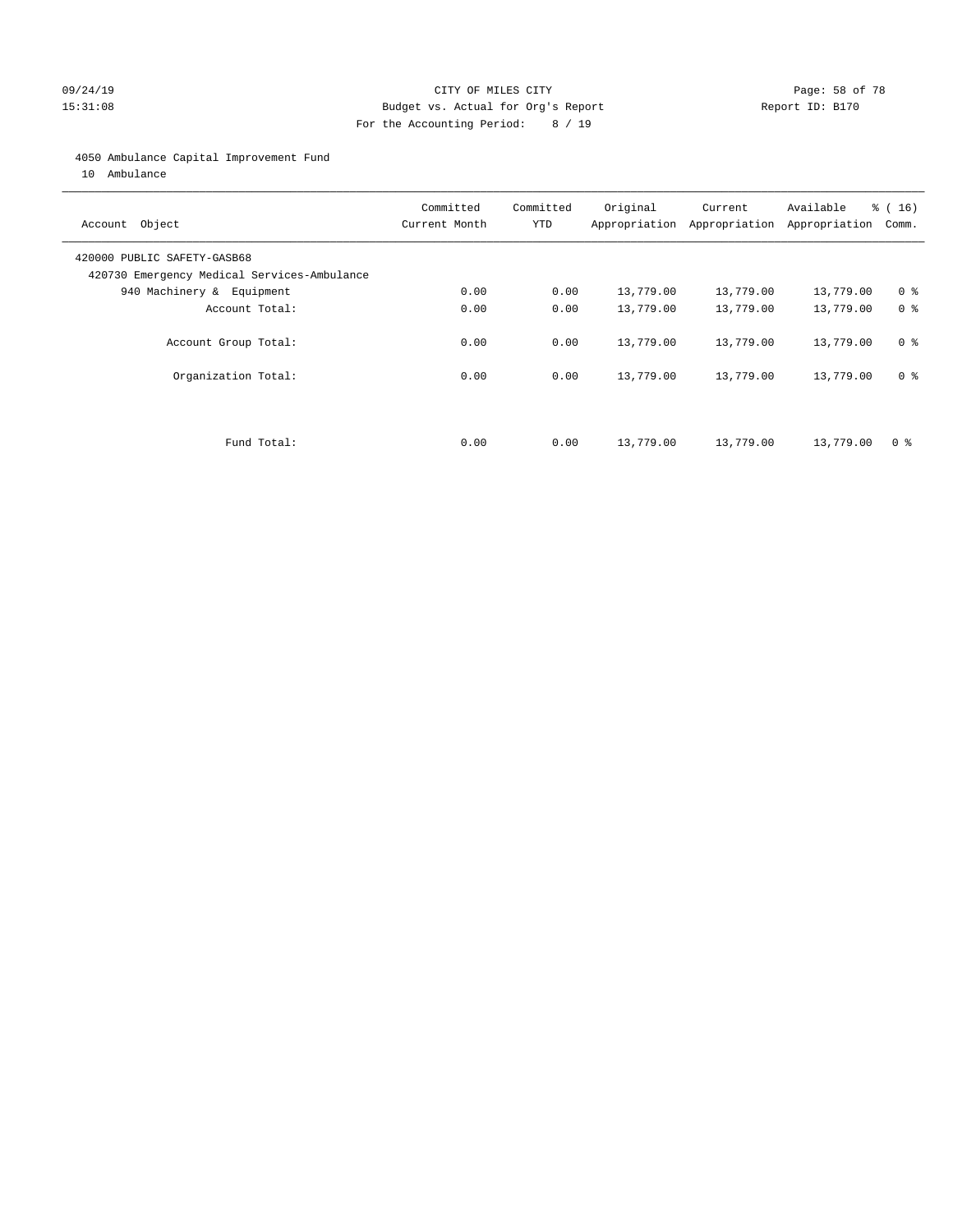#### 09/24/19 CITY OF MILES CITY Page: 58 of 78 15:31:08 Budget vs. Actual for Org's Report Report ID: B170 For the Accounting Period: 8 / 19

#### 4050 Ambulance Capital Improvement Fund

10 Ambulance

| Account Object                                                             | Committed<br>Current Month | Committed<br><b>YTD</b> | Original  | Current<br>Appropriation Appropriation | Available<br>Appropriation | $\frac{16}{16}$<br>Comm. |
|----------------------------------------------------------------------------|----------------------------|-------------------------|-----------|----------------------------------------|----------------------------|--------------------------|
| 420000 PUBLIC SAFETY-GASB68<br>420730 Emergency Medical Services-Ambulance |                            |                         |           |                                        |                            |                          |
| 940 Machinery & Equipment                                                  | 0.00                       | 0.00                    | 13,779.00 | 13,779.00                              | 13,779.00                  | 0 <sup>8</sup>           |
| Account Total:                                                             | 0.00                       | 0.00                    | 13,779.00 | 13,779.00                              | 13,779.00                  | 0 <sup>8</sup>           |
| Account Group Total:                                                       | 0.00                       | 0.00                    | 13,779.00 | 13,779.00                              | 13,779.00                  | 0 <sup>8</sup>           |
| Organization Total:                                                        | 0.00                       | 0.00                    | 13,779.00 | 13,779.00                              | 13,779.00                  | 0 <sup>8</sup>           |
|                                                                            |                            |                         |           |                                        |                            |                          |
| Fund Total:                                                                | 0.00                       | 0.00                    | 13,779.00 | 13,779.00                              | 13,779.00                  | 0 %                      |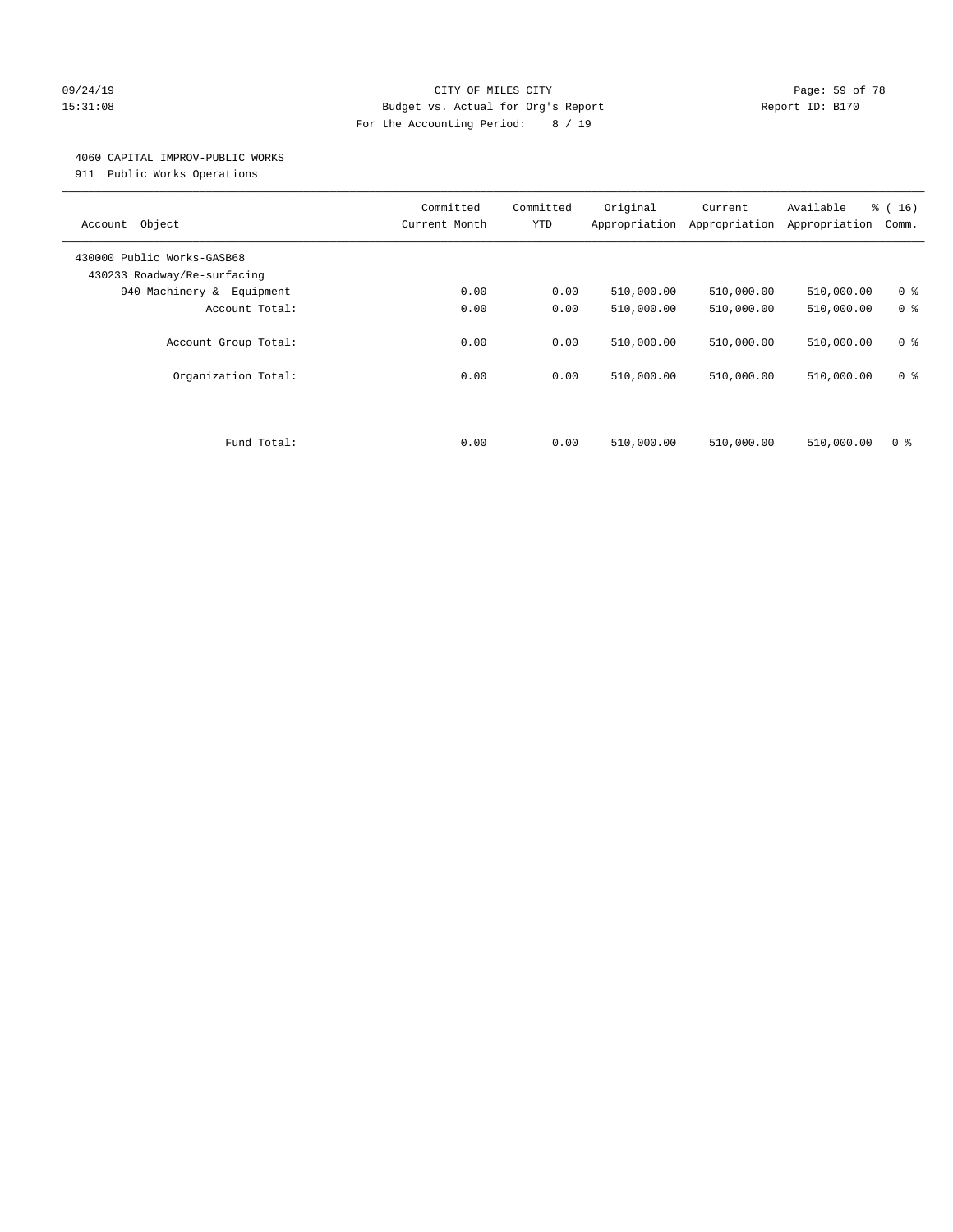#### 09/24/19 Page: 59 of 78 15:31:08 Budget vs. Actual for Org's Report Report ID: B170 For the Accounting Period: 8 / 19

#### 4060 CAPITAL IMPROV-PUBLIC WORKS

911 Public Works Operations

| Object<br>Account                                         | Committed<br>Current Month | Committed<br><b>YTD</b> | Original<br>Appropriation | Current<br>Appropriation | Available<br>Appropriation | % (16)<br>Comm.                  |
|-----------------------------------------------------------|----------------------------|-------------------------|---------------------------|--------------------------|----------------------------|----------------------------------|
| 430000 Public Works-GASB68<br>430233 Roadway/Re-surfacing |                            |                         |                           |                          |                            |                                  |
| 940 Machinery & Equipment                                 | 0.00                       | 0.00                    | 510,000.00                | 510,000.00               | 510,000.00                 | 0 <sup>8</sup>                   |
| Account Total:                                            | 0.00                       | 0.00                    | 510,000.00                | 510,000.00               | 510,000.00                 | 0 <sup>8</sup>                   |
| Account Group Total:<br>Organization Total:               | 0.00<br>0.00               | 0.00<br>0.00            | 510,000.00<br>510,000.00  | 510,000.00<br>510,000.00 | 510,000.00<br>510,000.00   | 0 <sup>8</sup><br>0 <sup>8</sup> |
| Fund Total:                                               | 0.00                       | 0.00                    | 510,000.00                | 510,000.00               | 510,000.00                 | 0 %                              |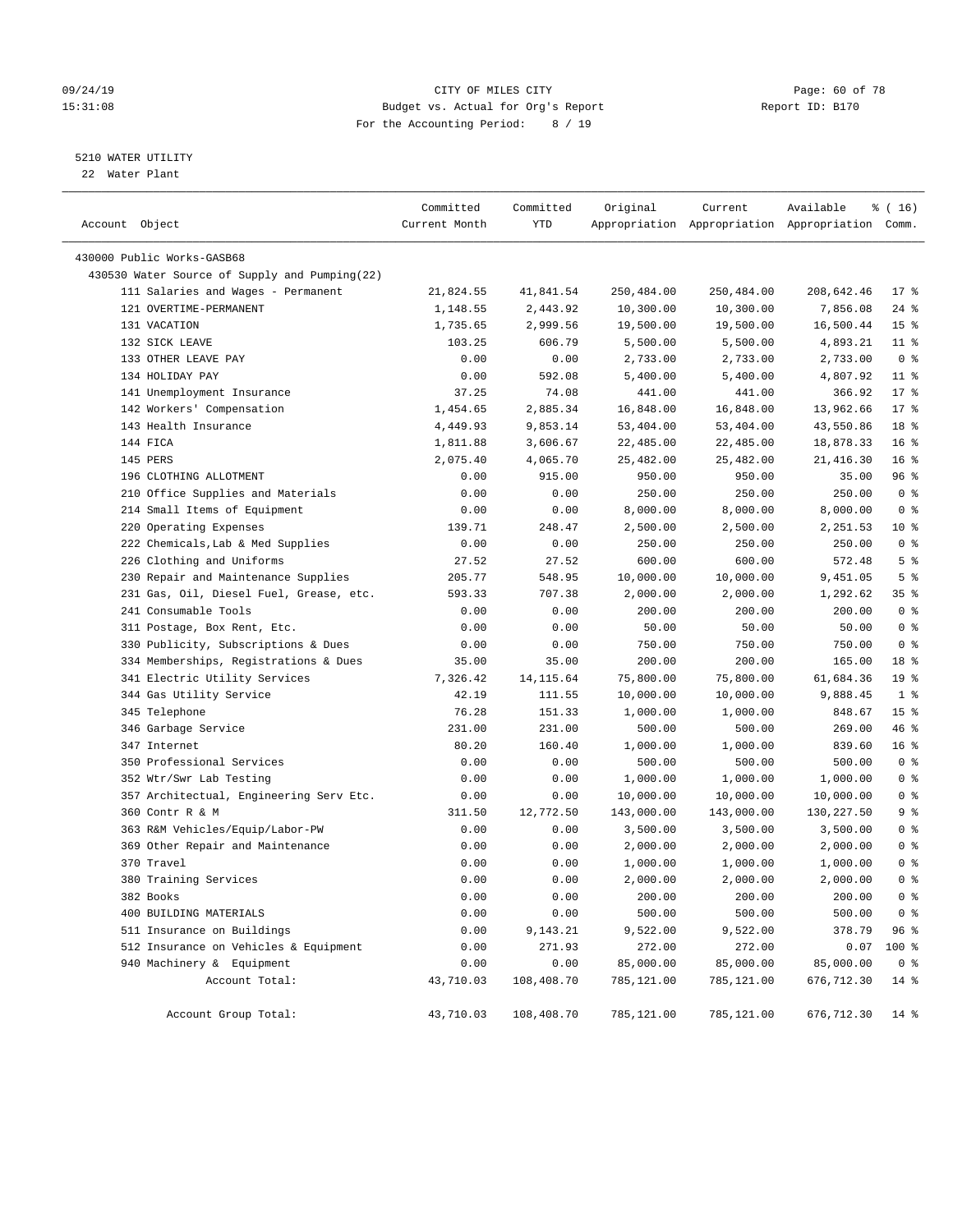#### 09/24/19 Page: 60 of 78 15:31:08 Budget vs. Actual for Org's Report Report ID: B170 For the Accounting Period: 8 / 19

### 5210 WATER UTILITY

22 Water Plant

| Account Object                                | Committed<br>Current Month | Committed<br>YTD | Original   | Current    | Available<br>Appropriation Appropriation Appropriation Comm. | ៖ ( 16)         |
|-----------------------------------------------|----------------------------|------------------|------------|------------|--------------------------------------------------------------|-----------------|
| 430000 Public Works-GASB68                    |                            |                  |            |            |                                                              |                 |
| 430530 Water Source of Supply and Pumping(22) |                            |                  |            |            |                                                              |                 |
| 111 Salaries and Wages - Permanent            | 21,824.55                  | 41,841.54        | 250,484.00 | 250,484.00 | 208,642.46                                                   | $17*$           |
| 121 OVERTIME-PERMANENT                        | 1,148.55                   | 2,443.92         | 10,300.00  | 10,300.00  | 7,856.08                                                     | $24$ %          |
| 131 VACATION                                  | 1,735.65                   | 2,999.56         | 19,500.00  | 19,500.00  | 16,500.44                                                    | 15 <sup>°</sup> |
| 132 SICK LEAVE                                | 103.25                     | 606.79           | 5,500.00   | 5,500.00   | 4,893.21                                                     | $11$ %          |
| 133 OTHER LEAVE PAY                           | 0.00                       | 0.00             | 2,733.00   | 2,733.00   | 2,733.00                                                     | 0 <sup>8</sup>  |
| 134 HOLIDAY PAY                               | 0.00                       | 592.08           | 5,400.00   | 5,400.00   | 4,807.92                                                     | $11$ %          |
| 141 Unemployment Insurance                    | 37.25                      | 74.08            | 441.00     | 441.00     | 366.92                                                       | $17*$           |
| 142 Workers' Compensation                     | 1,454.65                   | 2,885.34         | 16,848.00  | 16,848.00  | 13,962.66                                                    | $17*$           |
| 143 Health Insurance                          | 4,449.93                   | 9,853.14         | 53,404.00  | 53,404.00  | 43,550.86                                                    | 18 %            |
| 144 FICA                                      | 1,811.88                   | 3,606.67         | 22,485.00  | 22,485.00  | 18,878.33                                                    | 16 <sup>8</sup> |
| 145 PERS                                      | 2,075.40                   | 4,065.70         | 25,482.00  | 25,482.00  | 21,416.30                                                    | 16 <sup>8</sup> |
| 196 CLOTHING ALLOTMENT                        | 0.00                       | 915.00           | 950.00     | 950.00     | 35.00                                                        | 96%             |
| 210 Office Supplies and Materials             | 0.00                       | 0.00             | 250.00     | 250.00     | 250.00                                                       | 0 <sup>8</sup>  |
| 214 Small Items of Equipment                  | 0.00                       | 0.00             | 8,000.00   | 8,000.00   | 8,000.00                                                     | 0 <sup>8</sup>  |
| 220 Operating Expenses                        | 139.71                     | 248.47           | 2,500.00   | 2,500.00   | 2,251.53                                                     | $10*$           |
| 222 Chemicals, Lab & Med Supplies             | 0.00                       | 0.00             | 250.00     | 250.00     | 250.00                                                       | 0 <sup>8</sup>  |
| 226 Clothing and Uniforms                     | 27.52                      | 27.52            | 600.00     | 600.00     | 572.48                                                       | 5 <sup>°</sup>  |
| 230 Repair and Maintenance Supplies           | 205.77                     | 548.95           | 10,000.00  | 10,000.00  | 9,451.05                                                     | 5 <sup>°</sup>  |
| 231 Gas, Oil, Diesel Fuel, Grease, etc.       | 593.33                     | 707.38           | 2,000.00   | 2,000.00   | 1,292.62                                                     | 35%             |
| 241 Consumable Tools                          | 0.00                       | 0.00             | 200.00     | 200.00     | 200.00                                                       | 0 <sup>8</sup>  |
| 311 Postage, Box Rent, Etc.                   | 0.00                       | 0.00             | 50.00      | 50.00      | 50.00                                                        | 0 <sup>8</sup>  |
| 330 Publicity, Subscriptions & Dues           | 0.00                       | 0.00             | 750.00     | 750.00     | 750.00                                                       | 0 <sup>8</sup>  |
| 334 Memberships, Registrations & Dues         | 35.00                      | 35.00            | 200.00     | 200.00     | 165.00                                                       | 18 %            |
| 341 Electric Utility Services                 | 7,326.42                   | 14, 115.64       | 75,800.00  | 75,800.00  | 61,684.36                                                    | 19 <sup>°</sup> |
| 344 Gas Utility Service                       | 42.19                      | 111.55           | 10,000.00  | 10,000.00  | 9,888.45                                                     | 1 <sup>8</sup>  |
| 345 Telephone                                 | 76.28                      | 151.33           | 1,000.00   | 1,000.00   | 848.67                                                       | 15 <sup>°</sup> |
| 346 Garbage Service                           | 231.00                     | 231.00           | 500.00     | 500.00     | 269.00                                                       | 46 %            |
| 347 Internet                                  | 80.20                      | 160.40           | 1,000.00   | 1,000.00   | 839.60                                                       | 16 <sup>°</sup> |
| 350 Professional Services                     | 0.00                       | 0.00             | 500.00     | 500.00     | 500.00                                                       | 0 <sup>8</sup>  |
| 352 Wtr/Swr Lab Testing                       | 0.00                       | 0.00             | 1,000.00   | 1,000.00   | 1,000.00                                                     | 0 <sup>8</sup>  |
| 357 Architectual, Engineering Serv Etc.       | 0.00                       | 0.00             | 10,000.00  | 10,000.00  | 10,000.00                                                    | 0 <sup>8</sup>  |
| 360 Contr R & M                               | 311.50                     | 12,772.50        | 143,000.00 | 143,000.00 | 130,227.50                                                   | 9 <sup>°</sup>  |
| 363 R&M Vehicles/Equip/Labor-PW               | 0.00                       | 0.00             | 3,500.00   | 3,500.00   | 3,500.00                                                     | 0 <sup>8</sup>  |
| 369 Other Repair and Maintenance              | 0.00                       | 0.00             | 2,000.00   | 2,000.00   | 2,000.00                                                     | 0 <sup>8</sup>  |
| 370 Travel                                    | 0.00                       | 0.00             | 1,000.00   | 1,000.00   | 1,000.00                                                     | 0 <sup>8</sup>  |
| 380 Training Services                         | 0.00                       | 0.00             | 2,000.00   | 2,000.00   | 2,000.00                                                     | 0 <sup>8</sup>  |
| 382 Books                                     | 0.00                       | 0.00             | 200.00     | 200.00     | 200.00                                                       | 0 <sup>8</sup>  |
| 400 BUILDING MATERIALS                        | 0.00                       | 0.00             | 500.00     | 500.00     | 500.00                                                       | 0 <sup>8</sup>  |
| 511 Insurance on Buildings                    | 0.00                       | 9,143.21         | 9,522.00   | 9,522.00   | 378.79                                                       | 96 %            |
| 512 Insurance on Vehicles & Equipment         | 0.00                       | 271.93           | 272.00     | 272.00     | 0.07                                                         | 100 %           |
| 940 Machinery & Equipment                     | 0.00                       | 0.00             | 85,000.00  | 85,000.00  | 85,000.00                                                    | 0 <sup>8</sup>  |
| Account Total:                                | 43,710.03                  | 108,408.70       | 785,121.00 | 785,121.00 | 676,712.30                                                   | $14*$           |
| Account Group Total:                          | 43,710.03                  | 108,408.70       | 785,121.00 | 785,121.00 | 676,712.30                                                   | 14 %            |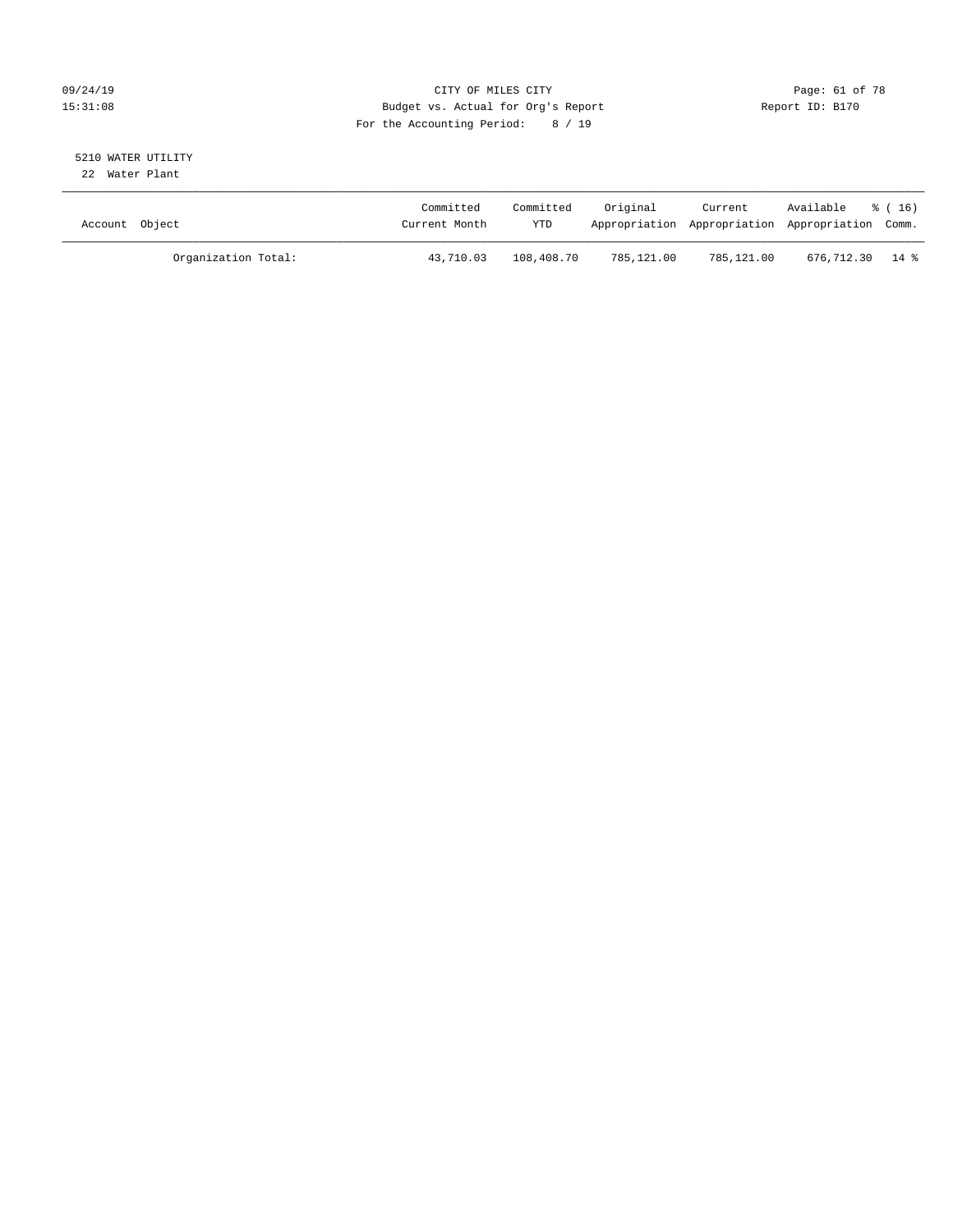# 09/24/19 Page: 61 of 78 15:31:08 Budget vs. Actual for Org's Report Report ID: B170 For the Accounting Period: 8 / 19

#### 5210 WATER UTILITY 22 Water Plant

| Account Object |                     | Committed<br>Current Month | Committed<br><b>YTD</b> | Original   | Current    | Available<br>Appropriation Appropriation Appropriation Comm. | $\frac{1}{6}$ (16) |
|----------------|---------------------|----------------------------|-------------------------|------------|------------|--------------------------------------------------------------|--------------------|
|                | Organization Total: | 43,710.03                  | 108,408.70              | 785,121.00 | 785,121.00 | 676,712.30 14 %                                              |                    |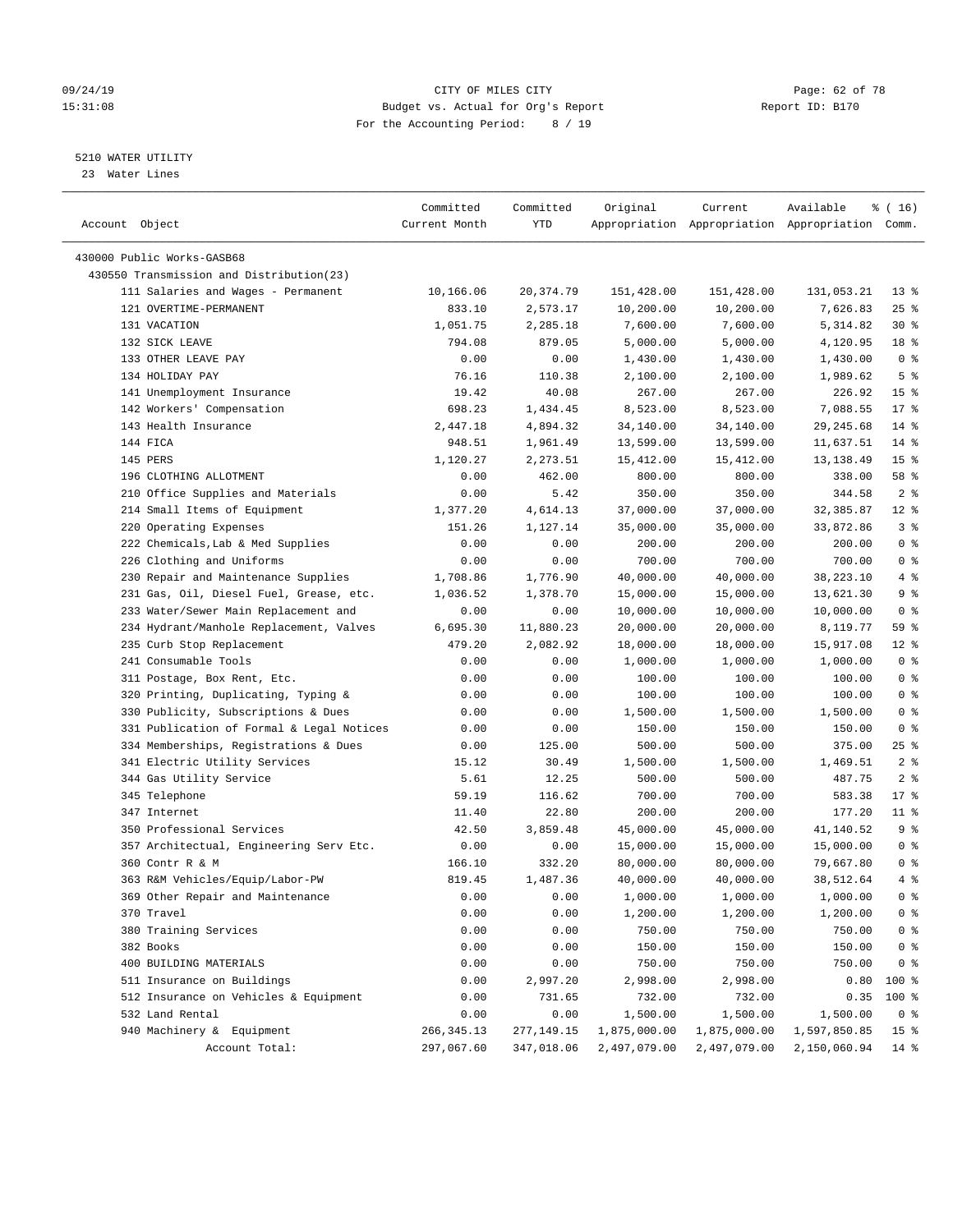#### 09/24/19 Page: 62 of 78 15:31:08 Budget vs. Actual for Org's Report Report ID: B170 For the Accounting Period: 8 / 19

————————————————————————————————————————————————————————————————————————————————————————————————————————————————————————————————————

### 5210 WATER UTILITY

23 Water Lines

|                                           | Committed     | Committed  | Original     | Current      | Available                                       | ៖ ( 16)         |
|-------------------------------------------|---------------|------------|--------------|--------------|-------------------------------------------------|-----------------|
| Account Object                            | Current Month | YTD        |              |              | Appropriation Appropriation Appropriation Comm. |                 |
|                                           |               |            |              |              |                                                 |                 |
| 430000 Public Works-GASB68                |               |            |              |              |                                                 |                 |
| 430550 Transmission and Distribution(23)  |               |            |              |              |                                                 |                 |
| 111 Salaries and Wages - Permanent        | 10,166.06     | 20,374.79  | 151,428.00   | 151,428.00   | 131,053.21                                      | $13*$           |
| 121 OVERTIME-PERMANENT                    | 833.10        | 2,573.17   | 10,200.00    | 10,200.00    | 7,626.83                                        | $25$ %          |
| 131 VACATION                              | 1,051.75      | 2,285.18   | 7,600.00     | 7,600.00     | 5,314.82                                        | $30*$           |
| 132 SICK LEAVE                            | 794.08        | 879.05     | 5,000.00     | 5,000.00     | 4,120.95                                        | 18 %            |
| 133 OTHER LEAVE PAY                       | 0.00          | 0.00       | 1,430.00     | 1,430.00     | 1,430.00                                        | 0 <sup>8</sup>  |
| 134 HOLIDAY PAY                           | 76.16         | 110.38     | 2,100.00     | 2,100.00     | 1,989.62                                        | 5 <sup>°</sup>  |
| 141 Unemployment Insurance                | 19.42         | 40.08      | 267.00       | 267.00       | 226.92                                          | 15 <sup>°</sup> |
| 142 Workers' Compensation                 | 698.23        | 1,434.45   | 8,523.00     | 8,523.00     | 7,088.55                                        | $17*$           |
| 143 Health Insurance                      | 2,447.18      | 4,894.32   | 34,140.00    | 34,140.00    | 29, 245.68                                      | $14*$           |
| 144 FICA                                  | 948.51        | 1,961.49   | 13,599.00    | 13,599.00    | 11,637.51                                       | $14*$           |
| 145 PERS                                  | 1,120.27      | 2,273.51   | 15,412.00    | 15,412.00    | 13, 138.49                                      | 15 <sup>8</sup> |
| 196 CLOTHING ALLOTMENT                    | 0.00          | 462.00     | 800.00       | 800.00       | 338.00                                          | 58 %            |
| 210 Office Supplies and Materials         | 0.00          | 5.42       | 350.00       | 350.00       | 344.58                                          | 2 <sup>°</sup>  |
| 214 Small Items of Equipment              | 1,377.20      | 4,614.13   | 37,000.00    | 37,000.00    | 32,385.87                                       | $12*$           |
| 220 Operating Expenses                    | 151.26        | 1,127.14   | 35,000.00    | 35,000.00    | 33,872.86                                       | 3%              |
| 222 Chemicals, Lab & Med Supplies         | 0.00          | 0.00       | 200.00       | 200.00       | 200.00                                          | 0 <sup>°</sup>  |
| 226 Clothing and Uniforms                 | 0.00          | 0.00       | 700.00       | 700.00       | 700.00                                          | 0 <sup>8</sup>  |
| 230 Repair and Maintenance Supplies       | 1,708.86      | 1,776.90   | 40,000.00    | 40,000.00    | 38,223.10                                       | 4%              |
| 231 Gas, Oil, Diesel Fuel, Grease, etc.   | 1,036.52      | 1,378.70   | 15,000.00    | 15,000.00    | 13,621.30                                       | 9 <sup>°</sup>  |
| 233 Water/Sewer Main Replacement and      | 0.00          | 0.00       | 10,000.00    | 10,000.00    | 10,000.00                                       | 0 <sup>8</sup>  |
| 234 Hydrant/Manhole Replacement, Valves   | 6,695.30      | 11,880.23  | 20,000.00    | 20,000.00    | 8,119.77                                        | 59 %            |
| 235 Curb Stop Replacement                 | 479.20        | 2,082.92   | 18,000.00    | 18,000.00    | 15,917.08                                       | $12$ %          |
| 241 Consumable Tools                      | 0.00          | 0.00       | 1,000.00     | 1,000.00     | 1,000.00                                        | 0 <sup>8</sup>  |
| 311 Postage, Box Rent, Etc.               | 0.00          | 0.00       | 100.00       | 100.00       | 100.00                                          | 0 <sup>8</sup>  |
| 320 Printing, Duplicating, Typing &       | 0.00          | 0.00       | 100.00       | 100.00       | 100.00                                          | 0 <sup>8</sup>  |
| 330 Publicity, Subscriptions & Dues       | 0.00          | 0.00       | 1,500.00     | 1,500.00     | 1,500.00                                        | 0 <sup>8</sup>  |
| 331 Publication of Formal & Legal Notices | 0.00          | 0.00       | 150.00       | 150.00       | 150.00                                          | 0 <sup>8</sup>  |
| 334 Memberships, Registrations & Dues     | 0.00          | 125.00     | 500.00       | 500.00       | 375.00                                          | $25$ %          |
| 341 Electric Utility Services             | 15.12         | 30.49      | 1,500.00     | 1,500.00     | 1,469.51                                        | 2 <sub>8</sub>  |
| 344 Gas Utility Service                   | 5.61          | 12.25      | 500.00       | 500.00       | 487.75                                          | 2 <sup>8</sup>  |
| 345 Telephone                             | 59.19         | 116.62     | 700.00       | 700.00       | 583.38                                          | $17*$           |
| 347 Internet                              | 11.40         | 22.80      | 200.00       | 200.00       | 177.20                                          | $11$ %          |
| 350 Professional Services                 | 42.50         | 3,859.48   | 45,000.00    | 45,000.00    | 41,140.52                                       | 9%              |
| 357 Architectual, Engineering Serv Etc.   | 0.00          | 0.00       | 15,000.00    | 15,000.00    | 15,000.00                                       | 0 <sup>8</sup>  |
| 360 Contr R & M                           | 166.10        | 332.20     | 80,000.00    | 80,000.00    | 79,667.80                                       | 0 <sup>°</sup>  |
| 363 R&M Vehicles/Equip/Labor-PW           | 819.45        | 1,487.36   | 40,000.00    | 40,000.00    | 38,512.64                                       | $4\degree$      |
| 369 Other Repair and Maintenance          | 0.00          | 0.00       | 1,000.00     | 1,000.00     | 1,000.00                                        | 0 <sup>8</sup>  |
| 370 Travel                                | 0.00          | 0.00       | 1,200.00     | 1,200.00     | 1,200.00                                        | 0 <sup>8</sup>  |
| 380 Training Services                     | 0.00          | 0.00       | 750.00       | 750.00       | 750.00                                          | 0 <sup>8</sup>  |
| 382 Books                                 | 0.00          | 0.00       | 150.00       | 150.00       | 150.00                                          | 0 <sup>8</sup>  |
| 400 BUILDING MATERIALS                    | 0.00          | 0.00       | 750.00       | 750.00       | 750.00                                          | $0$ %           |
| 511 Insurance on Buildings                | 0.00          | 2,997.20   | 2,998.00     | 2,998.00     | 0.80                                            | 100 %           |
| 512 Insurance on Vehicles & Equipment     | 0.00          | 731.65     | 732.00       | 732.00       | 0.35                                            | 100 %           |
| 532 Land Rental                           | 0.00          | 0.00       | 1,500.00     | 1,500.00     | 1,500.00                                        | 0 <sup>8</sup>  |
| 940 Machinery & Equipment                 | 266, 345.13   | 277,149.15 | 1,875,000.00 | 1,875,000.00 | 1,597,850.85                                    | 15 <sup>°</sup> |
| Account Total:                            | 297,067.60    | 347,018.06 | 2,497,079.00 | 2,497,079.00 | 2,150,060.94                                    | $14*$           |
|                                           |               |            |              |              |                                                 |                 |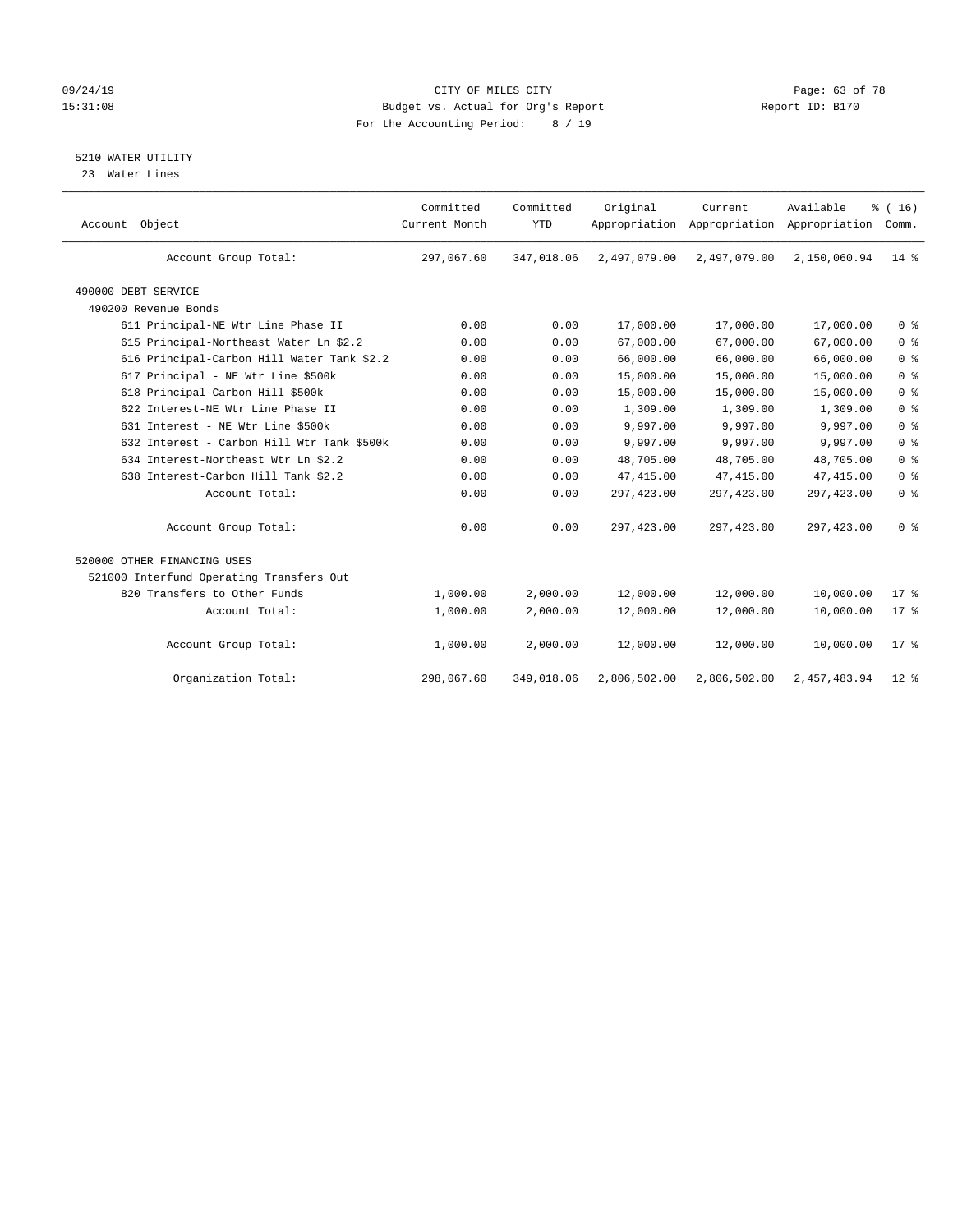# 09/24/19 Page: 63 of 78 15:31:08 Budget vs. Actual for Org's Report Report ID: B170 For the Accounting Period: 8 / 19

#### 5210 WATER UTILITY

23 Water Lines

| Account Object                             | Committed<br>Current Month | Committed<br><b>YTD</b> | Original     | Current<br>Appropriation Appropriation Appropriation | Available    | % (16)<br>Comm. |
|--------------------------------------------|----------------------------|-------------------------|--------------|------------------------------------------------------|--------------|-----------------|
| Account Group Total:                       | 297,067.60                 | 347,018.06              | 2,497,079.00 | 2,497,079.00                                         | 2,150,060.94 | $14*$           |
| 490000 DEBT SERVICE                        |                            |                         |              |                                                      |              |                 |
| 490200 Revenue Bonds                       |                            |                         |              |                                                      |              |                 |
| 611 Principal-NE Wtr Line Phase II         | 0.00                       | 0.00                    | 17,000.00    | 17,000.00                                            | 17,000.00    | 0 <sup>8</sup>  |
| 615 Principal-Northeast Water Ln \$2.2     | 0.00                       | 0.00                    | 67,000.00    | 67,000.00                                            | 67,000.00    | 0 <sup>8</sup>  |
| 616 Principal-Carbon Hill Water Tank \$2.2 | 0.00                       | 0.00                    | 66,000.00    | 66,000.00                                            | 66,000.00    | 0 <sup>8</sup>  |
| 617 Principal - NE Wtr Line \$500k         | 0.00                       | 0.00                    | 15,000.00    | 15,000.00                                            | 15,000.00    | 0 <sup>8</sup>  |
| 618 Principal-Carbon Hill \$500k           | 0.00                       | 0.00                    | 15,000.00    | 15,000.00                                            | 15,000.00    | 0 <sup>8</sup>  |
| 622 Interest-NE Wtr Line Phase II          | 0.00                       | 0.00                    | 1,309.00     | 1,309.00                                             | 1,309.00     | 0 <sup>8</sup>  |
| 631 Interest - NE Wtr Line \$500k          | 0.00                       | 0.00                    | 9,997.00     | 9,997.00                                             | 9,997.00     | 0 <sup>8</sup>  |
| 632 Interest - Carbon Hill Wtr Tank \$500k | 0.00                       | 0.00                    | 9,997.00     | 9,997.00                                             | 9,997.00     | 0 <sup>8</sup>  |
| 634 Interest-Northeast Wtr Ln \$2.2        | 0.00                       | 0.00                    | 48,705.00    | 48,705.00                                            | 48,705.00    | 0 <sup>8</sup>  |
| 638 Interest-Carbon Hill Tank \$2.2        | 0.00                       | 0.00                    | 47, 415.00   | 47,415.00                                            | 47, 415.00   | 0 <sup>8</sup>  |
| Account Total:                             | 0.00                       | 0.00                    | 297,423.00   | 297, 423.00                                          | 297, 423.00  | 0 <sup>8</sup>  |
| Account Group Total:                       | 0.00                       | 0.00                    | 297,423.00   | 297, 423.00                                          | 297, 423.00  | 0 <sup>8</sup>  |
| 520000 OTHER FINANCING USES                |                            |                         |              |                                                      |              |                 |
| 521000 Interfund Operating Transfers Out   |                            |                         |              |                                                      |              |                 |
| 820 Transfers to Other Funds               | 1,000.00                   | 2,000.00                | 12,000.00    | 12,000.00                                            | 10,000.00    | 17.8            |
| Account Total:                             | 1,000.00                   | 2,000.00                | 12,000.00    | 12,000.00                                            | 10,000.00    | 17.8            |
| Account Group Total:                       | 1,000.00                   | 2,000.00                | 12,000.00    | 12,000.00                                            | 10,000.00    | $17*$           |
| Organization Total:                        | 298,067.60                 | 349,018.06              | 2,806,502.00 | 2,806,502.00                                         | 2,457,483.94 | $12*$           |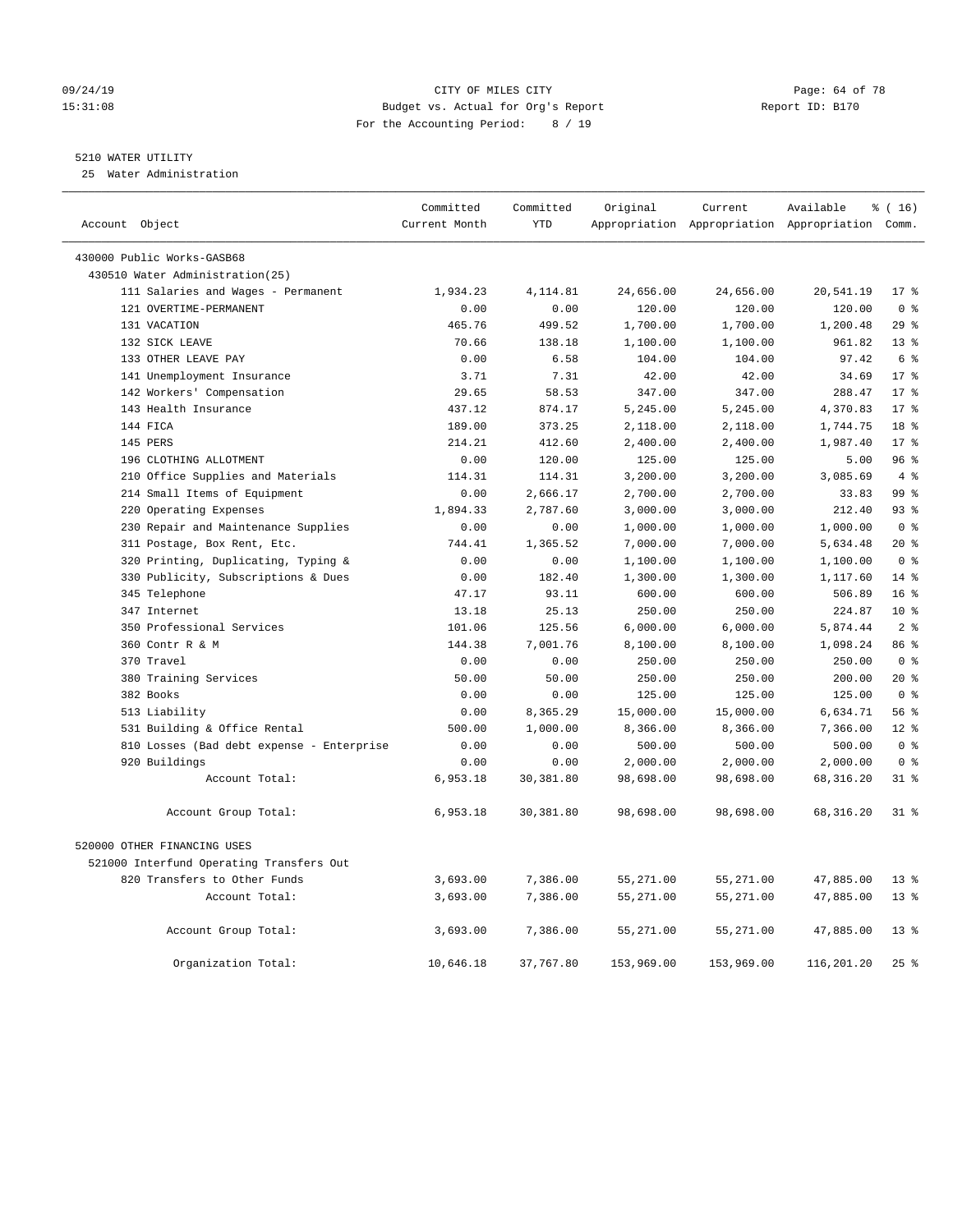#### 09/24/19 CITY OF MILES CITY Page: 64 of 78 15:31:08 Budget vs. Actual for Org's Report Report ID: B170 For the Accounting Period: 8 / 19

# 5210 WATER UTILITY

25 Water Administration

| Account Object                            | Committed<br>Current Month | Committed<br><b>YTD</b> | Original   | Current    | Available<br>Appropriation Appropriation Appropriation Comm. | % (16)          |
|-------------------------------------------|----------------------------|-------------------------|------------|------------|--------------------------------------------------------------|-----------------|
| 430000 Public Works-GASB68                |                            |                         |            |            |                                                              |                 |
| 430510 Water Administration(25)           |                            |                         |            |            |                                                              |                 |
| 111 Salaries and Wages - Permanent        | 1,934.23                   | 4,114.81                | 24,656.00  | 24,656.00  | 20,541.19                                                    | $17*$           |
| 121 OVERTIME-PERMANENT                    | 0.00                       | 0.00                    | 120.00     | 120.00     | 120.00                                                       | 0 <sup>8</sup>  |
| 131 VACATION                              | 465.76                     | 499.52                  | 1,700.00   | 1,700.00   | 1,200.48                                                     | 29%             |
| 132 SICK LEAVE                            | 70.66                      | 138.18                  | 1,100.00   | 1,100.00   | 961.82                                                       | $13*$           |
| 133 OTHER LEAVE PAY                       | 0.00                       | 6.58                    | 104.00     | 104.00     | 97.42                                                        | 6 %             |
| 141 Unemployment Insurance                | 3.71                       | 7.31                    | 42.00      | 42.00      | 34.69                                                        | 17 <sup>8</sup> |
| 142 Workers' Compensation                 | 29.65                      | 58.53                   | 347.00     | 347.00     | 288.47                                                       | $17*$           |
| 143 Health Insurance                      | 437.12                     | 874.17                  | 5,245.00   | 5,245.00   | 4,370.83                                                     | $17*$           |
| 144 FICA                                  | 189.00                     | 373.25                  | 2,118.00   | 2,118.00   | 1,744.75                                                     | 18 <sup>8</sup> |
| 145 PERS                                  | 214.21                     | 412.60                  | 2,400.00   | 2,400.00   | 1,987.40                                                     | $17*$           |
| 196 CLOTHING ALLOTMENT                    | 0.00                       | 120.00                  | 125.00     | 125.00     | 5.00                                                         | 96%             |
| 210 Office Supplies and Materials         | 114.31                     | 114.31                  | 3,200.00   | 3,200.00   | 3,085.69                                                     | $4\degree$      |
| 214 Small Items of Equipment              | 0.00                       | 2,666.17                | 2,700.00   | 2,700.00   | 33.83                                                        | 99 <sup>8</sup> |
| 220 Operating Expenses                    | 1,894.33                   | 2,787.60                | 3,000.00   | 3,000.00   | 212.40                                                       | 93%             |
| 230 Repair and Maintenance Supplies       | 0.00                       | 0.00                    | 1,000.00   | 1,000.00   | 1,000.00                                                     | 0 <sup>8</sup>  |
| 311 Postage, Box Rent, Etc.               | 744.41                     | 1,365.52                | 7,000.00   | 7,000.00   | 5,634.48                                                     | $20*$           |
| 320 Printing, Duplicating, Typing &       | 0.00                       | 0.00                    | 1,100.00   | 1,100.00   | 1,100.00                                                     | 0 <sup>8</sup>  |
| 330 Publicity, Subscriptions & Dues       | 0.00                       | 182.40                  | 1,300.00   | 1,300.00   | 1,117.60                                                     | $14*$           |
| 345 Telephone                             | 47.17                      | 93.11                   | 600.00     | 600.00     | 506.89                                                       | 16 <sup>°</sup> |
| 347 Internet                              | 13.18                      | 25.13                   | 250.00     | 250.00     | 224.87                                                       | $10*$           |
| 350 Professional Services                 | 101.06                     | 125.56                  | 6,000.00   | 6,000.00   | 5,874.44                                                     | 2 <sup>°</sup>  |
| 360 Contr R & M                           | 144.38                     | 7,001.76                | 8,100.00   | 8,100.00   | 1,098.24                                                     | 86 %            |
| 370 Travel                                | 0.00                       | 0.00                    | 250.00     | 250.00     | 250.00                                                       | 0 <sup>8</sup>  |
| 380 Training Services                     | 50.00                      | 50.00                   | 250.00     | 250.00     | 200.00                                                       | $20*$           |
| 382 Books                                 | 0.00                       | 0.00                    | 125.00     | 125.00     | 125.00                                                       | 0 <sup>8</sup>  |
| 513 Liability                             | 0.00                       | 8,365.29                | 15,000.00  | 15,000.00  | 6,634.71                                                     | 56%             |
| 531 Building & Office Rental              | 500.00                     | 1,000.00                | 8,366.00   | 8,366.00   | 7,366.00                                                     | $12*$           |
| 810 Losses (Bad debt expense - Enterprise | 0.00                       | 0.00                    | 500.00     | 500.00     | 500.00                                                       | 0 <sup>8</sup>  |
| 920 Buildings                             | 0.00                       | 0.00                    | 2,000.00   | 2,000.00   | 2,000.00                                                     | 0 <sup>8</sup>  |
| Account Total:                            | 6,953.18                   | 30, 381.80              | 98,698.00  | 98,698.00  | 68, 316.20                                                   | $31$ %          |
| Account Group Total:                      | 6,953.18                   | 30,381.80               | 98,698.00  | 98,698.00  | 68, 316.20                                                   | 318             |
| 520000 OTHER FINANCING USES               |                            |                         |            |            |                                                              |                 |
| 521000 Interfund Operating Transfers Out  |                            |                         |            |            |                                                              |                 |
| 820 Transfers to Other Funds              | 3,693.00                   | 7,386.00                | 55,271.00  | 55,271.00  | 47,885.00                                                    | 13 <sup>8</sup> |
| Account Total:                            | 3,693.00                   | 7,386.00                | 55,271.00  | 55,271.00  | 47,885.00                                                    | 13 <sup>8</sup> |
| Account Group Total:                      | 3,693.00                   | 7,386.00                | 55,271.00  | 55,271.00  | 47,885.00                                                    | $13*$           |
| Organization Total:                       | 10,646.18                  | 37,767.80               | 153,969.00 | 153,969.00 | 116,201.20                                                   | 25%             |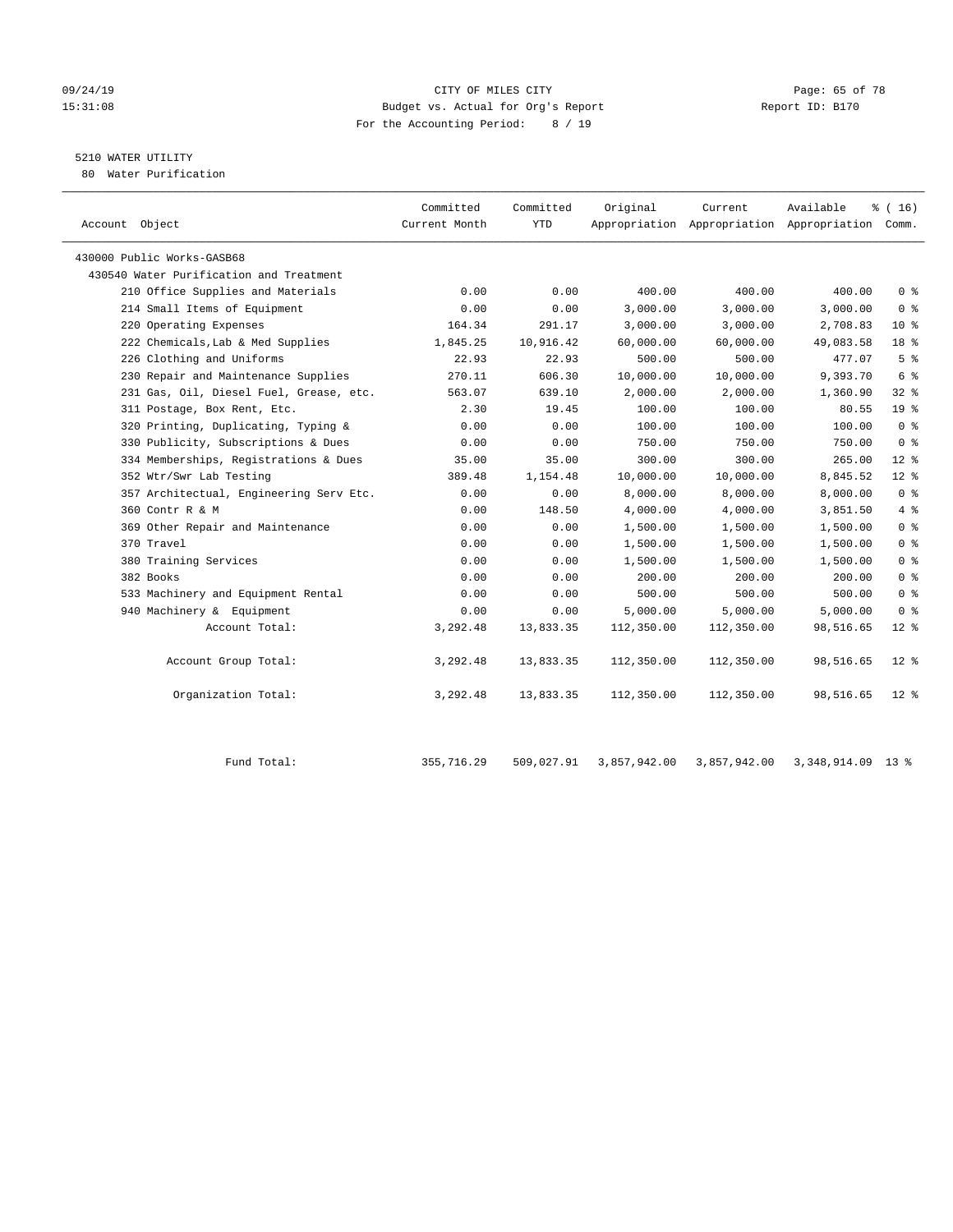#### 09/24/19 Page: 65 of 78 15:31:08 Budget vs. Actual for Org's Report Report ID: B170 For the Accounting Period: 8 / 19

# 5210 WATER UTILITY

80 Water Purification

| Account Object                          | Committed<br>Current Month | Committed<br><b>YTD</b> | Original   | Current    | Available<br>Appropriation Appropriation Appropriation Comm. | $\frac{1}{6}$ ( 16 ) |
|-----------------------------------------|----------------------------|-------------------------|------------|------------|--------------------------------------------------------------|----------------------|
| 430000 Public Works-GASB68              |                            |                         |            |            |                                                              |                      |
| 430540 Water Purification and Treatment |                            |                         |            |            |                                                              |                      |
| 210 Office Supplies and Materials       | 0.00                       | 0.00                    | 400.00     | 400.00     | 400.00                                                       | 0 <sup>8</sup>       |
| 214 Small Items of Equipment            | 0.00                       | 0.00                    | 3,000.00   | 3,000.00   | 3,000.00                                                     | 0 <sup>8</sup>       |
| 220 Operating Expenses                  | 164.34                     | 291.17                  | 3,000.00   | 3,000.00   | 2,708.83                                                     | $10*$                |
| 222 Chemicals, Lab & Med Supplies       | 1,845.25                   | 10,916.42               | 60,000.00  | 60,000.00  | 49,083.58                                                    | 18 <sup>8</sup>      |
| 226 Clothing and Uniforms               | 22.93                      | 22.93                   | 500.00     | 500.00     | 477.07                                                       | 5 <sup>°</sup>       |
| 230 Repair and Maintenance Supplies     | 270.11                     | 606.30                  | 10,000.00  | 10,000.00  | 9,393.70                                                     | 6 <sup>°</sup>       |
| 231 Gas, Oil, Diesel Fuel, Grease, etc. | 563.07                     | 639.10                  | 2,000.00   | 2,000.00   | 1,360.90                                                     | 32%                  |
| 311 Postage, Box Rent, Etc.             | 2.30                       | 19.45                   | 100.00     | 100.00     | 80.55                                                        | $19*$                |
| 320 Printing, Duplicating, Typing &     | 0.00                       | 0.00                    | 100.00     | 100.00     | 100.00                                                       | 0 <sup>8</sup>       |
| 330 Publicity, Subscriptions & Dues     | 0.00                       | 0.00                    | 750.00     | 750.00     | 750.00                                                       | 0 <sup>8</sup>       |
| 334 Memberships, Registrations & Dues   | 35.00                      | 35.00                   | 300.00     | 300.00     | 265.00                                                       | $12*$                |
| 352 Wtr/Swr Lab Testing                 | 389.48                     | 1,154.48                | 10,000.00  | 10,000.00  | 8,845.52                                                     | $12*$                |
| 357 Architectual, Engineering Serv Etc. | 0.00                       | 0.00                    | 8,000.00   | 8,000.00   | 8,000.00                                                     | 0 <sup>8</sup>       |
| 360 Contr R & M                         | 0.00                       | 148.50                  | 4,000.00   | 4,000.00   | 3,851.50                                                     | 4%                   |
| 369 Other Repair and Maintenance        | 0.00                       | 0.00                    | 1,500.00   | 1,500.00   | 1,500.00                                                     | 0 <sup>8</sup>       |
| 370 Travel                              | 0.00                       | 0.00                    | 1,500.00   | 1,500.00   | 1,500.00                                                     | 0 <sup>8</sup>       |
| 380 Training Services                   | 0.00                       | 0.00                    | 1,500.00   | 1,500.00   | 1,500.00                                                     | 0 <sup>8</sup>       |
| 382 Books                               | 0.00                       | 0.00                    | 200.00     | 200.00     | 200.00                                                       | 0 <sup>8</sup>       |
| 533 Machinery and Equipment Rental      | 0.00                       | 0.00                    | 500.00     | 500.00     | 500.00                                                       | 0 <sup>8</sup>       |
| 940 Machinery & Equipment               | 0.00                       | 0.00                    | 5.000.00   | 5,000.00   | 5,000.00                                                     | 0 <sup>8</sup>       |
| Account Total:                          | 3,292.48                   | 13,833.35               | 112,350.00 | 112,350.00 | 98,516.65                                                    | $12*$                |
| Account Group Total:                    | 3,292.48                   | 13,833.35               | 112,350.00 | 112,350.00 | 98,516.65                                                    | $12*$                |
| Organization Total:                     | 3,292.48                   | 13,833.35               | 112,350.00 | 112,350.00 | 98,516.65                                                    | $12$ %               |

| $^1$ Total.<br>Fund | 355,716.29 | 509,027.91 | 3,857,942.00 | 3,857,942.00 | 3,348,914.09 | 13 <sup>8</sup> |
|---------------------|------------|------------|--------------|--------------|--------------|-----------------|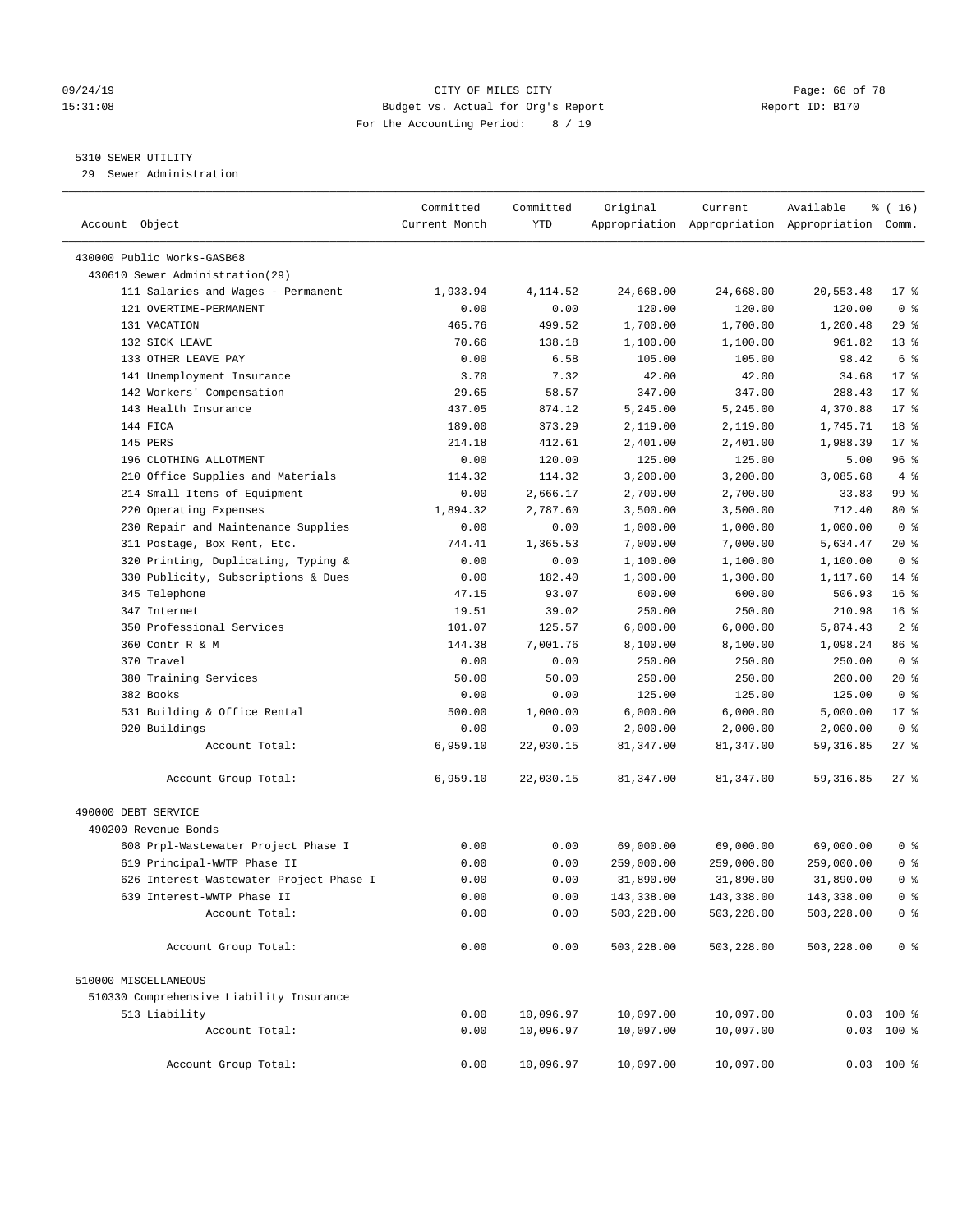#### 09/24/19 Page: 66 of 78 15:31:08 Budget vs. Actual for Org's Report Report ID: B170 For the Accounting Period: 8 / 19

————————————————————————————————————————————————————————————————————————————————————————————————————————————————————————————————————

# 5310 SEWER UTILITY

29 Sewer Administration

|                                          | Committed     | Committed | Original   | Current                                         | Available  | $\frac{1}{6}$ ( 16 ) |
|------------------------------------------|---------------|-----------|------------|-------------------------------------------------|------------|----------------------|
| Account Object                           | Current Month | YTD       |            | Appropriation Appropriation Appropriation Comm. |            |                      |
| 430000 Public Works-GASB68               |               |           |            |                                                 |            |                      |
| 430610 Sewer Administration(29)          |               |           |            |                                                 |            |                      |
| 111 Salaries and Wages - Permanent       | 1,933.94      | 4,114.52  | 24,668.00  | 24,668.00                                       | 20,553.48  | $17$ %               |
| 121 OVERTIME-PERMANENT                   | 0.00          | 0.00      | 120.00     | 120.00                                          | 120.00     | 0 <sup>8</sup>       |
| 131 VACATION                             | 465.76        | 499.52    | 1,700.00   | 1,700.00                                        | 1,200.48   | 29%                  |
| 132 SICK LEAVE                           | 70.66         | 138.18    | 1,100.00   | 1,100.00                                        | 961.82     | $13*$                |
| 133 OTHER LEAVE PAY                      | 0.00          | 6.58      | 105.00     | 105.00                                          | 98.42      | 6 %                  |
| 141 Unemployment Insurance               | 3.70          | 7.32      | 42.00      | 42.00                                           | 34.68      | $17*$                |
| 142 Workers' Compensation                | 29.65         | 58.57     | 347.00     | 347.00                                          | 288.43     | $17*$                |
| 143 Health Insurance                     | 437.05        | 874.12    | 5,245.00   | 5,245.00                                        | 4,370.88   | $17*$                |
| 144 FICA                                 | 189.00        | 373.29    | 2,119.00   | 2,119.00                                        | 1,745.71   | 18 %                 |
| 145 PERS                                 | 214.18        | 412.61    | 2,401.00   | 2,401.00                                        | 1,988.39   | $17*$                |
| 196 CLOTHING ALLOTMENT                   | 0.00          | 120.00    | 125.00     | 125.00                                          | 5.00       | 96%                  |
| 210 Office Supplies and Materials        | 114.32        | 114.32    | 3,200.00   | 3,200.00                                        | 3,085.68   | 4%                   |
| 214 Small Items of Equipment             | 0.00          | 2,666.17  | 2,700.00   | 2,700.00                                        | 33.83      | 99 %                 |
| 220 Operating Expenses                   | 1,894.32      | 2,787.60  | 3,500.00   | 3,500.00                                        | 712.40     | $80*$                |
| 230 Repair and Maintenance Supplies      | 0.00          | 0.00      | 1,000.00   | 1,000.00                                        | 1,000.00   | 0 <sup>8</sup>       |
| 311 Postage, Box Rent, Etc.              | 744.41        | 1,365.53  | 7,000.00   | 7,000.00                                        | 5,634.47   | $20*$                |
| 320 Printing, Duplicating, Typing &      | 0.00          | 0.00      | 1,100.00   | 1,100.00                                        | 1,100.00   | 0 <sup>8</sup>       |
| 330 Publicity, Subscriptions & Dues      | 0.00          | 182.40    | 1,300.00   | 1,300.00                                        | 1,117.60   | $14*$                |
| 345 Telephone                            | 47.15         | 93.07     | 600.00     | 600.00                                          | 506.93     | $16*$                |
| 347 Internet                             | 19.51         | 39.02     | 250.00     | 250.00                                          | 210.98     | 16 <sup>°</sup>      |
| 350 Professional Services                | 101.07        | 125.57    | 6,000.00   | 6,000.00                                        | 5,874.43   | 2 <sup>°</sup>       |
| 360 Contr R & M                          | 144.38        | 7,001.76  | 8,100.00   | 8,100.00                                        | 1,098.24   | 86 %                 |
| 370 Travel                               | 0.00          | 0.00      | 250.00     | 250.00                                          | 250.00     | 0 <sup>8</sup>       |
| 380 Training Services                    | 50.00         | 50.00     | 250.00     | 250.00                                          | 200.00     | $20*$                |
| 382 Books                                | 0.00          | 0.00      | 125.00     | 125.00                                          | 125.00     | 0 <sup>8</sup>       |
| 531 Building & Office Rental             | 500.00        | 1,000.00  | 6,000.00   | 6,000.00                                        | 5,000.00   | $17*$                |
| 920 Buildings                            | 0.00          | 0.00      | 2,000.00   | 2,000.00                                        | 2,000.00   | 0 <sup>8</sup>       |
| Account Total:                           |               | 22,030.15 |            |                                                 |            | $27$ %               |
|                                          | 6,959.10      |           | 81,347.00  | 81,347.00                                       | 59,316.85  |                      |
| Account Group Total:                     | 6,959.10      | 22,030.15 | 81,347.00  | 81,347.00                                       | 59, 316.85 | $27$ %               |
| 490000 DEBT SERVICE                      |               |           |            |                                                 |            |                      |
| 490200 Revenue Bonds                     |               |           |            |                                                 |            |                      |
| 608 Prpl-Wastewater Project Phase I      | 0.00          | 0.00      | 69,000.00  | 69,000.00                                       | 69,000.00  | 0 <sup>8</sup>       |
| 619 Principal-WWTP Phase II              | 0.00          | 0.00      | 259,000.00 | 259,000.00                                      | 259,000.00 | 0 <sup>8</sup>       |
| 626 Interest-Wastewater Project Phase I  | 0.00          | 0.00      | 31,890.00  | 31,890.00                                       | 31,890.00  | 0 <sup>8</sup>       |
| 639 Interest-WWTP Phase II               | 0.00          | 0.00      | 143,338.00 | 143,338.00                                      | 143,338.00 | 0 %                  |
| Account Total:                           | 0.00          | 0.00      | 503,228.00 | 503,228.00                                      | 503,228.00 | 0 <sup>8</sup>       |
| Account Group Total:                     | 0.00          | 0.00      | 503,228.00 | 503,228.00                                      | 503,228.00 | 0 <sup>8</sup>       |
| 510000 MISCELLANEOUS                     |               |           |            |                                                 |            |                      |
| 510330 Comprehensive Liability Insurance |               |           |            |                                                 |            |                      |
| 513 Liability                            | 0.00          | 10,096.97 | 10,097.00  | 10,097.00                                       |            | $0.03$ 100 %         |
| Account Total:                           | 0.00          | 10,096.97 | 10,097.00  | 10,097.00                                       |            | $0.03$ 100 %         |
|                                          |               |           |            |                                                 |            |                      |
| Account Group Total:                     | 0.00          | 10,096.97 | 10,097.00  | 10,097.00                                       |            | $0.03$ 100 %         |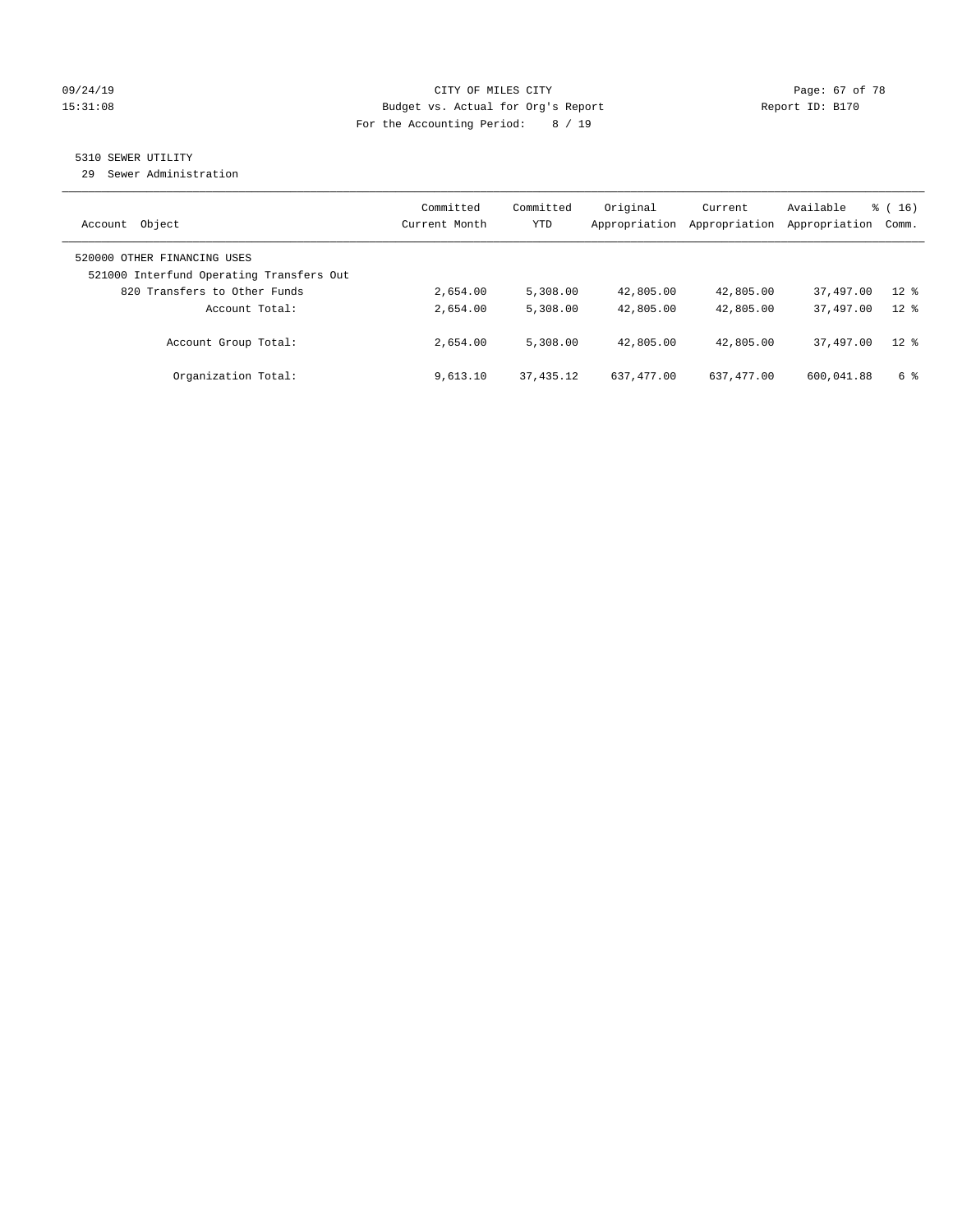# 09/24/19 Page: 67 of 78 15:31:08 Budget vs. Actual for Org's Report Report ID: B170 For the Accounting Period: 8 / 19

# 5310 SEWER UTILITY

29 Sewer Administration

| Object<br>Account                                                       | Committed<br>Current Month | Committed<br>YTD | Original<br>Appropriation | Current<br>Appropriation | Available<br>Appropriation | $\frac{3}{6}$ ( 16 )<br>Comm. |
|-------------------------------------------------------------------------|----------------------------|------------------|---------------------------|--------------------------|----------------------------|-------------------------------|
| 520000 OTHER FINANCING USES<br>521000 Interfund Operating Transfers Out |                            |                  |                           |                          |                            |                               |
| 820 Transfers to Other Funds                                            | 2,654.00                   | 5,308.00         | 42,805.00                 | 42,805.00                | 37,497.00                  | $12$ %                        |
| Account Total:                                                          | 2,654.00                   | 5,308.00         | 42,805.00                 | 42,805.00                | 37,497.00                  | $12*$                         |
| Account Group Total:                                                    | 2,654.00                   | 5,308.00         | 42,805.00                 | 42,805.00                | 37,497.00                  | $12*$                         |
| Organization Total:                                                     | 9,613.10                   | 37, 435.12       | 637, 477, 00              | 637, 477, 00             | 600,041.88                 | 6 %                           |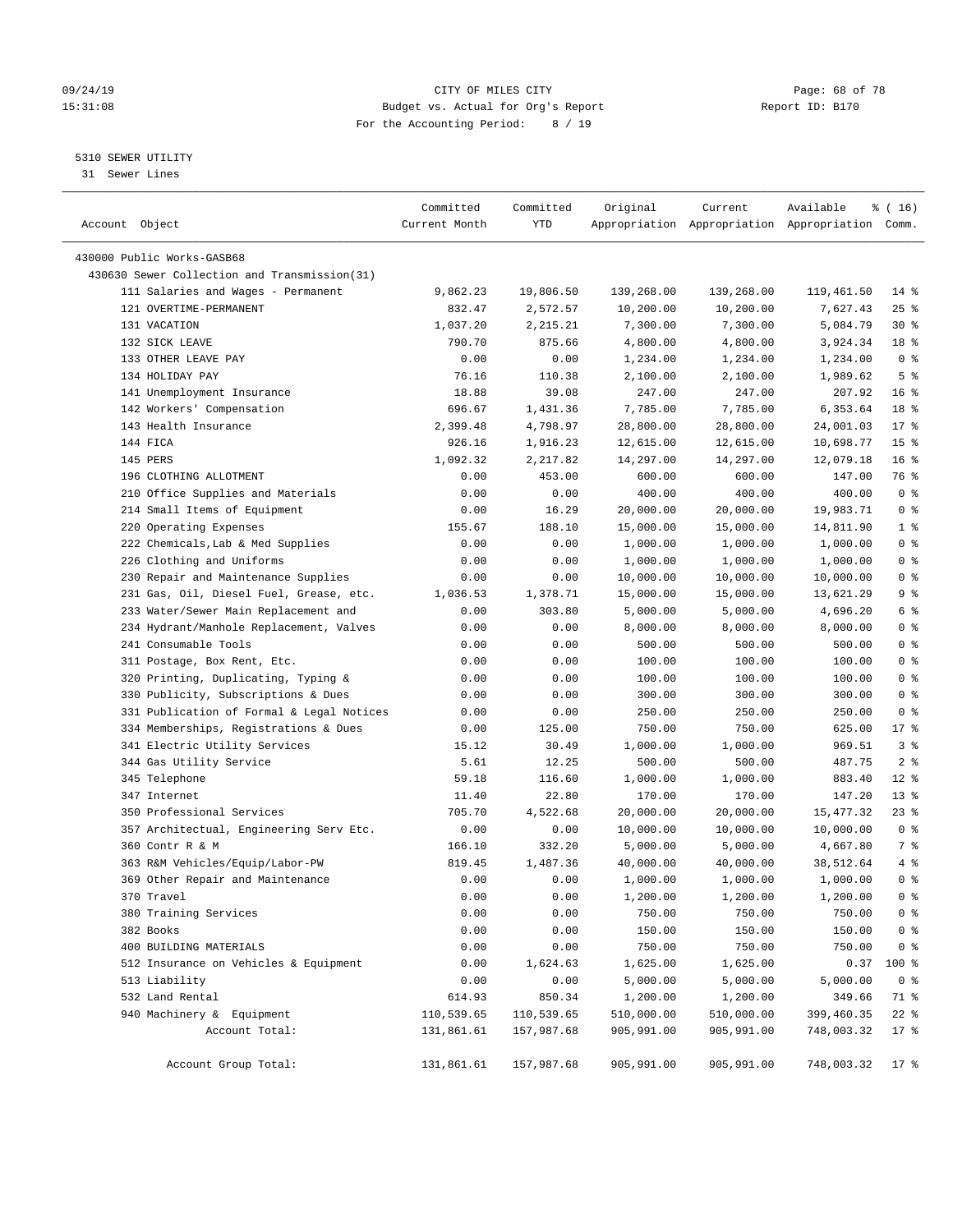#### 09/24/19 Page: 68 of 78 15:31:08 Budget vs. Actual for Org's Report Report ID: B170 For the Accounting Period: 8 / 19

————————————————————————————————————————————————————————————————————————————————————————————————————————————————————————————————————

# 5310 SEWER UTILITY

31 Sewer Lines

|                                                                            | Committed          | Committed             | Original                | Current                 | Available                                       | ៖ ( 16)         |
|----------------------------------------------------------------------------|--------------------|-----------------------|-------------------------|-------------------------|-------------------------------------------------|-----------------|
| Account Object                                                             | Current Month      | YTD                   |                         |                         | Appropriation Appropriation Appropriation Comm. |                 |
|                                                                            |                    |                       |                         |                         |                                                 |                 |
| 430000 Public Works-GASB68<br>430630 Sewer Collection and Transmission(31) |                    |                       |                         |                         |                                                 |                 |
|                                                                            | 9,862.23           |                       |                         |                         |                                                 | $14$ %          |
| 111 Salaries and Wages - Permanent<br>121 OVERTIME-PERMANENT               | 832.47             | 19,806.50<br>2,572.57 | 139,268.00<br>10,200.00 | 139,268.00<br>10,200.00 | 119,461.50<br>7,627.43                          | $25$ %          |
| 131 VACATION                                                               |                    |                       |                         |                         |                                                 | $30*$           |
|                                                                            | 1,037.20<br>790.70 | 2,215.21<br>875.66    | 7,300.00                | 7,300.00                | 5,084.79                                        | 18 %            |
| 132 SICK LEAVE<br>133 OTHER LEAVE PAY                                      |                    |                       | 4,800.00                | 4,800.00                | 3,924.34                                        | 0 <sup>8</sup>  |
| 134 HOLIDAY PAY                                                            | 0.00               | 0.00                  | 1,234.00                | 1,234.00                | 1,234.00                                        | 5 <sup>°</sup>  |
| 141 Unemployment Insurance                                                 | 76.16<br>18.88     | 110.38<br>39.08       | 2,100.00<br>247.00      | 2,100.00<br>247.00      | 1,989.62<br>207.92                              | $16*$           |
|                                                                            | 696.67             |                       | 7,785.00                | 7,785.00                | 6,353.64                                        | 18 %            |
| 142 Workers' Compensation                                                  |                    | 1,431.36              |                         |                         |                                                 | $17*$           |
| 143 Health Insurance                                                       | 2,399.48           | 4,798.97              | 28,800.00               | 28,800.00               | 24,001.03                                       |                 |
| 144 FICA                                                                   | 926.16             | 1,916.23              | 12,615.00               | 12,615.00               | 10,698.77                                       | 15 <sup>°</sup> |
| 145 PERS                                                                   | 1,092.32           | 2,217.82              | 14,297.00               | 14,297.00               | 12,079.18                                       | 16 <sup>°</sup> |
| 196 CLOTHING ALLOTMENT                                                     | 0.00               | 453.00                | 600.00                  | 600.00                  | 147.00                                          | 76 %            |
| 210 Office Supplies and Materials                                          | 0.00               | 0.00                  | 400.00                  | 400.00                  | 400.00                                          | 0 <sup>8</sup>  |
| 214 Small Items of Equipment                                               | 0.00               | 16.29                 | 20,000.00               | 20,000.00               | 19,983.71                                       | 0 <sup>8</sup>  |
| 220 Operating Expenses                                                     | 155.67             | 188.10                | 15,000.00               | 15,000.00               | 14,811.90                                       | 1 <sup>°</sup>  |
| 222 Chemicals, Lab & Med Supplies                                          | 0.00               | 0.00                  | 1,000.00                | 1,000.00                | 1,000.00                                        | 0 <sup>8</sup>  |
| 226 Clothing and Uniforms                                                  | 0.00               | 0.00                  | 1,000.00                | 1,000.00                | 1,000.00                                        | 0 <sup>8</sup>  |
| 230 Repair and Maintenance Supplies                                        | 0.00               | 0.00                  | 10,000.00               | 10,000.00               | 10,000.00                                       | 0 <sup>8</sup>  |
| 231 Gas, Oil, Diesel Fuel, Grease, etc.                                    | 1,036.53           | 1,378.71              | 15,000.00               | 15,000.00               | 13,621.29                                       | 9 <sup>°</sup>  |
| 233 Water/Sewer Main Replacement and                                       | 0.00               | 303.80                | 5,000.00                | 5,000.00                | 4,696.20                                        | 6 <sup>°</sup>  |
| 234 Hydrant/Manhole Replacement, Valves                                    | 0.00               | 0.00                  | 8,000.00                | 8,000.00                | 8,000.00                                        | 0 <sup>8</sup>  |
| 241 Consumable Tools                                                       | 0.00               | 0.00                  | 500.00                  | 500.00                  | 500.00                                          | 0 <sup>8</sup>  |
| 311 Postage, Box Rent, Etc.                                                | 0.00               | 0.00                  | 100.00                  | 100.00                  | 100.00                                          | 0 <sup>8</sup>  |
| 320 Printing, Duplicating, Typing &                                        | 0.00               | 0.00                  | 100.00                  | 100.00                  | 100.00                                          | 0 <sup>8</sup>  |
| 330 Publicity, Subscriptions & Dues                                        | 0.00               | 0.00                  | 300.00                  | 300.00                  | 300.00                                          | 0 <sup>8</sup>  |
| 331 Publication of Formal & Legal Notices                                  | 0.00               | 0.00                  | 250.00                  | 250.00                  | 250.00                                          | 0 <sup>8</sup>  |
| 334 Memberships, Registrations & Dues                                      | 0.00               | 125.00                | 750.00                  | 750.00                  | 625.00                                          | $17*$           |
| 341 Electric Utility Services                                              | 15.12              | 30.49                 | 1,000.00                | 1,000.00                | 969.51                                          | 3%              |
| 344 Gas Utility Service                                                    | 5.61               | 12.25                 | 500.00                  | 500.00                  | 487.75                                          | 2 <sup>°</sup>  |
| 345 Telephone                                                              | 59.18              | 116.60                | 1,000.00                | 1,000.00                | 883.40                                          | $12*$           |
| 347 Internet                                                               | 11.40              | 22.80                 | 170.00                  | 170.00                  | 147.20                                          | 13 <sup>8</sup> |
| 350 Professional Services                                                  | 705.70             | 4,522.68              | 20,000.00               | 20,000.00               | 15,477.32                                       | $23$ %          |
| 357 Architectual, Engineering Serv Etc.                                    | 0.00               | 0.00                  | 10,000.00               | 10,000.00               | 10,000.00                                       | 0 <sup>8</sup>  |
| 360 Contr R & M                                                            | 166.10             | 332.20                | 5,000.00                | 5,000.00                | 4,667.80                                        | 7 %             |
| 363 R&M Vehicles/Equip/Labor-PW                                            | 819.45             | 1,487.36              | 40,000.00               | 40,000.00               | 38,512.64                                       | 4%              |
| 369 Other Repair and Maintenance                                           | 0.00               | 0.00                  | 1,000.00                | 1,000.00                | 1,000.00                                        | 0 <sup>8</sup>  |
| 370 Travel                                                                 | 0.00               | 0.00                  | 1,200.00                | 1,200.00                | 1,200.00                                        | 0 <sup>8</sup>  |
| 380 Training Services                                                      | 0.00               | 0.00                  | 750.00                  | 750.00                  | 750.00                                          | 0 <sup>8</sup>  |
| 382 Books                                                                  | 0.00               | 0.00                  | 150.00                  | 150.00                  | 150.00                                          | 0 <sup>8</sup>  |
| 400 BUILDING MATERIALS                                                     | 0.00               | 0.00                  | 750.00                  | 750.00                  | 750.00                                          | $0$ %           |
| 512 Insurance on Vehicles & Equipment                                      | 0.00               | 1,624.63              | 1,625.00                | 1,625.00                | 0.37                                            | 100 %           |
| 513 Liability                                                              | 0.00               | 0.00                  | 5,000.00                | 5,000.00                | 5,000.00                                        | 0 <sup>8</sup>  |
| 532 Land Rental                                                            | 614.93             | 850.34                | 1,200.00                | 1,200.00                | 349.66                                          | 71 %            |
| 940 Machinery & Equipment                                                  | 110,539.65         | 110,539.65            | 510,000.00              | 510,000.00              | 399,460.35                                      | $22$ %          |
| Account Total:                                                             | 131,861.61         | 157,987.68            | 905,991.00              | 905,991.00              | 748,003.32                                      | $17 - 8$        |
| Account Group Total:                                                       | 131,861.61         | 157,987.68            | 905,991.00              | 905,991.00              | 748,003.32                                      | $17$ %          |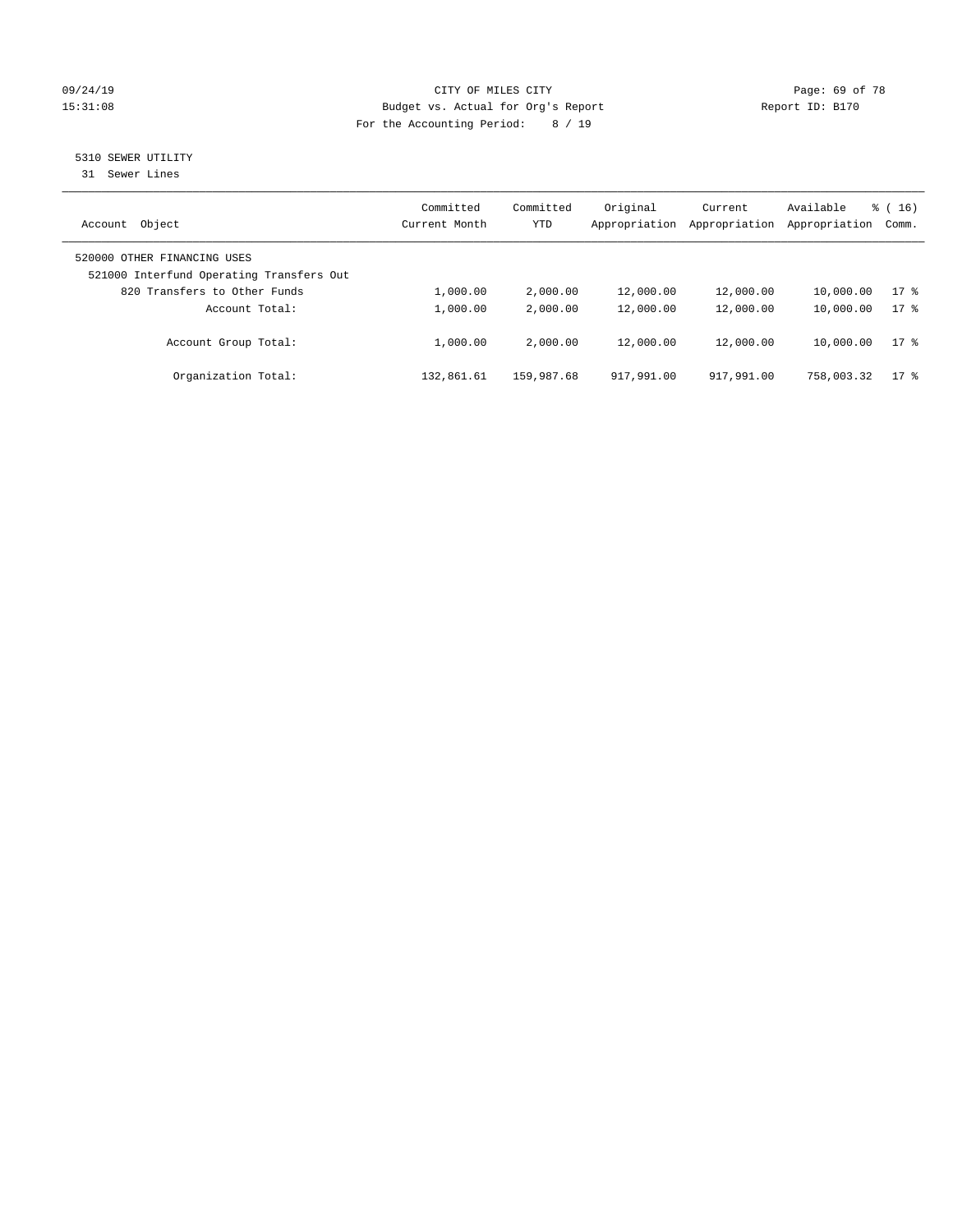# 09/24/19 Page: 69 of 78 15:31:08 Budget vs. Actual for Org's Report Report ID: B170 For the Accounting Period: 8 / 19

# 5310 SEWER UTILITY

31 Sewer Lines

| Object<br>Account                                                       | Committed<br>Current Month | Committed<br>YTD | Original<br>Appropriation | Current<br>Appropriation | Available<br>Appropriation | $\frac{3}{6}$ ( 16 )<br>Comm. |
|-------------------------------------------------------------------------|----------------------------|------------------|---------------------------|--------------------------|----------------------------|-------------------------------|
| 520000 OTHER FINANCING USES<br>521000 Interfund Operating Transfers Out |                            |                  |                           |                          |                            |                               |
| 820 Transfers to Other Funds                                            | 1,000.00                   | 2,000.00         | 12,000.00                 | 12,000.00                | 10,000.00                  | $17*$                         |
| Account Total:                                                          | 1,000.00                   | 2,000.00         | 12,000.00                 | 12,000.00                | 10,000.00                  | $17*$                         |
| Account Group Total:                                                    | 1,000.00                   | 2,000.00         | 12,000.00                 | 12,000.00                | 10,000.00                  | $17*$                         |
| Organization Total:                                                     | 132,861.61                 | 159,987.68       | 917,991.00                | 917,991.00               | 758,003.32                 | $17$ %                        |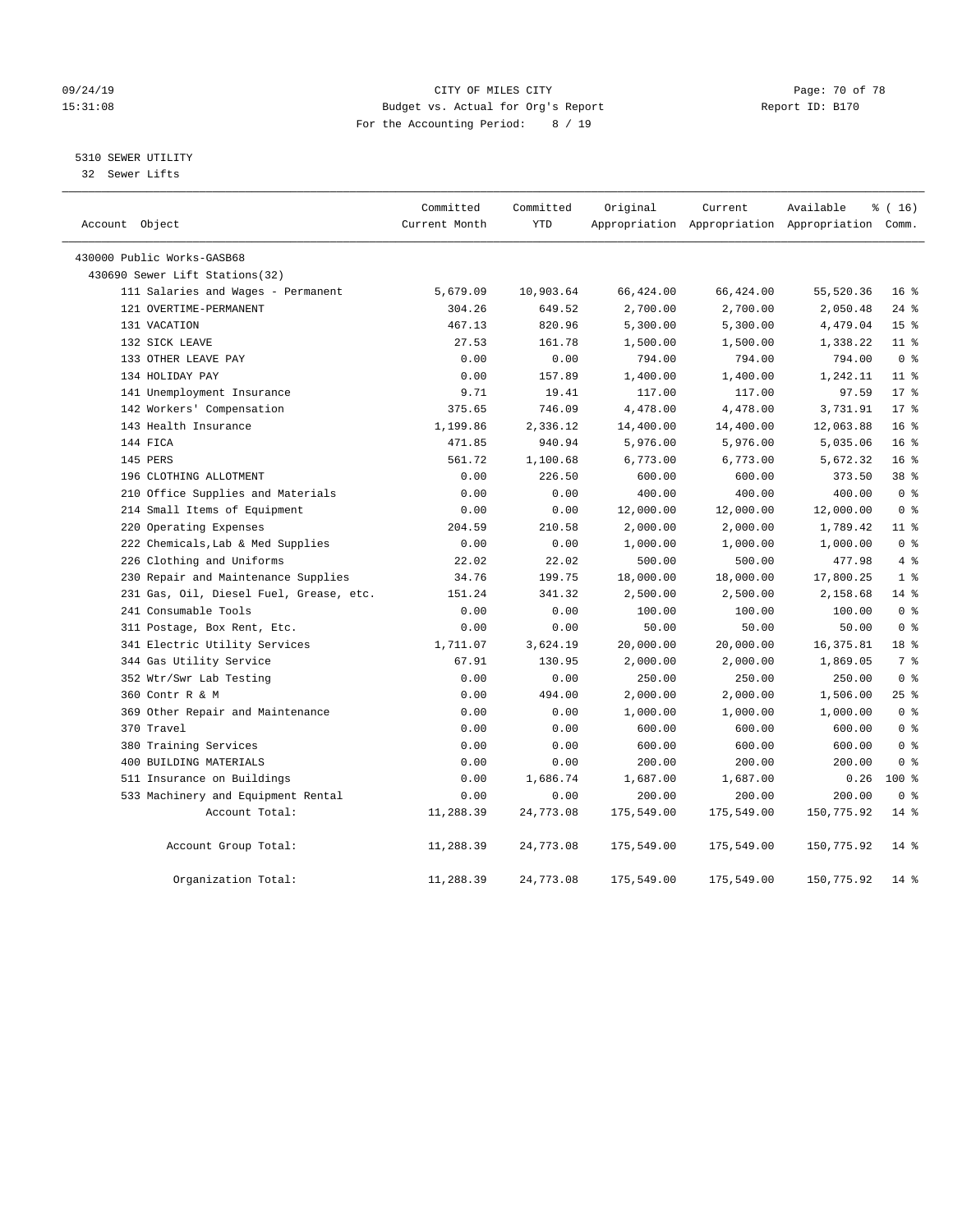#### 09/24/19 Page: 70 of 78 15:31:08 Budget vs. Actual for Org's Report Report ID: B170 For the Accounting Period: 8 / 19

# 5310 SEWER UTILITY

32 Sewer Lifts

| Account Object                          | Committed<br>Current Month | Committed<br>YTD | Original   | Current    | Available<br>Appropriation Appropriation Appropriation Comm. | \$(16)          |  |
|-----------------------------------------|----------------------------|------------------|------------|------------|--------------------------------------------------------------|-----------------|--|
| 430000 Public Works-GASB68              |                            |                  |            |            |                                                              |                 |  |
| 430690 Sewer Lift Stations(32)          |                            |                  |            |            |                                                              |                 |  |
| 111 Salaries and Wages - Permanent      | 5,679.09                   | 10,903.64        | 66,424.00  | 66,424.00  | 55,520.36                                                    | 16 <sup>°</sup> |  |
| 121 OVERTIME-PERMANENT                  | 304.26                     | 649.52           | 2,700.00   | 2,700.00   | 2,050.48                                                     | $24$ %          |  |
| 131 VACATION                            | 467.13                     | 820.96           | 5,300.00   | 5,300.00   | 4,479.04                                                     | 15 <sup>°</sup> |  |
| 132 SICK LEAVE                          | 27.53                      | 161.78           | 1,500.00   | 1,500.00   | 1,338.22                                                     | $11$ %          |  |
| 133 OTHER LEAVE PAY                     | 0.00                       | 0.00             | 794.00     | 794.00     | 794.00                                                       | 0 <sup>8</sup>  |  |
| 134 HOLIDAY PAY                         | 0.00                       | 157.89           | 1,400.00   | 1,400.00   | 1,242.11                                                     | $11$ %          |  |
| 141 Unemployment Insurance              | 9.71                       | 19.41            | 117.00     | 117.00     | 97.59                                                        | $17*$           |  |
| 142 Workers' Compensation               | 375.65                     | 746.09           | 4,478.00   | 4,478.00   | 3,731.91                                                     | $17*$           |  |
| 143 Health Insurance                    | 1,199.86                   | 2,336.12         | 14,400.00  | 14,400.00  | 12,063.88                                                    | 16 <sup>8</sup> |  |
| 144 FICA                                | 471.85                     | 940.94           | 5,976.00   | 5,976.00   | 5,035.06                                                     | 16 <sup>8</sup> |  |
| 145 PERS                                | 561.72                     | 1,100.68         | 6,773.00   | 6,773.00   | 5,672.32                                                     | 16 <sup>8</sup> |  |
| 196 CLOTHING ALLOTMENT                  | 0.00                       | 226.50           | 600.00     | 600.00     | 373.50                                                       | 38 %            |  |
| 210 Office Supplies and Materials       | 0.00                       | 0.00             | 400.00     | 400.00     | 400.00                                                       | 0 <sup>8</sup>  |  |
| 214 Small Items of Equipment            | 0.00                       | 0.00             | 12,000.00  | 12,000.00  | 12,000.00                                                    | 0 <sup>8</sup>  |  |
| 220 Operating Expenses                  | 204.59                     | 210.58           | 2,000.00   | 2,000.00   | 1,789.42                                                     | $11$ %          |  |
| 222 Chemicals, Lab & Med Supplies       | 0.00                       | 0.00             | 1,000.00   | 1,000.00   | 1,000.00                                                     | 0 <sup>8</sup>  |  |
| 226 Clothing and Uniforms               | 22.02                      | 22.02            | 500.00     | 500.00     | 477.98                                                       | 4%              |  |
| 230 Repair and Maintenance Supplies     | 34.76                      | 199.75           | 18,000.00  | 18,000.00  | 17,800.25                                                    | 1 <sup>8</sup>  |  |
| 231 Gas, Oil, Diesel Fuel, Grease, etc. | 151.24                     | 341.32           | 2,500.00   | 2,500.00   | 2,158.68                                                     | $14$ %          |  |
| 241 Consumable Tools                    | 0.00                       | 0.00             | 100.00     | 100.00     | 100.00                                                       | 0 <sup>8</sup>  |  |
| 311 Postage, Box Rent, Etc.             | 0.00                       | 0.00             | 50.00      | 50.00      | 50.00                                                        | 0 <sup>8</sup>  |  |
| 341 Electric Utility Services           | 1,711.07                   | 3,624.19         | 20,000.00  | 20,000.00  | 16, 375.81                                                   | 18 <sup>8</sup> |  |
| 344 Gas Utility Service                 | 67.91                      | 130.95           | 2,000.00   | 2,000.00   | 1,869.05                                                     | 7 %             |  |
| 352 Wtr/Swr Lab Testing                 | 0.00                       | 0.00             | 250.00     | 250.00     | 250.00                                                       | 0 <sup>8</sup>  |  |
| 360 Contr R & M                         | 0.00                       | 494.00           | 2,000.00   | 2,000.00   | 1,506.00                                                     | 25%             |  |
| 369 Other Repair and Maintenance        | 0.00                       | 0.00             | 1,000.00   | 1,000.00   | 1,000.00                                                     | 0 <sup>8</sup>  |  |
| 370 Travel                              | 0.00                       | 0.00             | 600.00     | 600.00     | 600.00                                                       | 0 <sup>8</sup>  |  |
| 380 Training Services                   | 0.00                       | 0.00             | 600.00     | 600.00     | 600.00                                                       | 0 <sup>8</sup>  |  |
| 400 BUILDING MATERIALS                  | 0.00                       | 0.00             | 200.00     | 200.00     | 200.00                                                       | 0 <sup>8</sup>  |  |
| 511 Insurance on Buildings              | 0.00                       | 1,686.74         | 1,687.00   | 1,687.00   | 0.26                                                         | $100*$          |  |
| 533 Machinery and Equipment Rental      | 0.00                       | 0.00             | 200.00     | 200.00     | 200.00                                                       | 0 <sup>8</sup>  |  |
| Account Total:                          | 11,288.39                  | 24,773.08        | 175,549.00 | 175,549.00 | 150,775.92                                                   | $14*$           |  |
| Account Group Total:                    | 11,288.39                  | 24,773.08        | 175,549.00 | 175,549.00 | 150,775.92                                                   | $14$ %          |  |
| Organization Total:                     | 11,288.39                  | 24,773.08        | 175,549.00 | 175,549.00 | 150,775.92                                                   | $14*$           |  |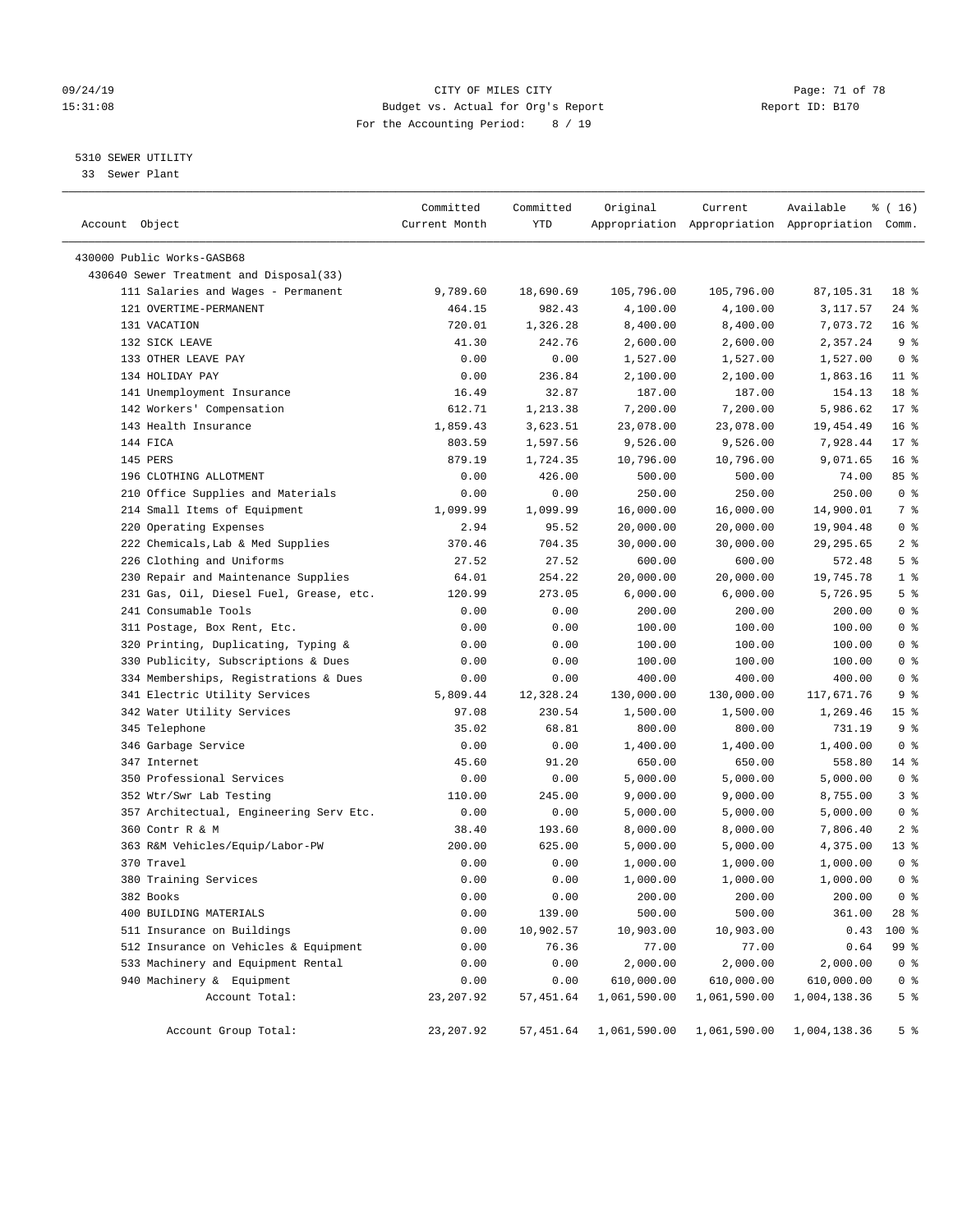#### 09/24/19 Page: 71 of 78 15:31:08 Budget vs. Actual for Org's Report Report ID: B170 For the Accounting Period: 8 / 19

————————————————————————————————————————————————————————————————————————————————————————————————————————————————————————————————————

### 5310 SEWER UTILITY

33 Sewer Plant

|                                         | Committed     | Committed | Original                                         | Current      | Available                                       | % (16)          |
|-----------------------------------------|---------------|-----------|--------------------------------------------------|--------------|-------------------------------------------------|-----------------|
| Account Object                          | Current Month | YTD       |                                                  |              | Appropriation Appropriation Appropriation Comm. |                 |
| 430000 Public Works-GASB68              |               |           |                                                  |              |                                                 |                 |
| 430640 Sewer Treatment and Disposal(33) |               |           |                                                  |              |                                                 |                 |
| 111 Salaries and Wages - Permanent      | 9,789.60      | 18,690.69 | 105,796.00                                       | 105,796.00   | 87,105.31                                       | 18 %            |
| 121 OVERTIME-PERMANENT                  | 464.15        | 982.43    | 4,100.00                                         | 4,100.00     | 3,117.57                                        | 24 %            |
| 131 VACATION                            | 720.01        | 1,326.28  | 8,400.00                                         | 8,400.00     | 7,073.72                                        | 16 <sup>8</sup> |
| 132 SICK LEAVE                          | 41.30         | 242.76    | 2,600.00                                         | 2,600.00     | 2,357.24                                        | 9%              |
| 133 OTHER LEAVE PAY                     | 0.00          | 0.00      | 1,527.00                                         | 1,527.00     | 1,527.00                                        | 0 <sup>8</sup>  |
| 134 HOLIDAY PAY                         | 0.00          | 236.84    | 2,100.00                                         | 2,100.00     | 1,863.16                                        | $11$ %          |
| 141 Unemployment Insurance              | 16.49         | 32.87     | 187.00                                           | 187.00       | 154.13                                          | 18 %            |
| 142 Workers' Compensation               | 612.71        | 1,213.38  | 7,200.00                                         | 7,200.00     | 5,986.62                                        | $17*$           |
| 143 Health Insurance                    | 1,859.43      | 3,623.51  | 23,078.00                                        | 23,078.00    | 19,454.49                                       | 16 <sup>8</sup> |
| 144 FICA                                | 803.59        | 1,597.56  | 9,526.00                                         | 9,526.00     | 7,928.44                                        | $17*$           |
| 145 PERS                                | 879.19        | 1,724.35  | 10,796.00                                        | 10,796.00    | 9,071.65                                        | 16 <sup>°</sup> |
| 196 CLOTHING ALLOTMENT                  | 0.00          | 426.00    | 500.00                                           | 500.00       | 74.00                                           | 85 %            |
| 210 Office Supplies and Materials       | 0.00          | 0.00      | 250.00                                           | 250.00       | 250.00                                          | 0 <sup>8</sup>  |
| 214 Small Items of Equipment            | 1,099.99      | 1,099.99  | 16,000.00                                        | 16,000.00    | 14,900.01                                       | 7 %             |
| 220 Operating Expenses                  | 2.94          | 95.52     | 20,000.00                                        | 20,000.00    | 19,904.48                                       | 0 <sup>8</sup>  |
| 222 Chemicals, Lab & Med Supplies       | 370.46        | 704.35    | 30,000.00                                        | 30,000.00    | 29, 295.65                                      | 2 <sub>8</sub>  |
| 226 Clothing and Uniforms               | 27.52         | 27.52     | 600.00                                           | 600.00       | 572.48                                          | 5 <sup>8</sup>  |
| 230 Repair and Maintenance Supplies     | 64.01         | 254.22    | 20,000.00                                        | 20,000.00    | 19,745.78                                       | 1 <sup>8</sup>  |
| 231 Gas, Oil, Diesel Fuel, Grease, etc. | 120.99        | 273.05    | 6,000.00                                         | 6,000.00     | 5,726.95                                        | 5 <sup>8</sup>  |
| 241 Consumable Tools                    | 0.00          | 0.00      | 200.00                                           | 200.00       | 200.00                                          | 0 <sup>8</sup>  |
| 311 Postage, Box Rent, Etc.             | 0.00          | 0.00      | 100.00                                           | 100.00       | 100.00                                          | 0 <sup>8</sup>  |
| 320 Printing, Duplicating, Typing &     | 0.00          | 0.00      | 100.00                                           | 100.00       | 100.00                                          | 0 <sup>8</sup>  |
| 330 Publicity, Subscriptions & Dues     | 0.00          | 0.00      | 100.00                                           | 100.00       | 100.00                                          | 0 <sup>8</sup>  |
| 334 Memberships, Registrations & Dues   | 0.00          | 0.00      | 400.00                                           | 400.00       | 400.00                                          | 0 <sup>8</sup>  |
| 341 Electric Utility Services           | 5,809.44      | 12,328.24 | 130,000.00                                       | 130,000.00   | 117,671.76                                      | 9 <sup>°</sup>  |
| 342 Water Utility Services              | 97.08         | 230.54    | 1,500.00                                         | 1,500.00     | 1,269.46                                        | 15 <sup>8</sup> |
| 345 Telephone                           | 35.02         | 68.81     | 800.00                                           | 800.00       | 731.19                                          | 9%              |
| 346 Garbage Service                     | 0.00          | 0.00      | 1,400.00                                         | 1,400.00     | 1,400.00                                        | 0 <sup>8</sup>  |
| 347 Internet                            | 45.60         | 91.20     | 650.00                                           | 650.00       | 558.80                                          | $14$ %          |
| 350 Professional Services               | 0.00          | 0.00      | 5,000.00                                         | 5,000.00     | 5,000.00                                        | 0 <sup>8</sup>  |
| 352 Wtr/Swr Lab Testing                 | 110.00        | 245.00    | 9,000.00                                         | 9,000.00     | 8,755.00                                        | 3%              |
| 357 Architectual, Engineering Serv Etc. | 0.00          | 0.00      | 5,000.00                                         | 5,000.00     | 5,000.00                                        | 0 <sup>8</sup>  |
| 360 Contr R & M                         | 38.40         | 193.60    | 8,000.00                                         | 8,000.00     | 7,806.40                                        | 2 <sup>8</sup>  |
| 363 R&M Vehicles/Equip/Labor-PW         | 200.00        | 625.00    | 5,000.00                                         | 5,000.00     | 4,375.00                                        | 13 <sup>°</sup> |
| 370 Travel                              | 0.00          | 0.00      | 1,000.00                                         | 1,000.00     | 1,000.00                                        | 0 <sup>8</sup>  |
| 380 Training Services                   | 0.00          | 0.00      | 1,000.00                                         | 1,000.00     | 1,000.00                                        | 0 <sup>8</sup>  |
| 382 Books                               | 0.00          | 0.00      | 200.00                                           | 200.00       | 200.00                                          | 0 <sup>8</sup>  |
| 400 BUILDING MATERIALS                  | 0.00          | 139.00    | 500.00                                           | 500.00       | 361.00                                          | 28 %            |
| 511 Insurance on Buildings              | 0.00          | 10,902.57 | 10,903.00                                        | 10,903.00    | 0.43                                            | 100 %           |
| 512 Insurance on Vehicles & Equipment   | 0.00          | 76.36     | 77.00                                            | 77.00        | 0.64                                            | 99 %            |
| 533 Machinery and Equipment Rental      | 0.00          | 0.00      | 2,000.00                                         | 2,000.00     | 2,000.00                                        | 0 <sup>8</sup>  |
| 940 Machinery & Equipment               | 0.00          | 0.00      | 610,000.00                                       | 610,000.00   | 610,000.00                                      | 0 <sub>8</sub>  |
| Account Total:                          | 23, 207.92    | 57,451.64 | 1,061,590.00                                     | 1,061,590.00 | 1,004,138.36                                    | 5 <sup>°</sup>  |
|                                         |               |           |                                                  |              |                                                 |                 |
| Account Group Total:                    | 23, 207.92    |           | 57,451.64 1,061,590.00 1,061,590.00 1,004,138.36 |              |                                                 | 5 <sup>8</sup>  |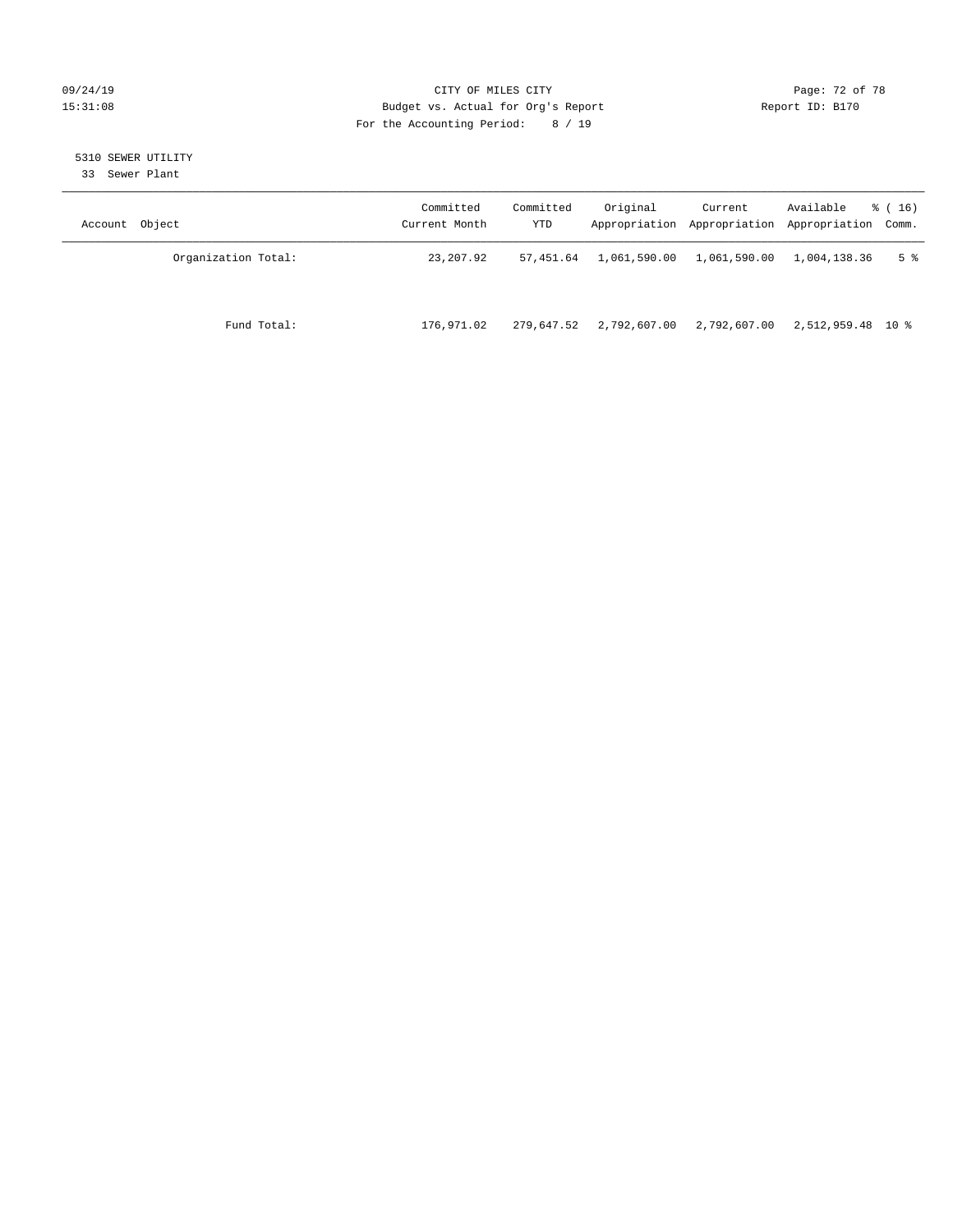# 09/24/19 Page: 72 of 78 15:31:08 Budget vs. Actual for Org's Report Report ID: B170 For the Accounting Period: 8 / 19

# 5310 SEWER UTILITY

33 Sewer Plant

| Account Object |                     | Committed<br>Current Month | Committed<br>YTD | Original     | Current      | Available<br>Appropriation Appropriation Appropriation Comm. | $\frac{1}{6}$ (16) |
|----------------|---------------------|----------------------------|------------------|--------------|--------------|--------------------------------------------------------------|--------------------|
|                | Organization Total: | 23,207.92                  | 57,451.64        | 1,061,590.00 | 1,061,590.00 | 1,004,138.36                                                 | 5 <sup>8</sup>     |
|                | Fund Total:         | 176,971.02                 | 279,647.52       | 2,792,607.00 | 2,792,607.00 | 2,512,959.48 10 %                                            |                    |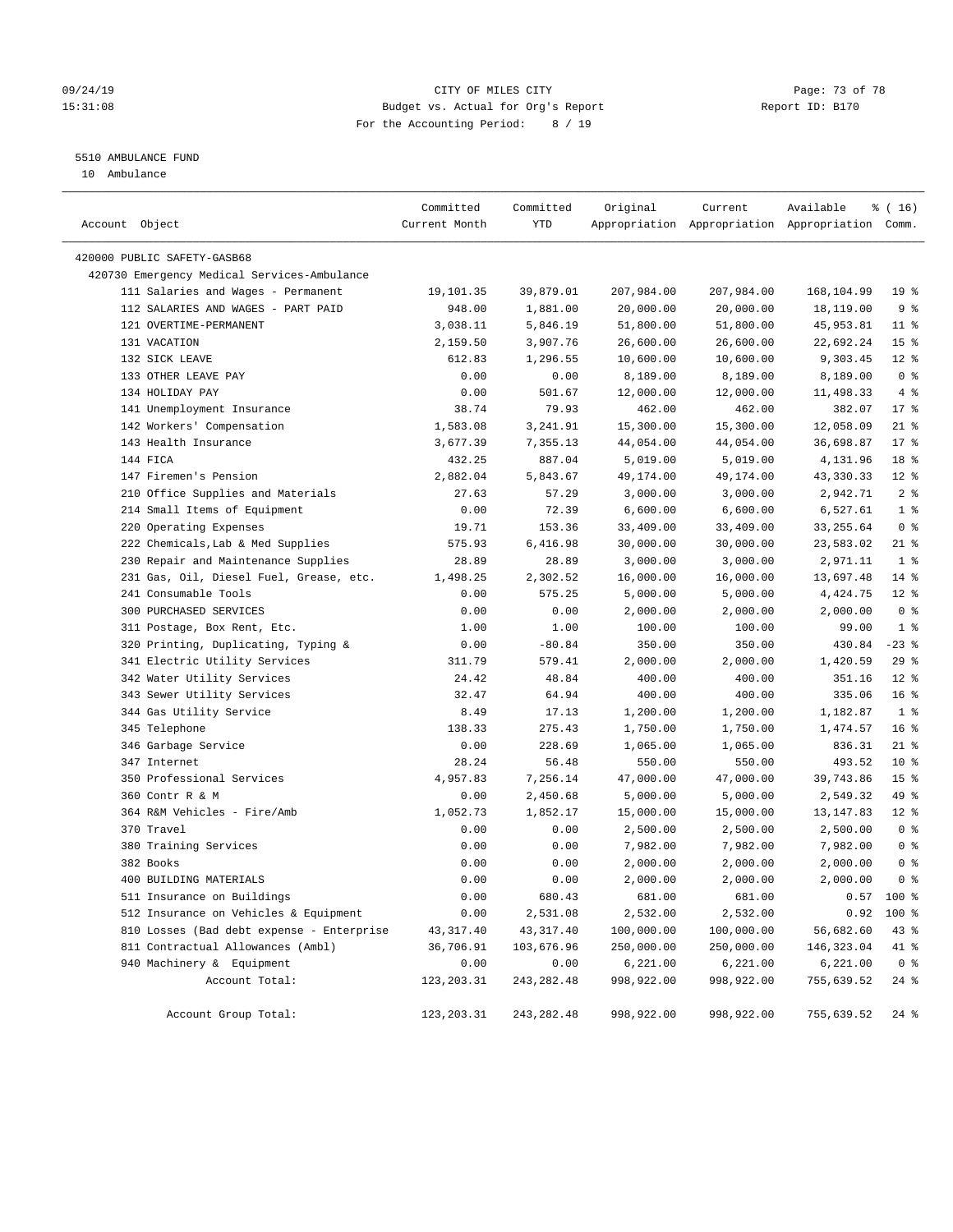## 09/24/19 Page: 73 of 78 15:31:08 Budget vs. Actual for Org's Report Report ID: B170 For the Accounting Period: 8 / 19

# 5510 AMBULANCE FUND

10 Ambulance

| Account Object                              | Committed<br>Current Month | Committed<br>YTD | Original   | Current              | Available<br>Appropriation Appropriation Appropriation Comm. | $*(16)$         |
|---------------------------------------------|----------------------------|------------------|------------|----------------------|--------------------------------------------------------------|-----------------|
| 420000 PUBLIC SAFETY-GASB68                 |                            |                  |            |                      |                                                              |                 |
| 420730 Emergency Medical Services-Ambulance |                            |                  |            |                      |                                                              |                 |
| 111 Salaries and Wages - Permanent          | 19,101.35                  | 39,879.01        | 207,984.00 | 207,984.00           | 168,104.99                                                   | 19 <sup>°</sup> |
| 112 SALARIES AND WAGES - PART PAID          | 948.00                     | 1,881.00         | 20,000.00  | 20,000.00            | 18,119.00                                                    | 9 <sub>8</sub>  |
| 121 OVERTIME-PERMANENT                      | 3,038.11                   | 5,846.19         | 51,800.00  | 51,800.00            | 45,953.81                                                    | $11$ %          |
| 131 VACATION                                | 2,159.50                   | 3,907.76         | 26,600.00  | 26,600.00            | 22,692.24                                                    | 15 <sup>°</sup> |
| 132 SICK LEAVE                              | 612.83                     | 1,296.55         | 10,600.00  | 10,600.00            | 9,303.45                                                     | $12*$           |
| 133 OTHER LEAVE PAY                         | 0.00                       | 0.00             | 8,189.00   | 8,189.00             | 8,189.00                                                     | 0 <sup>8</sup>  |
| 134 HOLIDAY PAY                             | 0.00                       | 501.67           | 12,000.00  | 12,000.00            | 11,498.33                                                    | 4%              |
| 141 Unemployment Insurance                  | 38.74                      | 79.93            | 462.00     | 462.00               | 382.07                                                       | $17*$           |
| 142 Workers' Compensation                   | 1,583.08                   | 3,241.91         | 15,300.00  | 15,300.00            | 12,058.09                                                    | $21$ %          |
| 143 Health Insurance                        | 3,677.39                   | 7,355.13         | 44,054.00  | 44,054.00            | 36,698.87                                                    | $17*$           |
| 144 FICA                                    | 432.25                     | 887.04           | 5,019.00   | 5,019.00             | 4,131.96                                                     | 18 <sup>°</sup> |
| 147 Firemen's Pension                       | 2,882.04                   | 5,843.67         | 49,174.00  | 49,174.00            | 43,330.33                                                    | $12*$           |
| 210 Office Supplies and Materials           | 27.63                      | 57.29            |            |                      | 2,942.71                                                     | 2 <sup>8</sup>  |
| 214 Small Items of Equipment                | 0.00                       | 72.39            | 3,000.00   | 3,000.00<br>6,600.00 |                                                              | 1 <sup>8</sup>  |
|                                             |                            |                  | 6,600.00   |                      | 6,527.61                                                     | 0 <sup>8</sup>  |
| 220 Operating Expenses                      | 19.71                      | 153.36           | 33,409.00  | 33,409.00            | 33, 255.64                                                   | $21$ %          |
| 222 Chemicals, Lab & Med Supplies           | 575.93                     | 6,416.98         | 30,000.00  | 30,000.00            | 23,583.02                                                    | 1 <sup>°</sup>  |
| 230 Repair and Maintenance Supplies         | 28.89                      | 28.89            | 3,000.00   | 3,000.00             | 2,971.11                                                     |                 |
| 231 Gas, Oil, Diesel Fuel, Grease, etc.     | 1,498.25                   | 2,302.52         | 16,000.00  | 16,000.00            | 13,697.48                                                    | $14*$           |
| 241 Consumable Tools                        | 0.00                       | 575.25           | 5,000.00   | 5,000.00             | 4,424.75                                                     | $12*$           |
| 300 PURCHASED SERVICES                      | 0.00                       | 0.00             | 2,000.00   | 2,000.00             | 2,000.00                                                     | 0 <sup>8</sup>  |
| 311 Postage, Box Rent, Etc.                 | 1.00                       | 1.00             | 100.00     | 100.00               | 99.00                                                        | 1 <sup>8</sup>  |
| 320 Printing, Duplicating, Typing &         | 0.00                       | $-80.84$         | 350.00     | 350.00               | 430.84                                                       | $-23$ %         |
| 341 Electric Utility Services               | 311.79                     | 579.41           | 2,000.00   | 2,000.00             | 1,420.59                                                     | 29%             |
| 342 Water Utility Services                  | 24.42                      | 48.84            | 400.00     | 400.00               | 351.16                                                       | $12*$           |
| 343 Sewer Utility Services                  | 32.47                      | 64.94            | 400.00     | 400.00               | 335.06                                                       | 16 <sup>°</sup> |
| 344 Gas Utility Service                     | 8.49                       | 17.13            | 1,200.00   | 1,200.00             | 1,182.87                                                     | 1 <sup>°</sup>  |
| 345 Telephone                               | 138.33                     | 275.43           | 1,750.00   | 1,750.00             | 1,474.57                                                     | 16 <sup>°</sup> |
| 346 Garbage Service                         | 0.00                       | 228.69           | 1,065.00   | 1,065.00             | 836.31                                                       | $21$ %          |
| 347 Internet                                | 28.24                      | 56.48            | 550.00     | 550.00               | 493.52                                                       | $10*$           |
| 350 Professional Services                   | 4,957.83                   | 7,256.14         | 47,000.00  | 47,000.00            | 39,743.86                                                    | 15 <sup>°</sup> |
| 360 Contr R & M                             | 0.00                       | 2,450.68         | 5,000.00   | 5,000.00             | 2,549.32                                                     | 49 %            |
| 364 R&M Vehicles - Fire/Amb                 | 1,052.73                   | 1,852.17         | 15,000.00  | 15,000.00            | 13, 147.83                                                   | $12*$           |
| 370 Travel                                  | 0.00                       | 0.00             | 2,500.00   | 2,500.00             | 2,500.00                                                     | 0 <sup>8</sup>  |
| 380 Training Services                       | 0.00                       | 0.00             | 7,982.00   | 7,982.00             | 7,982.00                                                     | 0 <sup>8</sup>  |
| 382 Books                                   | 0.00                       | 0.00             | 2,000.00   | 2,000.00             | 2,000.00                                                     | 0 <sup>8</sup>  |
| 400 BUILDING MATERIALS                      | 0.00                       | 0.00             | 2,000.00   | 2,000.00             | 2,000.00                                                     | 0 <sup>8</sup>  |
| 511 Insurance on Buildings                  | 0.00                       | 680.43           | 681.00     | 681.00               | 0.57                                                         | 100 %           |
| 512 Insurance on Vehicles & Equipment       | 0.00                       | 2,531.08         | 2,532.00   | 2,532.00             | 0.92                                                         | 100 %           |
| 810 Losses (Bad debt expense - Enterprise   | 43,317.40                  | 43,317.40        | 100,000.00 | 100,000.00           | 56,682.60                                                    | 43 %            |
| 811 Contractual Allowances (Ambl)           | 36,706.91                  | 103,676.96       | 250,000.00 | 250,000.00           | 146, 323.04                                                  | 41 %            |
| 940 Machinery & Equipment                   | 0.00                       | 0.00             | 6,221.00   | 6,221.00             | 6,221.00                                                     | 0 <sup>8</sup>  |
| Account Total:                              | 123, 203. 31               | 243, 282.48      | 998,922.00 | 998,922.00           | 755,639.52                                                   | $24$ %          |
| Account Group Total:                        | 123, 203. 31               | 243, 282.48      | 998,922.00 | 998,922.00           | 755,639.52                                                   | $24$ %          |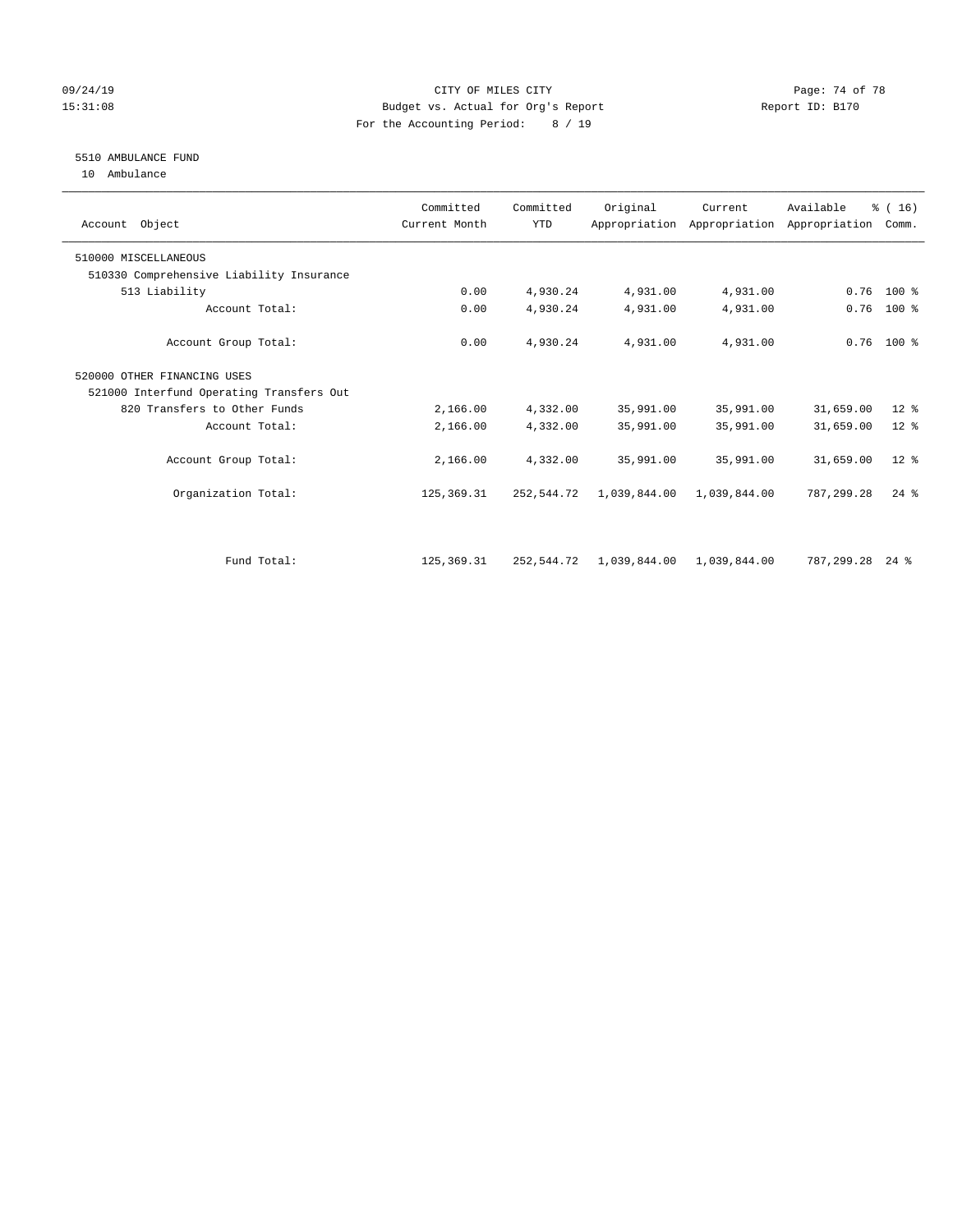## 09/24/19 Page: 74 of 78 15:31:08 Budget vs. Actual for Org's Report Report ID: B170 For the Accounting Period: 8 / 19

# 5510 AMBULANCE FUND

10 Ambulance

| Account Object                           | Committed<br>Current Month | Committed<br><b>YTD</b> | Original                  | Current      | Available<br>Appropriation Appropriation Appropriation | % (16)<br>Comm.    |  |
|------------------------------------------|----------------------------|-------------------------|---------------------------|--------------|--------------------------------------------------------|--------------------|--|
| 510000 MISCELLANEOUS                     |                            |                         |                           |              |                                                        |                    |  |
| 510330 Comprehensive Liability Insurance |                            |                         |                           |              |                                                        |                    |  |
| 513 Liability                            | 0.00                       | 4,930.24                | 4,931.00                  | 4,931.00     | 0.76                                                   | 100 %              |  |
| Account Total:                           | 0.00                       | 4,930.24                | 4,931.00                  | 4,931.00     | 0.76                                                   | $100$ %            |  |
| Account Group Total:                     | 0.00                       | 4,930.24                | 4,931.00                  | 4,931.00     |                                                        | $0.76$ 100 %       |  |
| 520000 OTHER FINANCING USES              |                            |                         |                           |              |                                                        |                    |  |
| 521000 Interfund Operating Transfers Out |                            |                         |                           |              |                                                        |                    |  |
| 820 Transfers to Other Funds             | 2,166.00                   | 4,332.00                | 35,991.00                 | 35,991.00    | 31,659.00                                              | $12*$              |  |
| Account Total:                           | 2,166.00                   | 4,332.00                | 35,991.00                 | 35,991.00    | 31,659.00                                              | $12*$              |  |
| Account Group Total:                     | 2,166.00                   | 4,332.00                | 35,991.00                 | 35,991.00    | 31,659.00                                              | $12*$              |  |
| Organization Total:                      | 125, 369. 31               | 252,544.72              | 1,039,844.00              | 1,039,844.00 | 787.299.28                                             | $24$ $%$           |  |
| Fund Total:                              | 125, 369, 31               | 252,544.72              | 1,039,844.00 1,039,844.00 |              | 787,299.28                                             | $24$ $\frac{6}{3}$ |  |
|                                          |                            |                         |                           |              |                                                        |                    |  |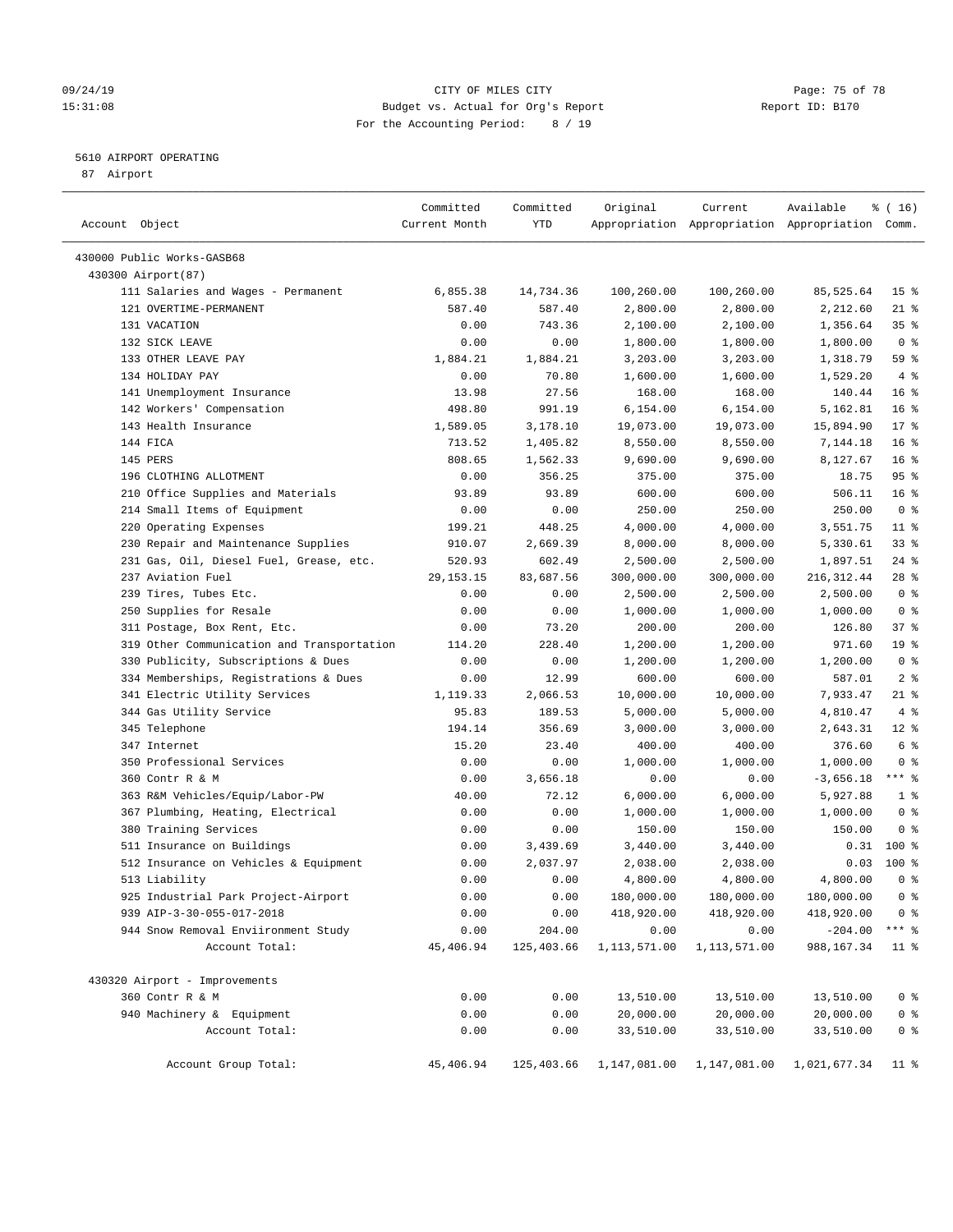## 09/24/19 Page: 75 of 78 15:31:08 Budget vs. Actual for Org's Report Report ID: B170 For the Accounting Period: 8 / 19

————————————————————————————————————————————————————————————————————————————————————————————————————————————————————————————————————

## 5610 AIRPORT OPERATING

87 Airport

|                                                        | Committed     | Committed    | Original             | Current                | Available                                       | $\frac{1}{6}$ ( 16 ) |
|--------------------------------------------------------|---------------|--------------|----------------------|------------------------|-------------------------------------------------|----------------------|
| Account Object                                         | Current Month | YTD          |                      |                        | Appropriation Appropriation Appropriation Comm. |                      |
| 430000 Public Works-GASB68                             |               |              |                      |                        |                                                 |                      |
| 430300 Airport (87)                                    |               |              |                      |                        |                                                 |                      |
| 111 Salaries and Wages - Permanent                     | 6,855.38      | 14,734.36    | 100,260.00           | 100,260.00             | 85,525.64                                       | 15 <sup>°</sup>      |
| 121 OVERTIME-PERMANENT                                 | 587.40        | 587.40       | 2,800.00             | 2,800.00               | 2,212.60                                        | $21$ %               |
| 131 VACATION                                           | 0.00          | 743.36       | 2,100.00             | 2,100.00               | 1,356.64                                        | $35$ $\frac{6}{3}$   |
| 132 SICK LEAVE                                         | 0.00          | 0.00         | 1,800.00             | 1,800.00               | 1,800.00                                        | 0 <sup>8</sup>       |
| 133 OTHER LEAVE PAY                                    | 1,884.21      | 1,884.21     | 3,203.00             | 3,203.00               | 1,318.79                                        | 59 %                 |
| 134 HOLIDAY PAY                                        | 0.00          | 70.80        | 1,600.00             | 1,600.00               | 1,529.20                                        | 4%                   |
| 141 Unemployment Insurance                             | 13.98         | 27.56        | 168.00               | 168.00                 | 140.44                                          | 16 <sup>8</sup>      |
| 142 Workers' Compensation                              | 498.80        | 991.19       | 6,154.00             | 6,154.00               | 5,162.81                                        | 16 <sup>°</sup>      |
| 143 Health Insurance                                   | 1,589.05      | 3,178.10     | 19,073.00            | 19,073.00              | 15,894.90                                       | $17*$                |
| 144 FICA                                               | 713.52        | 1,405.82     | 8,550.00             | 8,550.00               | 7,144.18                                        | 16 <sup>8</sup>      |
| 145 PERS                                               | 808.65        | 1,562.33     | 9,690.00             | 9,690.00               | 8,127.67                                        | 16 <sup>8</sup>      |
| 196 CLOTHING ALLOTMENT                                 | 0.00          | 356.25       | 375.00               | 375.00                 | 18.75                                           | 95%                  |
| 210 Office Supplies and Materials                      | 93.89         | 93.89        | 600.00               | 600.00                 | 506.11                                          | 16 <sup>°</sup>      |
| 214 Small Items of Equipment                           | 0.00          | 0.00         | 250.00               | 250.00                 | 250.00                                          | 0 <sup>8</sup>       |
| 220 Operating Expenses                                 | 199.21        | 448.25       | 4,000.00             | 4,000.00               | 3,551.75                                        | $11$ %               |
| 230 Repair and Maintenance Supplies                    | 910.07        | 2,669.39     | 8,000.00             | 8,000.00               | 5,330.61                                        | 33%                  |
| 231 Gas, Oil, Diesel Fuel, Grease, etc.                | 520.93        | 602.49       | 2,500.00             | 2,500.00               | 1,897.51                                        | $24$ %               |
| 237 Aviation Fuel                                      | 29, 153. 15   | 83,687.56    | 300,000.00           | 300,000.00             | 216, 312.44                                     | $28$ %               |
| 239 Tires, Tubes Etc.                                  | 0.00          | 0.00         | 2,500.00             | 2,500.00               | 2,500.00                                        | 0 <sup>8</sup>       |
| 250 Supplies for Resale                                | 0.00          | 0.00         | 1,000.00             | 1,000.00               | 1,000.00                                        | 0 <sup>8</sup>       |
| 311 Postage, Box Rent, Etc.                            | 0.00          | 73.20        | 200.00               | 200.00                 | 126.80                                          | 37%                  |
| 319 Other Communication and Transportation             | 114.20        | 228.40       | 1,200.00             | 1,200.00               | 971.60                                          | 19 <sup>°</sup>      |
| 330 Publicity, Subscriptions & Dues                    | 0.00          | 0.00         | 1,200.00             | 1,200.00               | 1,200.00                                        | 0 <sup>8</sup>       |
| 334 Memberships, Registrations & Dues                  | 0.00          | 12.99        | 600.00               | 600.00                 | 587.01                                          | 2 <sup>8</sup>       |
| 341 Electric Utility Services                          | 1,119.33      | 2,066.53     | 10,000.00            | 10,000.00              | 7,933.47                                        | $21$ %               |
| 344 Gas Utility Service                                | 95.83         | 189.53       | 5,000.00             | 5,000.00               |                                                 | 4%                   |
| 345 Telephone                                          | 194.14        | 356.69       | 3,000.00             | 3,000.00               | 4,810.47<br>2,643.31                            | $12$ %               |
| 347 Internet                                           | 15.20         | 23.40        | 400.00               | 400.00                 | 376.60                                          | 6 %                  |
| 350 Professional Services                              | 0.00          | 0.00         | 1,000.00             |                        |                                                 | 0 <sup>8</sup>       |
| 360 Contr R & M                                        | 0.00          | 3,656.18     | 0.00                 | 1,000.00<br>0.00       | 1,000.00<br>$-3,656.18$                         | $***$ $-$            |
| 363 R&M Vehicles/Equip/Labor-PW                        | 40.00         | 72.12        | 6,000.00             | 6,000.00               | 5,927.88                                        | 1 <sup>°</sup>       |
| 367 Plumbing, Heating, Electrical                      | 0.00          | 0.00         | 1,000.00             | 1,000.00               | 1,000.00                                        | 0 <sup>8</sup>       |
|                                                        | 0.00          | 0.00         |                      | 150.00                 | 150.00                                          | 0 <sup>8</sup>       |
| 380 Training Services                                  | 0.00          | 3,439.69     | 150.00               |                        |                                                 | $0.31$ 100 %         |
| 511 Insurance on Buildings                             |               | 2,037.97     | 3,440.00             | 3,440.00               |                                                 | $100*$               |
| 512 Insurance on Vehicles & Equipment<br>513 Liability | 0.00<br>0.00  |              | 2,038.00<br>4,800.00 | 2,038.00               | 0.03<br>4,800.00                                | 0 <sup>8</sup>       |
| 925 Industrial Park Project-Airport                    | 0.00          | 0.00<br>0.00 | 180,000.00           | 4,800.00<br>180,000.00 | 180,000.00                                      | 0 <sup>8</sup>       |
| 939 AIP-3-30-055-017-2018                              |               | 0.00         | 418,920.00           | 418,920.00             | 418,920.00                                      | 0 <sup>8</sup>       |
|                                                        | 0.00          | 204.00       | 0.00                 | 0.00                   | $-204.00$                                       | $***$ $_{8}$         |
| 944 Snow Removal Enviironment Study<br>Account Total:  | 0.00          |              |                      |                        |                                                 |                      |
|                                                        | 45,406.94     | 125,403.66   | 1,113,571.00         | 1,113,571.00           | 988, 167.34                                     | 11 <sup>°</sup>      |
| 430320 Airport - Improvements                          |               |              |                      |                        |                                                 |                      |
| 360 Contr R & M                                        | 0.00          | 0.00         | 13,510.00            | 13,510.00              | 13,510.00                                       | 0 <sup>8</sup>       |
| 940 Machinery & Equipment                              | 0.00          | 0.00         | 20,000.00            | 20,000.00              | 20,000.00                                       | 0 <sup>8</sup>       |
| Account Total:                                         | 0.00          | 0.00         | 33,510.00            | 33,510.00              | 33,510.00                                       | $0$ %                |
| Account Group Total:                                   | 45,406.94     | 125,403.66   | 1,147,081.00         | 1,147,081.00           | 1,021,677.34                                    | 11 %                 |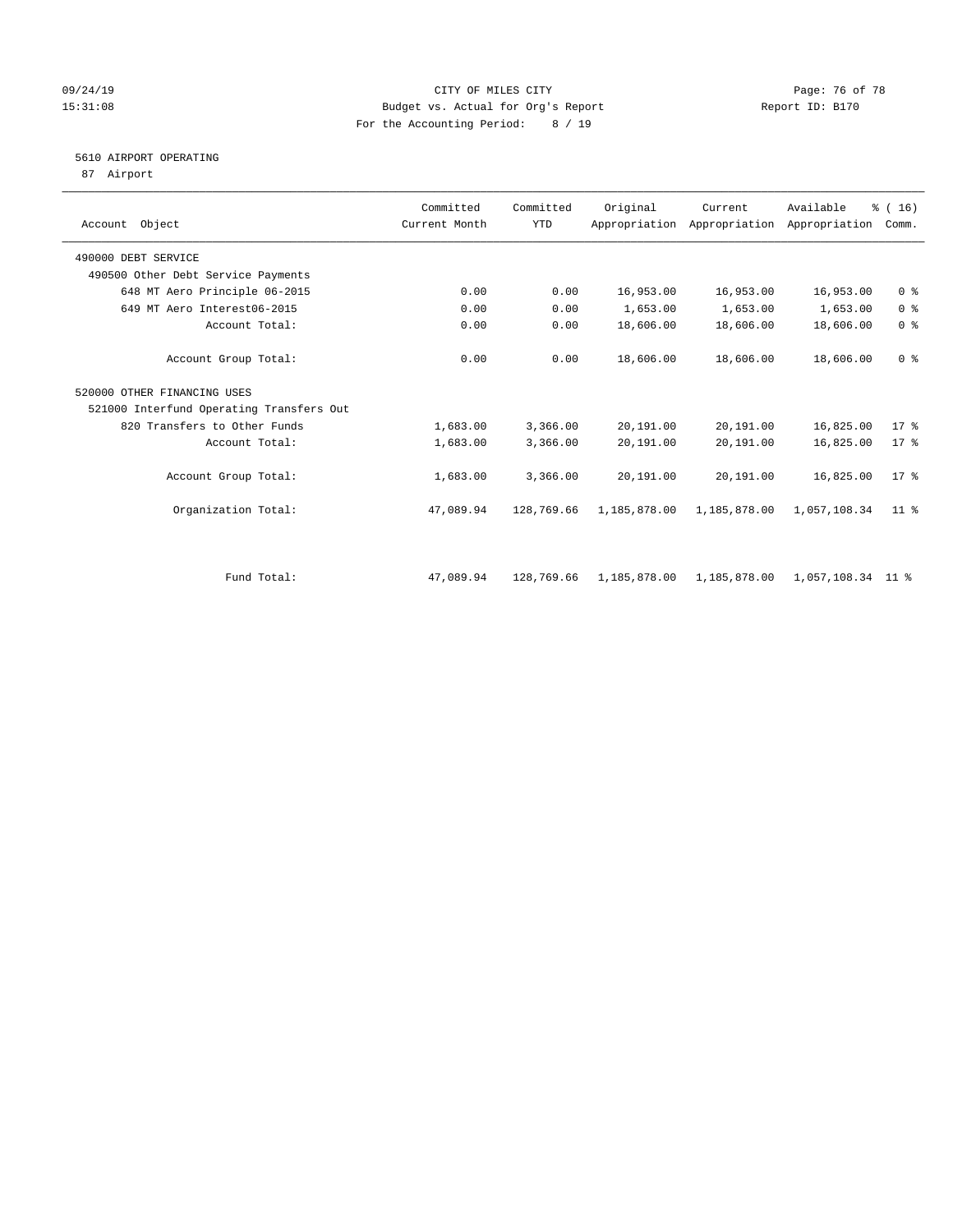### 09/24/19 Page: 76 of 78 15:31:08 Budget vs. Actual for Org's Report Report ID: B170 For the Accounting Period: 8 / 19

# 5610 AIRPORT OPERATING

87 Airport

| Account Object                           | Committed<br>Current Month | Committed<br><b>YTD</b> | Original     | Current<br>Appropriation Appropriation Appropriation | Available         | % (16)<br>Comm. |  |
|------------------------------------------|----------------------------|-------------------------|--------------|------------------------------------------------------|-------------------|-----------------|--|
| 490000 DEBT SERVICE                      |                            |                         |              |                                                      |                   |                 |  |
| 490500 Other Debt Service Payments       |                            |                         |              |                                                      |                   |                 |  |
| 648 MT Aero Principle 06-2015            | 0.00                       | 0.00                    | 16,953.00    | 16,953.00                                            | 16,953.00         | 0 <sup>8</sup>  |  |
| 649 MT Aero Interest06-2015              | 0.00                       | 0.00                    | 1,653.00     | 1,653.00                                             | 1,653.00          | 0 <sup>8</sup>  |  |
| Account Total:                           | 0.00                       | 0.00                    | 18,606.00    | 18,606.00                                            | 18,606.00         | 0 <sup>8</sup>  |  |
| Account Group Total:                     | 0.00                       | 0.00                    | 18,606.00    | 18,606.00                                            | 18,606.00         | 0 <sup>8</sup>  |  |
| 520000 OTHER FINANCING USES              |                            |                         |              |                                                      |                   |                 |  |
| 521000 Interfund Operating Transfers Out |                            |                         |              |                                                      |                   |                 |  |
| 820 Transfers to Other Funds             | 1,683.00                   | 3,366.00                | 20,191.00    | 20,191.00                                            | 16,825.00         | 17.8            |  |
| Account Total:                           | 1,683.00                   | 3,366.00                | 20,191.00    | 20,191.00                                            | 16,825.00         | $17*$           |  |
| Account Group Total:                     | 1,683.00                   | 3,366.00                | 20,191.00    | 20,191.00                                            | 16,825.00         | $17*$           |  |
| Organization Total:                      | 47,089.94                  | 128,769.66              | 1,185,878.00 | 1,185,878.00                                         | 1,057,108.34      | 11 <sup>8</sup> |  |
|                                          |                            |                         |              |                                                      |                   |                 |  |
| Fund Total:                              | 47,089.94                  | 128,769.66              | 1,185,878.00 | 1,185,878.00                                         | 1,057,108.34 11 % |                 |  |